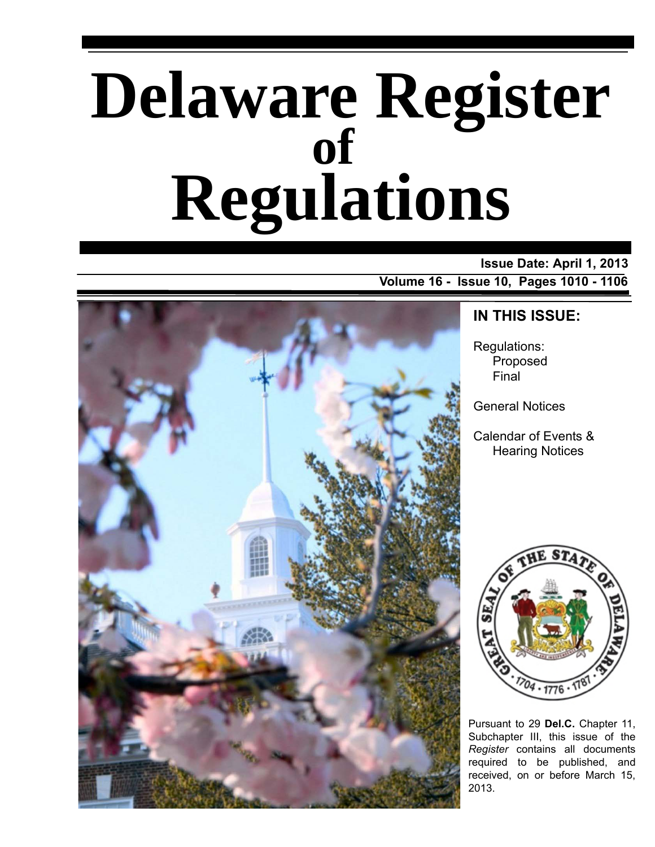# **Delaware Register Regulations of**

# **Issue Date: April 1, 2013**

**Volume 16 - Issue 10, Pages 1010 - 1106**



# **IN THIS ISSUE:**

Regulations: Proposed Final

General Notices

Calendar of Events & Hearing Notices



Pursuant to 29 **Del.C.** Chapter 11, Subchapter III, this issue of the *Register* contains all documents required to be published, and received, on or before March 15, 2013.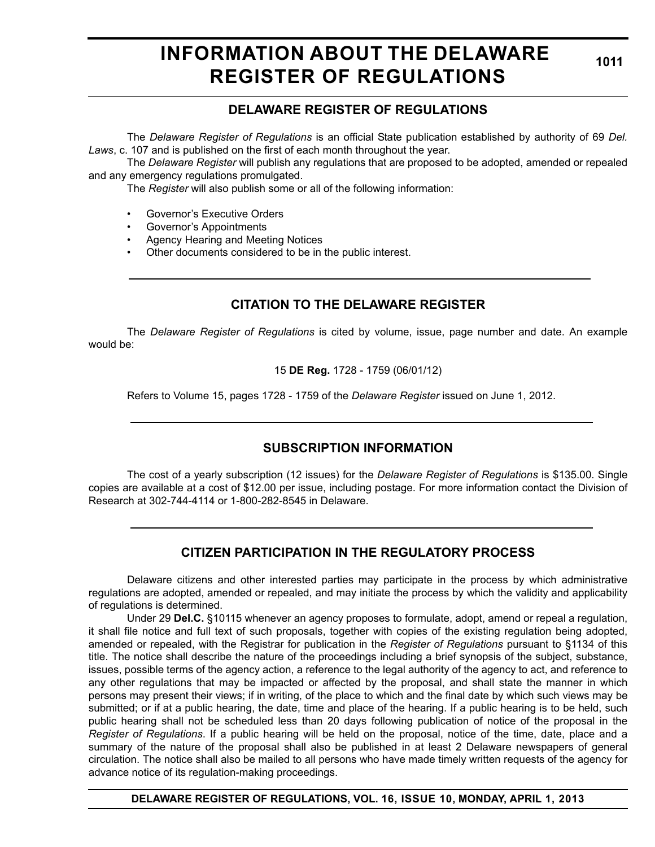# **INFORMATION ABOUT THE DELAWARE REGISTER OF REGULATIONS**

**1011**

# **DELAWARE REGISTER OF REGULATIONS**

The *Delaware Register of Regulations* is an official State publication established by authority of 69 *Del. Laws*, c. 107 and is published on the first of each month throughout the year.

The *Delaware Register* will publish any regulations that are proposed to be adopted, amended or repealed and any emergency regulations promulgated.

The *Register* will also publish some or all of the following information:

- Governor's Executive Orders
- Governor's Appointments
- Agency Hearing and Meeting Notices
- Other documents considered to be in the public interest.

# **CITATION TO THE DELAWARE REGISTER**

The *Delaware Register of Regulations* is cited by volume, issue, page number and date. An example would be:

15 **DE Reg.** 1728 - 1759 (06/01/12)

Refers to Volume 15, pages 1728 - 1759 of the *Delaware Register* issued on June 1, 2012.

# **SUBSCRIPTION INFORMATION**

The cost of a yearly subscription (12 issues) for the *Delaware Register of Regulations* is \$135.00. Single copies are available at a cost of \$12.00 per issue, including postage. For more information contact the Division of Research at 302-744-4114 or 1-800-282-8545 in Delaware.

# **CITIZEN PARTICIPATION IN THE REGULATORY PROCESS**

Delaware citizens and other interested parties may participate in the process by which administrative regulations are adopted, amended or repealed, and may initiate the process by which the validity and applicability of regulations is determined.

Under 29 **Del.C.** §10115 whenever an agency proposes to formulate, adopt, amend or repeal a regulation, it shall file notice and full text of such proposals, together with copies of the existing regulation being adopted, amended or repealed, with the Registrar for publication in the *Register of Regulations* pursuant to §1134 of this title. The notice shall describe the nature of the proceedings including a brief synopsis of the subject, substance, issues, possible terms of the agency action, a reference to the legal authority of the agency to act, and reference to any other regulations that may be impacted or affected by the proposal, and shall state the manner in which persons may present their views; if in writing, of the place to which and the final date by which such views may be submitted; or if at a public hearing, the date, time and place of the hearing. If a public hearing is to be held, such public hearing shall not be scheduled less than 20 days following publication of notice of the proposal in the *Register of Regulations*. If a public hearing will be held on the proposal, notice of the time, date, place and a summary of the nature of the proposal shall also be published in at least 2 Delaware newspapers of general circulation. The notice shall also be mailed to all persons who have made timely written requests of the agency for advance notice of its regulation-making proceedings.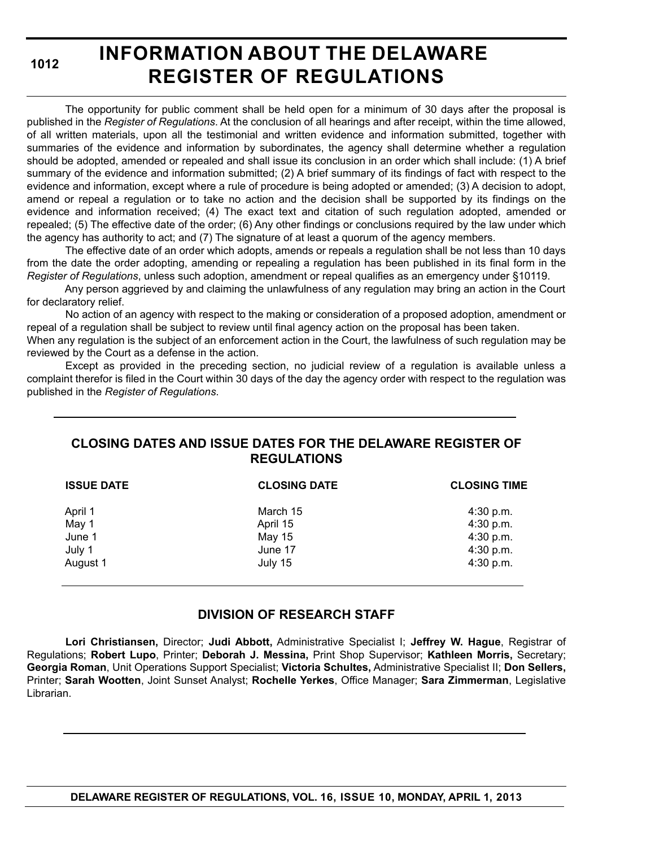# **INFORMATION ABOUT THE DELAWARE REGISTER OF REGULATIONS**

The opportunity for public comment shall be held open for a minimum of 30 days after the proposal is published in the *Register of Regulations*. At the conclusion of all hearings and after receipt, within the time allowed, of all written materials, upon all the testimonial and written evidence and information submitted, together with summaries of the evidence and information by subordinates, the agency shall determine whether a regulation should be adopted, amended or repealed and shall issue its conclusion in an order which shall include: (1) A brief summary of the evidence and information submitted; (2) A brief summary of its findings of fact with respect to the evidence and information, except where a rule of procedure is being adopted or amended; (3) A decision to adopt, amend or repeal a regulation or to take no action and the decision shall be supported by its findings on the evidence and information received; (4) The exact text and citation of such regulation adopted, amended or repealed; (5) The effective date of the order; (6) Any other findings or conclusions required by the law under which the agency has authority to act; and (7) The signature of at least a quorum of the agency members.

The effective date of an order which adopts, amends or repeals a regulation shall be not less than 10 days from the date the order adopting, amending or repealing a regulation has been published in its final form in the *Register of Regulations*, unless such adoption, amendment or repeal qualifies as an emergency under §10119.

Any person aggrieved by and claiming the unlawfulness of any regulation may bring an action in the Court for declaratory relief.

No action of an agency with respect to the making or consideration of a proposed adoption, amendment or repeal of a regulation shall be subject to review until final agency action on the proposal has been taken.

When any regulation is the subject of an enforcement action in the Court, the lawfulness of such regulation may be reviewed by the Court as a defense in the action.

Except as provided in the preceding section, no judicial review of a regulation is available unless a complaint therefor is filed in the Court within 30 days of the day the agency order with respect to the regulation was published in the *Register of Regulations*.

# **CLOSING DATES AND ISSUE DATES FOR THE DELAWARE REGISTER OF REGULATIONS**

| <b>ISSUE DATE</b> | <b>CLOSING DATE</b> | <b>CLOSING TIME</b> |
|-------------------|---------------------|---------------------|
| April 1           | March 15            | 4:30 p.m.           |
| May 1             | April 15            | 4:30 p.m.           |
| June 1            | May 15              | 4:30 p.m.           |
| July 1            | June 17             | 4:30 p.m.           |
| August 1          | July 15             | 4:30 p.m.           |

# **DIVISION OF RESEARCH STAFF**

**Lori Christiansen,** Director; **Judi Abbott,** Administrative Specialist I; **Jeffrey W. Hague**, Registrar of Regulations; **Robert Lupo**, Printer; **Deborah J. Messina,** Print Shop Supervisor; **Kathleen Morris,** Secretary; **Georgia Roman**, Unit Operations Support Specialist; **Victoria Schultes,** Administrative Specialist II; **Don Sellers,** Printer; **Sarah Wootten**, Joint Sunset Analyst; **Rochelle Yerkes**, Office Manager; **Sara Zimmerman**, Legislative Librarian.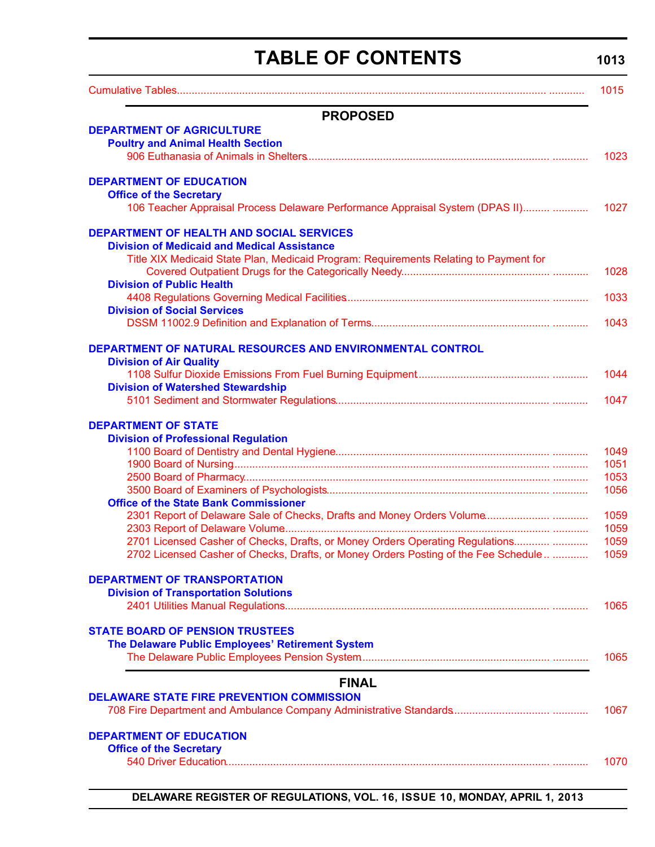# **TABLE OF CONTENTS**

# **1013**

<span id="page-3-0"></span>

|                                                                                             | 1015 |
|---------------------------------------------------------------------------------------------|------|
| <b>PROPOSED</b>                                                                             |      |
| <b>DEPARTMENT OF AGRICULTURE</b>                                                            |      |
| <b>Poultry and Animal Health Section</b>                                                    |      |
|                                                                                             | 1023 |
| <b>DEPARTMENT OF EDUCATION</b>                                                              |      |
| <b>Office of the Secretary</b>                                                              |      |
| 106 Teacher Appraisal Process Delaware Performance Appraisal System (DPAS II)               | 1027 |
| <b>DEPARTMENT OF HEALTH AND SOCIAL SERVICES</b>                                             |      |
| <b>Division of Medicaid and Medical Assistance</b>                                          |      |
| Title XIX Medicaid State Plan, Medicaid Program: Requirements Relating to Payment for       |      |
|                                                                                             | 1028 |
| <b>Division of Public Health</b>                                                            |      |
|                                                                                             | 1033 |
| <b>Division of Social Services</b>                                                          |      |
|                                                                                             | 1043 |
| DEPARTMENT OF NATURAL RESOURCES AND ENVIRONMENTAL CONTROL<br><b>Division of Air Quality</b> |      |
|                                                                                             | 1044 |
| <b>Division of Watershed Stewardship</b>                                                    |      |
|                                                                                             | 1047 |
| <b>DEPARTMENT OF STATE</b>                                                                  |      |
| <b>Division of Professional Regulation</b>                                                  |      |
|                                                                                             | 1049 |
|                                                                                             | 1051 |
|                                                                                             | 1053 |
|                                                                                             | 1056 |
| <b>Office of the State Bank Commissioner</b>                                                |      |
|                                                                                             | 1059 |
|                                                                                             | 1059 |
| 2701 Licensed Casher of Checks, Drafts, or Money Orders Operating Regulations               | 1059 |
| 2702 Licensed Casher of Checks, Drafts, or Money Orders Posting of the Fee Schedule         | 1059 |
| <b>DEPARTMENT OF TRANSPORTATION</b>                                                         |      |
| <b>Division of Transportation Solutions</b>                                                 |      |
|                                                                                             | 1065 |
| <b>STATE BOARD OF PENSION TRUSTEES</b>                                                      |      |
| The Delaware Public Employees' Retirement System                                            |      |
|                                                                                             | 1065 |
| <b>FINAL</b>                                                                                |      |
| <b>DELAWARE STATE FIRE PREVENTION COMMISSION</b>                                            |      |
|                                                                                             | 1067 |
| <b>DEPARTMENT OF EDUCATION</b>                                                              |      |
| <b>Office of the Secretary</b>                                                              |      |
|                                                                                             | 1070 |
|                                                                                             |      |
|                                                                                             |      |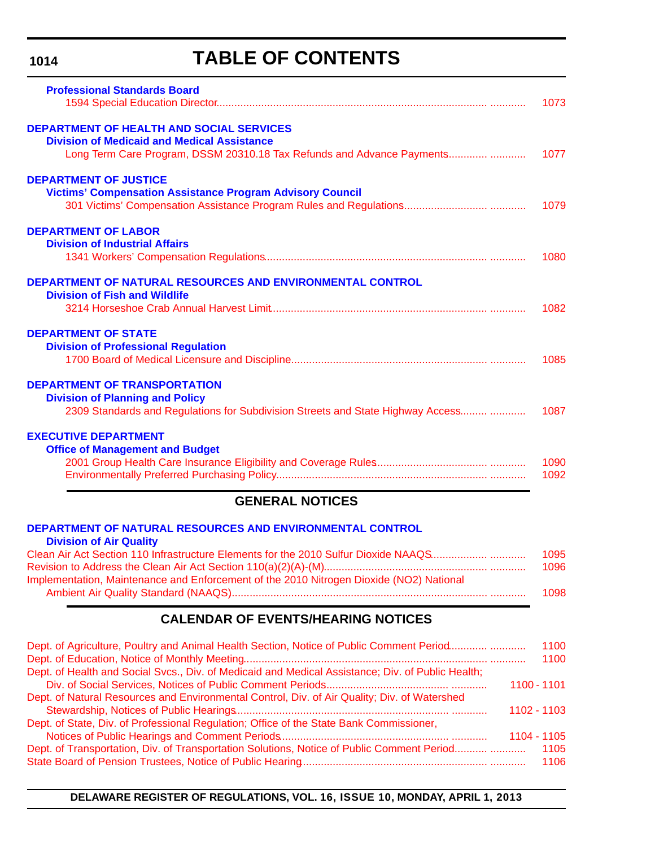# **TABLE OF CONTENTS**

| <b>Professional Standards Board</b>                                                     |      |
|-----------------------------------------------------------------------------------------|------|
|                                                                                         | 1073 |
| <b>DEPARTMENT OF HEALTH AND SOCIAL SERVICES</b>                                         |      |
| <b>Division of Medicaid and Medical Assistance</b>                                      |      |
| Long Term Care Program, DSSM 20310.18 Tax Refunds and Advance Payments                  | 1077 |
| <b>DEPARTMENT OF JUSTICE</b>                                                            |      |
| <b>Victims' Compensation Assistance Program Advisory Council</b>                        |      |
|                                                                                         | 1079 |
| <b>DEPARTMENT OF LABOR</b>                                                              |      |
| <b>Division of Industrial Affairs</b>                                                   |      |
|                                                                                         | 1080 |
| DEPARTMENT OF NATURAL RESOURCES AND ENVIRONMENTAL CONTROL                               |      |
| <b>Division of Fish and Wildlife</b>                                                    |      |
|                                                                                         | 1082 |
| <b>DEPARTMENT OF STATE</b>                                                              |      |
| <b>Division of Professional Regulation</b>                                              |      |
|                                                                                         | 1085 |
| <b>DEPARTMENT OF TRANSPORTATION</b>                                                     |      |
| <b>Division of Planning and Policy</b>                                                  |      |
| 2309 Standards and Regulations for Subdivision Streets and State Highway Access         | 1087 |
| <b>EXECUTIVE DEPARTMENT</b>                                                             |      |
| <b>Office of Management and Budget</b>                                                  |      |
|                                                                                         | 1090 |
|                                                                                         | 1092 |
| <b>GENERAL NOTICES</b>                                                                  |      |
| DEPARTMENT OF NATURAL RESOURCES AND ENVIRONMENTAL CONTROL                               |      |
| <b>Division of Air Quality</b>                                                          |      |
| Clean Air Act Section 110 Infrastructure Elements for the 2010 Sulfur Dioxide NAAQS     | 1095 |
|                                                                                         | 1096 |
| Implementation, Maintenance and Enforcement of the 2010 Nitrogen Dioxide (NO2) National |      |
|                                                                                         | 1098 |
| <b>CALENDAR OF EVENTS/HEARING NOTICES</b>                                               |      |
|                                                                                         |      |

| Dept. of Agriculture, Poultry and Animal Health Section, Notice of Public Comment Period          | 1100        |
|---------------------------------------------------------------------------------------------------|-------------|
|                                                                                                   | 1100        |
| Dept. of Health and Social Svcs., Div. of Medicaid and Medical Assistance; Div. of Public Health; |             |
|                                                                                                   | 1100 - 1101 |
| Dept. of Natural Resources and Environmental Control, Div. of Air Quality; Div. of Watershed      |             |
|                                                                                                   | 1102 - 1103 |
| Dept. of State, Div. of Professional Regulation; Office of the State Bank Commissioner,           |             |
|                                                                                                   | 1104 - 1105 |
|                                                                                                   |             |
|                                                                                                   |             |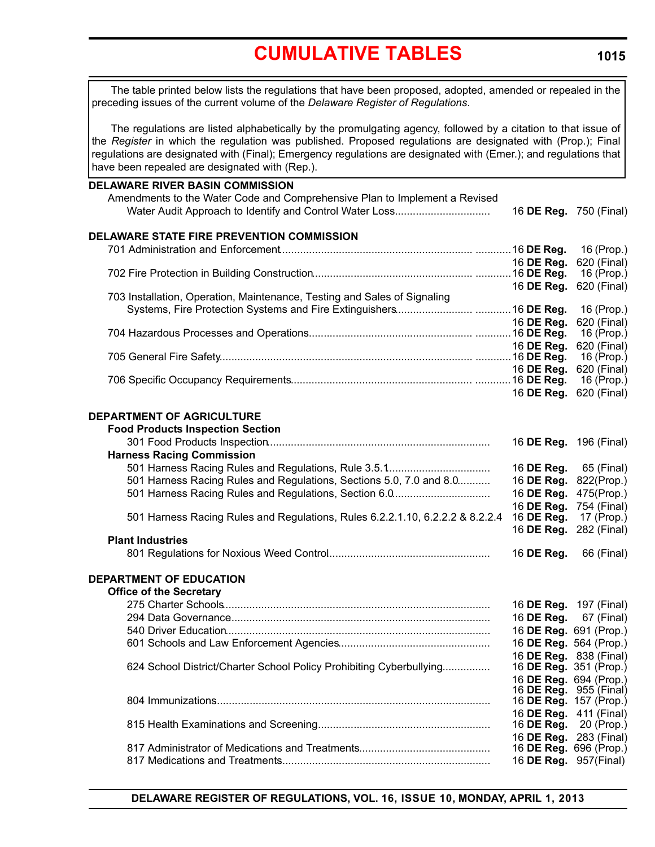# **[CUMULATIVE TABLES](#page-3-0)**

<span id="page-5-0"></span>The table printed below lists the regulations that have been proposed, adopted, amended or repealed in the preceding issues of the current volume of the *Delaware Register of Regulations*.

The regulations are listed alphabetically by the promulgating agency, followed by a citation to that issue of the *Register* in which the regulation was published. Proposed regulations are designated with (Prop.); Final regulations are designated with (Final); Emergency regulations are designated with (Emer.); and regulations that have been repealed are designated with (Rep.).

| <b>DELAWARE RIVER BASIN COMMISSION</b><br>Amendments to the Water Code and Comprehensive Plan to Implement a Revised<br>Water Audit Approach to Identify and Control Water Loss |                       | 16 DE Reg. 750 (Final)               |
|---------------------------------------------------------------------------------------------------------------------------------------------------------------------------------|-----------------------|--------------------------------------|
| DELAWARE STATE FIRE PREVENTION COMMISSION                                                                                                                                       |                       |                                      |
|                                                                                                                                                                                 |                       | 16 (Prop.)                           |
|                                                                                                                                                                                 | 16 DE Reg.            | 620 (Final)                          |
|                                                                                                                                                                                 |                       | 16 (Prop.)                           |
| 703 Installation, Operation, Maintenance, Testing and Sales of Signaling                                                                                                        | 16 DE Reg.            | 620 (Final)                          |
|                                                                                                                                                                                 |                       | 16 (Prop.)                           |
|                                                                                                                                                                                 | 16 DE Reg.            | 620 (Final)                          |
|                                                                                                                                                                                 |                       | 16 ( $Prop.$ )                       |
|                                                                                                                                                                                 | 16 DE Reg.            | 620 (Final)                          |
|                                                                                                                                                                                 |                       | 16 (Prop.)                           |
|                                                                                                                                                                                 | 16 DE Reg.            | 620 (Final)                          |
|                                                                                                                                                                                 |                       | 16 (Prop.)                           |
|                                                                                                                                                                                 | 16 DE Reg.            | 620 (Final)                          |
| DEPARTMENT OF AGRICULTURE                                                                                                                                                       |                       |                                      |
| <b>Food Products Inspection Section</b>                                                                                                                                         |                       |                                      |
|                                                                                                                                                                                 |                       | 16 DE Reg. 196 (Final)               |
| <b>Harness Racing Commission</b>                                                                                                                                                |                       |                                      |
|                                                                                                                                                                                 |                       | 16 <b>DE Reg.</b> 65 (Final)         |
| 501 Harness Racing Rules and Regulations, Sections 5.0, 7.0 and 8.0                                                                                                             | 16 DE Reg.            | 822(Prop.)                           |
| 501 Harness Racing Rules and Regulations, Section 6.0                                                                                                                           | 16 DE Reg.            | 475(Prop.)                           |
|                                                                                                                                                                                 | 16 DE Reg.            | 754 (Final)                          |
| 501 Harness Racing Rules and Regulations, Rules 6.2.2.1.10, 6.2.2.2 & 8.2.2.4                                                                                                   | 16 DE Reg.            | 17 (Prop.)                           |
|                                                                                                                                                                                 | 16 DE Reg.            | 282 (Final)                          |
| <b>Plant Industries</b>                                                                                                                                                         |                       |                                      |
|                                                                                                                                                                                 | 16 DE Reg.            | 66 (Final)                           |
| <b>DEPARTMENT OF EDUCATION</b>                                                                                                                                                  |                       |                                      |
| <b>Office of the Secretary</b>                                                                                                                                                  |                       |                                      |
|                                                                                                                                                                                 |                       | 16 DE Reg. 197 (Final)               |
|                                                                                                                                                                                 | 16 DE Reg.            | 67 (Final)                           |
|                                                                                                                                                                                 |                       | 16 DE Reg. 691 (Prop.)               |
|                                                                                                                                                                                 |                       | 16 DE Reg. 564 (Prop.)               |
|                                                                                                                                                                                 |                       | 16 DE Reg. 838 (Final)               |
| 624 School District/Charter School Policy Prohibiting Cyberbullying                                                                                                             |                       | 16 DE Reg. 351 (Prop.)               |
|                                                                                                                                                                                 |                       | 16 DE Reg. 694 (Prop.)               |
|                                                                                                                                                                                 |                       | 16 <b>DE Reg.</b> 955 (Final)        |
|                                                                                                                                                                                 |                       | 16 DE Reg. 157 (Prop.)               |
|                                                                                                                                                                                 |                       | 16 DE Reg. 411 (Final)               |
|                                                                                                                                                                                 | 16 DE Reg.            | 20 (Prop.)<br>16 DE Reg. 283 (Final) |
|                                                                                                                                                                                 |                       | 16 DE Reg. 696 (Prop.)               |
|                                                                                                                                                                                 | 16 DE Reg. 957(Final) |                                      |
|                                                                                                                                                                                 |                       |                                      |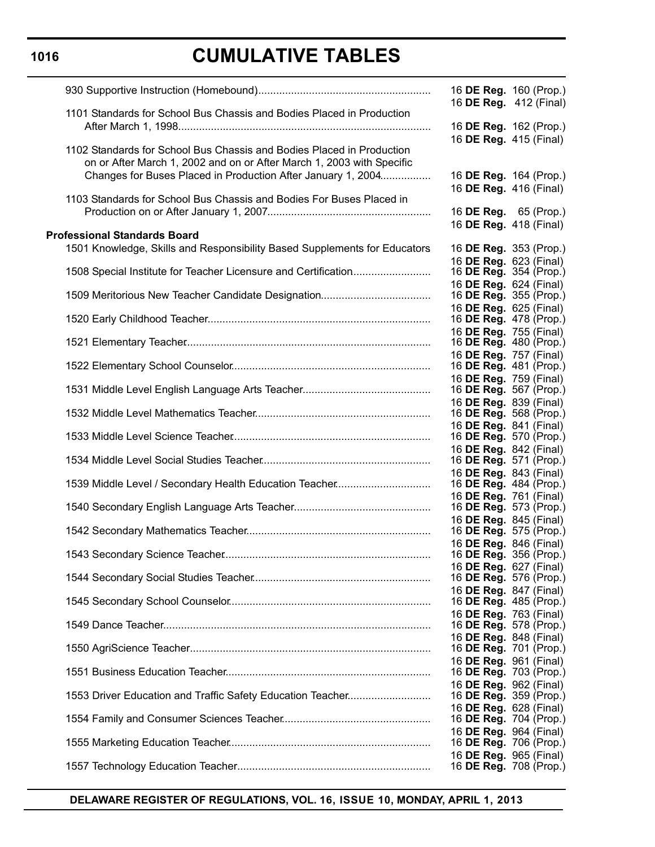# **CUMULATIVE TABLES**

|                                                                           | 16 DE Reg. 160 (Prop.)                                  |
|---------------------------------------------------------------------------|---------------------------------------------------------|
| 1101 Standards for School Bus Chassis and Bodies Placed in Production     | 16 DE Reg. 412 (Final)                                  |
|                                                                           | 16 DE Reg. 162 (Prop.)                                  |
| 1102 Standards for School Bus Chassis and Bodies Placed in Production     | 16 DE Reg. 415 (Final)                                  |
| on or After March 1, 2002 and on or After March 1, 2003 with Specific     |                                                         |
| Changes for Buses Placed in Production After January 1, 2004              | 16 DE Reg. 164 (Prop.)<br>16 DE Reg. 416 (Final)        |
| 1103 Standards for School Bus Chassis and Bodies For Buses Placed in      |                                                         |
|                                                                           | 16 DE Reg. 65 (Prop.)                                   |
| <b>Professional Standards Board</b>                                       | 16 DE Reg. 418 (Final)                                  |
| 1501 Knowledge, Skills and Responsibility Based Supplements for Educators | 16 DE Reg. 353 (Prop.)                                  |
| 1508 Special Institute for Teacher Licensure and Certification            | 16 DE Reg. 623 (Final)<br>16 <b>DE Reg.</b> 354 (Prop.) |
|                                                                           | 16 DE Reg. 624 (Final)                                  |
|                                                                           | 16 DE Reg. 355 (Prop.)<br>16 DE Reg. 625 (Final)        |
|                                                                           | 16 <b>DE Reg.</b> 478 (Prop.)                           |
|                                                                           | 16 DE Reg. 755 (Final)<br>16 <b>DE Reg.</b> 480 (Prop.) |
|                                                                           | 16 DE Reg. 757 (Final)                                  |
|                                                                           | 16 DE Reg. 481 (Prop.)<br>16 DE Reg. 759 (Final)        |
|                                                                           | 16 DE Reg. 567 (Prop.)                                  |
|                                                                           | 16 DE Reg. 839 (Final)<br>16 <b>DE Reg.</b> 568 (Prop.) |
|                                                                           | 16 DE Reg. 841 (Final)                                  |
|                                                                           | 16 <b>DE Reg.</b> 570 (Prop.)<br>16 DE Reg. 842 (Final) |
|                                                                           | 16 <b>DE Reg.</b> 571 (Prop.)                           |
|                                                                           | 16 DE Reg. 843 (Final)<br>16 <b>DE Reg.</b> 484 (Prop.) |
|                                                                           | 16 DE Reg. 761 (Final)                                  |
|                                                                           | 16 <b>DE Reg.</b> 573 (Prop.)<br>16 DE Reg. 845 (Final) |
|                                                                           | 16 <b>DE Reg.</b> 575 (Prop.)                           |
|                                                                           | 16 DE Reg. 846 (Final)<br>16 DE Reg. 356 (Prop.)        |
|                                                                           | 16 <b>DE Reg.</b> 627 (Final)                           |
|                                                                           | 16 DE Reg. 576 (Prop.)                                  |
|                                                                           | 16 DE Reg. 847 (Final)<br>16 <b>DE Reg.</b> 485 (Prop.) |
|                                                                           | 16 DE Reg. 763 (Final)<br>16 DE Reg. 578 (Prop.)        |
|                                                                           | 16 DE Reg. 848 (Final)                                  |
|                                                                           | 16 DE Reg. 701 (Prop.)<br>16 DE Reg. 961 (Final)        |
|                                                                           | 16 DE Reg. 703 (Prop.)                                  |
| 1553 Driver Education and Traffic Safety Education Teacher                | 16 DE Reg. 962 (Final)<br>16 DE Reg. 359 (Prop.)        |
|                                                                           | 16 DE Reg. 628 (Final)                                  |
|                                                                           | 16 DE Reg. 704 (Prop.)<br>16 DE Reg. 964 (Final)        |
|                                                                           | 16 DE Reg. 706 (Prop.)                                  |
|                                                                           | 16 DE Reg. 965 (Final)<br>16 <b>DE Reg.</b> 708 (Prop.) |
|                                                                           |                                                         |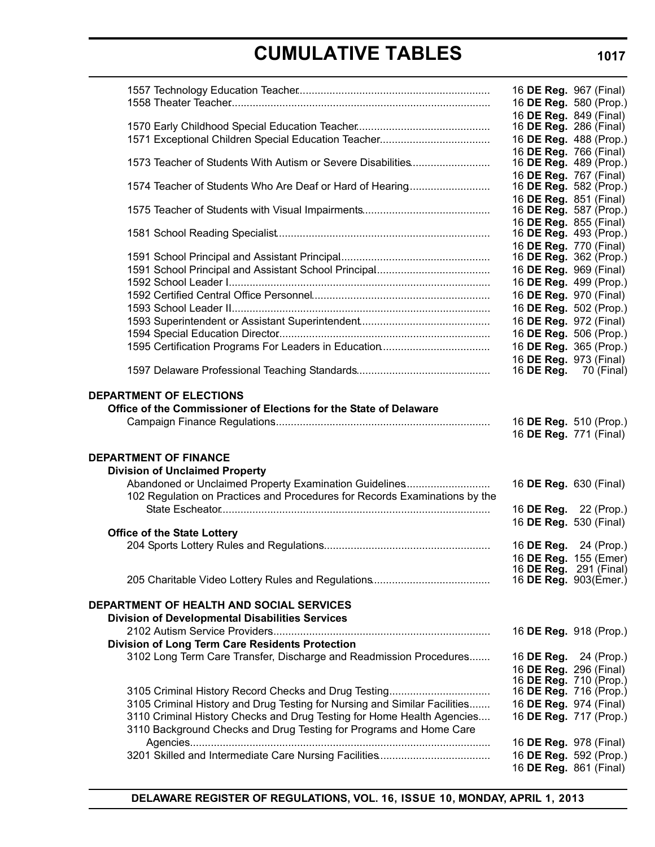# **CUMULATIVE TABLES**

|                                                                            | 16 DE Reg. 967 (Final)                           |  |
|----------------------------------------------------------------------------|--------------------------------------------------|--|
|                                                                            | 16 DE Reg. 580 (Prop.)                           |  |
|                                                                            | 16 DE Reg. 849 (Final)                           |  |
|                                                                            | 16 <b>DE Reg.</b> 286 (Final)                    |  |
|                                                                            | 16 DE Reg. 488 (Prop.)                           |  |
| 1573 Teacher of Students With Autism or Severe Disabilities                | 16 DE Reg. 766 (Final)<br>16 DE Reg. 489 (Prop.) |  |
|                                                                            | 16 DE Reg. 767 (Final)                           |  |
| 1574 Teacher of Students Who Are Deaf or Hard of Hearing                   | 16 DE Reg. 582 (Prop.)                           |  |
|                                                                            | 16 DE Reg. 851 (Final)                           |  |
|                                                                            | 16 DE Reg. 587 (Prop.)                           |  |
|                                                                            | 16 DE Reg. 855 (Final)<br>16 DE Reg. 493 (Prop.) |  |
|                                                                            | 16 DE Reg. 770 (Final)                           |  |
|                                                                            | 16 DE Reg. 362 (Prop.)                           |  |
|                                                                            | 16 DE Reg. 969 (Final)                           |  |
|                                                                            | 16 DE Reg. 499 (Prop.)                           |  |
|                                                                            | 16 DE Reg. 970 (Final)                           |  |
|                                                                            | 16 DE Reg. 502 (Prop.)                           |  |
|                                                                            | 16 DE Reg. 972 (Final)                           |  |
|                                                                            | 16 DE Reg. 506 (Prop.)                           |  |
|                                                                            | 16 DE Reg. 365 (Prop.)<br>16 DE Reg. 973 (Final) |  |
|                                                                            | 16 <b>DE Reg.</b> 70 (Final)                     |  |
|                                                                            |                                                  |  |
| <b>DEPARTMENT OF ELECTIONS</b>                                             |                                                  |  |
| Office of the Commissioner of Elections for the State of Delaware          |                                                  |  |
|                                                                            | 16 DE Reg. 510 (Prop.)                           |  |
|                                                                            | 16 DE Reg. 771 (Final)                           |  |
| <b>DEPARTMENT OF FINANCE</b>                                               |                                                  |  |
| <b>Division of Unclaimed Property</b>                                      |                                                  |  |
| Abandoned or Unclaimed Property Examination Guidelines                     | 16 DE Reg. 630 (Final)                           |  |
| 102 Regulation on Practices and Procedures for Records Examinations by the |                                                  |  |
|                                                                            | 16 DE Reg. 22 (Prop.)                            |  |
|                                                                            | 16 DE Reg. 530 (Final)                           |  |
| <b>Office of the State Lottery</b>                                         |                                                  |  |
|                                                                            | 16 DE Reg. 24 (Prop.)                            |  |
|                                                                            | 16 DE Reg. 155 (Emer)<br>16 DE Reg. 291 (Final)  |  |
|                                                                            | 16 DE Reg. 903(Emer.)                            |  |
|                                                                            |                                                  |  |
| DEPARTMENT OF HEALTH AND SOCIAL SERVICES                                   |                                                  |  |
| <b>Division of Developmental Disabilities Services</b>                     |                                                  |  |
|                                                                            | 16 DE Reg. 918 (Prop.)                           |  |
| Division of Long Term Care Residents Protection                            |                                                  |  |
| 3102 Long Term Care Transfer, Discharge and Readmission Procedures         | 16 DE Reg. 24 (Prop.)<br>16 DE Reg. 296 (Final)  |  |
|                                                                            | 16 DE Reg. 710 (Prop.)                           |  |
| 3105 Criminal History Record Checks and Drug Testing                       | 16 DE Reg. 716 (Prop.)                           |  |
| 3105 Criminal History and Drug Testing for Nursing and Similar Facilities  | 16 DE Reg. 974 (Final)                           |  |
| 3110 Criminal History Checks and Drug Testing for Home Health Agencies     | 16 DE Reg. 717 (Prop.)                           |  |
| 3110 Background Checks and Drug Testing for Programs and Home Care         |                                                  |  |
|                                                                            | 16 DE Reg. 978 (Final)                           |  |
|                                                                            | 16 DE Reg. 592 (Prop.)                           |  |
|                                                                            | 16 DE Reg. 861 (Final)                           |  |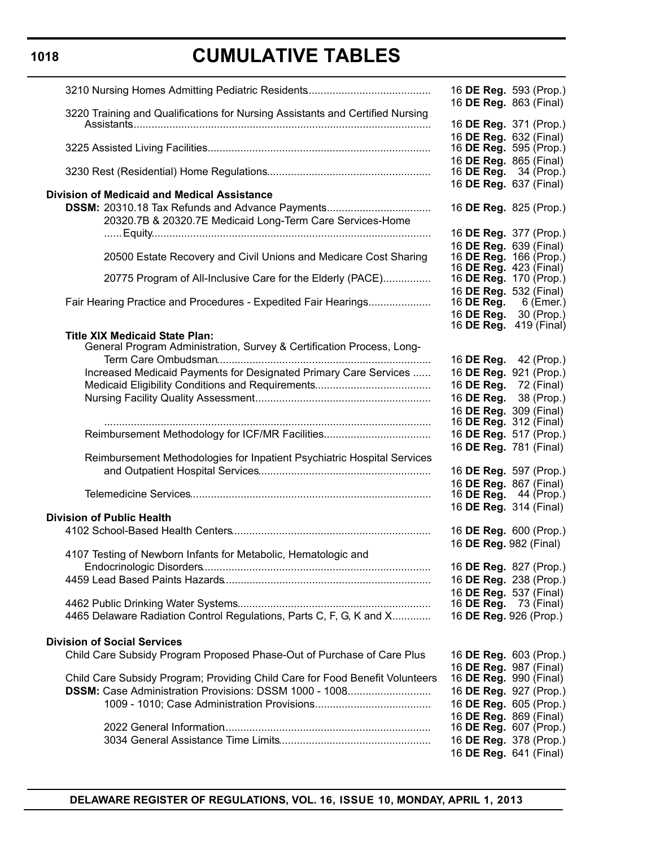# **CUMULATIVE TABLES**

|                                                                                                                | 16 DE Reg. 593 (Prop.)<br>16 DE Reg. 863 (Final)               |
|----------------------------------------------------------------------------------------------------------------|----------------------------------------------------------------|
| 3220 Training and Qualifications for Nursing Assistants and Certified Nursing                                  | 16 DE Reg. 371 (Prop.)                                         |
|                                                                                                                | 16 DE Reg. 632 (Final)<br>16 DE Reg. 595 (Prop.)               |
|                                                                                                                | 16 DE Reg. 865 (Final)<br>16 <b>DE Reg.</b> 34 (Prop.)         |
| <b>Division of Medicaid and Medical Assistance</b>                                                             | 16 DE Reg. 637 (Final)                                         |
| DSSM: 20310.18 Tax Refunds and Advance Payments                                                                | 16 DE Reg. 825 (Prop.)                                         |
| 20320.7B & 20320.7E Medicaid Long-Term Care Services-Home                                                      | 16 DE Reg. 377 (Prop.)                                         |
| 20500 Estate Recovery and Civil Unions and Medicare Cost Sharing                                               | 16 DE Reg. 639 (Final)<br>16 DE Reg. 166 (Prop.)               |
| 20775 Program of All-Inclusive Care for the Elderly (PACE)                                                     | 16 <b>DE Reg.</b> 423 (Final)<br>16 <b>DE Reg.</b> 170 (Prop.) |
| Fair Hearing Practice and Procedures - Expedited Fair Hearings                                                 | 16 DE Reg. 532 (Final)<br>16 DE Reg.<br>6 (Emer.)              |
|                                                                                                                | 16 DE Reg. 30 (Prop.)<br>16 <b>DE Reg.</b> 419 (Final)         |
| <b>Title XIX Medicaid State Plan:</b><br>General Program Administration, Survey & Certification Process, Long- |                                                                |
|                                                                                                                | 16 DE Reg. 42 (Prop.)                                          |
| Increased Medicaid Payments for Designated Primary Care Services                                               | 16 DE Reg. 921 (Prop.)                                         |
|                                                                                                                | 16 DE Reg. 72 (Final)                                          |
|                                                                                                                | 16 DE Reg. 38 (Prop.)                                          |
|                                                                                                                | 16 DE Reg. 309 (Final)                                         |
|                                                                                                                | 16 DE Reg. 312 (Final)                                         |
| Reimbursement Methodology for ICF/MR Facilities                                                                | 16 DE Reg. 517 (Prop.)                                         |
|                                                                                                                | 16 DE Reg. 781 (Final)                                         |
| Reimbursement Methodologies for Inpatient Psychiatric Hospital Services                                        |                                                                |
|                                                                                                                | 16 DE Reg. 597 (Prop.)                                         |
|                                                                                                                | 16 DE Reg. 867 (Final)<br>16 <b>DE Reg.</b> 44 (Prop.)         |
|                                                                                                                | 16 DE Reg. 314 (Final)                                         |
| <b>Division of Public Health</b>                                                                               |                                                                |
|                                                                                                                | 16 DE Reg. 600 (Prop.)                                         |
|                                                                                                                | 16 DE Reg. 982 (Final)                                         |
| 4107 Testing of Newborn Infants for Metabolic, Hematologic and                                                 |                                                                |
|                                                                                                                | 16 DE Reg. 827 (Prop.)                                         |
|                                                                                                                | 16 DE Reg. 238 (Prop.)                                         |
|                                                                                                                | 16 DE Reg. 537 (Final)                                         |
|                                                                                                                | 16 <b>DE Reg.</b> 73 (Final)                                   |
| 4465 Delaware Radiation Control Regulations, Parts C, F, G, K and X                                            | 16 DE Reg. 926 (Prop.)                                         |
|                                                                                                                |                                                                |
| <b>Division of Social Services</b>                                                                             |                                                                |
| Child Care Subsidy Program Proposed Phase-Out of Purchase of Care Plus                                         | 16 DE Reg. 603 (Prop.)                                         |
| Child Care Subsidy Program; Providing Child Care for Food Benefit Volunteers                                   | 16 DE Reg. 987 (Final)<br>16 <b>DE Reg.</b> 990 (Final)        |
| DSSM: Case Administration Provisions: DSSM 1000 - 1008                                                         | 16 DE Reg. 927 (Prop.)                                         |
|                                                                                                                | 16 DE Reg. 605 (Prop.)                                         |
|                                                                                                                | 16 DE Reg. 869 (Final)                                         |
|                                                                                                                | 16 <b>DE Reg.</b> 607 (Prop.)                                  |
|                                                                                                                | 16 DE Reg. 378 (Prop.)                                         |
|                                                                                                                | 16 DE Reg. 641 (Final)                                         |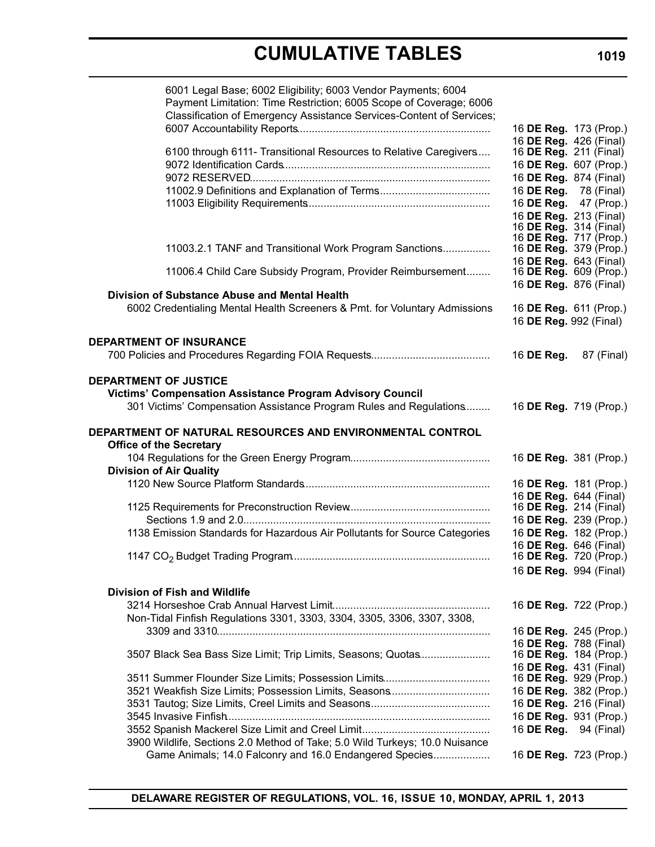# **CUMULATIVE TABLES**

| 6001 Legal Base; 6002 Eligibility; 6003 Vendor Payments; 6004<br>Payment Limitation: Time Restriction; 6005 Scope of Coverage; 6006<br>Classification of Emergency Assistance Services-Content of Services; | 16 DE Reg. 173 (Prop.)                                  |  |
|-------------------------------------------------------------------------------------------------------------------------------------------------------------------------------------------------------------|---------------------------------------------------------|--|
|                                                                                                                                                                                                             | 16 DE Reg. 426 (Final)                                  |  |
| 6100 through 6111- Transitional Resources to Relative Caregivers                                                                                                                                            | 16 <b>DE Reg.</b> 211 (Final)                           |  |
|                                                                                                                                                                                                             | 16 DE Reg. 607 (Prop.)                                  |  |
|                                                                                                                                                                                                             | 16 DE Reg. 874 (Final)                                  |  |
|                                                                                                                                                                                                             | 16 DE Reg. 78 (Final)<br>16 DE Reg. 47 (Prop.)          |  |
|                                                                                                                                                                                                             | 16 DE Reg. 213 (Final)                                  |  |
|                                                                                                                                                                                                             | 16 <b>DE Reg.</b> 314 (Final)                           |  |
|                                                                                                                                                                                                             | 16 DE Reg. 717 (Prop.)                                  |  |
| 11003.2.1 TANF and Transitional Work Program Sanctions                                                                                                                                                      | 16 DE Reg. 379 (Prop.)                                  |  |
| 11006.4 Child Care Subsidy Program, Provider Reimbursement                                                                                                                                                  | 16 DE Reg. 643 (Final)<br>16 <b>DE Reg.</b> 609 (Prop.) |  |
|                                                                                                                                                                                                             | 16 DE Reg. 876 (Final)                                  |  |
| <b>Division of Substance Abuse and Mental Health</b>                                                                                                                                                        |                                                         |  |
| 6002 Credentialing Mental Health Screeners & Pmt. for Voluntary Admissions                                                                                                                                  | 16 DE Reg. 611 (Prop.)<br>16 DE Reg. 992 (Final)        |  |
|                                                                                                                                                                                                             |                                                         |  |
| <b>DEPARTMENT OF INSURANCE</b>                                                                                                                                                                              | 16 <b>DE Reg.</b> 87 (Final)                            |  |
| <b>Victims' Compensation Assistance Program Advisory Council</b><br>301 Victims' Compensation Assistance Program Rules and Regulations                                                                      | 16 DE Reg. 719 (Prop.)                                  |  |
| DEPARTMENT OF NATURAL RESOURCES AND ENVIRONMENTAL CONTROL                                                                                                                                                   |                                                         |  |
| <b>Office of the Secretary</b>                                                                                                                                                                              |                                                         |  |
|                                                                                                                                                                                                             | 16 DE Reg. 381 (Prop.)                                  |  |
| <b>Division of Air Quality</b>                                                                                                                                                                              |                                                         |  |
|                                                                                                                                                                                                             | 16 DE Reg. 181 (Prop.)                                  |  |
|                                                                                                                                                                                                             | 16 DE Reg. 644 (Final)<br>16 DE Reg. 214 (Final)        |  |
|                                                                                                                                                                                                             | 16 DE Reg. 239 (Prop.)                                  |  |
| 1138 Emission Standards for Hazardous Air Pollutants for Source Categories                                                                                                                                  | 16 DE Reg. 182 (Prop.)                                  |  |
|                                                                                                                                                                                                             | 16 DE Reg. 646 (Final)                                  |  |
|                                                                                                                                                                                                             | 16 DE Reg. 720 (Prop.)                                  |  |
|                                                                                                                                                                                                             | 16 DE Reg. 994 (Final)                                  |  |
| <b>Division of Fish and Wildlife</b>                                                                                                                                                                        |                                                         |  |
|                                                                                                                                                                                                             | 16 DE Reg. 722 (Prop.)                                  |  |
| Non-Tidal Finfish Regulations 3301, 3303, 3304, 3305, 3306, 3307, 3308,                                                                                                                                     |                                                         |  |
|                                                                                                                                                                                                             | 16 DE Reg. 245 (Prop.)                                  |  |
|                                                                                                                                                                                                             | 16 DE Reg. 788 (Final)                                  |  |
| 3507 Black Sea Bass Size Limit; Trip Limits, Seasons; Quotas                                                                                                                                                | 16 DE Reg. 184 (Prop.)                                  |  |
|                                                                                                                                                                                                             | 16 DE Reg. 431 (Final)                                  |  |
|                                                                                                                                                                                                             | 16 DE Reg. 929 (Prop.)                                  |  |
| 3521 Weakfish Size Limits; Possession Limits, Seasons                                                                                                                                                       | 16 DE Reg. 382 (Prop.)<br>16 DE Reg. 216 (Final)        |  |
|                                                                                                                                                                                                             | 16 DE Reg. 931 (Prop.)                                  |  |
|                                                                                                                                                                                                             | 16 <b>DE Reg.</b> 94 (Final)                            |  |
| 3900 Wildlife, Sections 2.0 Method of Take; 5.0 Wild Turkeys; 10.0 Nuisance<br>Game Animals; 14.0 Falconry and 16.0 Endangered Species                                                                      | 16 DE Reg. 723 (Prop.)                                  |  |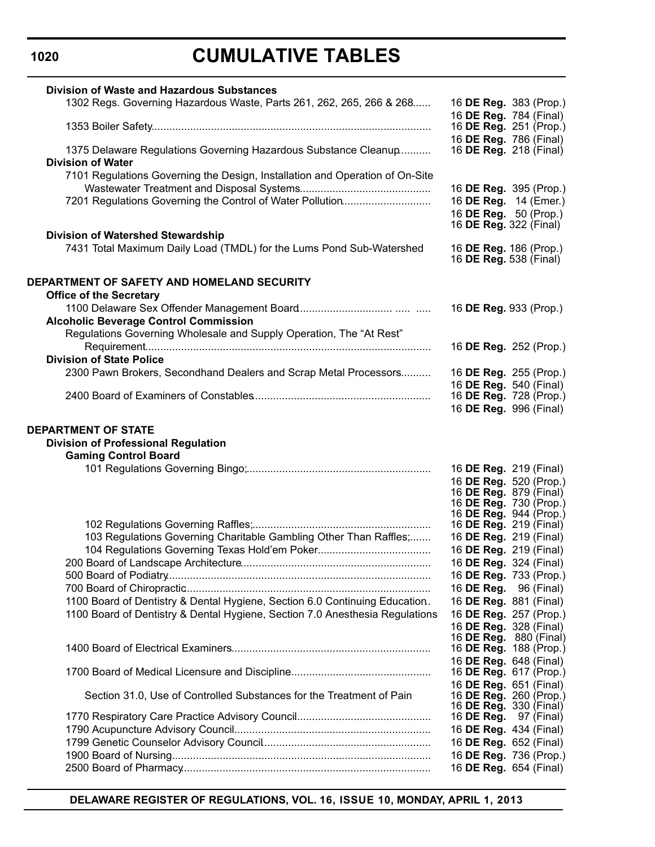# **CUMULATIVE TABLES**

| <b>Division of Waste and Hazardous Substances</b>                            |                                                         |  |
|------------------------------------------------------------------------------|---------------------------------------------------------|--|
| 1302 Regs. Governing Hazardous Waste, Parts 261, 262, 265, 266 & 268         | 16 DE Reg. 383 (Prop.)                                  |  |
|                                                                              | 16 DE Reg. 784 (Final)                                  |  |
|                                                                              | 16 DE Reg. 251 (Prop.)                                  |  |
|                                                                              | 16 DE Reg. 786 (Final)                                  |  |
| 1375 Delaware Regulations Governing Hazardous Substance Cleanup              | 16 <b>DE Reg.</b> 218 (Final)                           |  |
| <b>Division of Water</b>                                                     |                                                         |  |
| 7101 Regulations Governing the Design, Installation and Operation of On-Site |                                                         |  |
|                                                                              | 16 DE Reg. 395 (Prop.)                                  |  |
| 7201 Regulations Governing the Control of Water Pollution                    | 16 DE Reg. 14 (Emer.)                                   |  |
|                                                                              | 16 DE Reg. 50 (Prop.)                                   |  |
|                                                                              | 16 <b>DE Reg.</b> 322 (Final)                           |  |
| Division of Watershed Stewardship                                            |                                                         |  |
| 7431 Total Maximum Daily Load (TMDL) for the Lums Pond Sub-Watershed         | 16 DE Reg. 186 (Prop.)<br>16 <b>DE Reg.</b> 538 (Final) |  |
|                                                                              |                                                         |  |
| DEPARTMENT OF SAFETY AND HOMELAND SECURITY                                   |                                                         |  |
| <b>Office of the Secretary</b>                                               |                                                         |  |
|                                                                              | 16 DE Reg. 933 (Prop.)                                  |  |
| <b>Alcoholic Beverage Control Commission</b>                                 |                                                         |  |
| Regulations Governing Wholesale and Supply Operation, The "At Rest"          |                                                         |  |
|                                                                              | 16 DE Reg. 252 (Prop.)                                  |  |
| <b>Division of State Police</b>                                              |                                                         |  |
| 2300 Pawn Brokers, Secondhand Dealers and Scrap Metal Processors             | 16 DE Reg. 255 (Prop.)                                  |  |
|                                                                              | 16 DE Reg. 540 (Final)                                  |  |
|                                                                              | 16 DE Reg. 728 (Prop.)                                  |  |
|                                                                              | 16 DE Reg. 996 (Final)                                  |  |
|                                                                              |                                                         |  |
| <b>DEPARTMENT OF STATE</b>                                                   |                                                         |  |
| <b>Division of Professional Regulation</b>                                   |                                                         |  |
| <b>Gaming Control Board</b>                                                  |                                                         |  |
|                                                                              | 16 DE Reg. 219 (Final)                                  |  |
|                                                                              | 16 DE Reg. 520 (Prop.)                                  |  |
|                                                                              | 16 <b>DE Reg.</b> 879 (Final)                           |  |
|                                                                              | 16 <b>DE Reg.</b> 730 (Prop.)                           |  |
|                                                                              | 16 DE Reg. 944 (Prop.)                                  |  |
|                                                                              | 16 <b>DE Reg.</b> 219 (Final)                           |  |
| 103 Regulations Governing Charitable Gambling Other Than Raffles;            | 16 DE Reg. 219 (Final)                                  |  |
|                                                                              | 16 DE Reg. 219 (Final)                                  |  |
| 200 Board of Landscape Architecture.                                         | 16 DE Reg. 324 (Final)                                  |  |
|                                                                              | 16 DE Reg. 733 (Prop.)                                  |  |
|                                                                              | 16 DE Reg. 96 (Final)                                   |  |
| 1100 Board of Dentistry & Dental Hygiene, Section 6.0 Continuing Education.  | 16 DE Reg. 881 (Final)                                  |  |
| 1100 Board of Dentistry & Dental Hygiene, Section 7.0 Anesthesia Regulations | 16 DE Reg. 257 (Prop.)                                  |  |
|                                                                              | 16 DE Reg. 328 (Final)                                  |  |
|                                                                              | 16 DE Reg. 880 (Final)                                  |  |
|                                                                              | 16 DE Reg. 188 (Prop.)                                  |  |
|                                                                              | 16 DE Reg. 648 (Final)<br>16 <b>DE Reg.</b> 617 (Prop.) |  |
|                                                                              | 16 DE Reg. 651 (Final)                                  |  |
| Section 31.0, Use of Controlled Substances for the Treatment of Pain         | 16 DE Reg. 260 (Prop.)                                  |  |
|                                                                              | 16 <b>DE Reg.</b> 330 (Final)                           |  |
|                                                                              | 16 <b>DE Reg.</b> 97 (Final)                            |  |
|                                                                              | 16 DE Reg. 434 (Final)                                  |  |
|                                                                              | 16 DE Reg. 652 (Final)                                  |  |
|                                                                              | 16 DE Reg. 736 (Prop.)                                  |  |
|                                                                              | 16 DE Reg. 654 (Final)                                  |  |
|                                                                              |                                                         |  |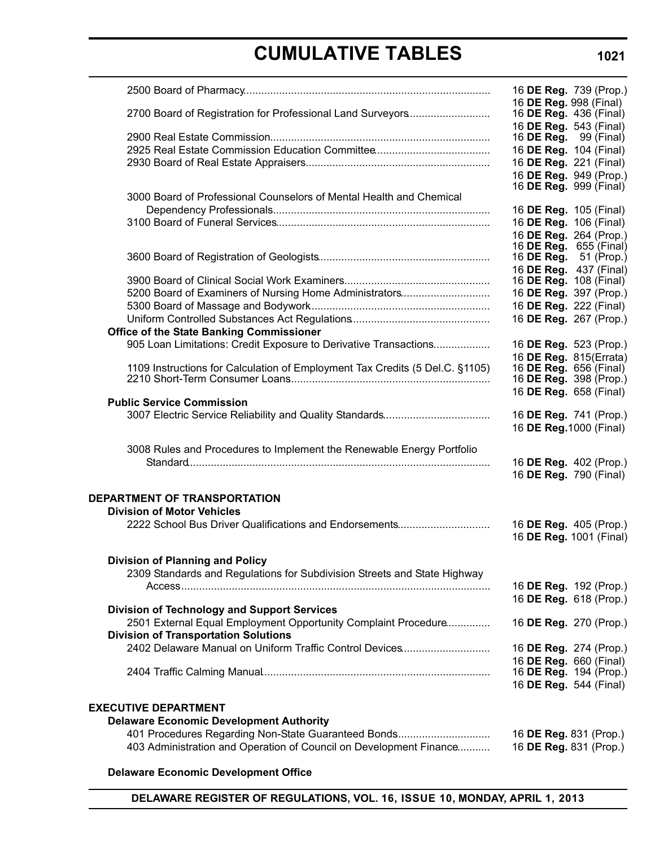# **CUMULATIVE TABLES**

|                                                                              | 16 DE Reg. 739 (Prop.)                                 |
|------------------------------------------------------------------------------|--------------------------------------------------------|
|                                                                              | 16 DE Reg. 998 (Final)                                 |
| 2700 Board of Registration for Professional Land Surveyors                   | 16 DE Reg. 436 (Final)                                 |
|                                                                              | 16 DE Reg. 543 (Final)<br>16 <b>DE Reg.</b> 99 (Final) |
|                                                                              | 16 DE Reg. 104 (Final)                                 |
|                                                                              | 16 DE Reg. 221 (Final)                                 |
|                                                                              | 16 DE Reg. 949 (Prop.)                                 |
|                                                                              | 16 DE Reg. 999 (Final)                                 |
| 3000 Board of Professional Counselors of Mental Health and Chemical          |                                                        |
|                                                                              | 16 DE Reg. 105 (Final)                                 |
|                                                                              | 16 DE Reg. 106 (Final)                                 |
|                                                                              | 16 DE Reg. 264 (Prop.)                                 |
|                                                                              | 16 DE Reg. 655 (Final)                                 |
|                                                                              | 16 <b>DE Reg.</b> 51 (Prop.)                           |
|                                                                              | 16 DE Reg. 437 (Final)                                 |
|                                                                              | 16 <b>DE Reg.</b> 108 (Final)                          |
| 5200 Board of Examiners of Nursing Home Administrators                       | 16 DE Reg. 397 (Prop.)                                 |
|                                                                              | 16 DE Reg. 222 (Final)                                 |
| <b>Office of the State Banking Commissioner</b>                              | 16 DE Reg. 267 (Prop.)                                 |
| 905 Loan Limitations: Credit Exposure to Derivative Transactions             | 16 DE Reg. 523 (Prop.)                                 |
|                                                                              | 16 DE Reg. 815(Errata)                                 |
| 1109 Instructions for Calculation of Employment Tax Credits (5 Del.C. §1105) | 16 DE Reg. 656 (Final)                                 |
|                                                                              | 16 DE Reg. 398 (Prop.)                                 |
|                                                                              | 16 DE Reg. 658 (Final)                                 |
| <b>Public Service Commission</b>                                             |                                                        |
|                                                                              | 16 DE Reg. 741 (Prop.)                                 |
|                                                                              | 16 DE Reg. 1000 (Final)                                |
| 3008 Rules and Procedures to Implement the Renewable Energy Portfolio        |                                                        |
|                                                                              | 16 DE Reg. 402 (Prop.)                                 |
|                                                                              | 16 DE Reg. 790 (Final)                                 |
|                                                                              |                                                        |
| DEPARTMENT OF TRANSPORTATION                                                 |                                                        |
| <b>Division of Motor Vehicles</b>                                            |                                                        |
| 2222 School Bus Driver Qualifications and Endorsements                       | 16 DE Reg. 405 (Prop.)                                 |
|                                                                              | 16 DE Reg. 1001 (Final)                                |
|                                                                              |                                                        |
| <b>Division of Planning and Policy</b>                                       |                                                        |
| 2309 Standards and Regulations for Subdivision Streets and State Highway     |                                                        |
|                                                                              | 16 DE Reg. 192 (Prop.)<br>16 DE Reg. 618 (Prop.)       |
| <b>Division of Technology and Support Services</b>                           |                                                        |
| 2501 External Equal Employment Opportunity Complaint Procedure               | 16 DE Reg. 270 (Prop.)                                 |
| <b>Division of Transportation Solutions</b>                                  |                                                        |
| 2402 Delaware Manual on Uniform Traffic Control Devices                      | 16 DE Reg. 274 (Prop.)                                 |
|                                                                              | 16 DE Reg. 660 (Final)                                 |
|                                                                              | 16 DE Reg. 194 (Prop.)                                 |
|                                                                              | 16 DE Reg. 544 (Final)                                 |
|                                                                              |                                                        |
| <b>EXECUTIVE DEPARTMENT</b>                                                  |                                                        |
| <b>Delaware Economic Development Authority</b>                               |                                                        |
| 401 Procedures Regarding Non-State Guaranteed Bonds                          | 16 DE Reg. 831 (Prop.)                                 |
| 403 Administration and Operation of Council on Development Finance           | 16 DE Reg. 831 (Prop.)                                 |
| <b>Delaware Economic Development Office</b>                                  |                                                        |
|                                                                              |                                                        |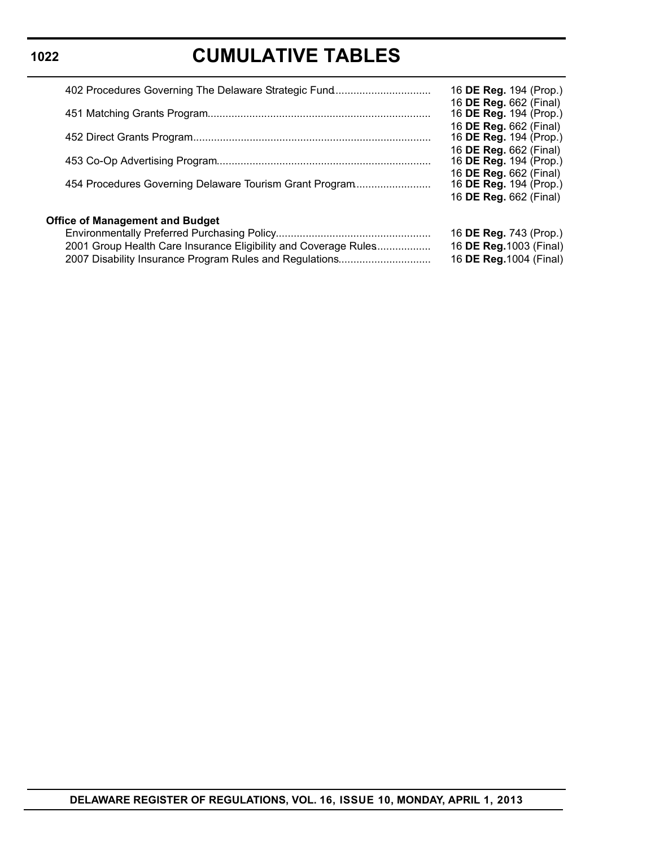# **CUMULATIVE TABLES**

| 402 Procedures Governing The Delaware Strategic Fund<br>454 Procedures Governing Delaware Tourism Grant Program | 16 DE Reg. 194 (Prop.)<br>16 DE Reg. 662 (Final)<br>16 DE Reg. 194 (Prop.)<br>16 DE Reg. 662 (Final)<br>16 DE Reg. 194 (Prop.)<br>16 DE Reg. 662 (Final)<br>16 DE Reg. 194 (Prop.)<br>16 DE Reg. 662 (Final)<br>16 DE Reg. 194 (Prop.)<br>16 DE Reg. 662 (Final) |
|-----------------------------------------------------------------------------------------------------------------|------------------------------------------------------------------------------------------------------------------------------------------------------------------------------------------------------------------------------------------------------------------|
| <b>Office of Management and Budget</b><br>2001 Group Health Care Insurance Eligibility and Coverage Rules       | 16 DE Reg. 743 (Prop.)<br>16 DE Reg. 1003 (Final)<br>16 DE Reg. 1004 (Final)                                                                                                                                                                                     |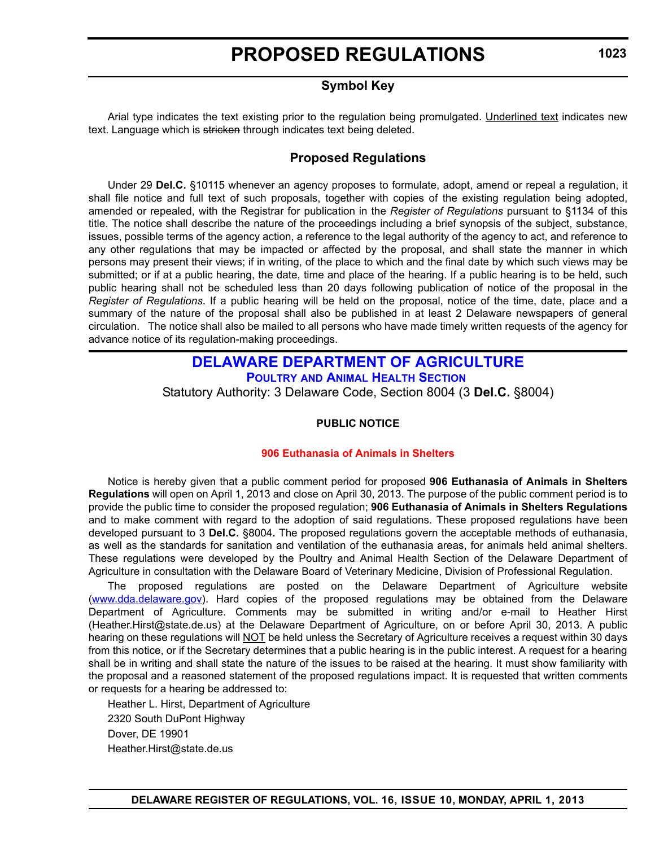# **Symbol Key**

<span id="page-13-0"></span>Arial type indicates the text existing prior to the regulation being promulgated. Underlined text indicates new text. Language which is stricken through indicates text being deleted.

### **Proposed Regulations**

Under 29 **Del.C.** §10115 whenever an agency proposes to formulate, adopt, amend or repeal a regulation, it shall file notice and full text of such proposals, together with copies of the existing regulation being adopted, amended or repealed, with the Registrar for publication in the *Register of Regulations* pursuant to §1134 of this title. The notice shall describe the nature of the proceedings including a brief synopsis of the subject, substance, issues, possible terms of the agency action, a reference to the legal authority of the agency to act, and reference to any other regulations that may be impacted or affected by the proposal, and shall state the manner in which persons may present their views; if in writing, of the place to which and the final date by which such views may be submitted; or if at a public hearing, the date, time and place of the hearing. If a public hearing is to be held, such public hearing shall not be scheduled less than 20 days following publication of notice of the proposal in the *Register of Regulations*. If a public hearing will be held on the proposal, notice of the time, date, place and a summary of the nature of the proposal shall also be published in at least 2 Delaware newspapers of general circulation. The notice shall also be mailed to all persons who have made timely written requests of the agency for advance notice of its regulation-making proceedings.

# **[DELAWARE DEPARTMENT OF AGRICULTURE](http://dda.delaware.gov/poultryah/index.shtml) POULTRY AND ANIMAL HEALTH SECTION** Statutory Authority: 3 Delaware Code, Section 8004 (3 **Del.C.** §8004)

#### **PUBLIC NOTICE**

#### **[906 Euthanasia of Animals in Shelters](#page-3-0)**

Notice is hereby given that a public comment period for proposed **906 Euthanasia of Animals in Shelters Regulations** will open on April 1, 2013 and close on April 30, 2013. The purpose of the public comment period is to provide the public time to consider the proposed regulation; **906 Euthanasia of Animals in Shelters Regulations** and to make comment with regard to the adoption of said regulations. These proposed regulations have been developed pursuant to 3 **Del.C.** §8004**.** The proposed regulations govern the acceptable methods of euthanasia, as well as the standards for sanitation and ventilation of the euthanasia areas, for animals held animal shelters. These regulations were developed by the Poultry and Animal Health Section of the Delaware Department of Agriculture in consultation with the Delaware Board of Veterinary Medicine, Division of Professional Regulation.

The proposed regulations are posted on the Delaware Department of Agriculture website (www.dda.delaware.gov). Hard copies of the proposed regulations may be obtained from the Delaware Department of Agriculture. Comments may be submitted in writing and/or e-mail to Heather Hirst (Heather.Hirst@state.de.us) at the Delaware Department of Agriculture, on or before April 30, 2013. A public hearing on these regulations will NOT be held unless the Secretary of Agriculture receives a request within 30 days from this notice, or if the Secretary determines that a public hearing is in the public interest. A request for a hearing shall be in writing and shall state the nature of the issues to be raised at the hearing. It must show familiarity with the proposal and a reasoned statement of the proposed regulations impact. It is requested that written comments or requests for a hearing be addressed to:

Heather L. Hirst, Department of Agriculture 2320 South DuPont Highway Dover, DE 19901 Heather.Hirst@state.de.us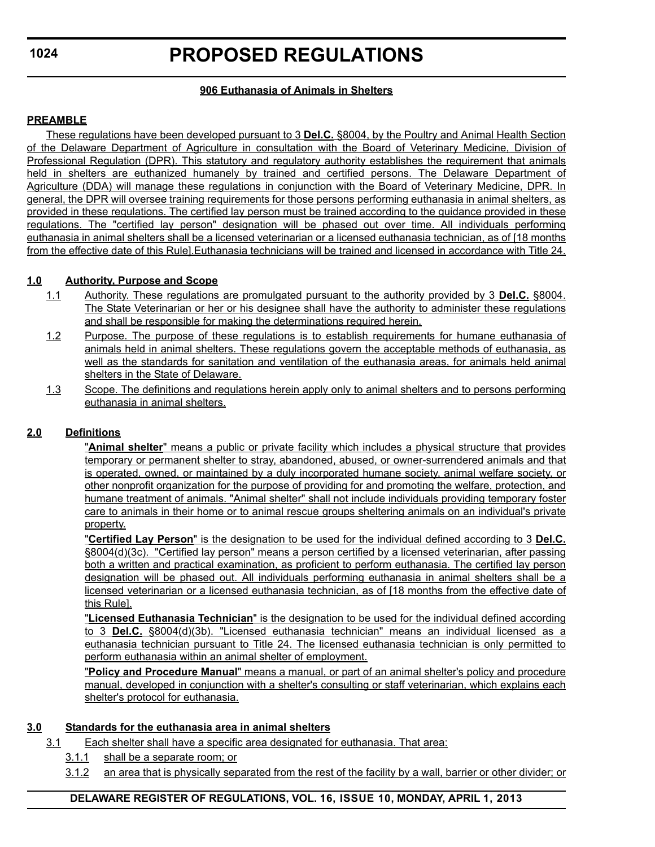### **906 Euthanasia of Animals in Shelters**

#### **PREAMBLE**

These regulations have been developed pursuant to 3 **Del.C.** §8004, by the Poultry and Animal Health Section of the Delaware Department of Agriculture in consultation with the Board of Veterinary Medicine, Division of Professional Regulation (DPR). This statutory and regulatory authority establishes the requirement that animals held in shelters are euthanized humanely by trained and certified persons. The Delaware Department of Agriculture (DDA) will manage these regulations in conjunction with the Board of Veterinary Medicine, DPR. In general, the DPR will oversee training requirements for those persons performing euthanasia in animal shelters, as provided in these regulations. The certified lay person must be trained according to the guidance provided in these regulations. The "certified lay person" designation will be phased out over time. All individuals performing euthanasia in animal shelters shall be a licensed veterinarian or a licensed euthanasia technician, as of [18 months from the effective date of this Rule].Euthanasia technicians will be trained and licensed in accordance with Title 24.

### **1.0 Authority, Purpose and Scope**

- 1.1 Authority. These regulations are promulgated pursuant to the authority provided by 3 **Del.C.** §8004. The State Veterinarian or her or his designee shall have the authority to administer these regulations and shall be responsible for making the determinations required herein.
- 1.2 Purpose. The purpose of these regulations is to establish requirements for humane euthanasia of animals held in animal shelters. These regulations govern the acceptable methods of euthanasia, as well as the standards for sanitation and ventilation of the euthanasia areas, for animals held animal shelters in the State of Delaware.
- 1.3 Scope. The definitions and regulations herein apply only to animal shelters and to persons performing euthanasia in animal shelters.

### **2.0 Definitions**

"**Animal shelter**" means a public or private facility which includes a physical structure that provides temporary or permanent shelter to stray, abandoned, abused, or owner-surrendered animals and that is operated, owned, or maintained by a duly incorporated humane society, animal welfare society, or other nonprofit organization for the purpose of providing for and promoting the welfare, protection, and humane treatment of animals. "Animal shelter" shall not include individuals providing temporary foster care to animals in their home or to animal rescue groups sheltering animals on an individual's private property.

"**Certified Lay Person**" is the designation to be used for the individual defined according to 3 **Del.C.** §8004(d)(3c). "Certified lay person" means a person certified by a licensed veterinarian, after passing both a written and practical examination, as proficient to perform euthanasia. The certified lay person designation will be phased out. All individuals performing euthanasia in animal shelters shall be a licensed veterinarian or a licensed euthanasia technician, as of [18 months from the effective date of this Rule].

"**Licensed Euthanasia Technician**" is the designation to be used for the individual defined according to 3 **Del.C.** §8004(d)(3b). "Licensed euthanasia technician" means an individual licensed as a euthanasia technician pursuant to Title 24. The licensed euthanasia technician is only permitted to perform euthanasia within an animal shelter of employment.

"**Policy and Procedure Manual**" means a manual, or part of an animal shelter's policy and procedure manual, developed in conjunction with a shelter's consulting or staff veterinarian, which explains each shelter's protocol for euthanasia.

### **3.0 Standards for the euthanasia area in animal shelters**

- 3.1 Each shelter shall have a specific area designated for euthanasia. That area:
	- 3.1.1 shall be a separate room; or
	- 3.1.2 an area that is physically separated from the rest of the facility by a wall, barrier or other divider; or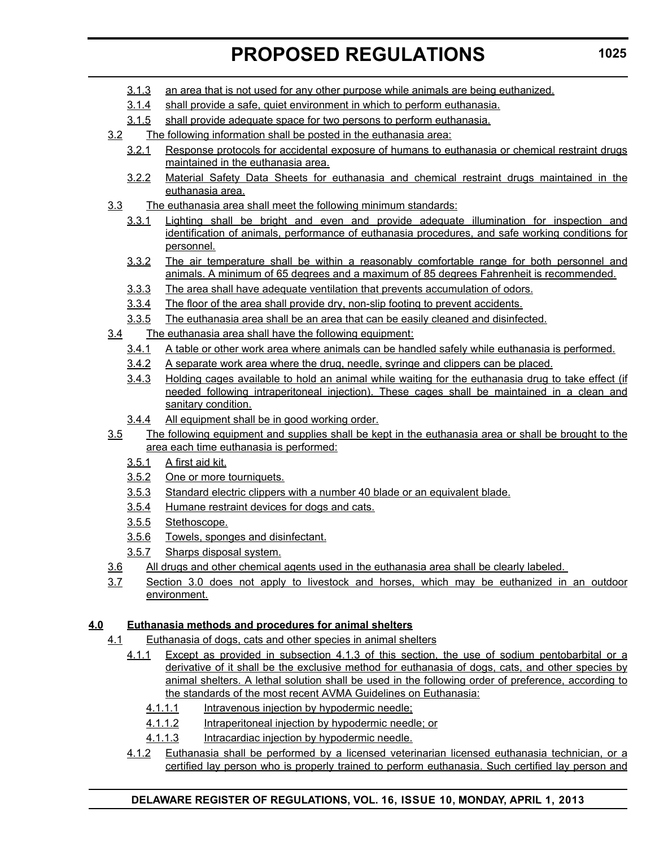- 3.1.3 an area that is not used for any other purpose while animals are being euthanized.
- 3.1.4 shall provide a safe, quiet environment in which to perform euthanasia.
- 3.1.5 shall provide adequate space for two persons to perform euthanasia.
- 3.2 The following information shall be posted in the euthanasia area:
	- 3.2.1 Response protocols for accidental exposure of humans to euthanasia or chemical restraint drugs maintained in the euthanasia area.
	- 3.2.2 Material Safety Data Sheets for euthanasia and chemical restraint drugs maintained in the euthanasia area.
- 3.3 The euthanasia area shall meet the following minimum standards:
	- 3.3.1 Lighting shall be bright and even and provide adequate illumination for inspection and identification of animals, performance of euthanasia procedures, and safe working conditions for personnel.
	- 3.3.2 The air temperature shall be within a reasonably comfortable range for both personnel and animals. A minimum of 65 degrees and a maximum of 85 degrees Fahrenheit is recommended.
	- 3.3.3 The area shall have adequate ventilation that prevents accumulation of odors.
	- 3.3.4 The floor of the area shall provide dry, non-slip footing to prevent accidents.
	- 3.3.5 The euthanasia area shall be an area that can be easily cleaned and disinfected.
- 3.4 The euthanasia area shall have the following equipment:
	- 3.4.1 A table or other work area where animals can be handled safely while euthanasia is performed.
	- 3.4.2 A separate work area where the drug, needle, syringe and clippers can be placed.
	- 3.4.3 Holding cages available to hold an animal while waiting for the euthanasia drug to take effect (if needed following intraperitoneal injection). These cages shall be maintained in a clean and sanitary condition.
	- 3.4.4 All equipment shall be in good working order.
- 3.5 The following equipment and supplies shall be kept in the euthanasia area or shall be brought to the area each time euthanasia is performed:
	- 3.5.1 A first aid kit.
	- 3.5.2 One or more tourniquets.
	- 3.5.3 Standard electric clippers with a number 40 blade or an equivalent blade.
	- 3.5.4 Humane restraint devices for dogs and cats.
	- 3.5.5 Stethoscope.
	- 3.5.6 Towels, sponges and disinfectant.
	- 3.5.7 Sharps disposal system.
- 3.6 All drugs and other chemical agents used in the euthanasia area shall be clearly labeled.
- 3.7 Section 3.0 does not apply to livestock and horses, which may be euthanized in an outdoor environment.

### **4.0 Euthanasia methods and procedures for animal shelters**

- 4.1 Euthanasia of dogs, cats and other species in animal shelters
	- 4.1.1 Except as provided in subsection 4.1.3 of this section, the use of sodium pentobarbital or a derivative of it shall be the exclusive method for euthanasia of dogs, cats, and other species by animal shelters. A lethal solution shall be used in the following order of preference, according to the standards of the most recent AVMA Guidelines on Euthanasia:
		- 4.1.1.1 Intravenous injection by hypodermic needle;
		- 4.1.1.2 Intraperitoneal injection by hypodermic needle; or
		- 4.1.1.3 Intracardiac injection by hypodermic needle.
	- 4.1.2 Euthanasia shall be performed by a licensed veterinarian licensed euthanasia technician, or a certified lay person who is properly trained to perform euthanasia. Such certified lay person and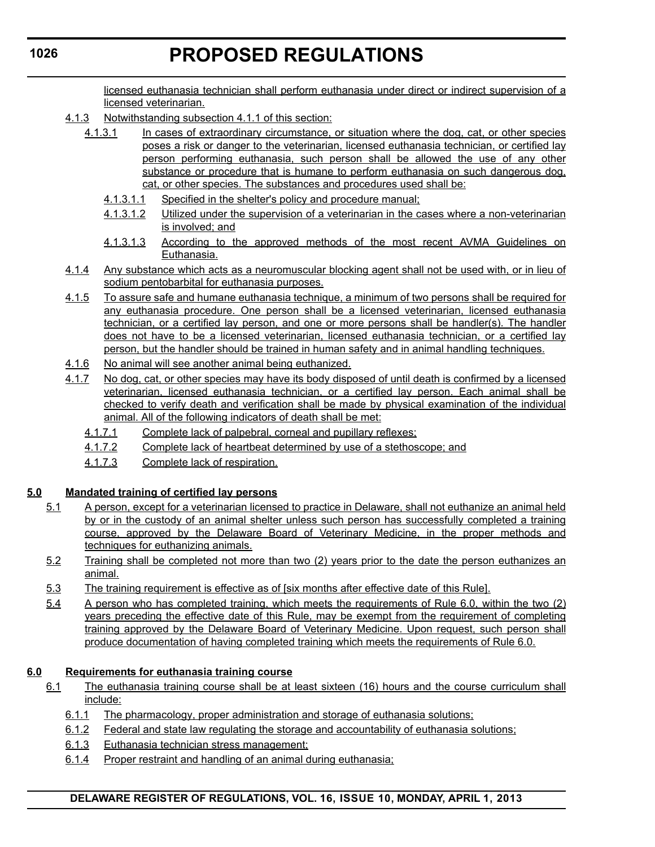licensed euthanasia technician shall perform euthanasia under direct or indirect supervision of a licensed veterinarian.

- 4.1.3 Notwithstanding subsection 4.1.1 of this section:
	- 4.1.3.1 In cases of extraordinary circumstance, or situation where the dog, cat, or other species poses a risk or danger to the veterinarian, licensed euthanasia technician, or certified lay person performing euthanasia, such person shall be allowed the use of any other substance or procedure that is humane to perform euthanasia on such dangerous dog, cat, or other species. The substances and procedures used shall be:
		- 4.1.3.1.1 Specified in the shelter's policy and procedure manual;
		- 4.1.3.1.2 Utilized under the supervision of a veterinarian in the cases where a non-veterinarian is involved; and
		- 4.1.3.1.3 According to the approved methods of the most recent AVMA Guidelines on Euthanasia.
- 4.1.4 Any substance which acts as a neuromuscular blocking agent shall not be used with, or in lieu of sodium pentobarbital for euthanasia purposes.
- 4.1.5 To assure safe and humane euthanasia technique, a minimum of two persons shall be required for any euthanasia procedure. One person shall be a licensed veterinarian, licensed euthanasia technician, or a certified lay person, and one or more persons shall be handler(s). The handler does not have to be a licensed veterinarian, licensed euthanasia technician, or a certified lay person, but the handler should be trained in human safety and in animal handling techniques.
- 4.1.6 No animal will see another animal being euthanized.
- 4.1.7 No dog, cat, or other species may have its body disposed of until death is confirmed by a licensed veterinarian, licensed euthanasia technician, or a certified lay person. Each animal shall be checked to verify death and verification shall be made by physical examination of the individual animal. All of the following indicators of death shall be met:
	- 4.1.7.1 Complete lack of palpebral, corneal and pupillary reflexes;
	- 4.1.7.2 Complete lack of heartbeat determined by use of a stethoscope; and
	- 4.1.7.3 Complete lack of respiration.

### **5.0 Mandated training of certified lay persons**

- 5.1 A person, except for a veterinarian licensed to practice in Delaware, shall not euthanize an animal held by or in the custody of an animal shelter unless such person has successfully completed a training course, approved by the Delaware Board of Veterinary Medicine, in the proper methods and techniques for euthanizing animals.
- 5.2 Training shall be completed not more than two (2) years prior to the date the person euthanizes an animal.
- 5.3 The training requirement is effective as of [six months after effective date of this Rule].
- 5.4 A person who has completed training, which meets the requirements of Rule 6.0, within the two (2) years preceding the effective date of this Rule, may be exempt from the requirement of completing training approved by the Delaware Board of Veterinary Medicine. Upon request, such person shall produce documentation of having completed training which meets the requirements of Rule 6.0.

### **6.0 Requirements for euthanasia training course**

- 6.1 The euthanasia training course shall be at least sixteen (16) hours and the course curriculum shall include:
	- 6.1.1 The pharmacology, proper administration and storage of euthanasia solutions;
	- 6.1.2 Federal and state law regulating the storage and accountability of euthanasia solutions;
	- 6.1.3 Euthanasia technician stress management;
	- 6.1.4 Proper restraint and handling of an animal during euthanasia;

#### **1026**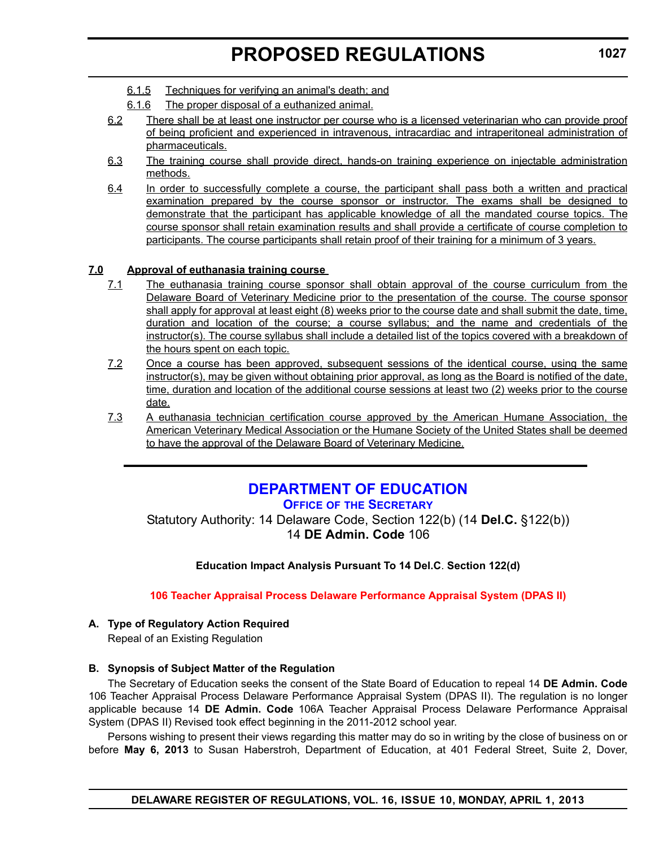- <span id="page-17-0"></span>6.1.5 Techniques for verifying an animal's death; and
- 6.1.6 The proper disposal of a euthanized animal.
- 6.2 There shall be at least one instructor per course who is a licensed veterinarian who can provide proof of being proficient and experienced in intravenous, intracardiac and intraperitoneal administration of pharmaceuticals.
- 6.3 The training course shall provide direct, hands-on training experience on injectable administration methods.
- 6.4 In order to successfully complete a course, the participant shall pass both a written and practical examination prepared by the course sponsor or instructor. The exams shall be designed to demonstrate that the participant has applicable knowledge of all the mandated course topics. The course sponsor shall retain examination results and shall provide a certificate of course completion to participants. The course participants shall retain proof of their training for a minimum of 3 years.

#### **7.0 Approval of euthanasia training course**

- 7.1 The euthanasia training course sponsor shall obtain approval of the course curriculum from the Delaware Board of Veterinary Medicine prior to the presentation of the course. The course sponsor shall apply for approval at least eight (8) weeks prior to the course date and shall submit the date, time, duration and location of the course; a course syllabus; and the name and credentials of the instructor(s). The course syllabus shall include a detailed list of the topics covered with a breakdown of the hours spent on each topic.
- 7.2 Once a course has been approved, subsequent sessions of the identical course, using the same instructor(s), may be given without obtaining prior approval, as long as the Board is notified of the date, time, duration and location of the additional course sessions at least two (2) weeks prior to the course date.
- 7.3 A euthanasia technician certification course approved by the American Humane Association, the American Veterinary Medical Association or the Humane Society of the United States shall be deemed to have the approval of the Delaware Board of Veterinary Medicine.

# **[DEPARTMENT OF EDUCATION](http://www.doe.k12.de.us/)**

**OFFICE OF THE SECRETARY**

Statutory Authority: 14 Delaware Code, Section 122(b) (14 **Del.C.** §122(b)) 14 **DE Admin. Code** 106

**Education Impact Analysis Pursuant To 14 Del.C**. **Section 122(d)**

**[106 Teacher Appraisal Process Delaware Performance Appraisal System \(DPAS II\)](#page-3-0)**

### **A. Type of Regulatory Action Required**

Repeal of an Existing Regulation

#### **B. Synopsis of Subject Matter of the Regulation**

The Secretary of Education seeks the consent of the State Board of Education to repeal 14 **DE Admin. Code** 106 Teacher Appraisal Process Delaware Performance Appraisal System (DPAS II). The regulation is no longer applicable because 14 **DE Admin. Code** 106A Teacher Appraisal Process Delaware Performance Appraisal System (DPAS II) Revised took effect beginning in the 2011-2012 school year.

Persons wishing to present their views regarding this matter may do so in writing by the close of business on or before **May 6, 2013** to Susan Haberstroh, Department of Education, at 401 Federal Street, Suite 2, Dover,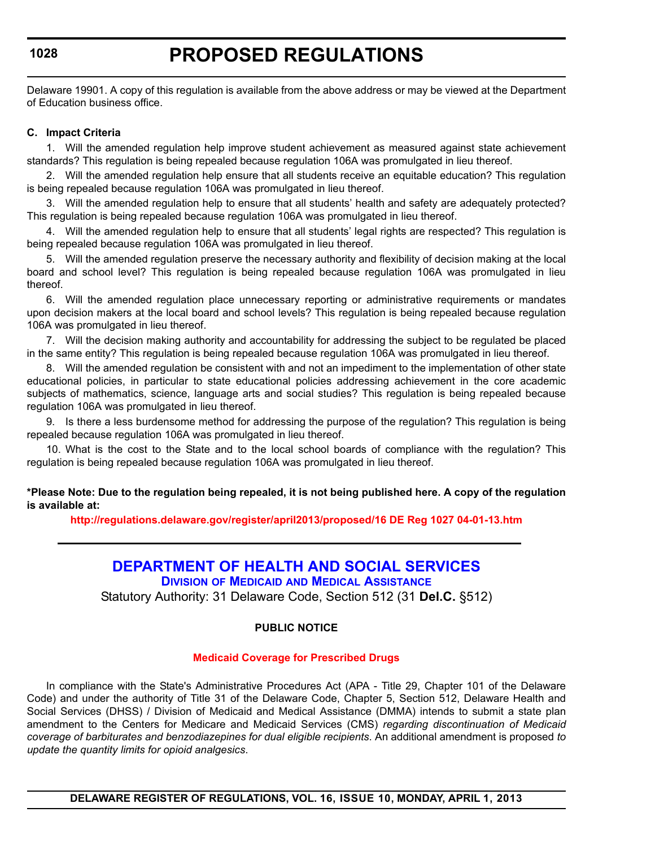# **PROPOSED REGULATIONS**

<span id="page-18-0"></span>Delaware 19901. A copy of this regulation is available from the above address or may be viewed at the Department of Education business office.

#### **C. Impact Criteria**

1. Will the amended regulation help improve student achievement as measured against state achievement standards? This regulation is being repealed because regulation 106A was promulgated in lieu thereof.

2. Will the amended regulation help ensure that all students receive an equitable education? This regulation is being repealed because regulation 106A was promulgated in lieu thereof.

3. Will the amended regulation help to ensure that all students' health and safety are adequately protected? This regulation is being repealed because regulation 106A was promulgated in lieu thereof.

4. Will the amended regulation help to ensure that all students' legal rights are respected? This regulation is being repealed because regulation 106A was promulgated in lieu thereof.

5. Will the amended regulation preserve the necessary authority and flexibility of decision making at the local board and school level? This regulation is being repealed because regulation 106A was promulgated in lieu thereof.

6. Will the amended regulation place unnecessary reporting or administrative requirements or mandates upon decision makers at the local board and school levels? This regulation is being repealed because regulation 106A was promulgated in lieu thereof.

7. Will the decision making authority and accountability for addressing the subject to be regulated be placed in the same entity? This regulation is being repealed because regulation 106A was promulgated in lieu thereof.

8. Will the amended regulation be consistent with and not an impediment to the implementation of other state educational policies, in particular to state educational policies addressing achievement in the core academic subjects of mathematics, science, language arts and social studies? This regulation is being repealed because regulation 106A was promulgated in lieu thereof.

9. Is there a less burdensome method for addressing the purpose of the regulation? This regulation is being repealed because regulation 106A was promulgated in lieu thereof.

10. What is the cost to the State and to the local school boards of compliance with the regulation? This regulation is being repealed because regulation 106A was promulgated in lieu thereof.

**\*Please Note: Due to the regulation being repealed, it is not being published here. A copy of the regulation is available at:**

**<http://regulations.delaware.gov/register/april2013/proposed/16 DE Reg 1027 04-01-13.htm>**

# **[DEPARTMENT OF HEALTH AND SOCIAL SERVICES](http://www.dhss.delaware.gov/dhss/dmma/)**

**DIVISION OF MEDICAID AND MEDICAL ASSISTANCE**

Statutory Authority: 31 Delaware Code, Section 512 (31 **Del.C.** §512)

#### **PUBLIC NOTICE**

#### **[Medicaid Coverage for Prescribed Drugs](#page-3-0)**

In compliance with the State's Administrative Procedures Act (APA - Title 29, Chapter 101 of the Delaware Code) and under the authority of Title 31 of the Delaware Code, Chapter 5, Section 512, Delaware Health and Social Services (DHSS) / Division of Medicaid and Medical Assistance (DMMA) intends to submit a state plan amendment to the Centers for Medicare and Medicaid Services (CMS) *regarding discontinuation of Medicaid coverage of barbiturates and benzodiazepines for dual eligible recipients*. An additional amendment is proposed *to update the quantity limits for opioid analgesics*.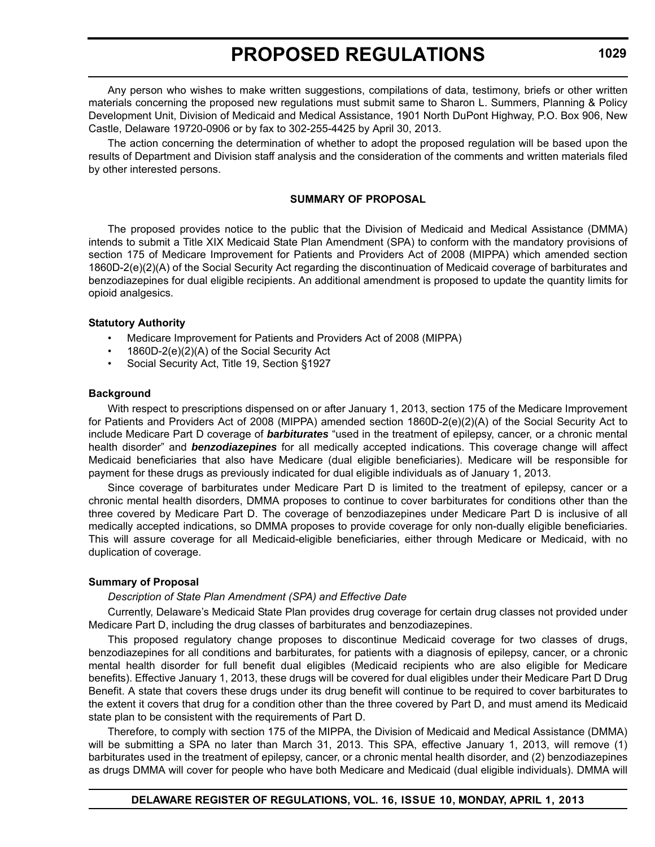Any person who wishes to make written suggestions, compilations of data, testimony, briefs or other written materials concerning the proposed new regulations must submit same to Sharon L. Summers, Planning & Policy Development Unit, Division of Medicaid and Medical Assistance, 1901 North DuPont Highway, P.O. Box 906, New Castle, Delaware 19720-0906 or by fax to 302-255-4425 by April 30, 2013.

The action concerning the determination of whether to adopt the proposed regulation will be based upon the results of Department and Division staff analysis and the consideration of the comments and written materials filed by other interested persons.

#### **SUMMARY OF PROPOSAL**

The proposed provides notice to the public that the Division of Medicaid and Medical Assistance (DMMA) intends to submit a Title XIX Medicaid State Plan Amendment (SPA) to conform with the mandatory provisions of section 175 of Medicare Improvement for Patients and Providers Act of 2008 (MIPPA) which amended section 1860D-2(e)(2)(A) of the Social Security Act regarding the discontinuation of Medicaid coverage of barbiturates and benzodiazepines for dual eligible recipients. An additional amendment is proposed to update the quantity limits for opioid analgesics.

#### **Statutory Authority**

- Medicare Improvement for Patients and Providers Act of 2008 (MIPPA)
- 1860D-2(e)(2)(A) of the Social Security Act
- Social Security Act, Title 19, Section §1927

#### **Background**

With respect to prescriptions dispensed on or after January 1, 2013, section 175 of the Medicare Improvement for Patients and Providers Act of 2008 (MIPPA) amended section 1860D-2(e)(2)(A) of the Social Security Act to include Medicare Part D coverage of *barbiturates* "used in the treatment of epilepsy, cancer, or a chronic mental health disorder" and *benzodiazepines* for all medically accepted indications. This coverage change will affect Medicaid beneficiaries that also have Medicare (dual eligible beneficiaries). Medicare will be responsible for payment for these drugs as previously indicated for dual eligible individuals as of January 1, 2013.

Since coverage of barbiturates under Medicare Part D is limited to the treatment of epilepsy, cancer or a chronic mental health disorders, DMMA proposes to continue to cover barbiturates for conditions other than the three covered by Medicare Part D. The coverage of benzodiazepines under Medicare Part D is inclusive of all medically accepted indications, so DMMA proposes to provide coverage for only non-dually eligible beneficiaries. This will assure coverage for all Medicaid-eligible beneficiaries, either through Medicare or Medicaid, with no duplication of coverage.

#### **Summary of Proposal**

#### *Description of State Plan Amendment (SPA) and Effective Date*

Currently, Delaware's Medicaid State Plan provides drug coverage for certain drug classes not provided under Medicare Part D, including the drug classes of barbiturates and benzodiazepines.

This proposed regulatory change proposes to discontinue Medicaid coverage for two classes of drugs, benzodiazepines for all conditions and barbiturates, for patients with a diagnosis of epilepsy, cancer, or a chronic mental health disorder for full benefit dual eligibles (Medicaid recipients who are also eligible for Medicare benefits). Effective January 1, 2013, these drugs will be covered for dual eligibles under their Medicare Part D Drug Benefit. A state that covers these drugs under its drug benefit will continue to be required to cover barbiturates to the extent it covers that drug for a condition other than the three covered by Part D, and must amend its Medicaid state plan to be consistent with the requirements of Part D.

Therefore, to comply with section 175 of the MIPPA, the Division of Medicaid and Medical Assistance (DMMA) will be submitting a SPA no later than March 31, 2013. This SPA, effective January 1, 2013, will remove (1) barbiturates used in the treatment of epilepsy, cancer, or a chronic mental health disorder, and (2) benzodiazepines as drugs DMMA will cover for people who have both Medicare and Medicaid (dual eligible individuals). DMMA will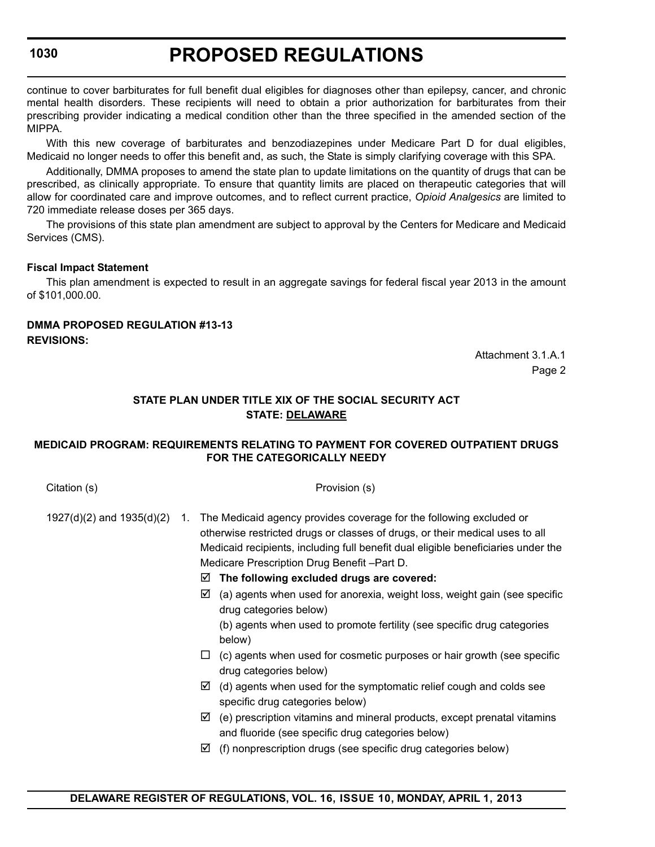# **PROPOSED REGULATIONS**

continue to cover barbiturates for full benefit dual eligibles for diagnoses other than epilepsy, cancer, and chronic mental health disorders. These recipients will need to obtain a prior authorization for barbiturates from their prescribing provider indicating a medical condition other than the three specified in the amended section of the MIPPA.

With this new coverage of barbiturates and benzodiazepines under Medicare Part D for dual eligibles, Medicaid no longer needs to offer this benefit and, as such, the State is simply clarifying coverage with this SPA.

Additionally, DMMA proposes to amend the state plan to update limitations on the quantity of drugs that can be prescribed, as clinically appropriate. To ensure that quantity limits are placed on therapeutic categories that will allow for coordinated care and improve outcomes, and to reflect current practice, *Opioid Analgesics* are limited to 720 immediate release doses per 365 days.

The provisions of this state plan amendment are subject to approval by the Centers for Medicare and Medicaid Services (CMS).

#### **Fiscal Impact Statement**

This plan amendment is expected to result in an aggregate savings for federal fiscal year 2013 in the amount of \$101,000.00.

### **DMMA PROPOSED REGULATION #13-13 REVISIONS:**

Attachment 3.1.A.1 Page 2

# **STATE PLAN UNDER TITLE XIX OF THE SOCIAL SECURITY ACT STATE: DELAWARE**

#### **MEDICAID PROGRAM: REQUIREMENTS RELATING TO PAYMENT FOR COVERED OUTPATIENT DRUGS FOR THE CATEGORICALLY NEEDY**

Citation (s) **Provision (s)** Provision (s) 1927(d)(2) and 1935(d)(2) 1. The Medicaid agency provides coverage for the following excluded or otherwise restricted drugs or classes of drugs, or their medical uses to all Medicaid recipients, including full benefit dual eligible beneficiaries under the Medicare Prescription Drug Benefit –Part D. **The following excluded drugs are covered:**   $\boxtimes$  (a) agents when used for anorexia, weight loss, weight gain (see specific drug categories below) (b) agents when used to promote fertility (see specific drug categories below)  $\Box$  (c) agents when used for cosmetic purposes or hair growth (see specific drug categories below)  $\boxtimes$  (d) agents when used for the symptomatic relief cough and colds see specific drug categories below)  $\boxtimes$  (e) prescription vitamins and mineral products, except prenatal vitamins and fluoride (see specific drug categories below)  $\boxtimes$  (f) nonprescription drugs (see specific drug categories below)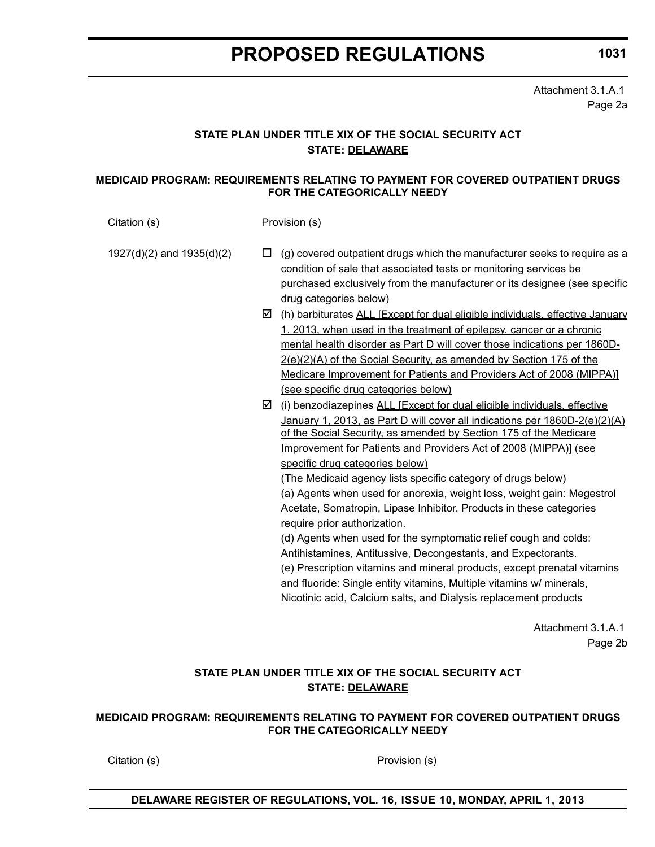**1031**

Attachment 3.1.A.1 Page 2a

# **STATE PLAN UNDER TITLE XIX OF THE SOCIAL SECURITY ACT STATE: DELAWARE**

#### **MEDICAID PROGRAM: REQUIREMENTS RELATING TO PAYMENT FOR COVERED OUTPATIENT DRUGS FOR THE CATEGORICALLY NEEDY**

Citation (s) Provision (s)

1927(d)(2) and 1935(d)(2)  $\square$  (g) covered outpatient drugs which the manufacturer seeks to require as a condition of sale that associated tests or monitoring services be purchased exclusively from the manufacturer or its designee (see specific drug categories below)

- $\boxtimes$  (h) barbiturates ALL [Except for dual eligible individuals, effective January 1, 2013, when used in the treatment of epilepsy, cancer or a chronic mental health disorder as Part D will cover those indications per 1860D-2(e)(2)(A) of the Social Security, as amended by Section 175 of the Medicare Improvement for Patients and Providers Act of 2008 (MIPPA)] (see specific drug categories below)
- $\boxtimes$  (i) benzodiazepines ALL [Except for dual eligible individuals, effective January 1, 2013, as Part D will cover all indications per 1860D-2(e)(2)(A) of the Social Security, as amended by Section 175 of the Medicare Improvement for Patients and Providers Act of 2008 (MIPPA)] (see specific drug categories below)

(The Medicaid agency lists specific category of drugs below) (a) Agents when used for anorexia, weight loss, weight gain: Megestrol Acetate, Somatropin, Lipase Inhibitor. Products in these categories require prior authorization.

(d) Agents when used for the symptomatic relief cough and colds: Antihistamines, Antitussive, Decongestants, and Expectorants.

(e) Prescription vitamins and mineral products, except prenatal vitamins and fluoride: Single entity vitamins, Multiple vitamins w/ minerals, Nicotinic acid, Calcium salts, and Dialysis replacement products

> Attachment 3.1.A.1 Page 2b

### **STATE PLAN UNDER TITLE XIX OF THE SOCIAL SECURITY ACT STATE: DELAWARE**

#### **MEDICAID PROGRAM: REQUIREMENTS RELATING TO PAYMENT FOR COVERED OUTPATIENT DRUGS FOR THE CATEGORICALLY NEEDY**

Citation (s) Provision (s)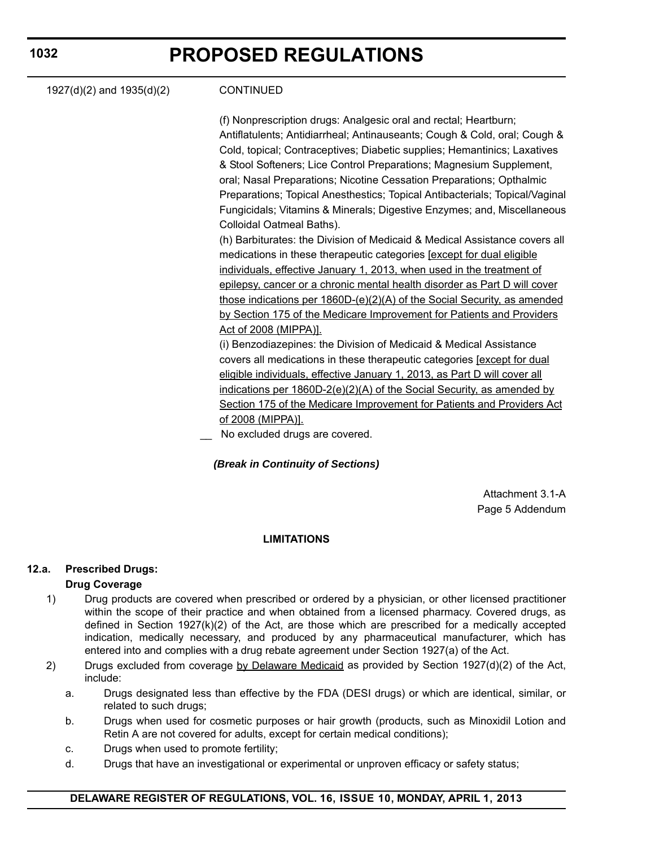| <b>CONTINUED</b><br>1927(d)(2) and 1935(d)(2)<br>(f) Nonprescription drugs: Analgesic oral and rectal; Heartburn;<br>Antiflatulents; Antidiarrheal; Antinauseants; Cough & Cold, oral; Cough &<br>Cold, topical; Contraceptives; Diabetic supplies; Hemantinics; Laxatives<br>& Stool Softeners; Lice Control Preparations; Magnesium Supplement,<br>oral; Nasal Preparations; Nicotine Cessation Preparations; Opthalmic<br>Preparations; Topical Anesthestics; Topical Antibacterials; Topical/Vaginal<br>Fungicidals; Vitamins & Minerals; Digestive Enzymes; and, Miscellaneous<br>Colloidal Oatmeal Baths).<br>(h) Barbiturates: the Division of Medicaid & Medical Assistance covers all<br>medications in these therapeutic categories <b>[except for dual eligible</b><br>individuals, effective January 1, 2013, when used in the treatment of<br>epilepsy, cancer or a chronic mental health disorder as Part D will cover<br>those indications per 1860D-(e)(2)(A) of the Social Security, as amended<br>by Section 175 of the Medicare Improvement for Patients and Providers<br>Act of 2008 (MIPPA)].<br>(i) Benzodiazepines: the Division of Medicaid & Medical Assistance<br>covers all medications in these therapeutic categories [except for dual<br>eligible individuals, effective January 1, 2013, as Part D will cover all<br>indications per 1860D-2(e)(2)(A) of the Social Security, as amended by<br>Section 175 of the Medicare Improvement for Patients and Providers Act<br>of 2008 (MIPPA)].<br>No excluded drugs are covered. |  |  |
|-------------------------------------------------------------------------------------------------------------------------------------------------------------------------------------------------------------------------------------------------------------------------------------------------------------------------------------------------------------------------------------------------------------------------------------------------------------------------------------------------------------------------------------------------------------------------------------------------------------------------------------------------------------------------------------------------------------------------------------------------------------------------------------------------------------------------------------------------------------------------------------------------------------------------------------------------------------------------------------------------------------------------------------------------------------------------------------------------------------------------------------------------------------------------------------------------------------------------------------------------------------------------------------------------------------------------------------------------------------------------------------------------------------------------------------------------------------------------------------------------------------------------------------------------------------|--|--|
|                                                                                                                                                                                                                                                                                                                                                                                                                                                                                                                                                                                                                                                                                                                                                                                                                                                                                                                                                                                                                                                                                                                                                                                                                                                                                                                                                                                                                                                                                                                                                             |  |  |
|                                                                                                                                                                                                                                                                                                                                                                                                                                                                                                                                                                                                                                                                                                                                                                                                                                                                                                                                                                                                                                                                                                                                                                                                                                                                                                                                                                                                                                                                                                                                                             |  |  |
|                                                                                                                                                                                                                                                                                                                                                                                                                                                                                                                                                                                                                                                                                                                                                                                                                                                                                                                                                                                                                                                                                                                                                                                                                                                                                                                                                                                                                                                                                                                                                             |  |  |
|                                                                                                                                                                                                                                                                                                                                                                                                                                                                                                                                                                                                                                                                                                                                                                                                                                                                                                                                                                                                                                                                                                                                                                                                                                                                                                                                                                                                                                                                                                                                                             |  |  |
|                                                                                                                                                                                                                                                                                                                                                                                                                                                                                                                                                                                                                                                                                                                                                                                                                                                                                                                                                                                                                                                                                                                                                                                                                                                                                                                                                                                                                                                                                                                                                             |  |  |
|                                                                                                                                                                                                                                                                                                                                                                                                                                                                                                                                                                                                                                                                                                                                                                                                                                                                                                                                                                                                                                                                                                                                                                                                                                                                                                                                                                                                                                                                                                                                                             |  |  |
|                                                                                                                                                                                                                                                                                                                                                                                                                                                                                                                                                                                                                                                                                                                                                                                                                                                                                                                                                                                                                                                                                                                                                                                                                                                                                                                                                                                                                                                                                                                                                             |  |  |
|                                                                                                                                                                                                                                                                                                                                                                                                                                                                                                                                                                                                                                                                                                                                                                                                                                                                                                                                                                                                                                                                                                                                                                                                                                                                                                                                                                                                                                                                                                                                                             |  |  |

# *(Break in Continuity of Sections)*

Attachment 3.1-A Page 5 Addendum

# **LIMITATIONS**

# **12.a. Prescribed Drugs:**

# **Drug Coverage**

- 1) Drug products are covered when prescribed or ordered by a physician, or other licensed practitioner within the scope of their practice and when obtained from a licensed pharmacy. Covered drugs, as defined in Section 1927(k)(2) of the Act, are those which are prescribed for a medically accepted indication, medically necessary, and produced by any pharmaceutical manufacturer, which has entered into and complies with a drug rebate agreement under Section 1927(a) of the Act.
- 2) Drugs excluded from coverage by Delaware Medicaid as provided by Section 1927(d)(2) of the Act, include:
	- a. Drugs designated less than effective by the FDA (DESI drugs) or which are identical, similar, or related to such drugs;
	- b. Drugs when used for cosmetic purposes or hair growth (products, such as Minoxidil Lotion and Retin A are not covered for adults, except for certain medical conditions);
	- c. Drugs when used to promote fertility;
	- d. Drugs that have an investigational or experimental or unproven efficacy or safety status;

# **1032**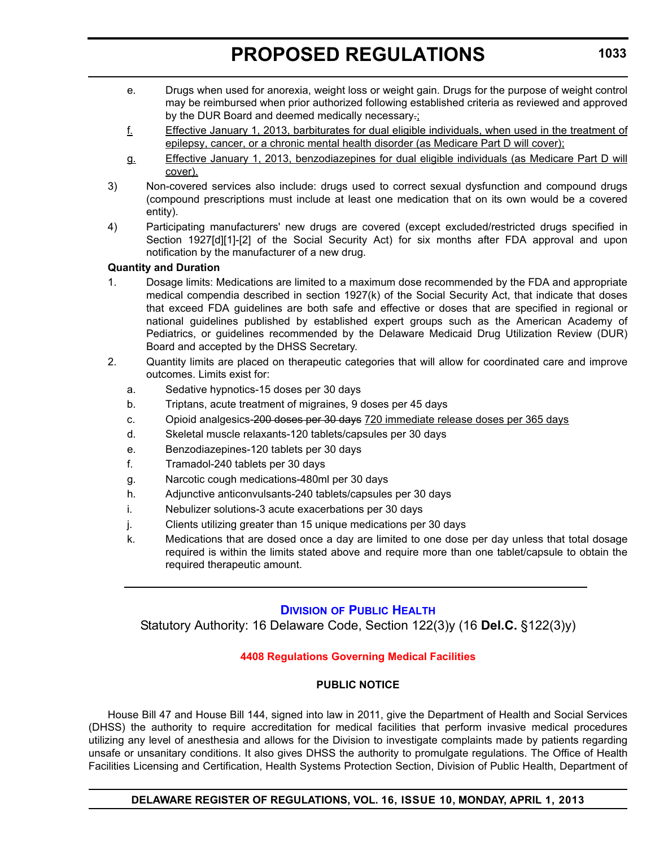- <span id="page-23-0"></span>e. Drugs when used for anorexia, weight loss or weight gain. Drugs for the purpose of weight control may be reimbursed when prior authorized following established criteria as reviewed and approved by the DUR Board and deemed medically necessary.;
- f. Effective January 1, 2013, barbiturates for dual eligible individuals, when used in the treatment of epilepsy, cancer, or a chronic mental health disorder (as Medicare Part D will cover);
- g. Effective January 1, 2013, benzodiazepines for dual eligible individuals (as Medicare Part D will cover).
- 3) Non-covered services also include: drugs used to correct sexual dysfunction and compound drugs (compound prescriptions must include at least one medication that on its own would be a covered entity).
- 4) Participating manufacturers' new drugs are covered (except excluded/restricted drugs specified in Section 1927[d][1]-[2] of the Social Security Act) for six months after FDA approval and upon notification by the manufacturer of a new drug.

#### **Quantity and Duration**

- 1. Dosage limits: Medications are limited to a maximum dose recommended by the FDA and appropriate medical compendia described in section 1927(k) of the Social Security Act, that indicate that doses that exceed FDA guidelines are both safe and effective or doses that are specified in regional or national guidelines published by established expert groups such as the American Academy of Pediatrics, or guidelines recommended by the Delaware Medicaid Drug Utilization Review (DUR) Board and accepted by the DHSS Secretary.
- 2. Quantity limits are placed on therapeutic categories that will allow for coordinated care and improve outcomes. Limits exist for:
	- a. Sedative hypnotics-15 doses per 30 days
	- b. Triptans, acute treatment of migraines, 9 doses per 45 days
	- c. Opioid analgesics-200 doses per 30 days 720 immediate release doses per 365 days
	- d. Skeletal muscle relaxants-120 tablets/capsules per 30 days
	- e. Benzodiazepines-120 tablets per 30 days
	- f. Tramadol-240 tablets per 30 days
	- g. Narcotic cough medications-480ml per 30 days
	- h. Adjunctive anticonvulsants-240 tablets/capsules per 30 days
	- i. Nebulizer solutions-3 acute exacerbations per 30 days
	- j. Clients utilizing greater than 15 unique medications per 30 days
	- k. Medications that are dosed once a day are limited to one dose per day unless that total dosage required is within the limits stated above and require more than one tablet/capsule to obtain the required therapeutic amount.

### **DIVISION [OF PUBLIC HEALTH](http://www.dhss.delaware.gov/dhss/dph/index.html)**

Statutory Authority: 16 Delaware Code, Section 122(3)y (16 **Del.C.** §122(3)y)

### **[4408 Regulations Governing Medical Facilities](#page-3-0)**

#### **PUBLIC NOTICE**

House Bill 47 and House Bill 144, signed into law in 2011, give the Department of Health and Social Services (DHSS) the authority to require accreditation for medical facilities that perform invasive medical procedures utilizing any level of anesthesia and allows for the Division to investigate complaints made by patients regarding unsafe or unsanitary conditions. It also gives DHSS the authority to promulgate regulations. The Office of Health Facilities Licensing and Certification, Health Systems Protection Section, Division of Public Health, Department of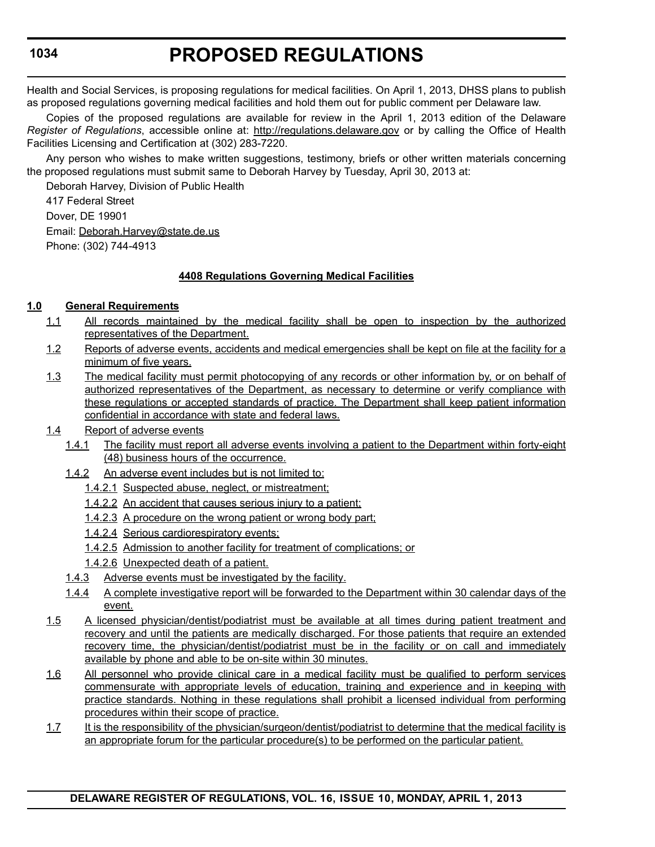Health and Social Services, is proposing regulations for medical facilities. On April 1, 2013, DHSS plans to publish as proposed regulations governing medical facilities and hold them out for public comment per Delaware law.

Copies of the proposed regulations are available for review in the April 1, 2013 edition of the Delaware *Register of Regulations*, accessible online at: http://regulations.delaware.gov or by calling the Office of Health Facilities Licensing and Certification at (302) 283-7220.

Any person who wishes to make written suggestions, testimony, briefs or other written materials concerning the proposed regulations must submit same to Deborah Harvey by Tuesday, April 30, 2013 at:

Deborah Harvey, Division of Public Health

417 Federal Street Dover, DE 19901 Email: Deborah.Harvey@state.de.us Phone: (302) 744-4913

# **4408 Regulations Governing Medical Facilities**

### **1.0 General Requirements**

- 1.1 All records maintained by the medical facility shall be open to inspection by the authorized representatives of the Department.
- 1.2 Reports of adverse events, accidents and medical emergencies shall be kept on file at the facility for a minimum of five years.
- 1.3 The medical facility must permit photocopying of any records or other information by, or on behalf of authorized representatives of the Department, as necessary to determine or verify compliance with these regulations or accepted standards of practice. The Department shall keep patient information confidential in accordance with state and federal laws.

### 1.4 Report of adverse events

- 1.4.1 The facility must report all adverse events involving a patient to the Department within forty-eight (48) business hours of the occurrence.
- 1.4.2 An adverse event includes but is not limited to:
	- 1.4.2.1 Suspected abuse, neglect, or mistreatment;
	- 1.4.2.2 An accident that causes serious injury to a patient;
	- 1.4.2.3 A procedure on the wrong patient or wrong body part;
	- 1.4.2.4 Serious cardiorespiratory events;
	- 1.4.2.5 Admission to another facility for treatment of complications; or
	- 1.4.2.6 Unexpected death of a patient.
- 1.4.3 Adverse events must be investigated by the facility.
- 1.4.4 A complete investigative report will be forwarded to the Department within 30 calendar days of the event.
- 1.5 A licensed physician/dentist/podiatrist must be available at all times during patient treatment and recovery and until the patients are medically discharged. For those patients that require an extended recovery time, the physician/dentist/podiatrist must be in the facility or on call and immediately available by phone and able to be on-site within 30 minutes.
- 1.6 All personnel who provide clinical care in a medical facility must be qualified to perform services commensurate with appropriate levels of education, training and experience and in keeping with practice standards. Nothing in these regulations shall prohibit a licensed individual from performing procedures within their scope of practice.
- 1.7 It is the responsibility of the physician/surgeon/dentist/podiatrist to determine that the medical facility is an appropriate forum for the particular procedure(s) to be performed on the particular patient.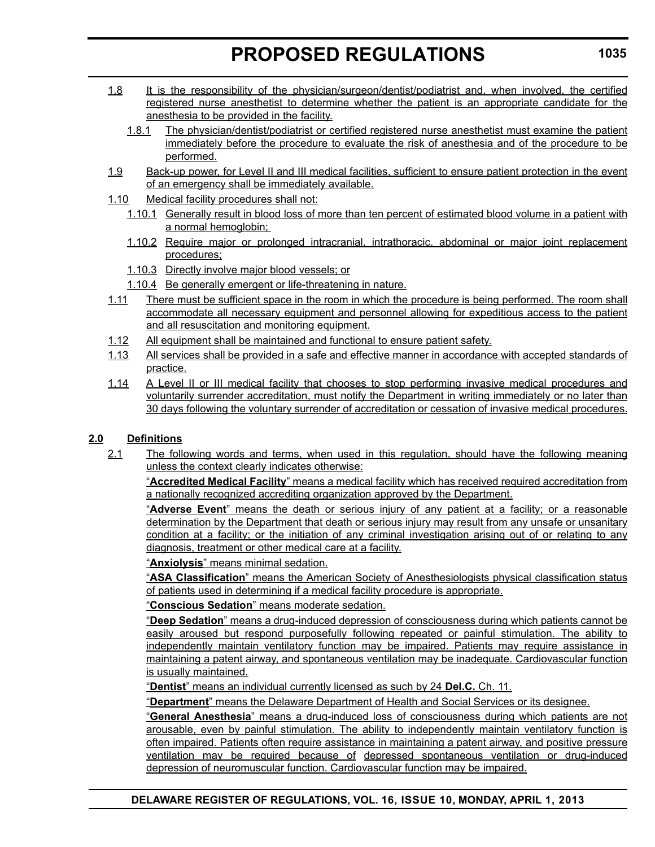- 1.8 It is the responsibility of the physician/surgeon/dentist/podiatrist and, when involved, the certified registered nurse anesthetist to determine whether the patient is an appropriate candidate for the anesthesia to be provided in the facility.
	- 1.8.1 The physician/dentist/podiatrist or certified registered nurse anesthetist must examine the patient immediately before the procedure to evaluate the risk of anesthesia and of the procedure to be performed.
- 1.9 Back-up power, for Level II and III medical facilities, sufficient to ensure patient protection in the event of an emergency shall be immediately available.
- 1.10 Medical facility procedures shall not:
	- 1.10.1 Generally result in blood loss of more than ten percent of estimated blood volume in a patient with a normal hemoglobin;
	- 1.10.2 Require major or prolonged intracranial, intrathoracic, abdominal or major joint replacement procedures;
	- 1.10.3 Directly involve major blood vessels; or
	- 1.10.4 Be generally emergent or life-threatening in nature.
- 1.11 There must be sufficient space in the room in which the procedure is being performed. The room shall accommodate all necessary equipment and personnel allowing for expeditious access to the patient and all resuscitation and monitoring equipment.
- 1.12 All equipment shall be maintained and functional to ensure patient safety.
- 1.13 All services shall be provided in a safe and effective manner in accordance with accepted standards of practice.
- 1.14 A Level II or III medical facility that chooses to stop performing invasive medical procedures and voluntarily surrender accreditation, must notify the Department in writing immediately or no later than 30 days following the voluntary surrender of accreditation or cessation of invasive medical procedures.

### **2.0 Definitions**

2.1 The following words and terms, when used in this regulation, should have the following meaning unless the context clearly indicates otherwise:

"**Accredited Medical Facility**" means a medical facility which has received required accreditation from a nationally recognized accrediting organization approved by the Department.

"**Adverse Event**" means the death or serious injury of any patient at a facility; or a reasonable determination by the Department that death or serious injury may result from any unsafe or unsanitary condition at a facility; or the initiation of any criminal investigation arising out of or relating to any diagnosis, treatment or other medical care at a facility.

"**Anxiolysis**" means minimal sedation.

"**ASA Classification**" means the American Society of Anesthesiologists physical classification status of patients used in determining if a medical facility procedure is appropriate.

"**Conscious Sedation**" means moderate sedation.

"**Deep Sedation**" means a drug-induced depression of consciousness during which patients cannot be easily aroused but respond purposefully following repeated or painful stimulation. The ability to independently maintain ventilatory function may be impaired. Patients may require assistance in maintaining a patent airway, and spontaneous ventilation may be inadequate. Cardiovascular function is usually maintained.

"**Dentist**" means an individual currently licensed as such by 24 **Del.C.** Ch. 11.

"**Department**" means the Delaware Department of Health and Social Services or its designee.

"**General Anesthesia**" means a drug-induced loss of consciousness during which patients are not arousable, even by painful stimulation. The ability to independently maintain ventilatory function is often impaired. Patients often require assistance in maintaining a patent airway, and positive pressure ventilation may be required because of depressed spontaneous ventilation or drug-induced depression of neuromuscular function. Cardiovascular function may be impaired.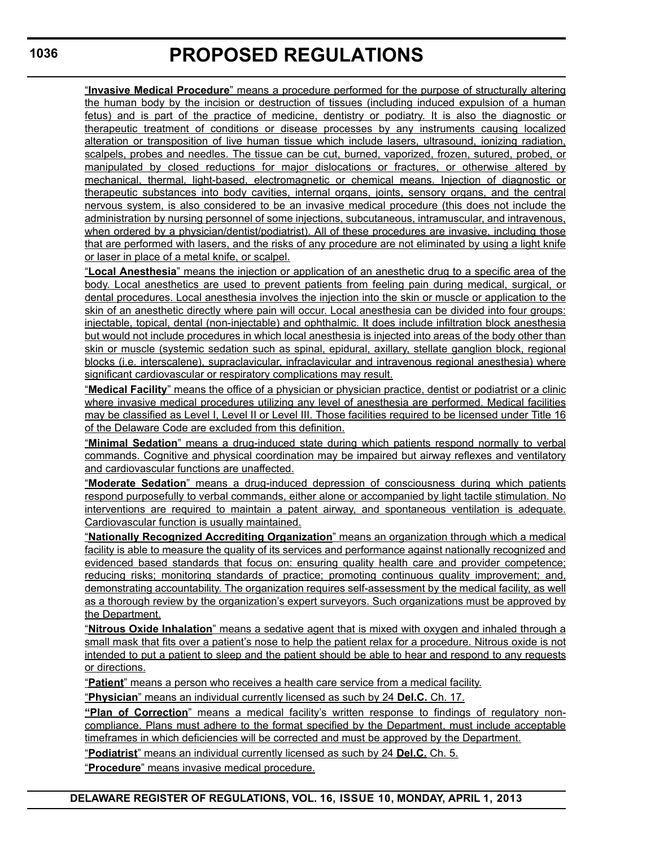"**Invasive Medical Procedure**" means a procedure performed for the purpose of structurally altering the human body by the incision or destruction of tissues (including induced expulsion of a human fetus) and is part of the practice of medicine, dentistry or podiatry. It is also the diagnostic or therapeutic treatment of conditions or disease processes by any instruments causing localized alteration or transposition of live human tissue which include lasers, ultrasound, ionizing radiation, scalpels, probes and needles. The tissue can be cut, burned, vaporized, frozen, sutured, probed, or manipulated by closed reductions for major dislocations or fractures, or otherwise altered by mechanical, thermal, light-based, electromagnetic or chemical means. Injection of diagnostic or therapeutic substances into body cavities, internal organs, joints, sensory organs, and the central nervous system, is also considered to be an invasive medical procedure (this does not include the administration by nursing personnel of some injections, subcutaneous, intramuscular, and intravenous, when ordered by a physician/dentist/podiatrist). All of these procedures are invasive, including those that are performed with lasers, and the risks of any procedure are not eliminated by using a light knife or laser in place of a metal knife, or scalpel.

"**Local Anesthesia**" means the injection or application of an anesthetic drug to a specific area of the body. Local anesthetics are used to prevent patients from feeling pain during medical, surgical, or dental procedures. Local anesthesia involves the injection into the skin or muscle or application to the skin of an anesthetic directly where pain will occur. Local anesthesia can be divided into four groups: injectable, topical, dental (non-injectable) and ophthalmic. It does include infiltration block anesthesia but would not include procedures in which local anesthesia is injected into areas of the body other than skin or muscle (systemic sedation such as spinal, epidural, axillary, stellate ganglion block, regional blocks (i.e. interscalene), supraclavicular, infraclavicular and intravenous regional anesthesia) where significant cardiovascular or respiratory complications may result.

"**Medical Facility**" means the office of a physician or physician practice, dentist or podiatrist or a clinic where invasive medical procedures utilizing any level of anesthesia are performed. Medical facilities may be classified as Level I, Level II or Level III. Those facilities required to be licensed under Title 16 of the Delaware Code are excluded from this definition.

"**Minimal Sedation**" means a drug-induced state during which patients respond normally to verbal commands. Cognitive and physical coordination may be impaired but airway reflexes and ventilatory and cardiovascular functions are unaffected.

"**Moderate Sedation**" means a drug-induced depression of consciousness during which patients respond purposefully to verbal commands, either alone or accompanied by light tactile stimulation. No interventions are required to maintain a patent airway, and spontaneous ventilation is adequate. Cardiovascular function is usually maintained.

"**Nationally Recognized Accrediting Organization**" means an organization through which a medical facility is able to measure the quality of its services and performance against nationally recognized and evidenced based standards that focus on: ensuring quality health care and provider competence; reducing risks; monitoring standards of practice; promoting continuous quality improvement; and, demonstrating accountability. The organization requires self-assessment by the medical facility, as well as a thorough review by the organization's expert surveyors. Such organizations must be approved by the Department.

"**Nitrous Oxide Inhalation**" means a sedative agent that is mixed with oxygen and inhaled through a small mask that fits over a patient's nose to help the patient relax for a procedure. Nitrous oxide is not intended to put a patient to sleep and the patient should be able to hear and respond to any requests or directions.

"**Patient**" means a person who receives a health care service from a medical facility.

"**Physician**" means an individual currently licensed as such by 24 **Del.C.** Ch. 17.

**"Plan of Correction**" means a medical facility's written response to findings of regulatory noncompliance. Plans must adhere to the format specified by the Department, must include acceptable timeframes in which deficiencies will be corrected and must be approved by the Department.

"**Podiatrist**" means an individual currently licensed as such by 24 **Del.C.** Ch. 5.

"**Procedure**" means invasive medical procedure.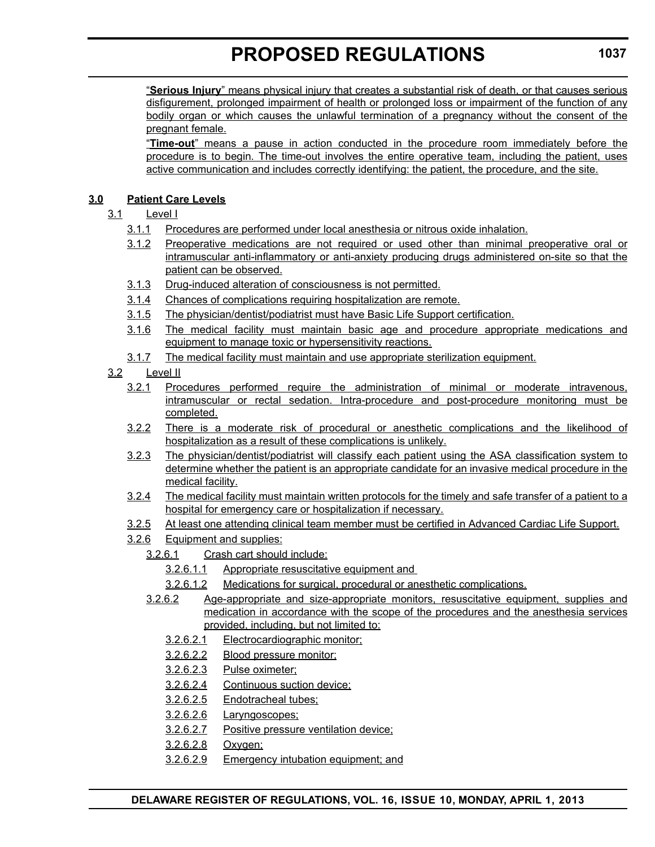"**Serious Injury**" means physical injury that creates a substantial risk of death, or that causes serious disfigurement, prolonged impairment of health or prolonged loss or impairment of the function of any bodily organ or which causes the unlawful termination of a pregnancy without the consent of the pregnant female.

"**Time-out**" means a pause in action conducted in the procedure room immediately before the procedure is to begin. The time-out involves the entire operative team, including the patient, uses active communication and includes correctly identifying: the patient, the procedure, and the site.

# **3.0 Patient Care Levels**

# 3.1 Level I

- 3.1.1 Procedures are performed under local anesthesia or nitrous oxide inhalation.
- 3.1.2 Preoperative medications are not required or used other than minimal preoperative oral or intramuscular anti-inflammatory or anti-anxiety producing drugs administered on-site so that the patient can be observed.
- 3.1.3 Drug-induced alteration of consciousness is not permitted.
- 3.1.4 Chances of complications requiring hospitalization are remote.
- 3.1.5 The physician/dentist/podiatrist must have Basic Life Support certification.
- 3.1.6 The medical facility must maintain basic age and procedure appropriate medications and equipment to manage toxic or hypersensitivity reactions.
- 3.1.7 The medical facility must maintain and use appropriate sterilization equipment.

#### 3.2 Level II

- 3.2.1 Procedures performed require the administration of minimal or moderate intravenous, intramuscular or rectal sedation. Intra-procedure and post-procedure monitoring must be completed.
- 3.2.2 There is a moderate risk of procedural or anesthetic complications and the likelihood of hospitalization as a result of these complications is unlikely.
- 3.2.3 The physician/dentist/podiatrist will classify each patient using the ASA classification system to determine whether the patient is an appropriate candidate for an invasive medical procedure in the medical facility.
- 3.2.4 The medical facility must maintain written protocols for the timely and safe transfer of a patient to a hospital for emergency care or hospitalization if necessary.
- 3.2.5 At least one attending clinical team member must be certified in Advanced Cardiac Life Support.
- 3.2.6 Equipment and supplies:
	- 3.2.6.1 Crash cart should include:
		- 3.2.6.1.1 Appropriate resuscitative equipment and
		- 3.2.6.1.2 Medications for surgical, procedural or anesthetic complications.
	- 3.2.6.2 Age-appropriate and size-appropriate monitors, resuscitative equipment, supplies and medication in accordance with the scope of the procedures and the anesthesia services provided, including, but not limited to:
		- 3.2.6.2.1 Electrocardiographic monitor;
		- 3.2.6.2.2 Blood pressure monitor;
		- 3.2.6.2.3 Pulse oximeter;
		- 3.2.6.2.4 Continuous suction device;
		- 3.2.6.2.5 Endotracheal tubes;
		- 3.2.6.2.6 Laryngoscopes;
		- 3.2.6.2.7 Positive pressure ventilation device;
		- 3.2.6.2.8 Oxygen;
		- 3.2.6.2.9 Emergency intubation equipment; and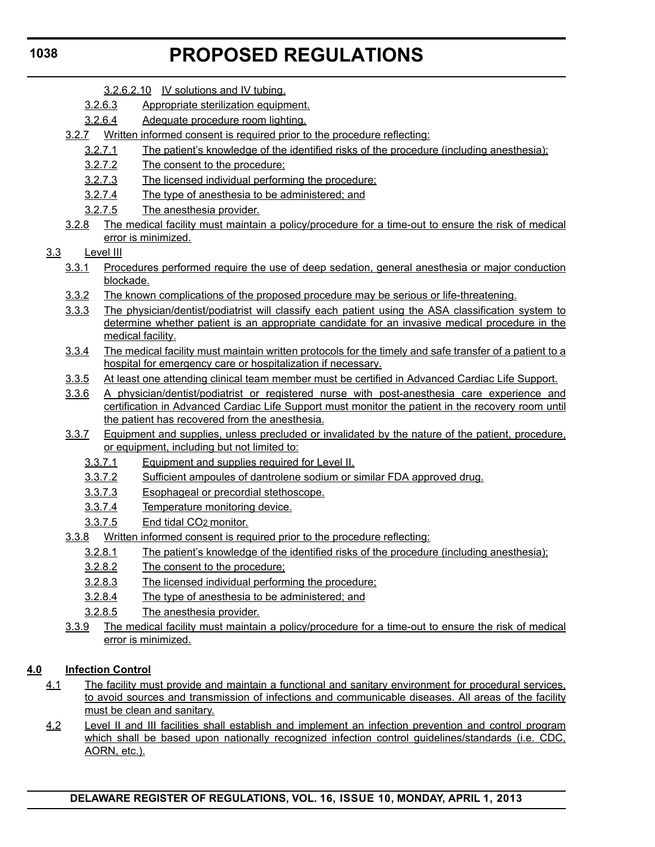- 3.2.6.2.10 IV solutions and IV tubing.
- 3.2.6.3 Appropriate sterilization equipment.
- 3.2.6.4 Adequate procedure room lighting.
- 3.2.7 Written informed consent is required prior to the procedure reflecting:
	- 3.2.7.1 The patient's knowledge of the identified risks of the procedure (including anesthesia);
	- 3.2.7.2 The consent to the procedure;
	- 3.2.7.3 The licensed individual performing the procedure;
	- 3.2.7.4 The type of anesthesia to be administered; and
	- 3.2.7.5 The anesthesia provider.
- 3.2.8 The medical facility must maintain a policy/procedure for a time-out to ensure the risk of medical error is minimized.
- 3.3 Level III
	- 3.3.1 Procedures performed require the use of deep sedation, general anesthesia or major conduction blockade.
	- 3.3.2 The known complications of the proposed procedure may be serious or life-threatening.
	- 3.3.3 The physician/dentist/podiatrist will classify each patient using the ASA classification system to determine whether patient is an appropriate candidate for an invasive medical procedure in the medical facility.
	- 3.3.4 The medical facility must maintain written protocols for the timely and safe transfer of a patient to a hospital for emergency care or hospitalization if necessary.
	- 3.3.5 At least one attending clinical team member must be certified in Advanced Cardiac Life Support.
	- 3.3.6 A physician/dentist/podiatrist or registered nurse with post-anesthesia care experience and certification in Advanced Cardiac Life Support must monitor the patient in the recovery room until the patient has recovered from the anesthesia.
	- 3.3.7 Equipment and supplies, unless precluded or invalidated by the nature of the patient, procedure, or equipment, including but not limited to:
		- 3.3.7.1 Equipment and supplies required for Level II.
		- 3.3.7.2 Sufficient ampoules of dantrolene sodium or similar FDA approved drug.
		- 3.3.7.3 Esophageal or precordial stethoscope.
		- 3.3.7.4 Temperature monitoring device.
		- 3.3.7.5 End tidal CO2 monitor.
	- 3.3.8 Written informed consent is required prior to the procedure reflecting:
		- 3.2.8.1 The patient's knowledge of the identified risks of the procedure (including anesthesia);
		- 3.2.8.2 The consent to the procedure;
		- 3.2.8.3 The licensed individual performing the procedure;
		- 3.2.8.4 The type of anesthesia to be administered; and
		- 3.2.8.5 The anesthesia provider.
	- 3.3.9 The medical facility must maintain a policy/procedure for a time-out to ensure the risk of medical error is minimized.

### **4.0 Infection Control**

- 4.1 The facility must provide and maintain a functional and sanitary environment for procedural services, to avoid sources and transmission of infections and communicable diseases. All areas of the facility must be clean and sanitary.
- 4.2 Level II and III facilities shall establish and implement an infection prevention and control program which shall be based upon nationally recognized infection control guidelines/standards (i.e. CDC, AORN, etc.).

### **1038**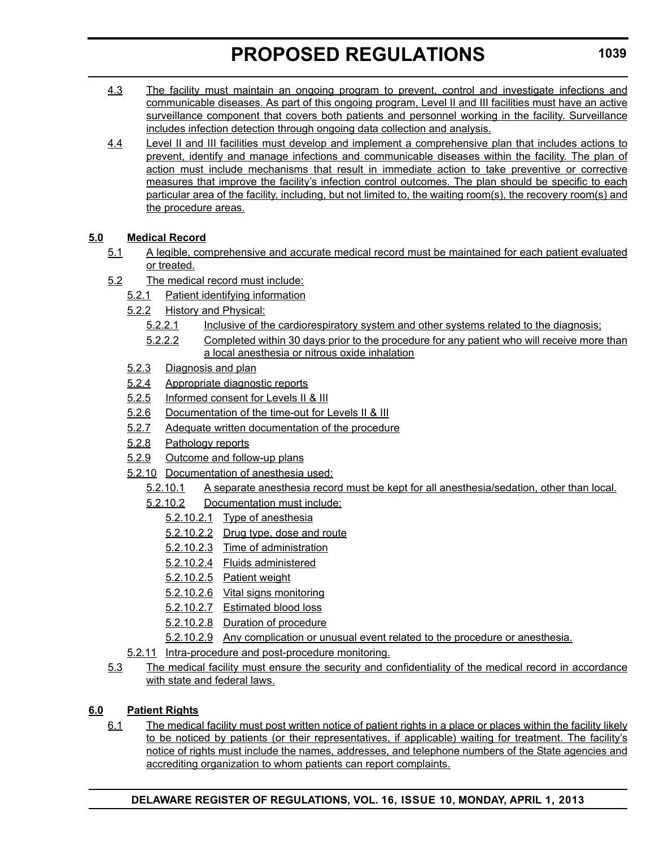- 4.3 The facility must maintain an ongoing program to prevent, control and investigate infections and communicable diseases. As part of this ongoing program, Level II and III facilities must have an active surveillance component that covers both patients and personnel working in the facility. Surveillance includes infection detection through ongoing data collection and analysis.
- 4.4 Level II and III facilities must develop and implement a comprehensive plan that includes actions to prevent, identify and manage infections and communicable diseases within the facility. The plan of action must include mechanisms that result in immediate action to take preventive or corrective measures that improve the facility's infection control outcomes. The plan should be specific to each particular area of the facility, including, but not limited to, the waiting room(s), the recovery room(s) and the procedure areas.

# **5.0 Medical Record**

- 5.1 A legible, comprehensive and accurate medical record must be maintained for each patient evaluated or treated.
- 5.2 The medical record must include:
	- 5.2.1 Patient identifying information
	- 5.2.2 History and Physical:
		- 5.2.2.1 Inclusive of the cardiorespiratory system and other systems related to the diagnosis;
		- 5.2.2.2 Completed within 30 days prior to the procedure for any patient who will receive more than a local anesthesia or nitrous oxide inhalation
	- 5.2.3 Diagnosis and plan
	- 5.2.4 Appropriate diagnostic reports
	- 5.2.5 Informed consent for Levels II & III
	- 5.2.6 Documentation of the time-out for Levels II & III
	- 5.2.7 Adequate written documentation of the procedure
	- 5.2.8 Pathology reports
	- 5.2.9 Outcome and follow-up plans
	- 5.2.10 Documentation of anesthesia used:
		- 5.2.10.1 A separate anesthesia record must be kept for all anesthesia/sedation, other than local.
		- 5.2.10.2 Documentation must include:
			- 5.2.10.2.1 Type of anesthesia
			- 5.2.10.2.2 Drug type, dose and route
			- 5.2.10.2.3 Time of administration
			- 5.2.10.2.4 Fluids administered
			- 5.2.10.2.5 Patient weight
			- 5.2.10.2.6 Vital signs monitoring
			- 5.2.10.2.7 Estimated blood loss
			- 5.2.10.2.8 Duration of procedure
			- 5.2.10.2.9 Any complication or unusual event related to the procedure or anesthesia.
	- 5.2.11 Intra-procedure and post-procedure monitoring.
- 5.3 The medical facility must ensure the security and confidentiality of the medical record in accordance with state and federal laws.

# **6.0 Patient Rights**

6.1 The medical facility must post written notice of patient rights in a place or places within the facility likely to be noticed by patients (or their representatives, if applicable) waiting for treatment. The facility's notice of rights must include the names, addresses, and telephone numbers of the State agencies and accrediting organization to whom patients can report complaints.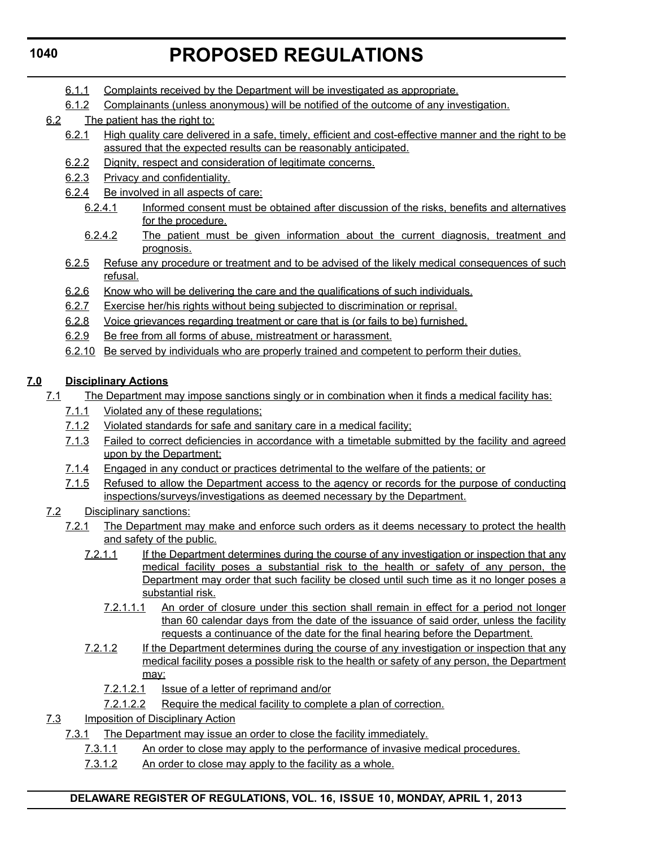- 6.1.1 Complaints received by the Department will be investigated as appropriate.
- 6.1.2 Complainants (unless anonymous) will be notified of the outcome of any investigation.
- 6.2 The patient has the right to:
	- 6.2.1 High quality care delivered in a safe, timely, efficient and cost-effective manner and the right to be assured that the expected results can be reasonably anticipated.
	- 6.2.2 Dignity, respect and consideration of legitimate concerns.
	- 6.2.3 Privacy and confidentiality.
	- 6.2.4 Be involved in all aspects of care:
		- 6.2.4.1 Informed consent must be obtained after discussion of the risks, benefits and alternatives for the procedure.
		- 6.2.4.2 The patient must be given information about the current diagnosis, treatment and prognosis.
	- 6.2.5 Refuse any procedure or treatment and to be advised of the likely medical consequences of such refusal.
	- 6.2.6 Know who will be delivering the care and the qualifications of such individuals.
	- 6.2.7 Exercise her/his rights without being subjected to discrimination or reprisal.
	- 6.2.8 Voice grievances regarding treatment or care that is (or fails to be) furnished.
	- 6.2.9 Be free from all forms of abuse, mistreatment or harassment.
	- 6.2.10 Be served by individuals who are properly trained and competent to perform their duties.

# **7.0 Disciplinary Actions**

- 7.1 The Department may impose sanctions singly or in combination when it finds a medical facility has:
	- 7.1.1 Violated any of these regulations;
	- 7.1.2 Violated standards for safe and sanitary care in a medical facility;
	- 7.1.3 Failed to correct deficiencies in accordance with a timetable submitted by the facility and agreed upon by the Department;
	- 7.1.4 Engaged in any conduct or practices detrimental to the welfare of the patients; or
	- 7.1.5 Refused to allow the Department access to the agency or records for the purpose of conducting inspections/surveys/investigations as deemed necessary by the Department.
- 7.2 Disciplinary sanctions:
	- 7.2.1 The Department may make and enforce such orders as it deems necessary to protect the health and safety of the public.
		- 7.2.1.1 If the Department determines during the course of any investigation or inspection that any medical facility poses a substantial risk to the health or safety of any person, the Department may order that such facility be closed until such time as it no longer poses a substantial risk.
			- 7.2.1.1.1 An order of closure under this section shall remain in effect for a period not longer than 60 calendar days from the date of the issuance of said order, unless the facility requests a continuance of the date for the final hearing before the Department.
		- 7.2.1.2 If the Department determines during the course of any investigation or inspection that any medical facility poses a possible risk to the health or safety of any person, the Department may:
			- 7.2.1.2.1 Issue of a letter of reprimand and/or
			- 7.2.1.2.2 Require the medical facility to complete a plan of correction.
- 7.3 Imposition of Disciplinary Action
	- 7.3.1 The Department may issue an order to close the facility immediately.
		- 7.3.1.1 An order to close may apply to the performance of invasive medical procedures.
		- 7.3.1.2 An order to close may apply to the facility as a whole.

# **1040**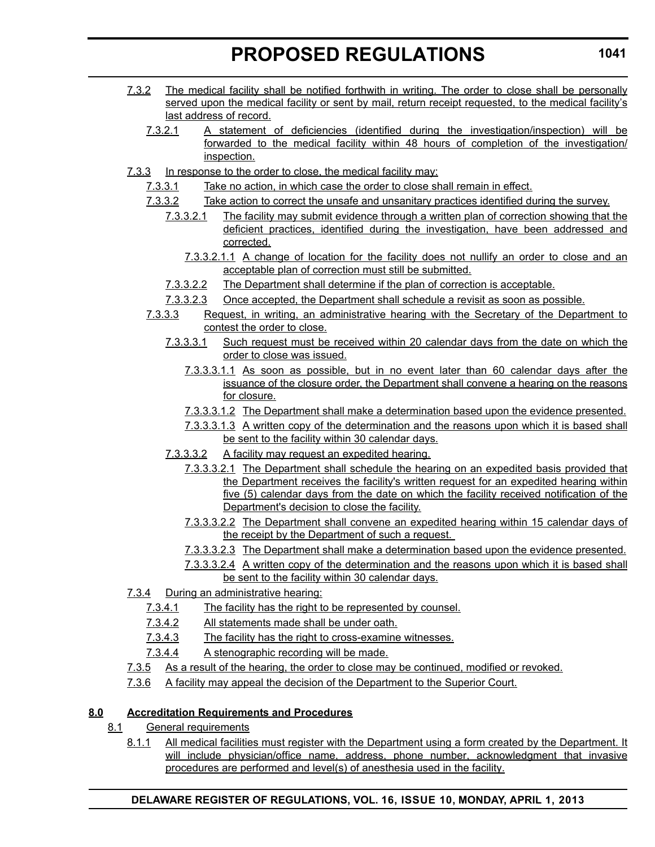- 7.3.2 The medical facility shall be notified forthwith in writing. The order to close shall be personally served upon the medical facility or sent by mail, return receipt requested, to the medical facility's last address of record.
	- 7.3.2.1 A statement of deficiencies (identified during the investigation/inspection) will be forwarded to the medical facility within 48 hours of completion of the investigation/ inspection.
- 7.3.3 In response to the order to close, the medical facility may:
	- 7.3.3.1 Take no action, in which case the order to close shall remain in effect.
	- 7.3.3.2 Take action to correct the unsafe and unsanitary practices identified during the survey.
		- 7.3.3.2.1 The facility may submit evidence through a written plan of correction showing that the deficient practices, identified during the investigation, have been addressed and corrected.
			- 7.3.3.2.1.1 A change of location for the facility does not nullify an order to close and an acceptable plan of correction must still be submitted.
		- 7.3.3.2.2 The Department shall determine if the plan of correction is acceptable.
		- 7.3.3.2.3 Once accepted, the Department shall schedule a revisit as soon as possible.
	- 7.3.3.3 Request, in writing, an administrative hearing with the Secretary of the Department to contest the order to close.
		- 7.3.3.3.1 Such request must be received within 20 calendar days from the date on which the order to close was issued.
			- 7.3.3.3.1.1 As soon as possible, but in no event later than 60 calendar days after the issuance of the closure order, the Department shall convene a hearing on the reasons for closure.
			- 7.3.3.3.1.2 The Department shall make a determination based upon the evidence presented.
			- 7.3.3.3.1.3 A written copy of the determination and the reasons upon which it is based shall be sent to the facility within 30 calendar days.
		- 7.3.3.3.2 A facility may request an expedited hearing.
			- 7.3.3.3.2.1 The Department shall schedule the hearing on an expedited basis provided that the Department receives the facility's written request for an expedited hearing within five (5) calendar days from the date on which the facility received notification of the Department's decision to close the facility.
			- 7.3.3.3.2.2 The Department shall convene an expedited hearing within 15 calendar days of the receipt by the Department of such a request.
			- 7.3.3.3.2.3 The Department shall make a determination based upon the evidence presented.
			- 7.3.3.3.2.4 A written copy of the determination and the reasons upon which it is based shall be sent to the facility within 30 calendar days.
- 7.3.4 During an administrative hearing:
	- 7.3.4.1 The facility has the right to be represented by counsel.
	- 7.3.4.2 All statements made shall be under oath.
	- 7.3.4.3 The facility has the right to cross-examine witnesses.
	- 7.3.4.4 A stenographic recording will be made.
- 7.3.5 As a result of the hearing, the order to close may be continued, modified or revoked.
- 7.3.6 A facility may appeal the decision of the Department to the Superior Court.

### **8.0 Accreditation Requirements and Procedures**

- 8.1 General requirements
	- 8.1.1 All medical facilities must register with the Department using a form created by the Department. It will include physician/office name, address, phone number, acknowledgment that invasive procedures are performed and level(s) of anesthesia used in the facility.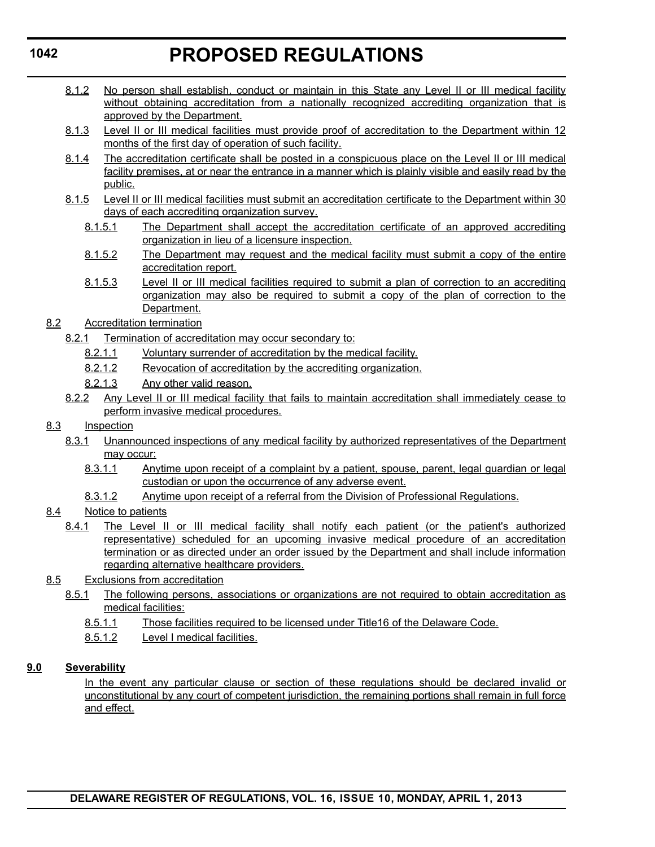- 8.1.2 No person shall establish, conduct or maintain in this State any Level II or III medical facility without obtaining accreditation from a nationally recognized accrediting organization that is approved by the Department.
- 8.1.3 Level II or III medical facilities must provide proof of accreditation to the Department within 12 months of the first day of operation of such facility.
- 8.1.4 The accreditation certificate shall be posted in a conspicuous place on the Level II or III medical facility premises, at or near the entrance in a manner which is plainly visible and easily read by the public.
- 8.1.5 Level II or III medical facilities must submit an accreditation certificate to the Department within 30 days of each accrediting organization survey.
	- 8.1.5.1 The Department shall accept the accreditation certificate of an approved accrediting organization in lieu of a licensure inspection.
	- 8.1.5.2 The Department may request and the medical facility must submit a copy of the entire accreditation report.
	- 8.1.5.3 Level II or III medical facilities required to submit a plan of correction to an accrediting organization may also be required to submit a copy of the plan of correction to the Department.
- 8.2 Accreditation termination
	- 8.2.1 Termination of accreditation may occur secondary to:
		- 8.2.1.1 Voluntary surrender of accreditation by the medical facility.
		- 8.2.1.2 Revocation of accreditation by the accrediting organization.
		- 8.2.1.3 Any other valid reason.
	- 8.2.2 Any Level II or III medical facility that fails to maintain accreditation shall immediately cease to perform invasive medical procedures.

### 8.3 Inspection

- 8.3.1 Unannounced inspections of any medical facility by authorized representatives of the Department may occur:
	- 8.3.1.1 Anytime upon receipt of a complaint by a patient, spouse, parent, legal guardian or legal custodian or upon the occurrence of any adverse event.
	- 8.3.1.2 Anytime upon receipt of a referral from the Division of Professional Regulations.
- 8.4 Notice to patients
	- 8.4.1 The Level II or III medical facility shall notify each patient (or the patient's authorized representative) scheduled for an upcoming invasive medical procedure of an accreditation termination or as directed under an order issued by the Department and shall include information regarding alternative healthcare providers.
- 8.5 Exclusions from accreditation
	- 8.5.1 The following persons, associations or organizations are not required to obtain accreditation as medical facilities:
		- 8.5.1.1 Those facilities required to be licensed under Title16 of the Delaware Code.
		- 8.5.1.2 Level I medical facilities.

#### **9.0 Severability**

In the event any particular clause or section of these regulations should be declared invalid or unconstitutional by any court of competent jurisdiction, the remaining portions shall remain in full force and effect.

# **1042**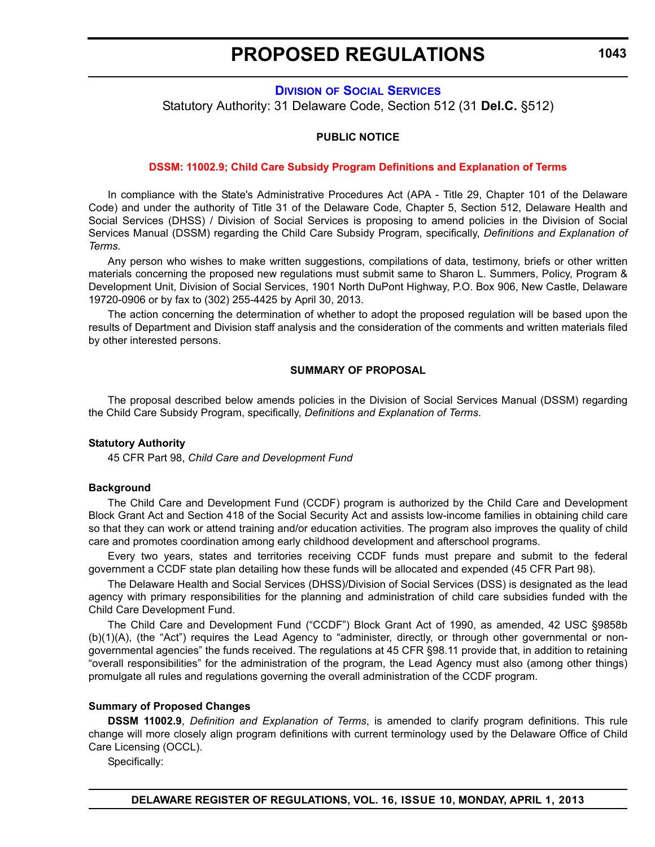**1043**

# **DIVISION [OF SOCIAL SERVICES](http://www.dhss.delaware.gov/dhss/dss/)**

<span id="page-33-0"></span>Statutory Authority: 31 Delaware Code, Section 512 (31 **Del.C.** §512)

#### **PUBLIC NOTICE**

#### **[DSSM: 11002.9; Child Care Subsidy Program Definitions and Explanation of Terms](#page-3-0)**

In compliance with the State's Administrative Procedures Act (APA - Title 29, Chapter 101 of the Delaware Code) and under the authority of Title 31 of the Delaware Code, Chapter 5, Section 512, Delaware Health and Social Services (DHSS) / Division of Social Services is proposing to amend policies in the Division of Social Services Manual (DSSM) regarding the Child Care Subsidy Program, specifically, *Definitions and Explanation of Terms.*

Any person who wishes to make written suggestions, compilations of data, testimony, briefs or other written materials concerning the proposed new regulations must submit same to Sharon L. Summers, Policy, Program & Development Unit, Division of Social Services, 1901 North DuPont Highway, P.O. Box 906, New Castle, Delaware 19720-0906 or by fax to (302) 255-4425 by April 30, 2013.

The action concerning the determination of whether to adopt the proposed regulation will be based upon the results of Department and Division staff analysis and the consideration of the comments and written materials filed by other interested persons.

#### **SUMMARY OF PROPOSAL**

The proposal described below amends policies in the Division of Social Services Manual (DSSM) regarding the Child Care Subsidy Program, specifically, *Definitions and Explanation of Terms*.

#### **Statutory Authority**

45 CFR Part 98, *Child Care and Development Fund*

#### **Background**

The Child Care and Development Fund (CCDF) program is authorized by the Child Care and Development Block Grant Act and Section 418 of the Social Security Act and assists low-income families in obtaining child care so that they can work or attend training and/or education activities. The program also improves the quality of child care and promotes coordination among early childhood development and afterschool programs.

Every two years, states and territories receiving CCDF funds must prepare and submit to the federal government a CCDF state plan detailing how these funds will be allocated and expended (45 CFR Part 98).

The Delaware Health and Social Services (DHSS)/Division of Social Services (DSS) is designated as the lead agency with primary responsibilities for the planning and administration of child care subsidies funded with the Child Care Development Fund.

The Child Care and Development Fund ("CCDF") Block Grant Act of 1990, as amended, 42 USC §9858b (b)(1)(A), (the "Act") requires the Lead Agency to "administer, directly, or through other governmental or nongovernmental agencies" the funds received. The regulations at 45 CFR §98.11 provide that, in addition to retaining "overall responsibilities" for the administration of the program, the Lead Agency must also (among other things) promulgate all rules and regulations governing the overall administration of the CCDF program.

#### **Summary of Proposed Changes**

**DSSM 11002.9**, *Definition and Explanation of Terms*, is amended to clarify program definitions. This rule change will more closely align program definitions with current terminology used by the Delaware Office of Child Care Licensing (OCCL).

Specifically: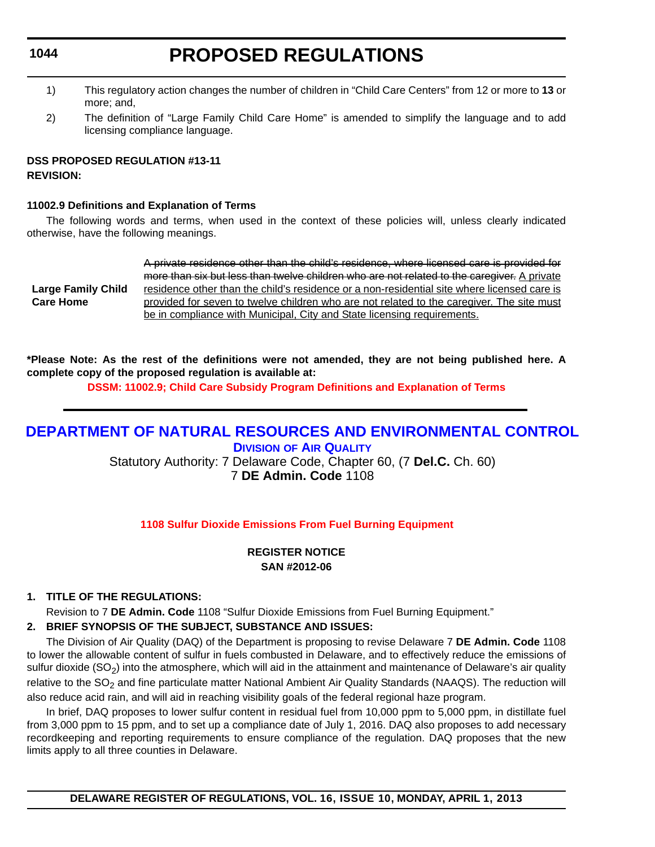# **PROPOSED REGULATIONS**

- <span id="page-34-0"></span>1) This regulatory action changes the number of children in "Child Care Centers" from 12 or more to **13** or more; and,
- 2) The definition of "Large Family Child Care Home" is amended to simplify the language and to add licensing compliance language.

# **DSS PROPOSED REGULATION #13-11 REVISION:**

#### **11002.9 Definitions and Explanation of Terms**

The following words and terms, when used in the context of these policies will, unless clearly indicated otherwise, have the following meanings.

|                           | A private residence other than the child's residence, where licensed care is provided for   |
|---------------------------|---------------------------------------------------------------------------------------------|
|                           | more than six but less than twelve children who are not related to the caregiver. A private |
| <b>Large Family Child</b> | residence other than the child's residence or a non-residential site where licensed care is |
| <b>Care Home</b>          | provided for seven to twelve children who are not related to the caregiver. The site must   |
|                           | be in compliance with Municipal, City and State licensing requirements.                     |

**\*Please Note: As the rest of the definitions were not amended, they are not being published here. A complete copy of the proposed regulation is available at:**

**[DSSM: 11002.9; Child Care Subsidy Program Definitions and Explanation of Terms](http://regulations.delaware.gov/register/april2013/proposed/16 DE Reg 1043 04-01-13.htm)**

# **[DEPARTMENT OF NATURAL RESOURCES AND ENVIRONMENTAL CONTROL](http://www.dnrec.delaware.gov/whs/awm/AQM/Pages/Default.aspx) DIVISION OF AIR QUALITY**

Statutory Authority: 7 Delaware Code, Chapter 60, (7 **Del.C.** Ch. 60) 7 **DE Admin. Code** 1108

**1108 Sulfur Dioxide Emissions [From Fuel Burning Equipment](#page-3-0)**

### **REGISTER NOTICE SAN #2012-06**

### **1. TITLE OF THE REGULATIONS:**

Revision to 7 **DE Admin. Code** 1108 "Sulfur Dioxide Emissions from Fuel Burning Equipment."

#### **2. BRIEF SYNOPSIS OF THE SUBJECT, SUBSTANCE AND ISSUES:**

The Division of Air Quality (DAQ) of the Department is proposing to revise Delaware 7 **DE Admin. Code** 1108 to lower the allowable content of sulfur in fuels combusted in Delaware, and to effectively reduce the emissions of sulfur dioxide (SO<sub>2</sub>) into the atmosphere, which will aid in the attainment and maintenance of Delaware's air quality relative to the  $SO_2$  and fine particulate matter National Ambient Air Quality Standards (NAAQS). The reduction will also reduce acid rain, and will aid in reaching visibility goals of the federal regional haze program.

In brief, DAQ proposes to lower sulfur content in residual fuel from 10,000 ppm to 5,000 ppm, in distillate fuel from 3,000 ppm to 15 ppm, and to set up a compliance date of July 1, 2016. DAQ also proposes to add necessary recordkeeping and reporting requirements to ensure compliance of the regulation. DAQ proposes that the new limits apply to all three counties in Delaware.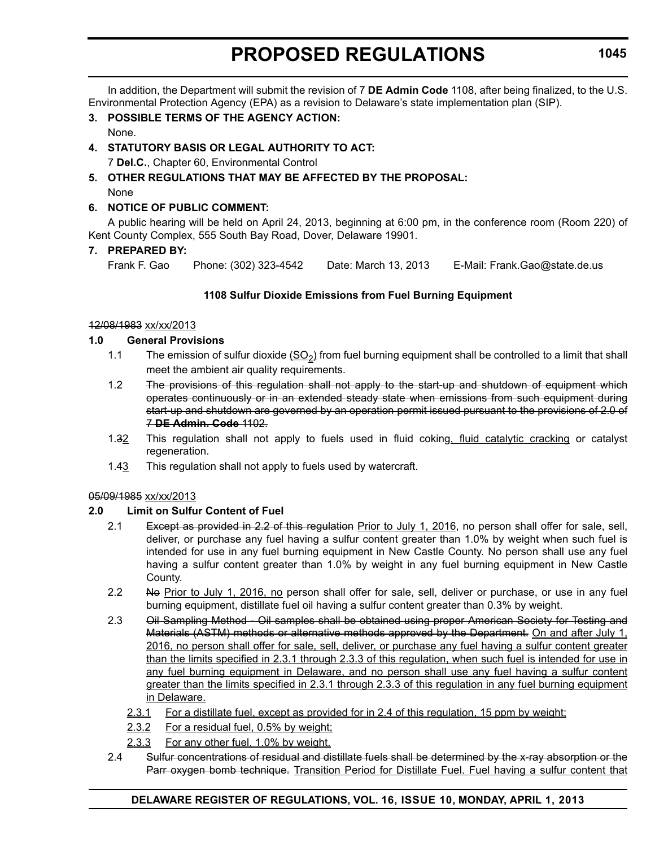In addition, the Department will submit the revision of 7 **DE Admin Code** 1108, after being finalized, to the U.S. Environmental Protection Agency (EPA) as a revision to Delaware's state implementation plan (SIP).

**3. POSSIBLE TERMS OF THE AGENCY ACTION:** None.

# **4. STATUTORY BASIS OR LEGAL AUTHORITY TO ACT:**

7 **Del.C.**, Chapter 60, Environmental Control

#### **5. OTHER REGULATIONS THAT MAY BE AFFECTED BY THE PROPOSAL:** None

# **6. NOTICE OF PUBLIC COMMENT:**

A public hearing will be held on April 24, 2013, beginning at 6:00 pm, in the conference room (Room 220) of Kent County Complex, 555 South Bay Road, Dover, Delaware 19901.

### **7. PREPARED BY:**

Frank F. Gao Phone: (302) 323-4542 Date: March 13, 2013 E-Mail: Frank.Gao@state.de.us

### **1108 Sulfur Dioxide Emissions from Fuel Burning Equipment**

#### 12/08/1983 xx/xx/2013

#### **1.0 General Provisions**

- 1.1 The emission of sulfur dioxide  $(SO<sub>2</sub>)$  from fuel burning equipment shall be controlled to a limit that shall meet the ambient air quality requirements.
- 1.2 The provisions of this regulation shall not apply to the start up and shutdown of equipment which operates continuously or in an extended steady state when emissions from such equipment during start-up and shutdown are governed by an operation permit issued pursuant to the provisions of 2.0 of 7 **DE Admin. Code** 1102.
- 1.32 This regulation shall not apply to fuels used in fluid coking, fluid catalytic cracking or catalyst regeneration.
- 1.43 This regulation shall not apply to fuels used by watercraft.

### 05/09/1985 xx/xx/2013

### **2.0 Limit on Sulfur Content of Fuel**

- 2.1 Except as provided in 2.2 of this regulation Prior to July 1, 2016, no person shall offer for sale, sell, deliver, or purchase any fuel having a sulfur content greater than 1.0% by weight when such fuel is intended for use in any fuel burning equipment in New Castle County. No person shall use any fuel having a sulfur content greater than 1.0% by weight in any fuel burning equipment in New Castle County.
- 2.2 No Prior to July 1, 2016, no person shall offer for sale, sell, deliver or purchase, or use in any fuel burning equipment, distillate fuel oil having a sulfur content greater than 0.3% by weight.
- 2.3 Oil Sampling Method Oil samples shall be obtained using proper American Society for Testing and Materials (ASTM) methods or alternative methods approved by the Department. On and after July 1, 2016, no person shall offer for sale, sell, deliver, or purchase any fuel having a sulfur content greater than the limits specified in 2.3.1 through 2.3.3 of this regulation, when such fuel is intended for use in any fuel burning equipment in Delaware, and no person shall use any fuel having a sulfur content greater than the limits specified in 2.3.1 through 2.3.3 of this regulation in any fuel burning equipment in Delaware.
	- 2.3.1 For a distillate fuel, except as provided for in 2.4 of this regulation, 15 ppm by weight;
	- 2.3.2 For a residual fuel, 0.5% by weight;
	- 2.3.3 For any other fuel, 1.0% by weight.
- 2.4 Sulfur concentrations of residual and distillate fuels shall be determined by the x-ray absorption or the Parr oxygen bomb technique. Transition Period for Distillate Fuel. Fuel having a sulfur content that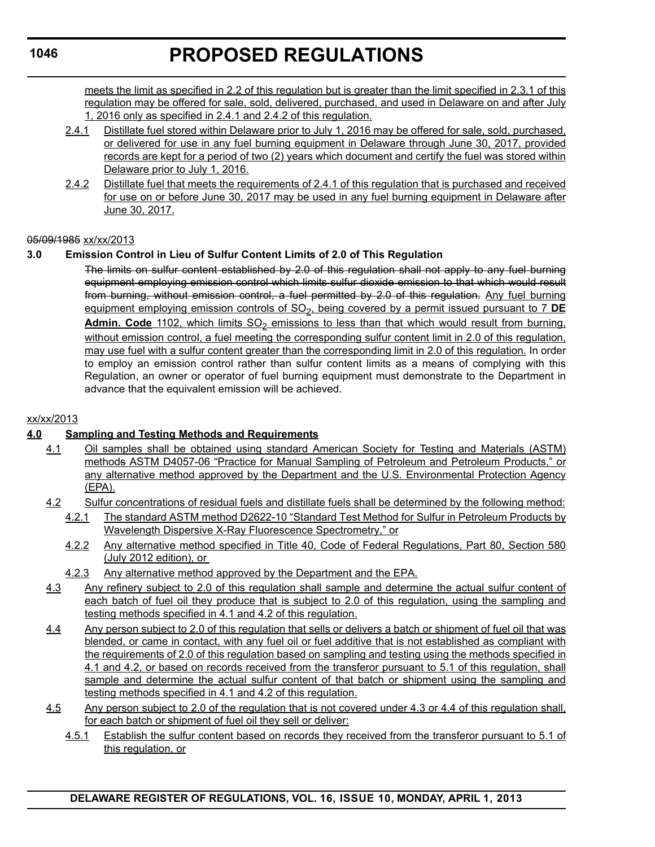meets the limit as specified in 2.2 of this regulation but is greater than the limit specified in 2.3.1 of this regulation may be offered for sale, sold, delivered, purchased, and used in Delaware on and after July 1, 2016 only as specified in 2.4.1 and 2.4.2 of this regulation.

- 2.4.1 Distillate fuel stored within Delaware prior to July 1, 2016 may be offered for sale, sold, purchased, or delivered for use in any fuel burning equipment in Delaware through June 30, 2017, provided records are kept for a period of two (2) years which document and certify the fuel was stored within Delaware prior to July 1, 2016.
- 2.4.2 Distillate fuel that meets the requirements of 2.4.1 of this regulation that is purchased and received for use on or before June 30, 2017 may be used in any fuel burning equipment in Delaware after June 30, 2017.

#### 05/09/1985 xx/xx/2013

# **3.0 Emission Control in Lieu of Sulfur Content Limits of 2.0 of This Regulation**

The limits on sulfur content established by 2.0 of this regulation shall not apply to any fuel burning equipment employing emission control which limits sulfur dioxide emission to that which would result from burning, without emission control, a fuel permitted by 2.0 of this regulation. Any fuel burning equipment employing emission controls of SO<sub>2</sub>, being covered by a permit issued pursuant to 7 **DE** Admin. Code 1102, which limits SO<sub>2</sub> emissions to less than that which would result from burning, without emission control, a fuel meeting the corresponding sulfur content limit in 2.0 of this regulation, may use fuel with a sulfur content greater than the corresponding limit in 2.0 of this regulation. In order to employ an emission control rather than sulfur content limits as a means of complying with this Regulation, an owner or operator of fuel burning equipment must demonstrate to the Department in advance that the equivalent emission will be achieved.

#### xx/xx/2013

# **4.0 Sampling and Testing Methods and Requirements**

- 4.1 Oil samples shall be obtained using standard American Society for Testing and Materials (ASTM) methods ASTM D4057-06 "Practice for Manual Sampling of Petroleum and Petroleum Products," or any alternative method approved by the Department and the U.S. Environmental Protection Agency (EPA).
- 4.2 Sulfur concentrations of residual fuels and distillate fuels shall be determined by the following method:
	- 4.2.1 The standard ASTM method D2622-10 "Standard Test Method for Sulfur in Petroleum Products by Wavelength Dispersive X-Ray Fluorescence Spectrometry," or
	- 4.2.2 Any alternative method specified in Title 40, Code of Federal Regulations, Part 80, Section 580 (July 2012 edition), or
	- 4.2.3 Any alternative method approved by the Department and the EPA.
- 4.3 Any refinery subject to 2.0 of this regulation shall sample and determine the actual sulfur content of each batch of fuel oil they produce that is subject to 2.0 of this regulation, using the sampling and testing methods specified in 4.1 and 4.2 of this regulation.
- 4.4 Any person subject to 2.0 of this regulation that sells or delivers a batch or shipment of fuel oil that was blended, or came in contact, with any fuel oil or fuel additive that is not established as compliant with the requirements of 2.0 of this regulation based on sampling and testing using the methods specified in 4.1 and 4.2, or based on records received from the transferor pursuant to 5.1 of this regulation, shall sample and determine the actual sulfur content of that batch or shipment using the sampling and testing methods specified in 4.1 and 4.2 of this regulation.
- 4.5 Any person subject to 2.0 of the regulation that is not covered under 4.3 or 4.4 of this regulation shall, for each batch or shipment of fuel oil they sell or deliver:
	- 4.5.1 Establish the sulfur content based on records they received from the transferor pursuant to 5.1 of this regulation, or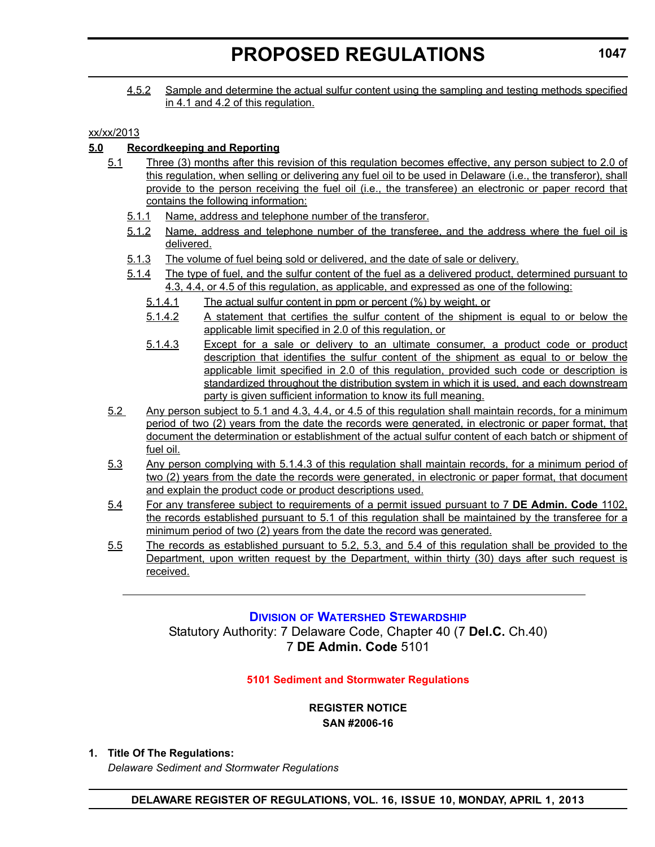4.5.2 Sample and determine the actual sulfur content using the sampling and testing methods specified in 4.1 and 4.2 of this regulation.

### xx/xx/2013

# **5.0 Recordkeeping and Reporting**

- 5.1 Three (3) months after this revision of this regulation becomes effective, any person subject to 2.0 of this regulation, when selling or delivering any fuel oil to be used in Delaware (i.e., the transferor), shall provide to the person receiving the fuel oil (i.e., the transferee) an electronic or paper record that contains the following information:
	- 5.1.1 Name, address and telephone number of the transferor.
	- 5.1.2 Name, address and telephone number of the transferee, and the address where the fuel oil is delivered.
	- 5.1.3 The volume of fuel being sold or delivered, and the date of sale or delivery.
	- 5.1.4 The type of fuel, and the sulfur content of the fuel as a delivered product, determined pursuant to 4.3, 4.4, or 4.5 of this regulation, as applicable, and expressed as one of the following:
		- 5.1.4.1 The actual sulfur content in ppm or percent (%) by weight, or
		- 5.1.4.2 A statement that certifies the sulfur content of the shipment is equal to or below the applicable limit specified in 2.0 of this regulation, or
		- 5.1.4.3 Except for a sale or delivery to an ultimate consumer, a product code or product description that identifies the sulfur content of the shipment as equal to or below the applicable limit specified in 2.0 of this regulation, provided such code or description is standardized throughout the distribution system in which it is used, and each downstream party is given sufficient information to know its full meaning.
- 5.2 Any person subject to 5.1 and 4.3, 4.4, or 4.5 of this regulation shall maintain records, for a minimum period of two (2) years from the date the records were generated, in electronic or paper format, that document the determination or establishment of the actual sulfur content of each batch or shipment of fuel oil.
- 5.3 Any person complying with 5.1.4.3 of this regulation shall maintain records, for a minimum period of two (2) years from the date the records were generated, in electronic or paper format, that document and explain the product code or product descriptions used.
- 5.4 For any transferee subject to requirements of a permit issued pursuant to 7 **DE Admin. Code** 1102, the records established pursuant to 5.1 of this regulation shall be maintained by the transferee for a minimum period of two (2) years from the date the record was generated.
- 5.5 The records as established pursuant to 5.2, 5.3, and 5.4 of this regulation shall be provided to the Department, upon written request by the Department, within thirty (30) days after such request is received.

# **DIVISION [OF WATERSHED STEWARDSHIP](http://www.dnrec.delaware.gov/swc/Pages/default.aspx)**

Statutory Authority: 7 Delaware Code, Chapter 40 (7 **Del.C.** Ch.40) 7 **DE Admin. Code** 5101

#### **[5101 Sediment and Stormwater Regulations](#page-3-0)**

**REGISTER NOTICE SAN #2006-16**

#### **1. Title Of The Regulations:**

*Delaware Sediment and Stormwater Regulations*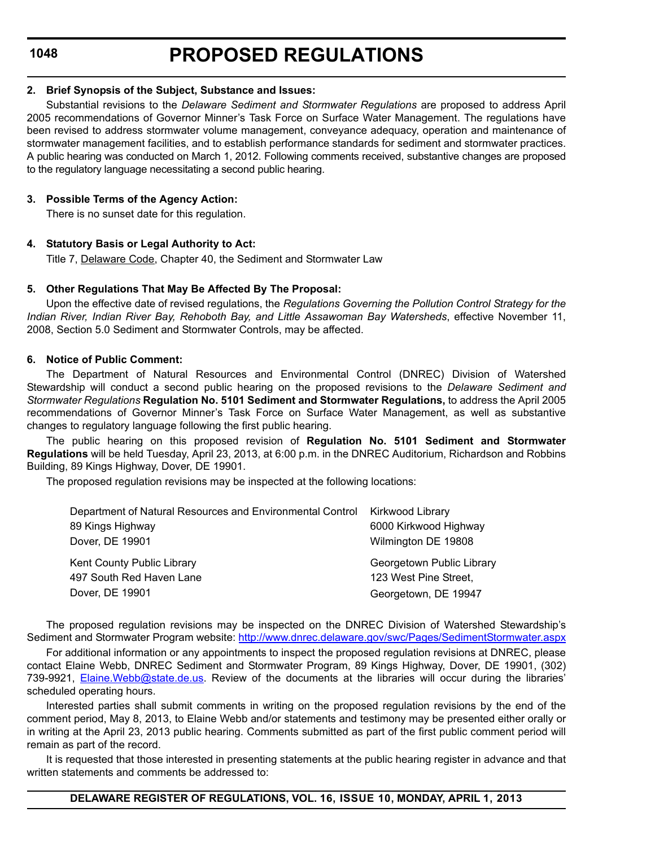#### **2. Brief Synopsis of the Subject, Substance and Issues:**

Substantial revisions to the *Delaware Sediment and Stormwater Regulations* are proposed to address April 2005 recommendations of Governor Minner's Task Force on Surface Water Management. The regulations have been revised to address stormwater volume management, conveyance adequacy, operation and maintenance of stormwater management facilities, and to establish performance standards for sediment and stormwater practices. A public hearing was conducted on March 1, 2012. Following comments received, substantive changes are proposed to the regulatory language necessitating a second public hearing.

#### **3. Possible Terms of the Agency Action:**

There is no sunset date for this regulation.

#### **4. Statutory Basis or Legal Authority to Act:**

Title 7, Delaware Code, Chapter 40, the Sediment and Stormwater Law

#### **5. Other Regulations That May Be Affected By The Proposal:**

Upon the effective date of revised regulations, the *Regulations Governing the Pollution Control Strategy for the Indian River, Indian River Bay, Rehoboth Bay, and Little Assawoman Bay Watersheds*, effective November 11, 2008, Section 5.0 Sediment and Stormwater Controls, may be affected.

#### **6. Notice of Public Comment:**

The Department of Natural Resources and Environmental Control (DNREC) Division of Watershed Stewardship will conduct a second public hearing on the proposed revisions to the *Delaware Sediment and Stormwater Regulations* **Regulation No. 5101 Sediment and Stormwater Regulations,** to address the April 2005 recommendations of Governor Minner's Task Force on Surface Water Management, as well as substantive changes to regulatory language following the first public hearing.

The public hearing on this proposed revision of **Regulation No. 5101 Sediment and Stormwater Regulations** will be held Tuesday, April 23, 2013, at 6:00 p.m. in the DNREC Auditorium, Richardson and Robbins Building, 89 Kings Highway, Dover, DE 19901.

The proposed regulation revisions may be inspected at the following locations:

| Department of Natural Resources and Environmental Control Kirkwood Library |                           |
|----------------------------------------------------------------------------|---------------------------|
| 89 Kings Highway                                                           | 6000 Kirkwood Highway     |
| Dover, DE 19901                                                            | Wilmington DE 19808       |
| Kent County Public Library                                                 | Georgetown Public Library |
| 497 South Red Haven Lane                                                   | 123 West Pine Street,     |
| Dover, DE 19901                                                            | Georgetown, DE 19947      |

The proposed regulation revisions may be inspected on the DNREC Division of Watershed Stewardship's Sediment and Stormwater Program website: http://www.dnrec.delaware.gov/swc/Pages/SedimentStormwater.aspx

For additional information or any appointments to inspect the proposed regulation revisions at DNREC, please contact Elaine Webb, DNREC Sediment and Stormwater Program, 89 Kings Highway, Dover, DE 19901, (302) 739-9921, Elaine.Webb@state.de.us. Review of the documents at the libraries will occur during the libraries' scheduled operating hours.

Interested parties shall submit comments in writing on the proposed regulation revisions by the end of the comment period, May 8, 2013, to Elaine Webb and/or statements and testimony may be presented either orally or in writing at the April 23, 2013 public hearing. Comments submitted as part of the first public comment period will remain as part of the record.

It is requested that those interested in presenting statements at the public hearing register in advance and that written statements and comments be addressed to: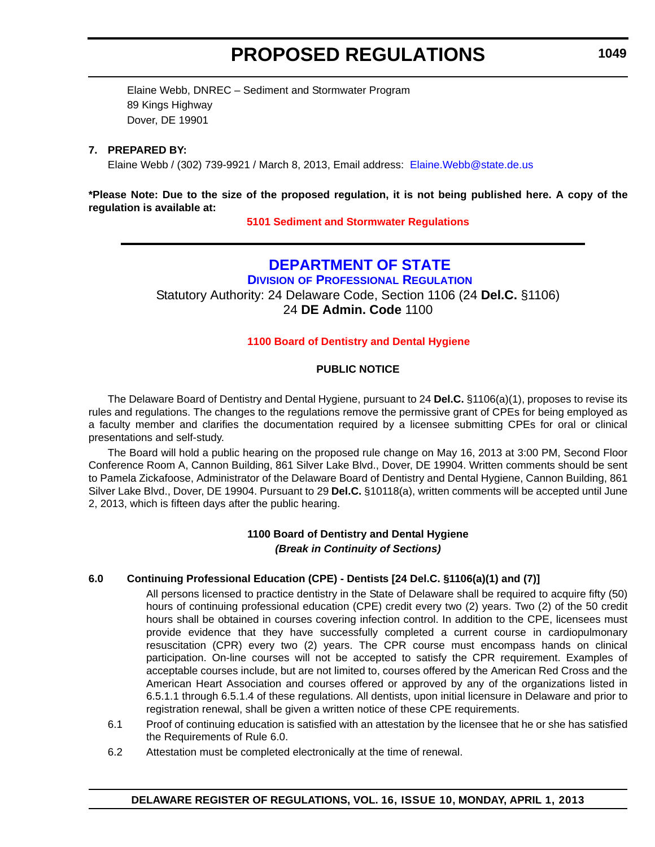Elaine Webb, DNREC – Sediment and Stormwater Program 89 Kings Highway Dover, DE 19901

#### **7. PREPARED BY:**

Elaine Webb / (302) 739-9921 / March 8, 2013, Email address: Elaine.Webb@state.de.us

#### **\*Please Note: Due to the size of the proposed regulation, it is not being published here. A copy of the regulation is available at:**

**[5101 Sediment and Stormwater Regulations](http://regulations.delaware.gov/register/april2013/proposed/16 DE Reg 1047 04-01-13.htm)**

# **[DEPARTMENT OF STATE](http://dpr.delaware.gov/default.shtml)**

**DIVISION OF PROFESSIONAL REGULATION** Statutory Authority: 24 Delaware Code, Section 1106 (24 **Del.C.** §1106) 24 **DE Admin. Code** 1100

#### **1100 Board of [Dentistry and Dental Hygiene](#page-3-0)**

#### **PUBLIC NOTICE**

The Delaware Board of Dentistry and Dental Hygiene, pursuant to 24 **Del.C.** §1106(a)(1), proposes to revise its rules and regulations. The changes to the regulations remove the permissive grant of CPEs for being employed as a faculty member and clarifies the documentation required by a licensee submitting CPEs for oral or clinical presentations and self-study.

The Board will hold a public hearing on the proposed rule change on May 16, 2013 at 3:00 PM, Second Floor Conference Room A, Cannon Building, 861 Silver Lake Blvd., Dover, DE 19904. Written comments should be sent to Pamela Zickafoose, Administrator of the Delaware Board of Dentistry and Dental Hygiene, Cannon Building, 861 Silver Lake Blvd., Dover, DE 19904. Pursuant to 29 **Del.C.** §10118(a), written comments will be accepted until June 2, 2013, which is fifteen days after the public hearing.

### **1100 Board of Dentistry and Dental Hygiene** *(Break in Continuity of Sections)*

#### **6.0 Continuing Professional Education (CPE) - Dentists [24 Del.C. §1106(a)(1) and (7)]**

All persons licensed to practice dentistry in the State of Delaware shall be required to acquire fifty (50) hours of continuing professional education (CPE) credit every two (2) years. Two (2) of the 50 credit hours shall be obtained in courses covering infection control. In addition to the CPE, licensees must provide evidence that they have successfully completed a current course in cardiopulmonary resuscitation (CPR) every two (2) years. The CPR course must encompass hands on clinical participation. On-line courses will not be accepted to satisfy the CPR requirement. Examples of acceptable courses include, but are not limited to, courses offered by the American Red Cross and the American Heart Association and courses offered or approved by any of the organizations listed in 6.5.1.1 through 6.5.1.4 of these regulations. All dentists, upon initial licensure in Delaware and prior to registration renewal, shall be given a written notice of these CPE requirements.

- 6.1 Proof of continuing education is satisfied with an attestation by the licensee that he or she has satisfied the Requirements of Rule 6.0.
- 6.2 Attestation must be completed electronically at the time of renewal.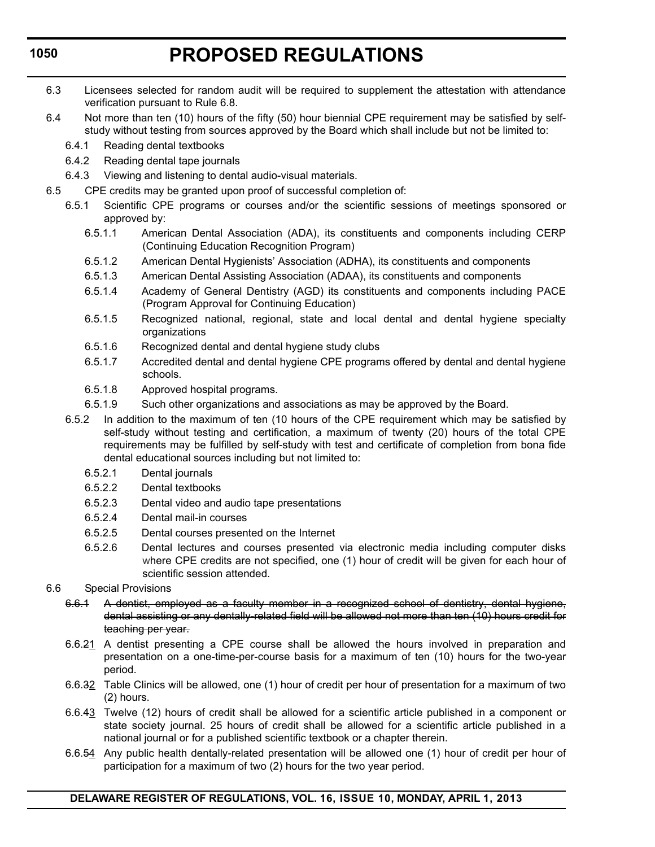# **PROPOSED REGULATIONS**

- 6.3 Licensees selected for random audit will be required to supplement the attestation with attendance verification pursuant to Rule 6.8.
- 6.4 Not more than ten (10) hours of the fifty (50) hour biennial CPE requirement may be satisfied by selfstudy without testing from sources approved by the Board which shall include but not be limited to:
	- 6.4.1 Reading dental textbooks
	- 6.4.2 Reading dental tape journals
	- 6.4.3 Viewing and listening to dental audio-visual materials.
- 6.5 CPE credits may be granted upon proof of successful completion of:
	- 6.5.1 Scientific CPE programs or courses and/or the scientific sessions of meetings sponsored or approved by:
		- 6.5.1.1 American Dental Association (ADA), its constituents and components including CERP (Continuing Education Recognition Program)
		- 6.5.1.2 American Dental Hygienists' Association (ADHA), its constituents and components
		- 6.5.1.3 American Dental Assisting Association (ADAA), its constituents and components
		- 6.5.1.4 Academy of General Dentistry (AGD) its constituents and components including PACE (Program Approval for Continuing Education)
		- 6.5.1.5 Recognized national, regional, state and local dental and dental hygiene specialty organizations
		- 6.5.1.6 Recognized dental and dental hygiene study clubs
		- 6.5.1.7 Accredited dental and dental hygiene CPE programs offered by dental and dental hygiene schools.
		- 6.5.1.8 Approved hospital programs.
		- 6.5.1.9 Such other organizations and associations as may be approved by the Board.
	- 6.5.2 In addition to the maximum of ten (10 hours of the CPE requirement which may be satisfied by self-study without testing and certification, a maximum of twenty (20) hours of the total CPE requirements may be fulfilled by self-study with test and certificate of completion from bona fide dental educational sources including but not limited to:
		- 6.5.2.1 Dental journals
		- 6.5.2.2 Dental textbooks
		- 6.5.2.3 Dental video and audio tape presentations
		- 6.5.2.4 Dental mail-in courses
		- 6.5.2.5 Dental courses presented on the Internet
		- 6.5.2.6 Dental lectures and courses presented via electronic media including computer disks where CPE credits are not specified, one (1) hour of credit will be given for each hour of scientific session attended.
- 6.6 Special Provisions
	- 6.6.1 A dentist, employed as a faculty member in a recognized school of dentistry, dental hygiene, dental assisting or any dentally-related field will be allowed not more than ten (10) hours credit for teaching per year.
	- 6.6.21 A dentist presenting a CPE course shall be allowed the hours involved in preparation and presentation on a one-time-per-course basis for a maximum of ten (10) hours for the two-year period.
	- 6.6.32 Table Clinics will be allowed, one (1) hour of credit per hour of presentation for a maximum of two (2) hours.
	- 6.6.43 Twelve (12) hours of credit shall be allowed for a scientific article published in a component or state society journal. 25 hours of credit shall be allowed for a scientific article published in a national journal or for a published scientific textbook or a chapter therein.
	- 6.6.54 Any public health dentally-related presentation will be allowed one (1) hour of credit per hour of participation for a maximum of two (2) hours for the two year period.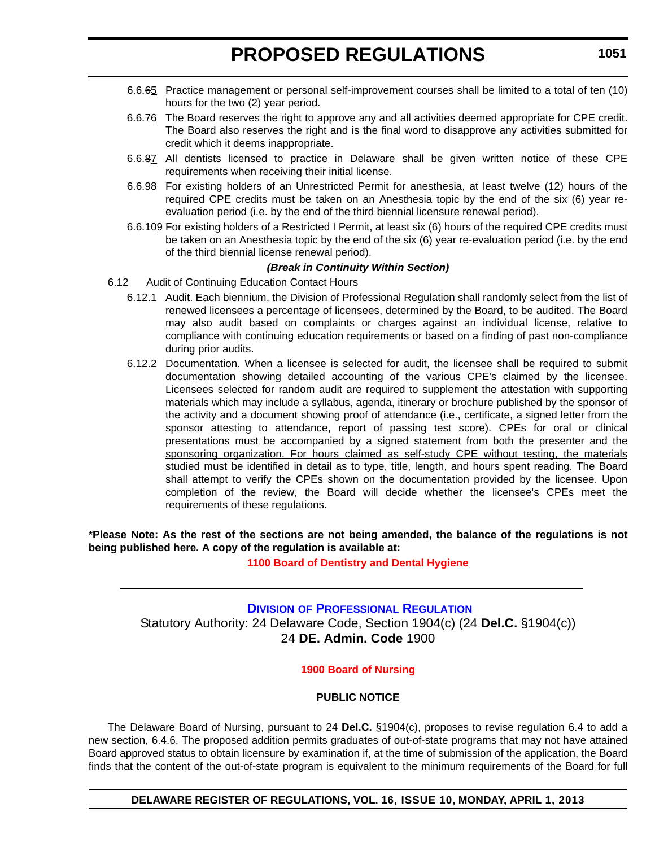- 6.6.65 Practice management or personal self-improvement courses shall be limited to a total of ten (10) hours for the two (2) year period.
- 6.6.76 The Board reserves the right to approve any and all activities deemed appropriate for CPE credit. The Board also reserves the right and is the final word to disapprove any activities submitted for credit which it deems inappropriate.
- 6.6.87 All dentists licensed to practice in Delaware shall be given written notice of these CPE requirements when receiving their initial license.
- 6.6.98 For existing holders of an Unrestricted Permit for anesthesia, at least twelve (12) hours of the required CPE credits must be taken on an Anesthesia topic by the end of the six (6) year reevaluation period (i.e. by the end of the third biennial licensure renewal period).
- 6.6.109 For existing holders of a Restricted I Permit, at least six (6) hours of the required CPE credits must be taken on an Anesthesia topic by the end of the six (6) year re-evaluation period (i.e. by the end of the third biennial license renewal period).

#### *(Break in Continuity Within Section)*

- 6.12 Audit of Continuing Education Contact Hours
	- 6.12.1 Audit. Each biennium, the Division of Professional Regulation shall randomly select from the list of renewed licensees a percentage of licensees, determined by the Board, to be audited. The Board may also audit based on complaints or charges against an individual license, relative to compliance with continuing education requirements or based on a finding of past non-compliance during prior audits.
	- 6.12.2 Documentation. When a licensee is selected for audit, the licensee shall be required to submit documentation showing detailed accounting of the various CPE's claimed by the licensee. Licensees selected for random audit are required to supplement the attestation with supporting materials which may include a syllabus, agenda, itinerary or brochure published by the sponsor of the activity and a document showing proof of attendance (i.e., certificate, a signed letter from the sponsor attesting to attendance, report of passing test score). CPEs for oral or clinical presentations must be accompanied by a signed statement from both the presenter and the sponsoring organization. For hours claimed as self-study CPE without testing, the materials studied must be identified in detail as to type, title, length, and hours spent reading. The Board shall attempt to verify the CPEs shown on the documentation provided by the licensee. Upon completion of the review, the Board will decide whether the licensee's CPEs meet the requirements of these regulations.

**\*Please Note: As the rest of the sections are not being amended, the balance of the regulations is not being published here. A copy of the regulation is available at:**

**[1100 Board of Dentistry and Dental Hygiene](http://regulations.delaware.gov/register/april2013/proposed/16 DE Reg 1049 04-01-13.htm)**

# **DIVISION OF P[ROFESSIONAL](http://dpr.delaware.gov/default.shtml) REGULATION** Statutory Authority: 24 Delaware Code, Section 1904(c) (24 **Del.C.** §1904(c)) 24 **DE. Admin. Code** 1900

#### **[1900 Board](#page-3-0) of Nursing**

#### **PUBLIC NOTICE**

The Delaware Board of Nursing, pursuant to 24 **Del.C.** §1904(c), proposes to revise regulation 6.4 to add a new section, 6.4.6. The proposed addition permits graduates of out-of-state programs that may not have attained Board approved status to obtain licensure by examination if, at the time of submission of the application, the Board finds that the content of the out-of-state program is equivalent to the minimum requirements of the Board for full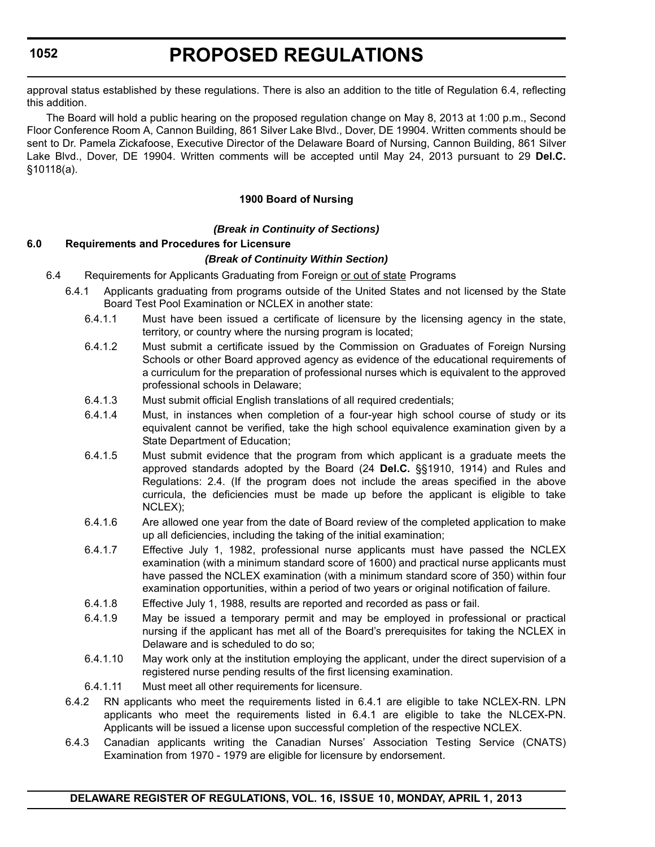# **PROPOSED REGULATIONS**

approval status established by these regulations. There is also an addition to the title of Regulation 6.4, reflecting this addition.

The Board will hold a public hearing on the proposed regulation change on May 8, 2013 at 1:00 p.m., Second Floor Conference Room A, Cannon Building, 861 Silver Lake Blvd., Dover, DE 19904. Written comments should be sent to Dr. Pamela Zickafoose, Executive Director of the Delaware Board of Nursing, Cannon Building, 861 Silver Lake Blvd., Dover, DE 19904. Written comments will be accepted until May 24, 2013 pursuant to 29 **Del.C.** §10118(a).

#### **1900 Board of Nursing**

#### *(Break in Continuity of Sections)*

#### **6.0 Requirements and Procedures for Licensure**

#### *(Break of Continuity Within Section)*

- 6.4 Requirements for Applicants Graduating from Foreign or out of state Programs
	- 6.4.1 Applicants graduating from programs outside of the United States and not licensed by the State Board Test Pool Examination or NCLEX in another state:
		- 6.4.1.1 Must have been issued a certificate of licensure by the licensing agency in the state, territory, or country where the nursing program is located;
		- 6.4.1.2 Must submit a certificate issued by the Commission on Graduates of Foreign Nursing Schools or other Board approved agency as evidence of the educational requirements of a curriculum for the preparation of professional nurses which is equivalent to the approved professional schools in Delaware;
		- 6.4.1.3 Must submit official English translations of all required credentials;
		- 6.4.1.4 Must, in instances when completion of a four-year high school course of study or its equivalent cannot be verified, take the high school equivalence examination given by a State Department of Education;
		- 6.4.1.5 Must submit evidence that the program from which applicant is a graduate meets the approved standards adopted by the Board (24 **Del.C.** §§1910, 1914) and Rules and Regulations: 2.4. (If the program does not include the areas specified in the above curricula, the deficiencies must be made up before the applicant is eligible to take NCLEX);
		- 6.4.1.6 Are allowed one year from the date of Board review of the completed application to make up all deficiencies, including the taking of the initial examination;
		- 6.4.1.7 Effective July 1, 1982, professional nurse applicants must have passed the NCLEX examination (with a minimum standard score of 1600) and practical nurse applicants must have passed the NCLEX examination (with a minimum standard score of 350) within four examination opportunities, within a period of two years or original notification of failure.
		- 6.4.1.8 Effective July 1, 1988, results are reported and recorded as pass or fail.
		- 6.4.1.9 May be issued a temporary permit and may be employed in professional or practical nursing if the applicant has met all of the Board's prerequisites for taking the NCLEX in Delaware and is scheduled to do so;
		- 6.4.1.10 May work only at the institution employing the applicant, under the direct supervision of a registered nurse pending results of the first licensing examination.
		- 6.4.1.11 Must meet all other requirements for licensure.
	- 6.4.2 RN applicants who meet the requirements listed in 6.4.1 are eligible to take NCLEX-RN. LPN applicants who meet the requirements listed in 6.4.1 are eligible to take the NLCEX-PN. Applicants will be issued a license upon successful completion of the respective NCLEX.
	- 6.4.3 Canadian applicants writing the Canadian Nurses' Association Testing Service (CNATS) Examination from 1970 - 1979 are eligible for licensure by endorsement.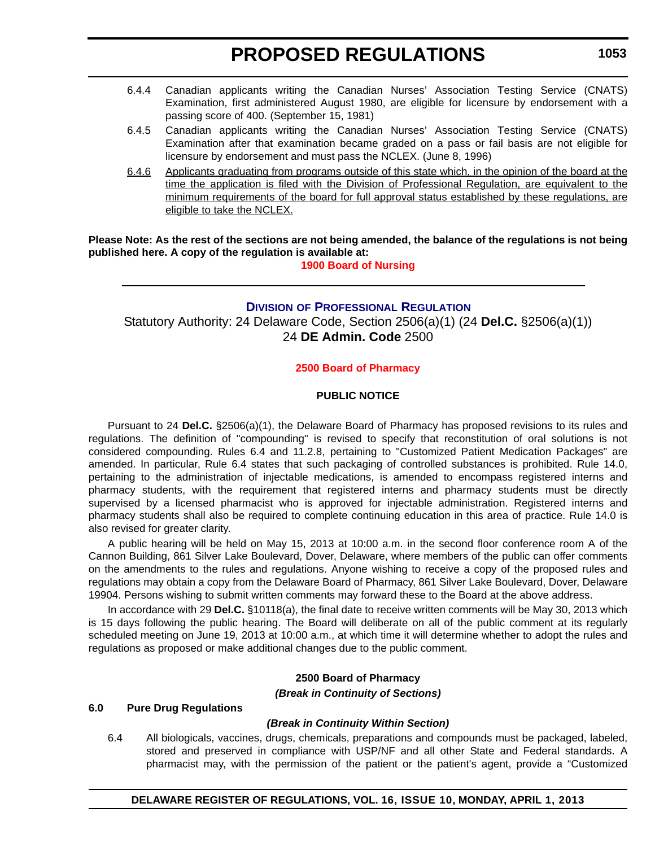- 6.4.4 Canadian applicants writing the Canadian Nurses' Association Testing Service (CNATS) Examination, first administered August 1980, are eligible for licensure by endorsement with a passing score of 400. (September 15, 1981)
- 6.4.5 Canadian applicants writing the Canadian Nurses' Association Testing Service (CNATS) Examination after that examination became graded on a pass or fail basis are not eligible for licensure by endorsement and must pass the NCLEX. (June 8, 1996)
- 6.4.6 Applicants graduating from programs outside of this state which, in the opinion of the board at the time the application is filed with the Division of Professional Regulation, are equivalent to the minimum requirements of the board for full approval status established by these regulations, are eligible to take the NCLEX.

**Please Note: As the rest of the sections are not being amended, the balance of the regulations is not being published here. A copy of the regulation is available at:**

**[1900 Board of Nursing](http://regulations.delaware.gov/register/april2013/proposed/16 DE Reg 1051 04-01-13.htm)**

### **DIVISION OF PROFESSIONAL REGULATION**

Statutory Authority: 2[4 Delaware Code, Section 2506\(a\)\(1\) \(24](http://dpr.delaware.gov/default.shtml) **Del.C.** §2506(a)(1)) 24 **DE Admin. Code** 2500

#### **2500 Board [of Pharmacy](#page-3-0)**

#### **PUBLIC NOTICE**

Pursuant to 24 **Del.C.** §2506(a)(1), the Delaware Board of Pharmacy has proposed revisions to its rules and regulations. The definition of "compounding" is revised to specify that reconstitution of oral solutions is not considered compounding. Rules 6.4 and 11.2.8, pertaining to "Customized Patient Medication Packages" are amended. In particular, Rule 6.4 states that such packaging of controlled substances is prohibited. Rule 14.0, pertaining to the administration of injectable medications, is amended to encompass registered interns and pharmacy students, with the requirement that registered interns and pharmacy students must be directly supervised by a licensed pharmacist who is approved for injectable administration. Registered interns and pharmacy students shall also be required to complete continuing education in this area of practice. Rule 14.0 is also revised for greater clarity.

A public hearing will be held on May 15, 2013 at 10:00 a.m. in the second floor conference room A of the Cannon Building, 861 Silver Lake Boulevard, Dover, Delaware, where members of the public can offer comments on the amendments to the rules and regulations. Anyone wishing to receive a copy of the proposed rules and regulations may obtain a copy from the Delaware Board of Pharmacy, 861 Silver Lake Boulevard, Dover, Delaware 19904. Persons wishing to submit written comments may forward these to the Board at the above address.

In accordance with 29 **Del.C.** §10118(a), the final date to receive written comments will be May 30, 2013 which is 15 days following the public hearing. The Board will deliberate on all of the public comment at its regularly scheduled meeting on June 19, 2013 at 10:00 a.m., at which time it will determine whether to adopt the rules and regulations as proposed or make additional changes due to the public comment.

# **2500 Board of Pharmacy**

*(Break in Continuity of Sections)*

#### **6.0 Pure Drug Regulations**

#### *(Break in Continuity Within Section)*

6.4 All biologicals, vaccines, drugs, chemicals, preparations and compounds must be packaged, labeled, stored and preserved in compliance with USP/NF and all other State and Federal standards. A pharmacist may, with the permission of the patient or the patient's agent, provide a "Customized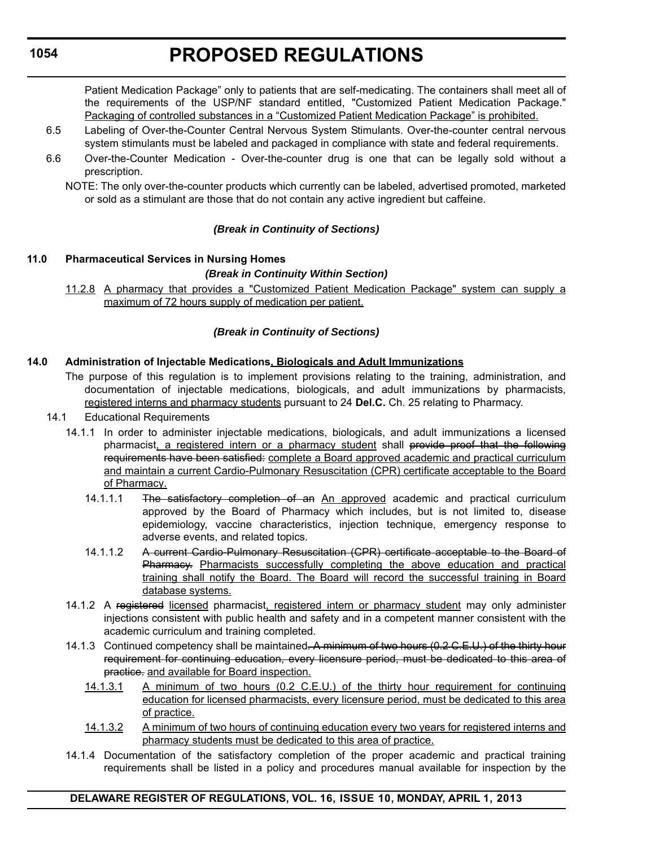# **PROPOSED REGULATIONS**

Patient Medication Package" only to patients that are self-medicating. The containers shall meet all of the requirements of the USP/NF standard entitled, "Customized Patient Medication Package." Packaging of controlled substances in a "Customized Patient Medication Package" is prohibited.

- 6.5 Labeling of Over-the-Counter Central Nervous System Stimulants. Over-the-counter central nervous system stimulants must be labeled and packaged in compliance with state and federal requirements.
- 6.6 Over-the-Counter Medication Over-the-counter drug is one that can be legally sold without a prescription.

NOTE: The only over-the-counter products which currently can be labeled, advertised promoted, marketed or sold as a stimulant are those that do not contain any active ingredient but caffeine.

### *(Break in Continuity of Sections)*

### **11.0 Pharmaceutical Services in Nursing Homes**

#### *(Break in Continuity Within Section)*

11.2.8 A pharmacy that provides a "Customized Patient Medication Package" system can supply a maximum of 72 hours supply of medication per patient.

### *(Break in Continuity of Sections)*

### **14.0 Administration of Injectable Medications, Biologicals and Adult Immunizations**

- The purpose of this regulation is to implement provisions relating to the training, administration, and documentation of injectable medications, biologicals, and adult immunizations by pharmacists, registered interns and pharmacy students pursuant to 24 **Del.C.** Ch. 25 relating to Pharmacy.
- 14.1 Educational Requirements
	- 14.1.1 In order to administer injectable medications, biologicals, and adult immunizations a licensed pharmacist, a registered intern or a pharmacy student shall provide proof that the following requirements have been satisfied: complete a Board approved academic and practical curriculum and maintain a current Cardio-Pulmonary Resuscitation (CPR) certificate acceptable to the Board of Pharmacy.
		- 14.1.1.1 The satisfactory completion of an An approved academic and practical curriculum approved by the Board of Pharmacy which includes, but is not limited to, disease epidemiology, vaccine characteristics, injection technique, emergency response to adverse events, and related topics.
		- 14.1.1.2 A current Cardio-Pulmonary Resuscitation (CPR) certificate acceptable to the Board of Pharmacy. Pharmacists successfully completing the above education and practical training shall notify the Board. The Board will record the successful training in Board database systems.
	- 14.1.2 A registered licensed pharmacist, registered intern or pharmacy student may only administer injections consistent with public health and safety and in a competent manner consistent with the academic curriculum and training completed.
	- 14.1.3 Continued competency shall be maintained. A minimum of two hours (0.2 C.E.U.) of the thirty hour requirement for continuing education, every licensure period, must be dedicated to this area of practice. and available for Board inspection.
		- 14.1.3.1 A minimum of two hours (0.2 C.E.U.) of the thirty hour requirement for continuing education for licensed pharmacists, every licensure period, must be dedicated to this area of practice.
		- 14.1.3.2 A minimum of two hours of continuing education every two years for registered interns and pharmacy students must be dedicated to this area of practice.
	- 14.1.4 Documentation of the satisfactory completion of the proper academic and practical training requirements shall be listed in a policy and procedures manual available for inspection by the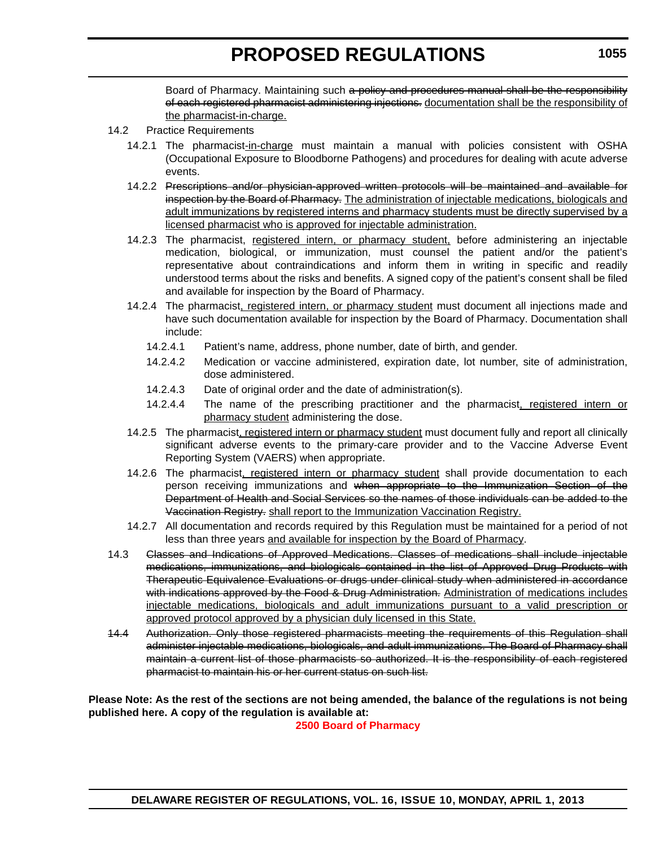Board of Pharmacy. Maintaining such a policy and procedures manual shall be the responsibility of each registered pharmacist administering injections. documentation shall be the responsibility of the pharmacist-in-charge.

#### 14.2 Practice Requirements

- 14.2.1 The pharmacist-in-charge must maintain a manual with policies consistent with OSHA (Occupational Exposure to Bloodborne Pathogens) and procedures for dealing with acute adverse events.
- 14.2.2 Prescriptions and/or physician-approved written protocols will be maintained and available for inspection by the Board of Pharmacy. The administration of injectable medications, biologicals and adult immunizations by registered interns and pharmacy students must be directly supervised by a licensed pharmacist who is approved for injectable administration.
- 14.2.3 The pharmacist, registered intern, or pharmacy student, before administering an injectable medication, biological, or immunization, must counsel the patient and/or the patient's representative about contraindications and inform them in writing in specific and readily understood terms about the risks and benefits. A signed copy of the patient's consent shall be filed and available for inspection by the Board of Pharmacy.
- 14.2.4 The pharmacist, registered intern, or pharmacy student must document all injections made and have such documentation available for inspection by the Board of Pharmacy. Documentation shall include:
	- 14.2.4.1 Patient's name, address, phone number, date of birth, and gender.
	- 14.2.4.2 Medication or vaccine administered, expiration date, lot number, site of administration, dose administered.
	- 14.2.4.3 Date of original order and the date of administration(s).
	- 14.2.4.4 The name of the prescribing practitioner and the pharmacist, registered intern or pharmacy student administering the dose.
- 14.2.5 The pharmacist, registered intern or pharmacy student must document fully and report all clinically significant adverse events to the primary-care provider and to the Vaccine Adverse Event Reporting System (VAERS) when appropriate.
- 14.2.6 The pharmacist, registered intern or pharmacy student shall provide documentation to each person receiving immunizations and when appropriate to the Immunization Section of the Department of Health and Social Services so the names of those individuals can be added to the Vaccination Registry. shall report to the Immunization Vaccination Registry.
- 14.2.7 All documentation and records required by this Regulation must be maintained for a period of not less than three years and available for inspection by the Board of Pharmacy.
- 14.3 Classes and Indications of Approved Medications. Classes of medications shall include injectable medications, immunizations, and biologicals contained in the list of Approved Drug Products with Therapeutic Equivalence Evaluations or drugs under clinical study when administered in accordance with indications approved by the Food & Drug Administration. Administration of medications includes injectable medications, biologicals and adult immunizations pursuant to a valid prescription or approved protocol approved by a physician duly licensed in this State.
- 14.4 Authorization. Only those registered pharmacists meeting the requirements of this Regulation shall administer injectable medications, biologicals, and adult immunizations. The Board of Pharmacy shall maintain a current list of those pharmacists so authorized. It is the responsibility of each registered pharmacist to maintain his or her current status on such list.

#### **Please Note: As the rest of the sections are not being amended, the balance of the regulations is not being published here. A copy of the regulation is available at:**

**[2500 Board of Pharmacy](http://regulations.delaware.gov/register/april2013/proposed/16 DE Reg 1053 04-01-13.htm)**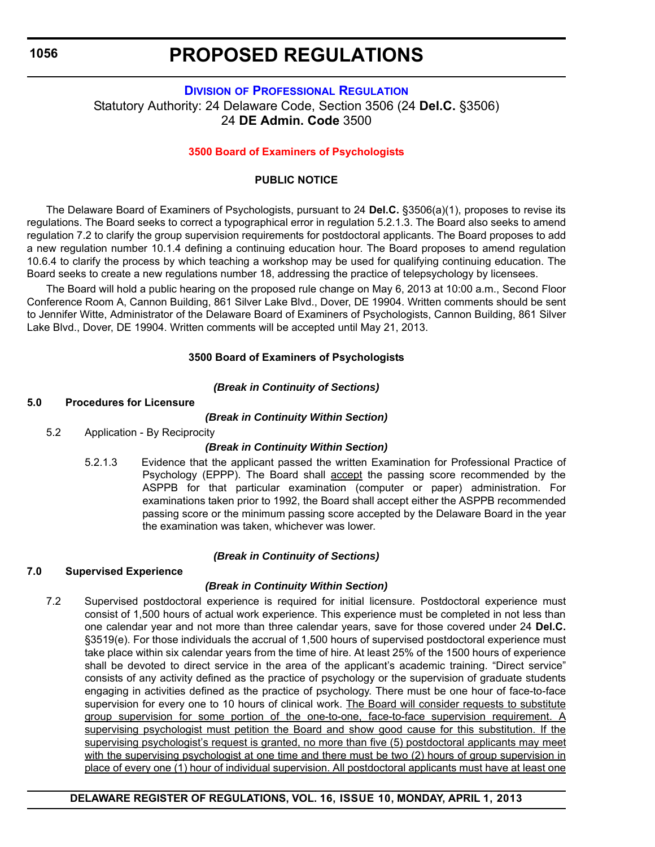# **PROPOSED REGULATIONS**

# **DIVISION [OF PROFESSIONAL REGULATION](http://dpr.delaware.gov/default.shtml)** Statutory Authority: 24 Delaware Code, Section 3506 (24 **Del.C.** §3506) 24 **DE Admin. Code** 3500

### **[3500 Board of Examiners of Psychologists](#page-3-0)**

# **PUBLIC NOTICE**

The Delaware Board of Examiners of Psychologists, pursuant to 24 **Del.C.** §3506(a)(1), proposes to revise its regulations. The Board seeks to correct a typographical error in regulation 5.2.1.3. The Board also seeks to amend regulation 7.2 to clarify the group supervision requirements for postdoctoral applicants. The Board proposes to add a new regulation number 10.1.4 defining a continuing education hour. The Board proposes to amend regulation 10.6.4 to clarify the process by which teaching a workshop may be used for qualifying continuing education. The Board seeks to create a new regulations number 18, addressing the practice of telepsychology by licensees.

The Board will hold a public hearing on the proposed rule change on May 6, 2013 at 10:00 a.m., Second Floor Conference Room A, Cannon Building, 861 Silver Lake Blvd., Dover, DE 19904. Written comments should be sent to Jennifer Witte, Administrator of the Delaware Board of Examiners of Psychologists, Cannon Building, 861 Silver Lake Blvd., Dover, DE 19904. Written comments will be accepted until May 21, 2013.

#### **3500 Board of Examiners of Psychologists**

### *(Break in Continuity of Sections)*

# **5.0 Procedures for Licensure**

### *(Break in Continuity Within Section)*

5.2 Application - By Reciprocity

# *(Break in Continuity Within Section)*

5.2.1.3 Evidence that the applicant passed the written Examination for Professional Practice of Psychology (EPPP). The Board shall accept the passing score recommended by the ASPPB for that particular examination (computer or paper) administration. For examinations taken prior to 1992, the Board shall accept either the ASPPB recommended passing score or the minimum passing score accepted by the Delaware Board in the year the examination was taken, whichever was lower.

# *(Break in Continuity of Sections)*

# **7.0 Supervised Experience**

# *(Break in Continuity Within Section)*

7.2 Supervised postdoctoral experience is required for initial licensure. Postdoctoral experience must consist of 1,500 hours of actual work experience. This experience must be completed in not less than one calendar year and not more than three calendar years, save for those covered under 24 **Del.C.** §3519(e). For those individuals the accrual of 1,500 hours of supervised postdoctoral experience must take place within six calendar years from the time of hire. At least 25% of the 1500 hours of experience shall be devoted to direct service in the area of the applicant's academic training. "Direct service" consists of any activity defined as the practice of psychology or the supervision of graduate students engaging in activities defined as the practice of psychology. There must be one hour of face-to-face supervision for every one to 10 hours of clinical work. The Board will consider requests to substitute group supervision for some portion of the one-to-one, face-to-face supervision requirement. A supervising psychologist must petition the Board and show good cause for this substitution. If the supervising psychologist's request is granted, no more than five (5) postdoctoral applicants may meet with the supervising psychologist at one time and there must be two (2) hours of group supervision in place of every one (1) hour of individual supervision. All postdoctoral applicants must have at least one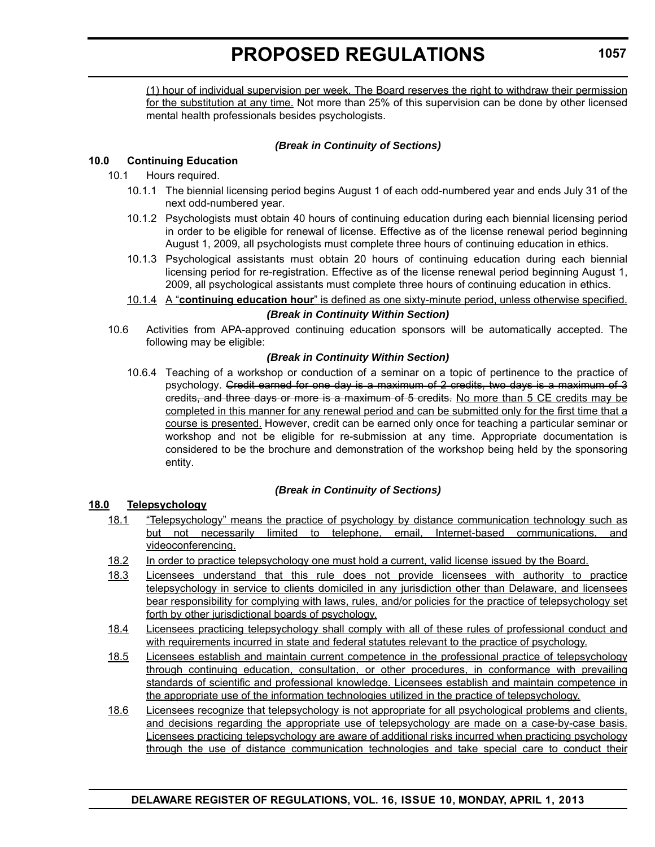(1) hour of individual supervision per week. The Board reserves the right to withdraw their permission for the substitution at any time. Not more than 25% of this supervision can be done by other licensed mental health professionals besides psychologists.

#### *(Break in Continuity of Sections)*

#### **10.0 Continuing Education**

### 10.1 Hours required.

- 10.1.1 The biennial licensing period begins August 1 of each odd-numbered year and ends July 31 of the next odd-numbered year.
- 10.1.2 Psychologists must obtain 40 hours of continuing education during each biennial licensing period in order to be eligible for renewal of license. Effective as of the license renewal period beginning August 1, 2009, all psychologists must complete three hours of continuing education in ethics.
- 10.1.3 Psychological assistants must obtain 20 hours of continuing education during each biennial licensing period for re-registration. Effective as of the license renewal period beginning August 1, 2009, all psychological assistants must complete three hours of continuing education in ethics.
- 10.1.4 A "**continuing education hour**" is defined as one sixty-minute period, unless otherwise specified.

#### *(Break in Continuity Within Section)*

10.6 Activities from APA-approved continuing education sponsors will be automatically accepted. The following may be eligible:

#### *(Break in Continuity Within Section)*

10.6.4 Teaching of a workshop or conduction of a seminar on a topic of pertinence to the practice of psychology. Credit earned for one day is a maximum of 2 credits, two days is a maximum of 3 credits, and three days or more is a maximum of 5 credits. No more than 5 CE credits may be completed in this manner for any renewal period and can be submitted only for the first time that a course is presented. However, credit can be earned only once for teaching a particular seminar or workshop and not be eligible for re-submission at any time. Appropriate documentation is considered to be the brochure and demonstration of the workshop being held by the sponsoring entity.

#### *(Break in Continuity of Sections)*

#### **18.0 Telepsychology**

- 18.1 "Telepsychology" means the practice of psychology by distance communication technology such as but not necessarily limited to telephone, email, Internet-based communications, and videoconferencing.
- 18.2 In order to practice telepsychology one must hold a current, valid license issued by the Board.
- 18.3 Licensees understand that this rule does not provide licensees with authority to practice telepsychology in service to clients domiciled in any jurisdiction other than Delaware, and licensees bear responsibility for complying with laws, rules, and/or policies for the practice of telepsychology set forth by other jurisdictional boards of psychology.
- 18.4 Licensees practicing telepsychology shall comply with all of these rules of professional conduct and with requirements incurred in state and federal statutes relevant to the practice of psychology.
- 18.5 Licensees establish and maintain current competence in the professional practice of telepsychology through continuing education, consultation, or other procedures, in conformance with prevailing standards of scientific and professional knowledge. Licensees establish and maintain competence in the appropriate use of the information technologies utilized in the practice of telepsychology.
- 18.6 Licensees recognize that telepsychology is not appropriate for all psychological problems and clients, and decisions regarding the appropriate use of telepsychology are made on a case-by-case basis. Licensees practicing telepsychology are aware of additional risks incurred when practicing psychology through the use of distance communication technologies and take special care to conduct their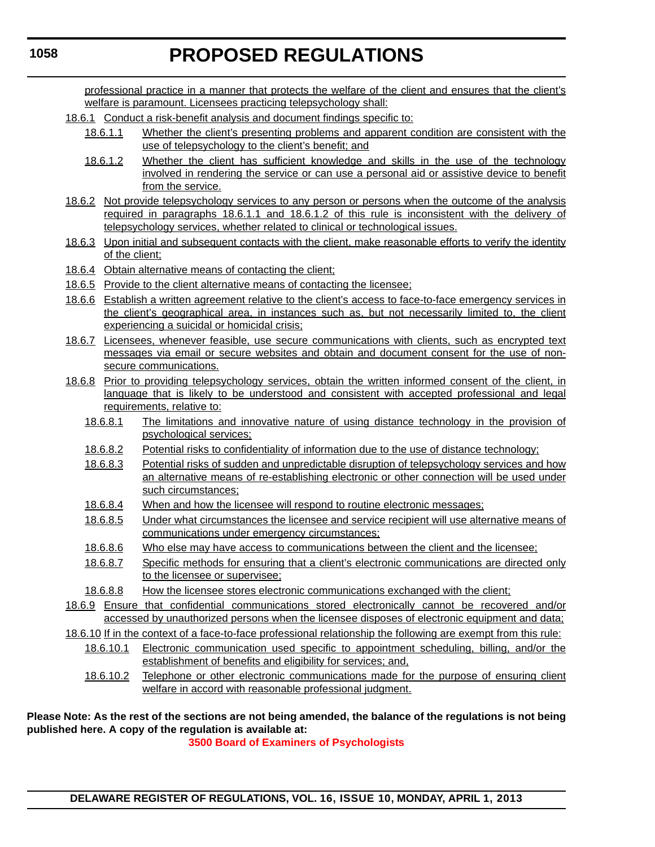professional practice in a manner that protects the welfare of the client and ensures that the client's welfare is paramount. Licensees practicing telepsychology shall:

- 18.6.1 Conduct a risk-benefit analysis and document findings specific to:
	- 18.6.1.1 Whether the client's presenting problems and apparent condition are consistent with the use of telepsychology to the client's benefit; and
	- 18.6.1.2 Whether the client has sufficient knowledge and skills in the use of the technology involved in rendering the service or can use a personal aid or assistive device to benefit from the service.
- 18.6.2 Not provide telepsychology services to any person or persons when the outcome of the analysis required in paragraphs 18.6.1.1 and 18.6.1.2 of this rule is inconsistent with the delivery of telepsychology services, whether related to clinical or technological issues.
- 18.6.3 Upon initial and subsequent contacts with the client, make reasonable efforts to verify the identity of the client;
- 18.6.4 Obtain alternative means of contacting the client;
- 18.6.5 Provide to the client alternative means of contacting the licensee;
- 18.6.6 Establish a written agreement relative to the client's access to face-to-face emergency services in the client's geographical area, in instances such as, but not necessarily limited to, the client experiencing a suicidal or homicidal crisis;
- 18.6.7 Licensees, whenever feasible, use secure communications with clients, such as encrypted text messages via email or secure websites and obtain and document consent for the use of nonsecure communications.
- 18.6.8 Prior to providing telepsychology services, obtain the written informed consent of the client, in language that is likely to be understood and consistent with accepted professional and legal requirements, relative to:
	- 18.6.8.1 The limitations and innovative nature of using distance technology in the provision of psychological services;
	- 18.6.8.2 Potential risks to confidentiality of information due to the use of distance technology;
	- 18.6.8.3 Potential risks of sudden and unpredictable disruption of telepsychology services and how an alternative means of re-establishing electronic or other connection will be used under such circumstances;
	- 18.6.8.4 When and how the licensee will respond to routine electronic messages;
	- 18.6.8.5 Under what circumstances the licensee and service recipient will use alternative means of communications under emergency circumstances;
	- 18.6.8.6 Who else may have access to communications between the client and the licensee;
	- 18.6.8.7 Specific methods for ensuring that a client's electronic communications are directed only to the licensee or supervisee;
	- 18.6.8.8 How the licensee stores electronic communications exchanged with the client;
- 18.6.9 Ensure that confidential communications stored electronically cannot be recovered and/or accessed by unauthorized persons when the licensee disposes of electronic equipment and data;

18.6.10 If in the context of a face-to-face professional relationship the following are exempt from this rule:

- 18.6.10.1 Electronic communication used specific to appointment scheduling, billing, and/or the establishment of benefits and eligibility for services; and,
	- 18.6.10.2 Telephone or other electronic communications made for the purpose of ensuring client welfare in accord with reasonable professional judgment.

### **Parager As the rest of the sections are not being amended, the balance of the regulations is not being Protest** hed here. A copy of the regulation is available at:

**[3500 Board of Examiners of Psychologists](http://regulations.delaware.gov/register/april2013/proposed/16 DE Reg 1056 04-01-13.htm)**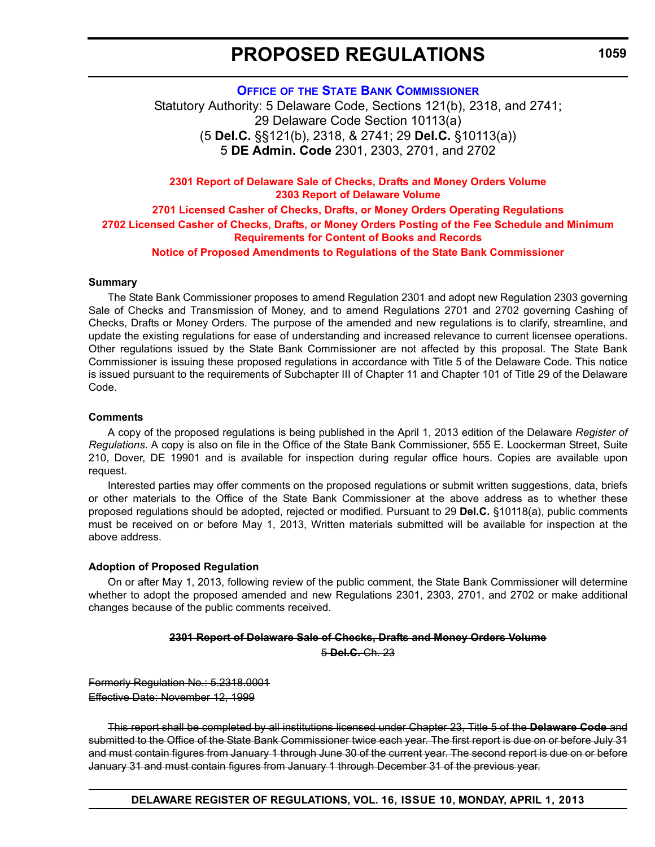**1059**

**OFFICE OF [THE STATE BANK COMMISSIONER](http://banking.delaware.gov/default.shtml)**

Statutory Authority: 5 Delaware Code, Sections 121(b), 2318, and 2741; 29 Delaware Code Section 10113(a) (5 **Del.C.** §§121(b), 2318, & 2741; 29 **Del.C.** §10113(a)) 5 **DE Admin. Code** 2301, 2303, 2701, and 2702

**2301 Report of Delaware Sale of Checks, Drafts and Money Orders Volume 2303 Report of Delaware Volume 2701 Licensed Casher of Checks, Drafts, or Money Orders Operating Regulations**

**[2702 Licensed Casher of Checks, Drafts, or Money Orders Posting of the Fee Schedule and Minimum](#page-3-0)  Requirements for Content of Books and Records**

**Notice of Proposed Amendments to Regulations of the State Bank Commissioner**

#### **Summary**

The State Bank Commissioner proposes to amend Regulation 2301 and adopt new Regulation 2303 governing Sale of Checks and Transmission of Money, and to amend Regulations 2701 and 2702 governing Cashing of Checks, Drafts or Money Orders. The purpose of the amended and new regulations is to clarify, streamline, and update the existing regulations for ease of understanding and increased relevance to current licensee operations. Other regulations issued by the State Bank Commissioner are not affected by this proposal. The State Bank Commissioner is issuing these proposed regulations in accordance with Title 5 of the Delaware Code. This notice is issued pursuant to the requirements of Subchapter III of Chapter 11 and Chapter 101 of Title 29 of the Delaware Code.

#### **Comments**

A copy of the proposed regulations is being published in the April 1, 2013 edition of the Delaware *Register of Regulations*. A copy is also on file in the Office of the State Bank Commissioner, 555 E. Loockerman Street, Suite 210, Dover, DE 19901 and is available for inspection during regular office hours. Copies are available upon request.

Interested parties may offer comments on the proposed regulations or submit written suggestions, data, briefs or other materials to the Office of the State Bank Commissioner at the above address as to whether these proposed regulations should be adopted, rejected or modified. Pursuant to 29 **Del.C.** §10118(a), public comments must be received on or before May 1, 2013, Written materials submitted will be available for inspection at the above address.

#### **Adoption of Proposed Regulation**

On or after May 1, 2013, following review of the public comment, the State Bank Commissioner will determine whether to adopt the proposed amended and new Regulations 2301, 2303, 2701, and 2702 or make additional changes because of the public comments received.

#### **2301 Report of Delaware Sale of Checks, Drafts and Money Orders Volume** 5 **Del.C.** Ch. 23

Formerly Regulation No.: 5.2318.0001 Effective Date: November 12, 1999

This report shall be completed by all institutions licensed under Chapter 23, Title 5 of the **Delaware Code** and submitted to the Office of the State Bank Commissioner twice each year. The first report is due on or before July 31 and must contain figures from January 1 through June 30 of the current year. The second report is due on or before January 31 and must contain figures from January 1 through December 31 of the previous year.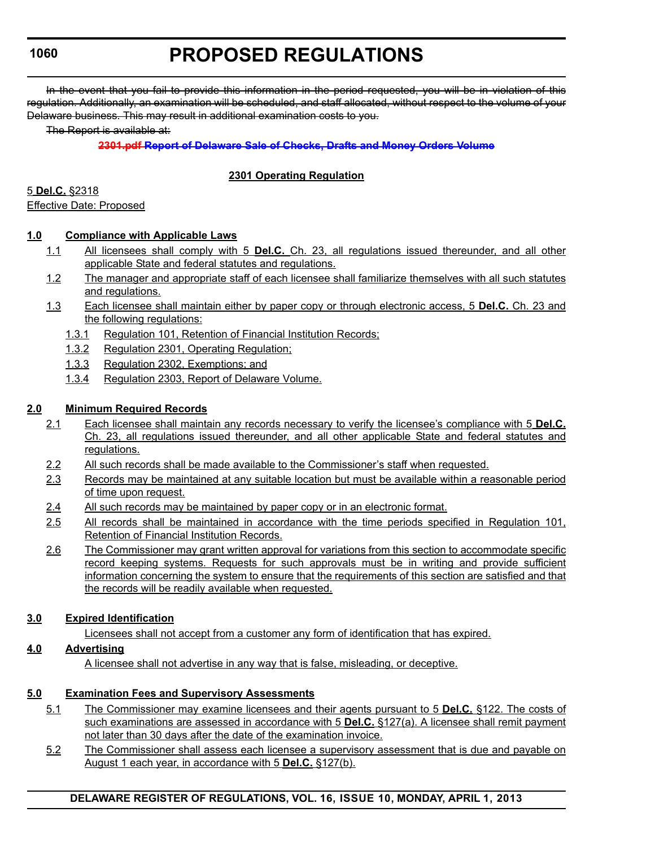# **PROPOSED REGULATIONS**

In the event that you fail to provide this information in the period requested, you will be in violation of this regulation. Additionally, an examination will be scheduled, and staff allocated, without respect to the volume of your Delaware business. This may result in additional examination costs to you.

The Report is available at:

# **2301.pdf Report of Delaware Sale of Checks, Drafts and Money Orders Volume**

# **2301 Operating Regulation**

5 **Del.C.** §2318

Effective Date: Proposed

# **1.0 Compliance with Applicable Laws**

- 1.1 All licensees shall comply with 5 **Del.C.** Ch. 23, all regulations issued thereunder, and all other applicable State and federal statutes and regulations.
- 1.2 The manager and appropriate staff of each licensee shall familiarize themselves with all such statutes and regulations.
- 1.3 Each licensee shall maintain either by paper copy or through electronic access, 5 **Del.C.** Ch. 23 and the following regulations:
	- 1.3.1 Regulation 101, Retention of Financial Institution Records;
	- 1.3.2 Regulation 2301, Operating Regulation;
	- 1.3.3 Regulation 2302, Exemptions; and
	- 1.3.4 Regulation 2303, Report of Delaware Volume.

# **2.0 Minimum Required Records**

- 2.1 Each licensee shall maintain any records necessary to verify the licensee's compliance with 5 **Del.C.** Ch. 23, all regulations issued thereunder, and all other applicable State and federal statutes and regulations.
- 2.2 All such records shall be made available to the Commissioner's staff when requested.
- 2.3 Records may be maintained at any suitable location but must be available within a reasonable period of time upon request.
- 2.4 All such records may be maintained by paper copy or in an electronic format.
- 2.5 All records shall be maintained in accordance with the time periods specified in Regulation 101, Retention of Financial Institution Records.
- 2.6 The Commissioner may grant written approval for variations from this section to accommodate specific record keeping systems. Requests for such approvals must be in writing and provide sufficient information concerning the system to ensure that the requirements of this section are satisfied and that the records will be readily available when requested.

# **3.0 Expired Identification**

Licensees shall not accept from a customer any form of identification that has expired.

# **4.0 Advertising**

A licensee shall not advertise in any way that is false, misleading, or deceptive.

# **5.0 Examination Fees and Supervisory Assessments**

- 5.1 The Commissioner may examine licensees and their agents pursuant to 5 **Del.C.** §122. The costs of such examinations are assessed in accordance with 5 **Del.C.** §127(a). A licensee shall remit payment not later than 30 days after the date of the examination invoice.
- 5.2 The Commissioner shall assess each licensee a supervisory assessment that is due and payable on August 1 each year, in accordance with 5 **Del.C.** §127(b).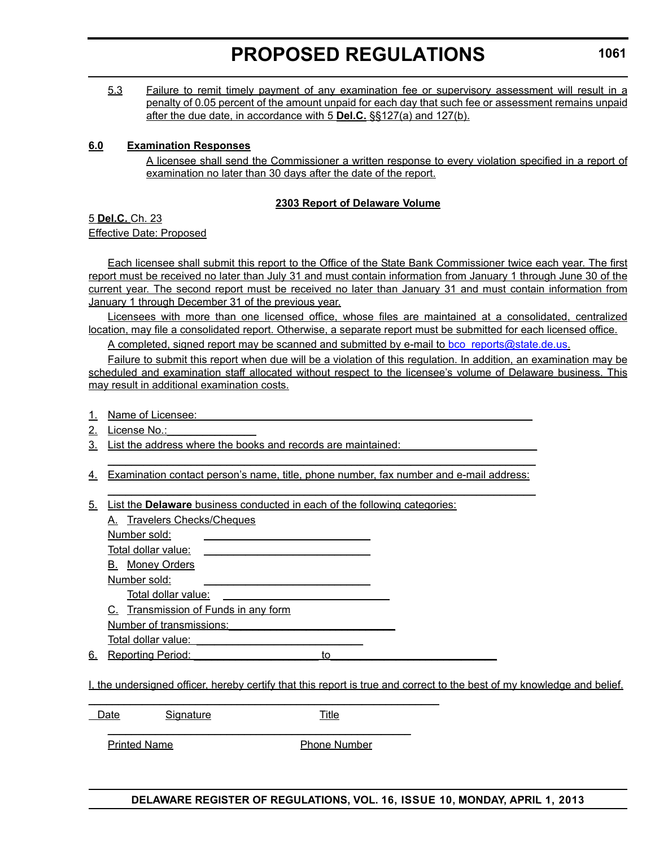5.3 Failure to remit timely payment of any examination fee or supervisory assessment will result in a penalty of 0.05 percent of the amount unpaid for each day that such fee or assessment remains unpaid after the due date, in accordance with 5 **Del.C.** §§127(a) and 127(b).

#### **6.0 Examination Responses**

A licensee shall send the Commissioner a written response to every violation specified in a report of examination no later than 30 days after the date of the report.

### **2303 Report of Delaware Volume**

5 **Del.C.** Ch. 23 Effective Date: Proposed

Each licensee shall submit this report to the Office of the State Bank Commissioner twice each year. The first report must be received no later than July 31 and must contain information from January 1 through June 30 of the current year. The second report must be received no later than January 31 and must contain information from January 1 through December 31 of the previous year.

Licensees with more than one licensed office, whose files are maintained at a consolidated, centralized location, may file a consolidated report. Otherwise, a separate report must be submitted for each licensed office.

A completed, signed report may be scanned and submitted by e-mail to bco\_reports@state.de.us.

Failure to submit this report when due will be a violation of this regulation. In addition, an examination may be scheduled and examination staff allocated without respect to the licensee's volume of Delaware business. This may result in additional examination costs.

- 1. Name of Licensee:
- 2. License No.:
- 3. List the address where the books and records are maintained:
- 4. Examination contact person's name, title, phone number, fax number and e-mail address:

 $\_$  , and the set of the set of the set of the set of the set of the set of the set of the set of the set of the set of the set of the set of the set of the set of the set of the set of the set of the set of the set of th

 $\_$  , and the set of the set of the set of the set of the set of the set of the set of the set of the set of the set of the set of the set of the set of the set of the set of the set of the set of the set of the set of th

5. List the **Delaware** business conducted in each of the following categories:

 $\overline{\phantom{a}}$  , and the contribution of the contribution of the contribution of the contribution of the contribution of the contribution of the contribution of the contribution of the contribution of the contribution of the

 $\overline{\phantom{a}}$  , and the contribution of the contribution of  $\overline{\phantom{a}}$ 

|    | A. Travelers Checks/Cheques          |  |
|----|--------------------------------------|--|
|    | Number sold:                         |  |
|    | Total dollar value:                  |  |
|    | <b>B.</b> Money Orders               |  |
|    | Number sold:                         |  |
|    | Total dollar value:                  |  |
|    | C. Transmission of Funds in any form |  |
|    | Number of transmissions:             |  |
|    | Total dollar value:                  |  |
| 6. | <b>Reporting Period:</b><br>to       |  |
|    |                                      |  |

I, the undersigned officer, hereby certify that this report is true and correct to the best of my knowledge and belief.

Date Signature Title

Printed Name **Phone Number**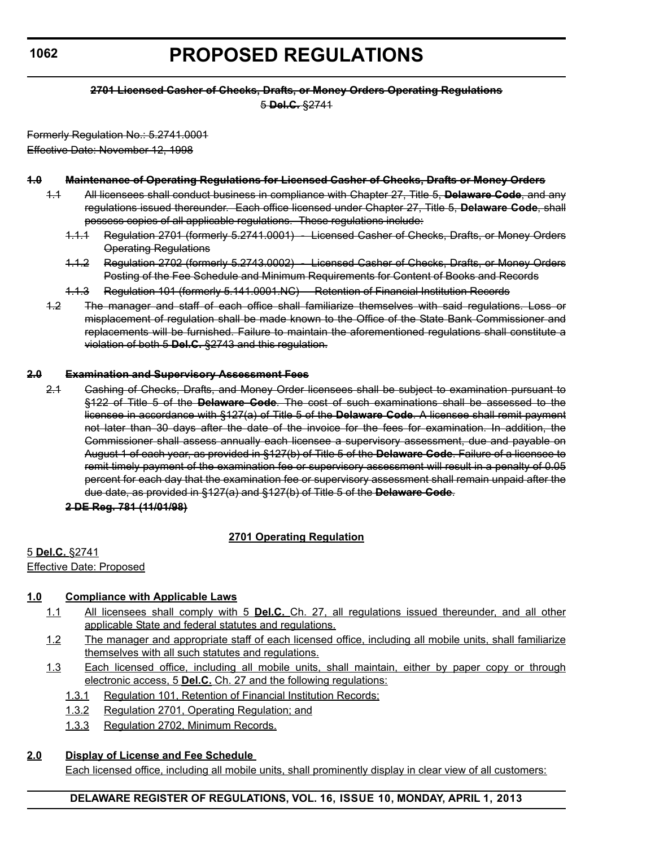# **PROPOSED REGULATIONS**

#### **2701 Licensed Casher of Checks, Drafts, or Money Orders Operating Regulations**

5 **Del.C.** §2741

Formerly Regulation No.: 5.2741.0001 Effective Date: November 12, 1998

### **1.0 Maintenance of Operating Regulations for Licensed Casher of Checks, Drafts or Money Orders**

- 1.1 All licensees shall conduct business in compliance with Chapter 27, Title 5, **Delaware Code**, and any regulations issued thereunder. Each office licensed under Chapter 27, Title 5, **Delaware Code**, shall possess copies of all applicable regulations. These regulations include:
	- 1.1.1 Regulation 2701 (formerly 5.2741.0001) Licensed Casher of Checks, Drafts, or Money Orders Operating Regulations
	- 1.1.2 Regulation 2702 (formerly 5.2743.0002) Licensed Casher of Checks, Drafts, or Money Orders Posting of the Fee Schedule and Minimum Requirements for Content of Books and Records
	- 1.1.3 Regulation 101 (formerly 5.141.0001.NC) Retention of Financial Institution Records
- 1.2 The manager and staff of each office shall familiarize themselves with said regulations. Loss or misplacement of regulation shall be made known to the Office of the State Bank Commissioner and replacements will be furnished. Failure to maintain the aforementioned regulations shall constitute a violation of both 5 **Del.C.** §2743 and this regulation.

#### **2.0 Examination and Supervisory Assessment Fees**

2.1 Cashing of Checks, Drafts, and Money Order licensees shall be subject to examination pursuant to §122 of Title 5 of the **Delaware Code**. The cost of such examinations shall be assessed to the licensee in accordance with §127(a) of Title 5 of the **Delaware Code**. A licensee shall remit payment not later than 30 days after the date of the invoice for the fees for examination. In addition, the Commissioner shall assess annually each licensee a supervisory assessment, due and payable on August 1 of each year, as provided in §127(b) of Title 5 of the **Delaware Code**. Failure of a licensee to remit timely payment of the examination fee or supervisory assessment will result in a penalty of 0.05 percent for each day that the examination fee or supervisory assessment shall remain unpaid after the due date, as provided in §127(a) and §127(b) of Title 5 of the **Delaware Code**.

**2 DE Reg. 781 (11/01/98)**

# **2701 Operating Regulation**

5 **Del.C.** §2741

Effective Date: Proposed

# **1.0 Compliance with Applicable Laws**

- 1.1 All licensees shall comply with 5 **Del.C.** Ch. 27, all regulations issued thereunder, and all other applicable State and federal statutes and regulations.
- 1.2 The manager and appropriate staff of each licensed office, including all mobile units, shall familiarize themselves with all such statutes and regulations.
- 1.3 Each licensed office, including all mobile units, shall maintain, either by paper copy or through electronic access, 5 **Del.C.** Ch. 27 and the following regulations:
	- 1.3.1 Regulation 101, Retention of Financial Institution Records;
	- 1.3.2 Regulation 2701, Operating Regulation; and
	- 1.3.3 Regulation 2702, Minimum Records.

# **2.0 Display of License and Fee Schedule**

Each licensed office, including all mobile units, shall prominently display in clear view of all customers: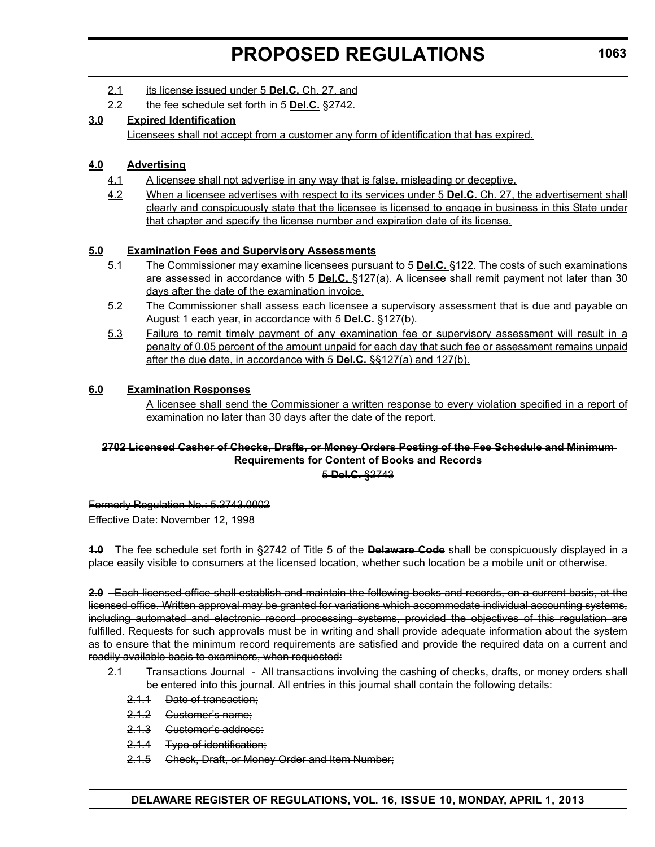- 2.1 its license issued under 5 **Del.C.** Ch. 27, and
- 2.2 the fee schedule set forth in 5 **Del.C.** §2742.

# **3.0 Expired Identification**

Licensees shall not accept from a customer any form of identification that has expired.

# **4.0 Advertising**

- 4.1 A licensee shall not advertise in any way that is false, misleading or deceptive.
- 4.2 When a licensee advertises with respect to its services under 5 **Del.C.** Ch. 27, the advertisement shall clearly and conspicuously state that the licensee is licensed to engage in business in this State under that chapter and specify the license number and expiration date of its license.

# **5.0 Examination Fees and Supervisory Assessments**

- 5.1 The Commissioner may examine licensees pursuant to 5 **Del.C.** §122. The costs of such examinations are assessed in accordance with 5 **Del.C.** §127(a). A licensee shall remit payment not later than 30 days after the date of the examination invoice.
- 5.2 The Commissioner shall assess each licensee a supervisory assessment that is due and payable on August 1 each year, in accordance with 5 **Del.C.** §127(b).
- 5.3 Failure to remit timely payment of any examination fee or supervisory assessment will result in a penalty of 0.05 percent of the amount unpaid for each day that such fee or assessment remains unpaid after the due date, in accordance with 5 **Del.C.** §§127(a) and 127(b).

# **6.0 Examination Responses**

A licensee shall send the Commissioner a written response to every violation specified in a report of examination no later than 30 days after the date of the report.

### **2702 Licensed Casher of Checks, Drafts, or Money Orders Posting of the Fee Schedule and Minimum Requirements for Content of Books and Records**

5 **Del.C.** §2743

Formerly Regulation No.: 5.2743.0002 Effective Date: November 12, 1998

**1.0** The fee schedule set forth in §2742 of Title 5 of the **Delaware Code** shall be conspicuously displayed in a place easily visible to consumers at the licensed location, whether such location be a mobile unit or otherwise.

**2.0** Each licensed office shall establish and maintain the following books and records, on a current basis, at the licensed office. Written approval may be granted for variations which accommodate individual accounting systems, including automated and electronic record processing systems, provided the objectives of this regulation are fulfilled. Requests for such approvals must be in writing and shall provide adequate information about the system as to ensure that the minimum record requirements are satisfied and provide the required data on a current and readily available basis to examiners, when requested:

- 2.1 Transactions Journal All transactions involving the cashing of checks, drafts, or money orders shall be entered into this journal. All entries in this journal shall contain the following details:
	- 2.1.1 Date of transaction;
	- 2.1.2 Customer's name;
	- 2.1.3 Customer's address:
	- 2.1.4 Type of identification;
	- 2.1.5 Check, Draft, or Money Order and Item Number;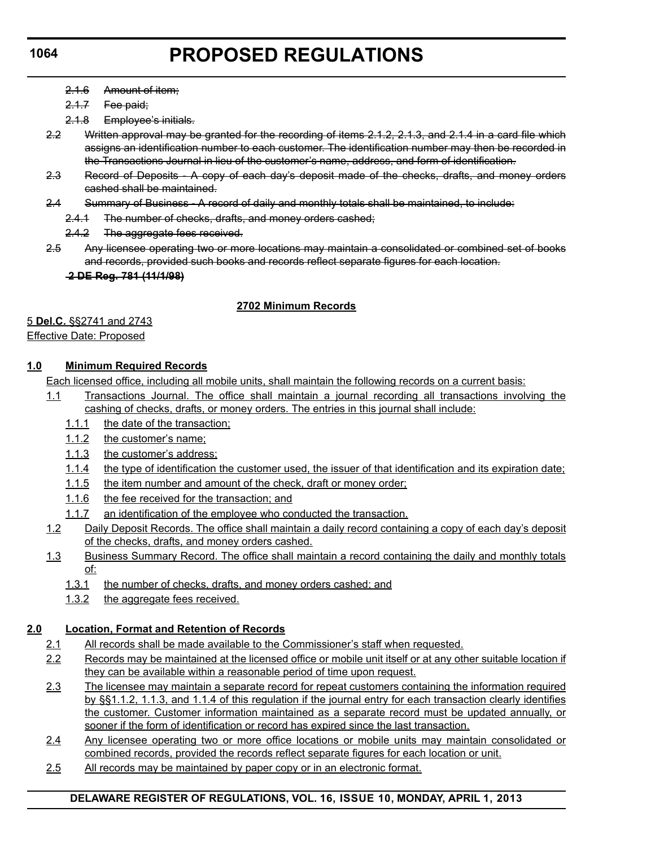- 2.1.6 Amount of item;
- 2.1.7 Fee paid;
- 2.1.8 Employee's initials.
- 2.2 Written approval may be granted for the recording of items 2.1.2, 2.1.3, and 2.1.4 in a card file which assigns an identification number to each customer. The identification number may then be recorded in the Transactions Journal in lieu of the customer's name, address, and form of identification.
- 2.3 Record of Deposits A copy of each day's deposit made of the checks, drafts, and money orders cashed shall be maintained.
- 2.4 Summary of Business A record of daily and monthly totals shall be maintained, to include:
	- 2.4.1 The number of checks, drafts, and money orders cashed;
	- 2.4.2 The aggregate fees received.
- 2.5 Any licensee operating two or more locations may maintain a consolidated or combined set of books and records, provided such books and records reflect separate figures for each location.

#### **2 DE Reg. 781 (11/1/98)**

### **2702 Minimum Records**

5 **Del.C.** §§2741 and 2743

#### Effective Date: Proposed

# **1.0 Minimum Required Records**

Each licensed office, including all mobile units, shall maintain the following records on a current basis:

- 1.1 Transactions Journal. The office shall maintain a journal recording all transactions involving the cashing of checks, drafts, or money orders. The entries in this journal shall include:
	- 1.1.1 the date of the transaction;
	- 1.1.2 the customer's name;
	- 1.1.3 the customer's address;
	- 1.1.4 the type of identification the customer used, the issuer of that identification and its expiration date;
	- 1.1.5 the item number and amount of the check, draft or money order;
	- 1.1.6 the fee received for the transaction; and
	- 1.1.7 an identification of the employee who conducted the transaction.
- 1.2 Daily Deposit Records. The office shall maintain a daily record containing a copy of each day's deposit of the checks, drafts, and money orders cashed.
- 1.3 Business Summary Record. The office shall maintain a record containing the daily and monthly totals of:
	- 1.3.1 the number of checks, drafts, and money orders cashed; and
	- 1.3.2 the aggregate fees received.

# **2.0 Location, Format and Retention of Records**

- 2.1 All records shall be made available to the Commissioner's staff when requested.
- 2.2 Records may be maintained at the licensed office or mobile unit itself or at any other suitable location if they can be available within a reasonable period of time upon request.
- 2.3 The licensee may maintain a separate record for repeat customers containing the information required by §§1.1.2, 1.1.3, and 1.1.4 of this regulation if the journal entry for each transaction clearly identifies the customer. Customer information maintained as a separate record must be updated annually, or sooner if the form of identification or record has expired since the last transaction.
- 2.4 Any licensee operating two or more office locations or mobile units may maintain consolidated or combined records, provided the records reflect separate figures for each location or unit.
- 2.5 All records may be maintained by paper copy or in an electronic format.

# **DELAWARE REGISTER OF REGULATIONS, VOL. 16, ISSUE 10, MONDAY, APRIL 1, 2013**

### **1064**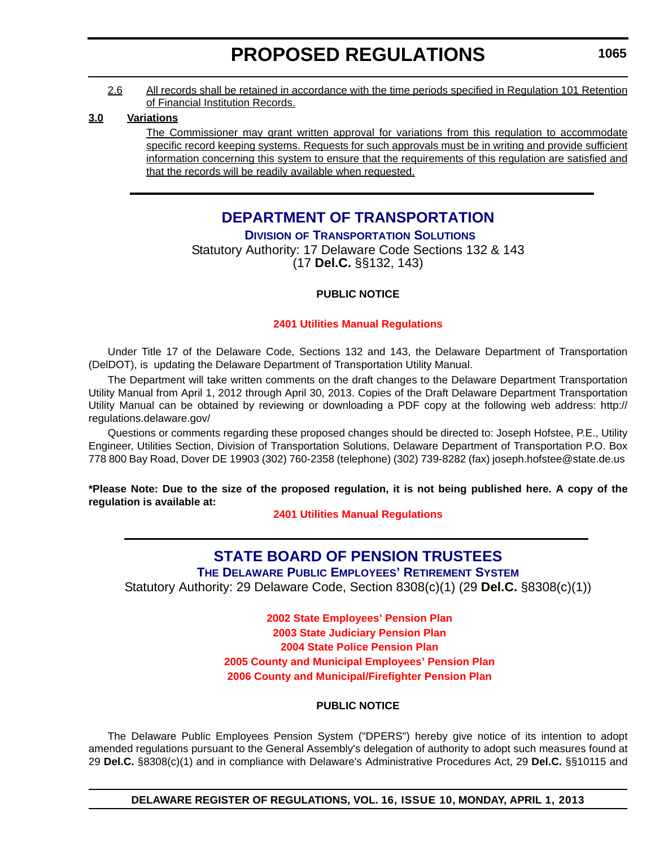#### 2.6 All records shall be retained in accordance with the time periods specified in Regulation 101 Retention of Financial Institution Records.

#### **3.0 Variations**

The Commissioner may grant written approval for variations from this regulation to accommodate specific record keeping systems. Requests for such approvals must be in writing and provide sufficient information concerning this system to ensure that the requirements of this regulation are satisfied and that the records will be readily available when requested.

# **[DEPARTMENT OF TRANSPORTATION](http://www.deldot.gov/home/divisions/)**

**DIVISION OF TRANSPORTATION SOLUTIONS**

Statutory Authority: 17 Delaware Code Sections 132 & 143 (17 **Del.C.** §§132, 143)

# **PUBLIC NOTICE**

### **[2401 Utilities Manual Regulations](#page-3-0)**

Under Title 17 of the Delaware Code, Sections 132 and 143, the Delaware Department of Transportation (DelDOT), is updating the Delaware Department of Transportation Utility Manual.

The Department will take written comments on the draft changes to the Delaware Department Transportation Utility Manual from April 1, 2012 through April 30, 2013. Copies of the Draft Delaware Department Transportation Utility Manual can be obtained by reviewing or downloading a PDF copy at the following web address: http:// regulations.delaware.gov/

Questions or comments regarding these proposed changes should be directed to: Joseph Hofstee, P.E., Utility Engineer, Utilities Section, Division of Transportation Solutions, Delaware Department of Transportation P.O. Box 778 800 Bay Road, Dover DE 19903 (302) 760-2358 (telephone) (302) 739-8282 (fax) joseph.hofstee@state.de.us

**\*Please Note: Due to the size of the proposed regulation, it is not being published here. A copy of the regulation is available at:**

**[2401 Utilities Manual Regulations](http://regulations.delaware.gov/register/april2013/proposed/16 DE Reg 1065 04-01-13.htm)**

# **[STATE BOARD OF PENSION TRUSTEES](http://www.delawarepensions.com/)**

**THE DELAWARE PUBLIC EMPLOYEES' RETIREMENT SYSTEM**

Statutory Authority: 29 Delaware Code, Section 8308(c)(1) (29 **Del.C.** §8308(c)(1))

**2002 State Employees' Pension Plan 2003 State Judiciary Pension Plan 2004 State Police Pension Plan [2005 County and Municipal Employees' Pension Plan](#page-3-0) 2006 County and Municipal/Firefighter Pension Plan**

#### **PUBLIC NOTICE**

The Delaware Public Employees Pension System ("DPERS") hereby give notice of its intention to adopt amended regulations pursuant to the General Assembly's delegation of authority to adopt such measures found at 29 **Del.C.** §8308(c)(1) and in compliance with Delaware's Administrative Procedures Act, 29 **Del.C.** §§10115 and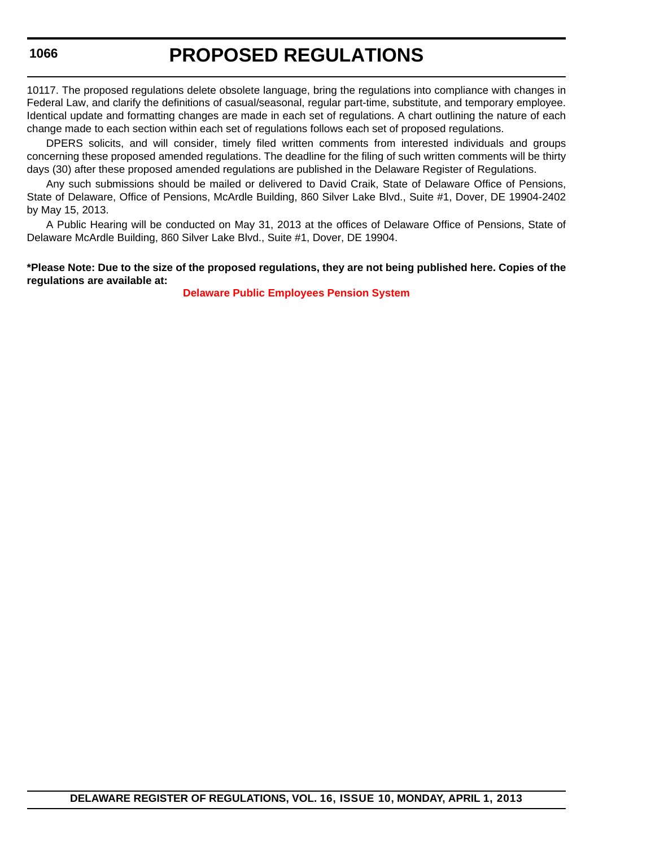10117. The proposed regulations delete obsolete language, bring the regulations into compliance with changes in Federal Law, and clarify the definitions of casual/seasonal, regular part-time, substitute, and temporary employee. Identical update and formatting changes are made in each set of regulations. A chart outlining the nature of each change made to each section within each set of regulations follows each set of proposed regulations.

DPERS solicits, and will consider, timely filed written comments from interested individuals and groups concerning these proposed amended regulations. The deadline for the filing of such written comments will be thirty days (30) after these proposed amended regulations are published in the Delaware Register of Regulations.

Any such submissions should be mailed or delivered to David Craik, State of Delaware Office of Pensions, State of Delaware, Office of Pensions, McArdle Building, 860 Silver Lake Blvd., Suite #1, Dover, DE 19904-2402 by May 15, 2013.

A Public Hearing will be conducted on May 31, 2013 at the offices of Delaware Office of Pensions, State of Delaware McArdle Building, 860 Silver Lake Blvd., Suite #1, Dover, DE 19904.

#### **\*Please Note: Due to the size of the proposed regulations, they are not being published here. Copies of the regulations are available at:**

**[Delaware Public Employees Pension System](#page-3-0)**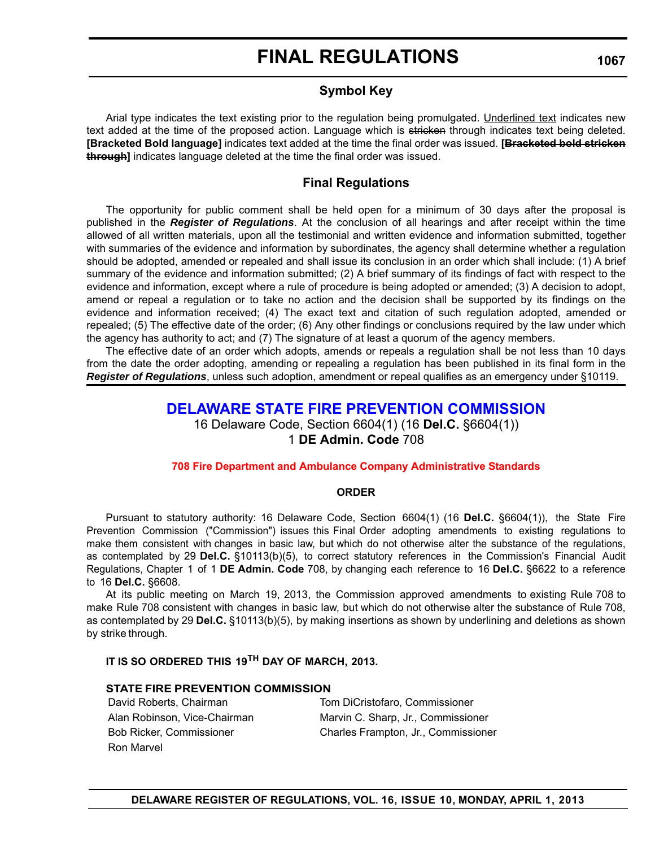# **Symbol Key**

Arial type indicates the text existing prior to the regulation being promulgated. Underlined text indicates new text added at the time of the proposed action. Language which is stricken through indicates text being deleted. **[Bracketed Bold language]** indicates text added at the time the final order was issued. **[Bracketed bold stricken through]** indicates language deleted at the time the final order was issued.

# **Final Regulations**

The opportunity for public comment shall be held open for a minimum of 30 days after the proposal is published in the *Register of Regulations*. At the conclusion of all hearings and after receipt within the time allowed of all written materials, upon all the testimonial and written evidence and information submitted, together with summaries of the evidence and information by subordinates, the agency shall determine whether a regulation should be adopted, amended or repealed and shall issue its conclusion in an order which shall include: (1) A brief summary of the evidence and information submitted; (2) A brief summary of its findings of fact with respect to the evidence and information, except where a rule of procedure is being adopted or amended; (3) A decision to adopt, amend or repeal a regulation or to take no action and the decision shall be supported by its findings on the evidence and information received; (4) The exact text and citation of such regulation adopted, amended or repealed; (5) The effective date of the order; (6) Any other findings or conclusions required by the law under which the agency has authority to act; and (7) The signature of at least a quorum of the agency members.

The effective date of an order which adopts, amends or repeals a regulation shall be not less than 10 days from the date the order adopting, amending or repealing a regulation has been published in its final form in the *Register of Regulations*, unless such adoption, amendment or repeal qualifies as an emergency under §10119.

# **[DELAWARE STATE FIRE PREVENTION COMMISSION](http://statefirecommission.delaware.gov/)**

16 Delaware Code, Section 6604(1) (16 **Del.C.** §6604(1)) 1 **DE Admin. Code** 708

#### **[708 Fire Department and Ambulance Company Administrative Standards](#page-3-0)**

#### **ORDER**

Pursuant to statutory authority: 16 Delaware Code, Section 6604(1) (16 **Del.C.** §6604(1)), the State Fire Prevention Commission ("Commission") issues this Final Order adopting amendments to existing regulations to make them consistent with changes in basic law, but which do not otherwise alter the substance of the regulations, as contemplated by 29 **Del.C.** §10113(b)(5), to correct statutory references in the Commission's Financial Audit Regulations, Chapter 1 of 1 **DE Admin. Code** 708, by changing each reference to 16 **Del.C.** §6622 to a reference to 16 **Del.C.** §6608.

At its public meeting on March 19, 2013, the Commission approved amendments to existing Rule 708 to make Rule 708 consistent with changes in basic law, but which do not otherwise alter the substance of Rule 708, as contemplated by 29 **Del.C.** §10113(b)(5), by making insertions as shown by underlining and deletions as shown by strike through.

# **IT IS SO ORDERED THIS 19TH DAY OF MARCH, 2013.**

#### **STATE FIRE PREVENTION COMMISSION**

| David Roberts, Chairman         | Tom DiCristofaro, Commissioner      |
|---------------------------------|-------------------------------------|
| Alan Robinson, Vice-Chairman    | Marvin C. Sharp, Jr., Commissioner  |
| <b>Bob Ricker, Commissioner</b> | Charles Frampton, Jr., Commissioner |
| Ron Marvel                      |                                     |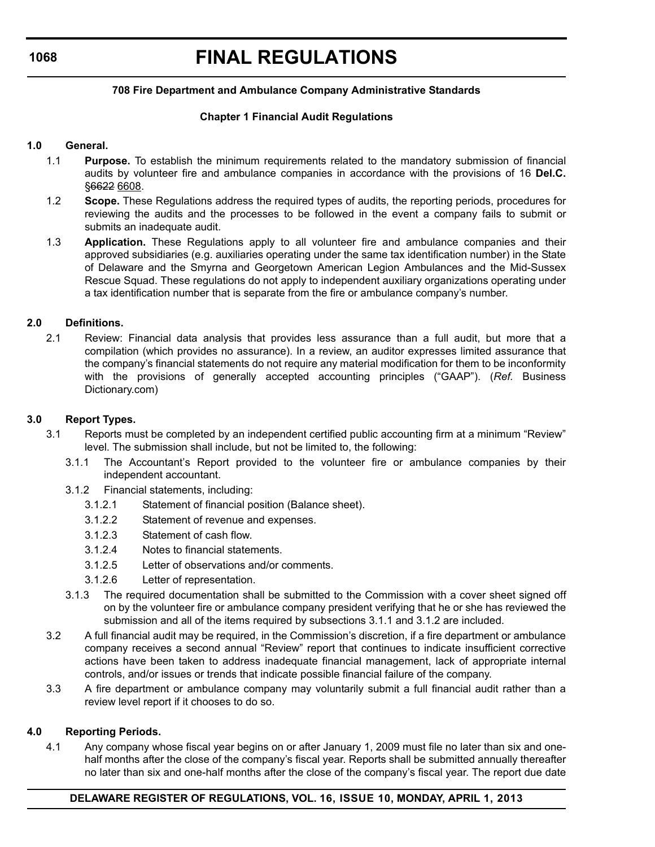# **FINAL REGULATIONS**

#### **708 Fire Department and Ambulance Company Administrative Standards**

### **Chapter 1 Financial Audit Regulations**

#### **1.0 General.**

- 1.1 **Purpose.** To establish the minimum requirements related to the mandatory submission of financial audits by volunteer fire and ambulance companies in accordance with the provisions of 16 **Del.C.** §6622 6608.
- 1.2 **Scope.** These Regulations address the required types of audits, the reporting periods, procedures for reviewing the audits and the processes to be followed in the event a company fails to submit or submits an inadequate audit.
- 1.3 **Application.** These Regulations apply to all volunteer fire and ambulance companies and their approved subsidiaries (e.g. auxiliaries operating under the same tax identification number) in the State of Delaware and the Smyrna and Georgetown American Legion Ambulances and the Mid-Sussex Rescue Squad. These regulations do not apply to independent auxiliary organizations operating under a tax identification number that is separate from the fire or ambulance company's number.

#### **2.0 Definitions.**

2.1 Review: Financial data analysis that provides less assurance than a full audit, but more that a compilation (which provides no assurance). In a review, an auditor expresses limited assurance that the company's financial statements do not require any material modification for them to be inconformity with the provisions of generally accepted accounting principles ("GAAP"). (*Ref.* Business Dictionary.com)

#### **3.0 Report Types.**

- 3.1 Reports must be completed by an independent certified public accounting firm at a minimum "Review" level. The submission shall include, but not be limited to, the following:
	- 3.1.1 The Accountant's Report provided to the volunteer fire or ambulance companies by their independent accountant.
	- 3.1.2 Financial statements, including:
		- 3.1.2.1 Statement of financial position (Balance sheet).
		- 3.1.2.2 Statement of revenue and expenses.
		- 3.1.2.3 Statement of cash flow.
		- 3.1.2.4 Notes to financial statements.
		- 3.1.2.5 Letter of observations and/or comments.
		- 3.1.2.6 Letter of representation.
	- 3.1.3 The required documentation shall be submitted to the Commission with a cover sheet signed off on by the volunteer fire or ambulance company president verifying that he or she has reviewed the submission and all of the items required by subsections 3.1.1 and 3.1.2 are included.
- 3.2 A full financial audit may be required, in the Commission's discretion, if a fire department or ambulance company receives a second annual "Review" report that continues to indicate insufficient corrective actions have been taken to address inadequate financial management, lack of appropriate internal controls, and/or issues or trends that indicate possible financial failure of the company.
- 3.3 A fire department or ambulance company may voluntarily submit a full financial audit rather than a review level report if it chooses to do so.

#### **4.0 Reporting Periods.**

4.1 Any company whose fiscal year begins on or after January 1, 2009 must file no later than six and onehalf months after the close of the company's fiscal year. Reports shall be submitted annually thereafter no later than six and one-half months after the close of the company's fiscal year. The report due date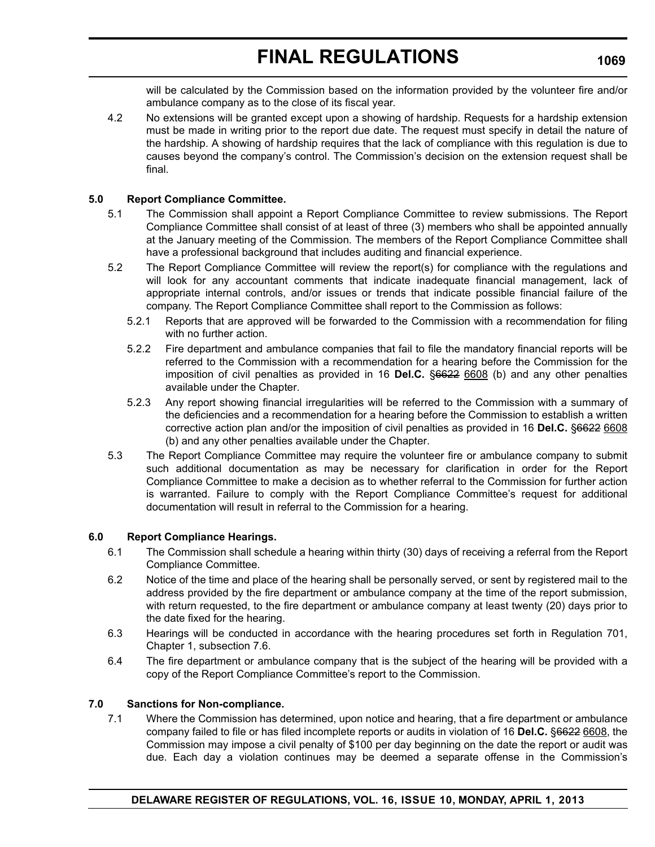will be calculated by the Commission based on the information provided by the volunteer fire and/or ambulance company as to the close of its fiscal year.

4.2 No extensions will be granted except upon a showing of hardship. Requests for a hardship extension must be made in writing prior to the report due date. The request must specify in detail the nature of the hardship. A showing of hardship requires that the lack of compliance with this regulation is due to causes beyond the company's control. The Commission's decision on the extension request shall be final.

#### **5.0 Report Compliance Committee.**

- 5.1 The Commission shall appoint a Report Compliance Committee to review submissions. The Report Compliance Committee shall consist of at least of three (3) members who shall be appointed annually at the January meeting of the Commission. The members of the Report Compliance Committee shall have a professional background that includes auditing and financial experience.
- 5.2 The Report Compliance Committee will review the report(s) for compliance with the regulations and will look for any accountant comments that indicate inadequate financial management, lack of appropriate internal controls, and/or issues or trends that indicate possible financial failure of the company. The Report Compliance Committee shall report to the Commission as follows:
	- 5.2.1 Reports that are approved will be forwarded to the Commission with a recommendation for filing with no further action.
	- 5.2.2 Fire department and ambulance companies that fail to file the mandatory financial reports will be referred to the Commission with a recommendation for a hearing before the Commission for the imposition of civil penalties as provided in 16 **Del.C.** §6622 6608 (b) and any other penalties available under the Chapter.
	- 5.2.3 Any report showing financial irregularities will be referred to the Commission with a summary of the deficiencies and a recommendation for a hearing before the Commission to establish a written corrective action plan and/or the imposition of civil penalties as provided in 16 **Del.C.** §6622 6608 (b) and any other penalties available under the Chapter.
- 5.3 The Report Compliance Committee may require the volunteer fire or ambulance company to submit such additional documentation as may be necessary for clarification in order for the Report Compliance Committee to make a decision as to whether referral to the Commission for further action is warranted. Failure to comply with the Report Compliance Committee's request for additional documentation will result in referral to the Commission for a hearing.

#### **6.0 Report Compliance Hearings.**

- 6.1 The Commission shall schedule a hearing within thirty (30) days of receiving a referral from the Report Compliance Committee.
- 6.2 Notice of the time and place of the hearing shall be personally served, or sent by registered mail to the address provided by the fire department or ambulance company at the time of the report submission, with return requested, to the fire department or ambulance company at least twenty (20) days prior to the date fixed for the hearing.
- 6.3 Hearings will be conducted in accordance with the hearing procedures set forth in Regulation 701, Chapter 1, subsection 7.6.
- 6.4 The fire department or ambulance company that is the subject of the hearing will be provided with a copy of the Report Compliance Committee's report to the Commission.

#### **7.0 Sanctions for Non-compliance.**

7.1 Where the Commission has determined, upon notice and hearing, that a fire department or ambulance company failed to file or has filed incomplete reports or audits in violation of 16 **Del.C.** §6622 6608, the Commission may impose a civil penalty of \$100 per day beginning on the date the report or audit was due. Each day a violation continues may be deemed a separate offense in the Commission's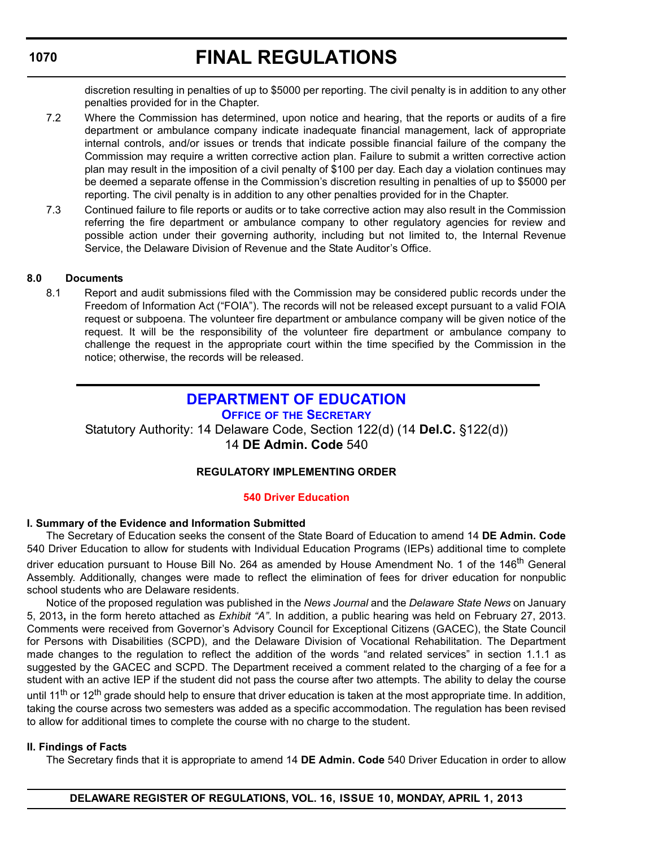# **FINAL REGULATIONS**

discretion resulting in penalties of up to \$5000 per reporting. The civil penalty is in addition to any other penalties provided for in the Chapter.

- 7.2 Where the Commission has determined, upon notice and hearing, that the reports or audits of a fire department or ambulance company indicate inadequate financial management, lack of appropriate internal controls, and/or issues or trends that indicate possible financial failure of the company the Commission may require a written corrective action plan. Failure to submit a written corrective action plan may result in the imposition of a civil penalty of \$100 per day. Each day a violation continues may be deemed a separate offense in the Commission's discretion resulting in penalties of up to \$5000 per reporting. The civil penalty is in addition to any other penalties provided for in the Chapter.
- 7.3 Continued failure to file reports or audits or to take corrective action may also result in the Commission referring the fire department or ambulance company to other regulatory agencies for review and possible action under their governing authority, including but not limited to, the Internal Revenue Service, the Delaware Division of Revenue and the State Auditor's Office.

### **8.0 Documents**

8.1 Report and audit submissions filed with the Commission may be considered public records under the Freedom of Information Act ("FOIA"). The records will not be released except pursuant to a valid FOIA request or subpoena. The volunteer fire department or ambulance company will be given notice of the request. It will be the responsibility of the volunteer fire department or ambulance company to challenge the request in the appropriate court within the time specified by the Commission in the notice; otherwise, the records will be released.

# **[DEPARTMENT OF EDUCATION](http://www.doe.k12.de.us/)**

**OFFICE OF THE SECRETARY**

Statutory Authority: 14 Delaware Code, Section 122(d) (14 **Del.C.** §122(d)) 14 **DE Admin. Code** 540

# **REGULATORY IMPLEMENTING ORDER**

#### **[540 Driver Education](#page-3-0)**

#### **I. Summary of the Evidence and Information Submitted**

The Secretary of Education seeks the consent of the State Board of Education to amend 14 **DE Admin. Code** 540 Driver Education to allow for students with Individual Education Programs (IEPs) additional time to complete driver education pursuant to House Bill No. 264 as amended by House Amendment No. 1 of the 146<sup>th</sup> General Assembly. Additionally, changes were made to reflect the elimination of fees for driver education for nonpublic school students who are Delaware residents.

Notice of the proposed regulation was published in the *News Journal* and the *Delaware State News* on January 5, 2013**,** in the form hereto attached as *Exhibit "A"*. In addition, a public hearing was held on February 27, 2013. Comments were received from Governor's Advisory Council for Exceptional Citizens (GACEC), the State Council for Persons with Disabilities (SCPD), and the Delaware Division of Vocational Rehabilitation. The Department made changes to the regulation to reflect the addition of the words "and related services" in section 1.1.1 as suggested by the GACEC and SCPD. The Department received a comment related to the charging of a fee for a student with an active IEP if the student did not pass the course after two attempts. The ability to delay the course until 11<sup>th</sup> or 12<sup>th</sup> grade should help to ensure that driver education is taken at the most appropriate time. In addition, taking the course across two semesters was added as a specific accommodation. The regulation has been revised to allow for additional times to complete the course with no charge to the student.

#### **II. Findings of Facts**

The Secretary finds that it is appropriate to amend 14 **DE Admin. Code** 540 Driver Education in order to allow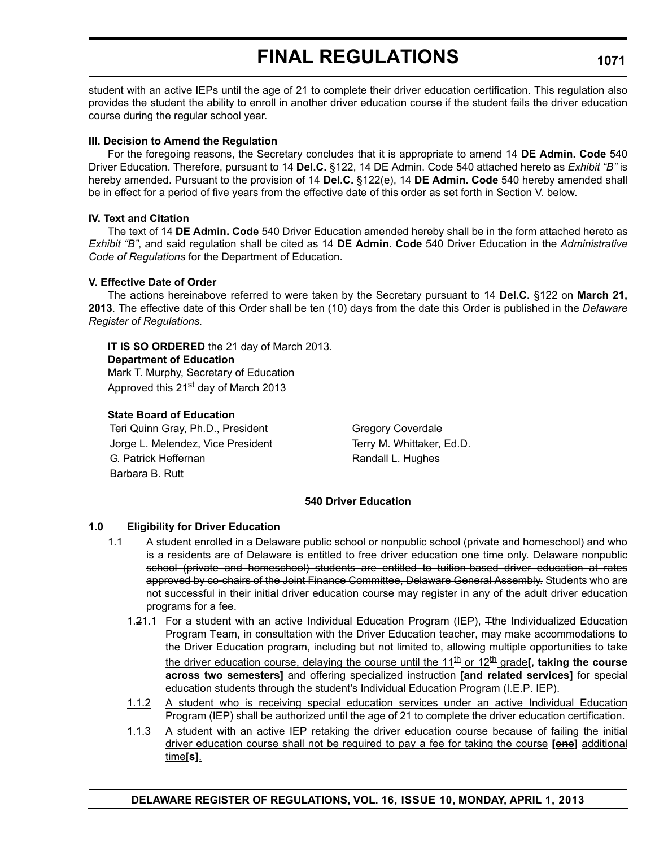student with an active IEPs until the age of 21 to complete their driver education certification. This regulation also provides the student the ability to enroll in another driver education course if the student fails the driver education course during the regular school year.

#### **III. Decision to Amend the Regulation**

For the foregoing reasons, the Secretary concludes that it is appropriate to amend 14 **DE Admin. Code** 540 Driver Education. Therefore, pursuant to 14 **Del.C.** §122, 14 DE Admin. Code 540 attached hereto as *Exhibit "B"* is hereby amended. Pursuant to the provision of 14 **Del.C.** §122(e), 14 **DE Admin. Code** 540 hereby amended shall be in effect for a period of five years from the effective date of this order as set forth in Section V. below.

#### **IV. Text and Citation**

The text of 14 **DE Admin. Code** 540 Driver Education amended hereby shall be in the form attached hereto as *Exhibit "B"*, and said regulation shall be cited as 14 **DE Admin. Code** 540 Driver Education in the *Administrative Code of Regulations* for the Department of Education.

#### **V. Effective Date of Order**

The actions hereinabove referred to were taken by the Secretary pursuant to 14 **Del.C.** §122 on **March 21, 2013**. The effective date of this Order shall be ten (10) days from the date this Order is published in the *Delaware Register of Regulations.*

**IT IS SO ORDERED** the 21 day of March 2013. **Department of Education** Mark T. Murphy, Secretary of Education Approved this 21<sup>st</sup> day of March 2013

#### **State Board of Education**

Teri Quinn Gray, Ph.D., President Gregory Coverdale Jorge L. Melendez, Vice President Terry M. Whittaker, Ed.D. G. Patrick Heffernan Randall L. Hughes Barbara B. Rutt

#### **540 Driver Education**

#### **1.0 Eligibility for Driver Education**

- 1.1 A student enrolled in a Delaware public school or nonpublic school (private and homeschool) and who is a residents are of Delaware is entitled to free driver education one time only. Delaware nonpublic school (private and homeschool) students are entitled to tuition-based driver education at rates approved by co-chairs of the Joint Finance Committee, Delaware General Assembly. Students who are not successful in their initial driver education course may register in any of the adult driver education programs for a fee.
	- 1.21.1 For a student with an active Individual Education Program (IEP), Tthe Individualized Education Program Team, in consultation with the Driver Education teacher, may make accommodations to the Driver Education program, including but not limited to, allowing multiple opportunities to take the driver education course, delaying the course until the 11<sup>th</sup> or 12<sup>th</sup> grade<sup>[</sup>, taking the course **across two semesters]** and offering specialized instruction **[and related services]** for special education students through the student's Individual Education Program (I.E.P. IEP).
	- 1.1.2 A student who is receiving special education services under an active Individual Education Program (IEP) shall be authorized until the age of 21 to complete the driver education certification.
	- 1.1.3 A student with an active IEP retaking the driver education course because of failing the initial driver education course shall not be required to pay a fee for taking the course **[one]** additional time**[s]**.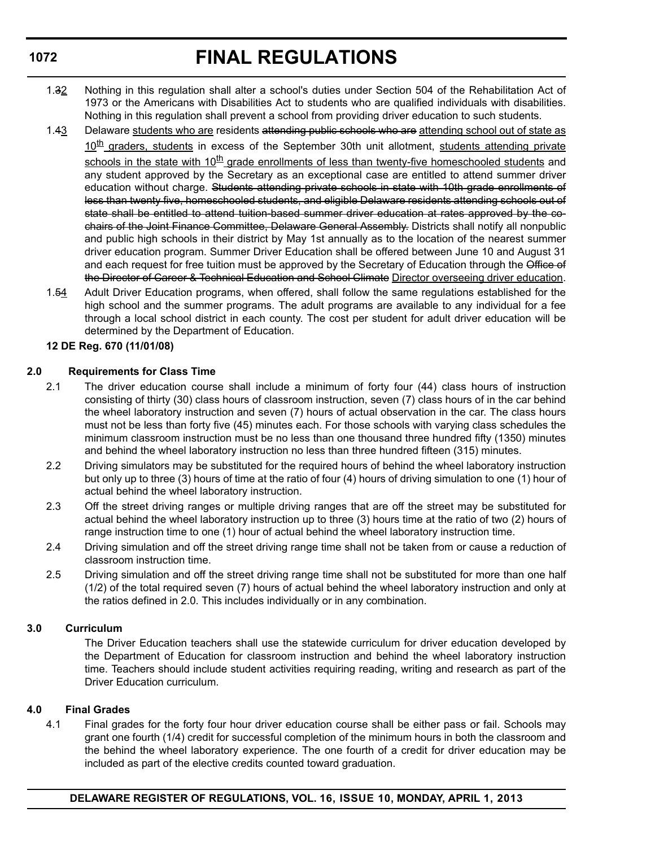- 1.32 Nothing in this regulation shall alter a school's duties under Section 504 of the Rehabilitation Act of 1973 or the Americans with Disabilities Act to students who are qualified individuals with disabilities. Nothing in this regulation shall prevent a school from providing driver education to such students.
- 1.43 Delaware students who are residents attending public schools who are attending school out of state as  $10<sup>th</sup>$  graders, students in excess of the September 30th unit allotment, students attending private schools in the state with  $10<sup>th</sup>$  grade enrollments of less than twenty-five homeschooled students and any student approved by the Secretary as an exceptional case are entitled to attend summer driver education without charge. Students attending private schools in state with 10th grade enrollments of less than twenty five, homeschooled students, and eligible Delaware residents attending schools out of state shall be entitled to attend tuition-based summer driver education at rates approved by the cochairs of the Joint Finance Committee, Delaware General Assembly. Districts shall notify all nonpublic and public high schools in their district by May 1st annually as to the location of the nearest summer driver education program. Summer Driver Education shall be offered between June 10 and August 31 and each request for free tuition must be approved by the Secretary of Education through the Office of the Director of Career & Technical Education and School Climate Director overseeing driver education.
- 1.54 Adult Driver Education programs, when offered, shall follow the same regulations established for the high school and the summer programs. The adult programs are available to any individual for a fee through a local school district in each county. The cost per student for adult driver education will be determined by the Department of Education.

### **12 DE Reg. 670 (11/01/08)**

### **2.0 Requirements for Class Time**

- 2.1 The driver education course shall include a minimum of forty four (44) class hours of instruction consisting of thirty (30) class hours of classroom instruction, seven (7) class hours of in the car behind the wheel laboratory instruction and seven (7) hours of actual observation in the car. The class hours must not be less than forty five (45) minutes each. For those schools with varying class schedules the minimum classroom instruction must be no less than one thousand three hundred fifty (1350) minutes and behind the wheel laboratory instruction no less than three hundred fifteen (315) minutes.
- 2.2 Driving simulators may be substituted for the required hours of behind the wheel laboratory instruction but only up to three (3) hours of time at the ratio of four (4) hours of driving simulation to one (1) hour of actual behind the wheel laboratory instruction.
- 2.3 Off the street driving ranges or multiple driving ranges that are off the street may be substituted for actual behind the wheel laboratory instruction up to three (3) hours time at the ratio of two (2) hours of range instruction time to one (1) hour of actual behind the wheel laboratory instruction time.
- 2.4 Driving simulation and off the street driving range time shall not be taken from or cause a reduction of classroom instruction time.
- 2.5 Driving simulation and off the street driving range time shall not be substituted for more than one half (1/2) of the total required seven (7) hours of actual behind the wheel laboratory instruction and only at the ratios defined in 2.0. This includes individually or in any combination.

#### **3.0 Curriculum**

The Driver Education teachers shall use the statewide curriculum for driver education developed by the Department of Education for classroom instruction and behind the wheel laboratory instruction time. Teachers should include student activities requiring reading, writing and research as part of the Driver Education curriculum.

#### **4.0 Final Grades**

4.1 Final grades for the forty four hour driver education course shall be either pass or fail. Schools may grant one fourth (1/4) credit for successful completion of the minimum hours in both the classroom and the behind the wheel laboratory experience. The one fourth of a credit for driver education may be included as part of the elective credits counted toward graduation.

## **1072**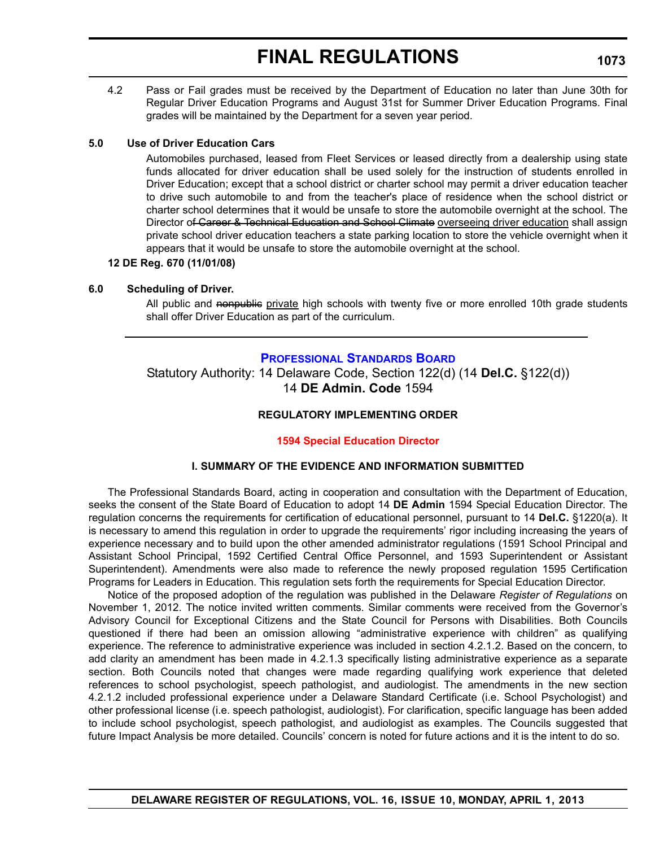4.2 Pass or Fail grades must be received by the Department of Education no later than June 30th for Regular Driver Education Programs and August 31st for Summer Driver Education Programs. Final grades will be maintained by the Department for a seven year period.

#### **5.0 Use of Driver Education Cars**

Automobiles purchased, leased from Fleet Services or leased directly from a dealership using state funds allocated for driver education shall be used solely for the instruction of students enrolled in Driver Education; except that a school district or charter school may permit a driver education teacher to drive such automobile to and from the teacher's place of residence when the school district or charter school determines that it would be unsafe to store the automobile overnight at the school. The Director of Career & Technical Education and School Climate overseeing driver education shall assign private school driver education teachers a state parking location to store the vehicle overnight when it appears that it would be unsafe to store the automobile overnight at the school.

#### **12 DE Reg. 670 (11/01/08)**

#### **6.0 Scheduling of Driver.**

All public and nonpublic private high schools with twenty five or more enrolled 10th grade students shall offer Driver Education as part of the curriculum.

#### **[PROFESSIONAL STANDARDS BOARD](http://www.doe.k12.de.us/)**

Statutory Authority: 14 Delaware Code, Section 122(d) (14 **Del.C.** §122(d)) 14 **DE Admin. Code** 1594

#### **REGULATORY IMPLEMENTING ORDER**

#### **[1594 Special Education Director](#page-4-0)**

#### **I. SUMMARY OF THE EVIDENCE AND INFORMATION SUBMITTED**

The Professional Standards Board, acting in cooperation and consultation with the Department of Education, seeks the consent of the State Board of Education to adopt 14 **DE Admin** 1594 Special Education Director. The regulation concerns the requirements for certification of educational personnel, pursuant to 14 **Del.C.** §1220(a). It is necessary to amend this regulation in order to upgrade the requirements' rigor including increasing the years of experience necessary and to build upon the other amended administrator regulations (1591 School Principal and Assistant School Principal, 1592 Certified Central Office Personnel, and 1593 Superintendent or Assistant Superintendent). Amendments were also made to reference the newly proposed regulation 1595 Certification Programs for Leaders in Education. This regulation sets forth the requirements for Special Education Director.

Notice of the proposed adoption of the regulation was published in the Delaware *Register of Regulations* on November 1, 2012. The notice invited written comments. Similar comments were received from the Governor's Advisory Council for Exceptional Citizens and the State Council for Persons with Disabilities. Both Councils questioned if there had been an omission allowing "administrative experience with children" as qualifying experience. The reference to administrative experience was included in section 4.2.1.2. Based on the concern, to add clarity an amendment has been made in 4.2.1.3 specifically listing administrative experience as a separate section. Both Councils noted that changes were made regarding qualifying work experience that deleted references to school psychologist, speech pathologist, and audiologist. The amendments in the new section 4.2.1.2 included professional experience under a Delaware Standard Certificate (i.e. School Psychologist) and other professional license (i.e. speech pathologist, audiologist). For clarification, specific language has been added to include school psychologist, speech pathologist, and audiologist as examples. The Councils suggested that future Impact Analysis be more detailed. Councils' concern is noted for future actions and it is the intent to do so.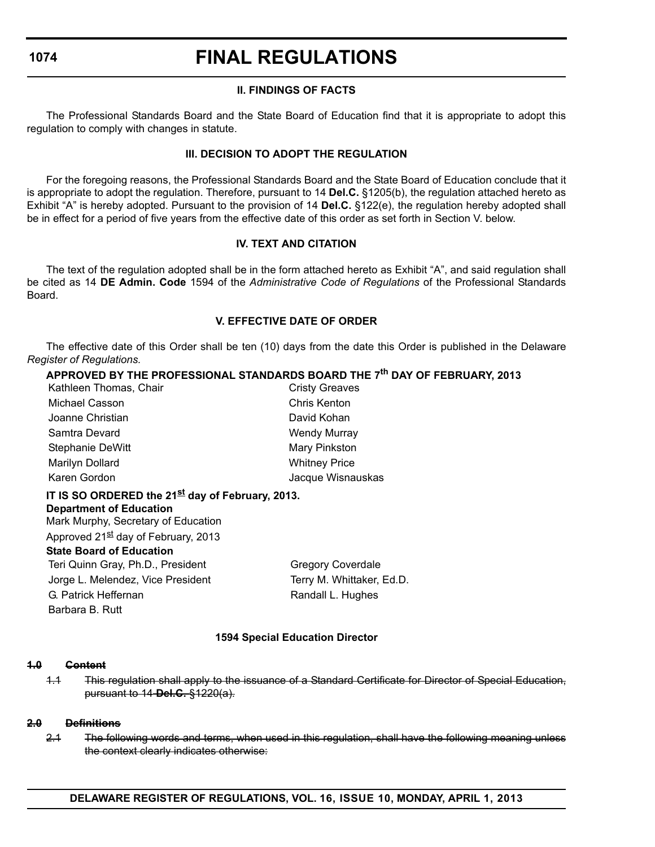# **FINAL REGULATIONS**

### **II. FINDINGS OF FACTS**

The Professional Standards Board and the State Board of Education find that it is appropriate to adopt this regulation to comply with changes in statute.

### **III. DECISION TO ADOPT THE REGULATION**

For the foregoing reasons, the Professional Standards Board and the State Board of Education conclude that it is appropriate to adopt the regulation. Therefore, pursuant to 14 **Del.C.** §1205(b), the regulation attached hereto as Exhibit "A" is hereby adopted. Pursuant to the provision of 14 **Del.C.** §122(e), the regulation hereby adopted shall be in effect for a period of five years from the effective date of this order as set forth in Section V. below.

### **IV. TEXT AND CITATION**

The text of the regulation adopted shall be in the form attached hereto as Exhibit "A", and said regulation shall be cited as 14 **DE Admin. Code** 1594 of the *Administrative Code of Regulations* of the Professional Standards Board.

### **V. EFFECTIVE DATE OF ORDER**

The effective date of this Order shall be ten (10) days from the date this Order is published in the Delaware *Register of Regulations.*

# **APPROVED BY THE PROFESSIONAL STANDARDS BOARD THE 7th DAY OF FEBRUARY, 2013**

| Kathleen Thomas, Chair                                       | <b>Cristy Greaves</b>     |  |  |  |
|--------------------------------------------------------------|---------------------------|--|--|--|
| Michael Casson                                               | Chris Kenton              |  |  |  |
| Joanne Christian                                             | David Kohan               |  |  |  |
| Samtra Devard                                                | <b>Wendy Murray</b>       |  |  |  |
| Stephanie DeWitt                                             | Mary Pinkston             |  |  |  |
| Marilyn Dollard                                              | <b>Whitney Price</b>      |  |  |  |
| Karen Gordon                                                 | Jacque Wisnauskas         |  |  |  |
| IT IS SO ORDERED the 21 <sup>st</sup> day of February, 2013. |                           |  |  |  |
| <b>Department of Education</b>                               |                           |  |  |  |
| Mark Murphy, Secretary of Education                          |                           |  |  |  |
| Approved 21 <sup>st</sup> day of February, 2013              |                           |  |  |  |
| State Board of Education                                     |                           |  |  |  |
| Teri Quinn Gray, Ph.D., President                            | <b>Gregory Coverdale</b>  |  |  |  |
| Jorge L. Melendez, Vice President                            | Terry M. Whittaker, Ed.D. |  |  |  |
| G. Patrick Heffernan                                         | Randall L. Hughes         |  |  |  |
| Barbara B. Rutt                                              |                           |  |  |  |

#### **1594 Special Education Director**

#### **1.0 Content**

1.1 This regulation shall apply to the issuance of a Standard Certificate for Director of Special Education, pursuant to 14 **Del.C.** §1220(a).

#### **2.0 Definitions**

2.1 The following words and terms, when used in this regulation, shall have the following meaning unless the context clearly indicates otherwise: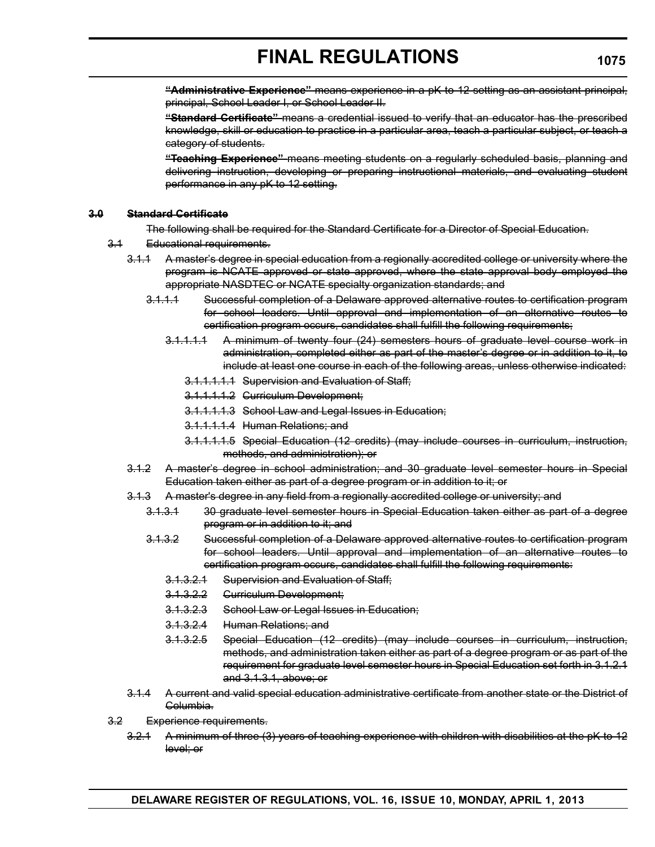**"Administrative Experience"** means experience in a pK to 12 setting as an assistant principal, principal, School Leader I, or School Leader II.

**"Standard Certificate"** means a credential issued to verify that an educator has the prescribed knowledge, skill or education to practice in a particular area, teach a particular subject, or teach a category of students.

**"Teaching Experience"** means meeting students on a regularly scheduled basis, planning and delivering instruction, developing or preparing instructional materials, and evaluating student performance in any pK to 12 setting.

#### **3.0 Standard Certificate**

The following shall be required for the Standard Certificate for a Director of Special Education.

- 3.1 Educational requirements.
	- 3.1.1 A master's degree in special education from a regionally accredited college or university where the program is NCATE approved or state approved, where the state approval body employed the appropriate NASDTEC or NCATE specialty organization standards; and
		- 3.1.1.1 Successful completion of a Delaware approved alternative routes to certification program for school leaders. Until approval and implementation of an alternative routes to certification program occurs, candidates shall fulfill the following requirements;
			- 3.1.1.1.1 A minimum of twenty four (24) semesters hours of graduate level course work in administration, completed either as part of the master's degree or in addition to it, to include at least one course in each of the following areas, unless otherwise indicated:
				- 3.1.1.1.1.1 Supervision and Evaluation of Staff;
				- 3.1.1.1.1.2 Curriculum Development;
				- 3.1.1.1.1.3 School Law and Legal Issues in Education;
				- 3.1.1.1.1.4 Human Relations; and
				- 3.1.1.1.1.5 Special Education (12 credits) (may include courses in curriculum, instruction, methods, and administration); or
		- 3.1.2 A master's degree in school administration; and 30 graduate level semester hours in Special Education taken either as part of a degree program or in addition to it; or
		- 3.1.3 A master's degree in any field from a regionally accredited college or university; and
			- 3.1.3.1 30 graduate level semester hours in Special Education taken either as part of a degree program or in addition to it; and
			- 3.1.3.2 Successful completion of a Delaware approved alternative routes to certification program for school leaders. Until approval and implementation of an alternative routes to certification program occurs, candidates shall fulfill the following requirements:
				- 3.1.3.2.1 Supervision and Evaluation of Staff;
				- 3.1.3.2.2 Curriculum Development;
				- 3.1.3.2.3 School Law or Legal Issues in Education;
				- 3.1.3.2.4 Human Relations; and
				- 3.1.3.2.5 Special Education (12 credits) (may include courses in curriculum, instruction, methods, and administration taken either as part of a degree program or as part of the requirement for graduate level semester hours in Special Education set forth in 3.1.2.1 and 3.1.3.1, above; or
		- 3.1.4 A current and valid special education administrative certificate from another state or the District of Columbia.
- 3.2 Experience requirements.
	- 3.2.1 A minimum of three (3) years of teaching experience with children with disabilities at the pK to 12 level; or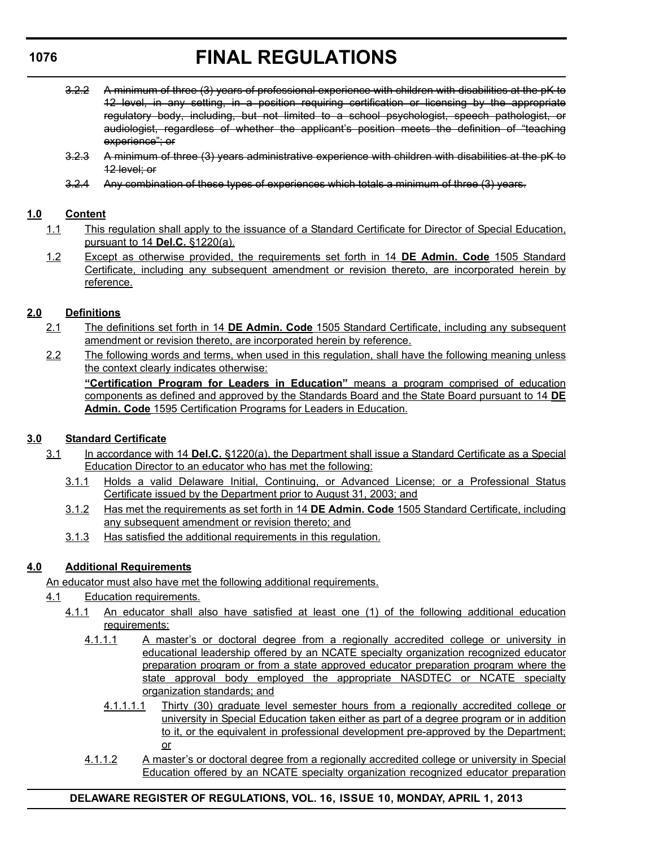- 3.2.2 A minimum of three (3) years of professional experience with children with disabilities at the pK to 12 level, in any setting, in a position requiring certification or licensing by the appropriate regulatory body, including, but not limited to a school psychologist, speech pathologist, or audiologist, regardless of whether the applicant's position meets the definition of "teaching experience"; or
- 3.2.3 A minimum of three (3) years administrative experience with children with disabilities at the pK to 12 level; or
- 3.2.4 Any combination of these types of experiences which totals a minimum of three (3) years.

# **1.0 Content**

- 1.1 This regulation shall apply to the issuance of a Standard Certificate for Director of Special Education, pursuant to 14 **Del.C.** §1220(a).
- 1.2 Except as otherwise provided, the requirements set forth in 14 **DE Admin. Code** 1505 Standard Certificate, including any subsequent amendment or revision thereto, are incorporated herein by reference.

# **2.0 Definitions**

- 2.1 The definitions set forth in 14 **DE Admin. Code** 1505 Standard Certificate, including any subsequent amendment or revision thereto, are incorporated herein by reference.
- 2.2 The following words and terms, when used in this regulation, shall have the following meaning unless the context clearly indicates otherwise:

**"Certification Program for Leaders in Education"** means a program comprised of education components as defined and approved by the Standards Board and the State Board pursuant to 14 **DE Admin. Code** 1595 Certification Programs for Leaders in Education.

# **3.0 Standard Certificate**

- 3.1 In accordance with 14 **Del.C.** §1220(a), the Department shall issue a Standard Certificate as a Special Education Director to an educator who has met the following:
	- 3.1.1 Holds a valid Delaware Initial, Continuing, or Advanced License; or a Professional Status Certificate issued by the Department prior to August 31, 2003; and
	- 3.1.2 Has met the requirements as set forth in 14 **DE Admin. Code** 1505 Standard Certificate, including any subsequent amendment or revision thereto; and
	- 3.1.3 Has satisfied the additional requirements in this regulation.

# **4.0 Additional Requirements**

An educator must also have met the following additional requirements.

- 4.1 Education requirements.
	- 4.1.1 An educator shall also have satisfied at least one (1) of the following additional education requirements:
		- 4.1.1.1 A master's or doctoral degree from a regionally accredited college or university in educational leadership offered by an NCATE specialty organization recognized educator preparation program or from a state approved educator preparation program where the state approval body employed the appropriate NASDTEC or NCATE specialty organization standards; and
			- 4.1.1.1.1 Thirty (30) graduate level semester hours from a regionally accredited college or university in Special Education taken either as part of a degree program or in addition to it, or the equivalent in professional development pre-approved by the Department; or
		- 4.1.1.2 A master's or doctoral degree from a regionally accredited college or university in Special Education offered by an NCATE specialty organization recognized educator preparation

# **DELAWARE REGISTER OF REGULATIONS, VOL. 16, ISSUE 10, MONDAY, APRIL 1, 2013**

### **1076**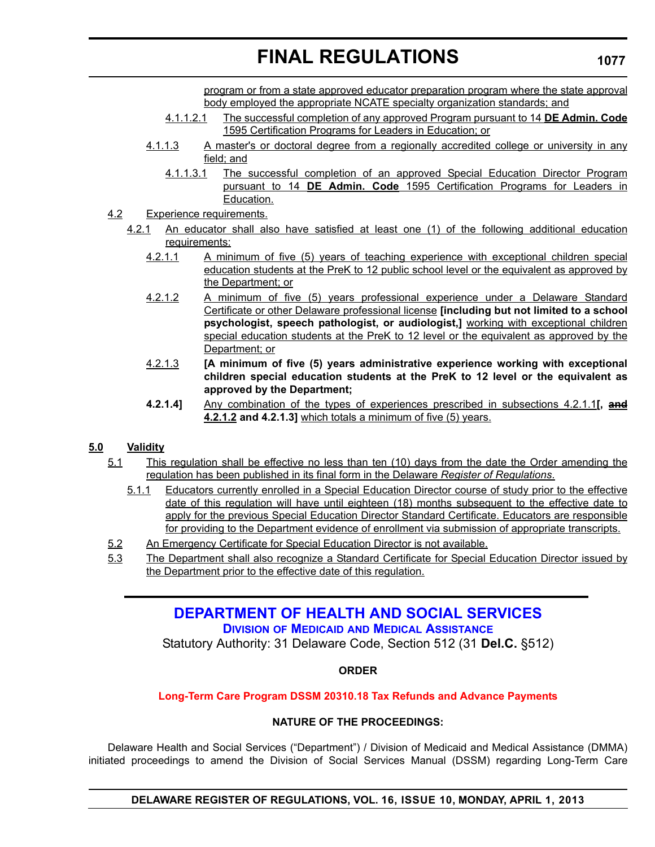program or from a state approved educator preparation program where the state approval body employed the appropriate NCATE specialty organization standards; and

- 4.1.1.2.1 The successful completion of any approved Program pursuant to 14 **DE Admin. Code** 1595 Certification Programs for Leaders in Education; or
- 4.1.1.3 A master's or doctoral degree from a regionally accredited college or university in any field; and
	- 4.1.1.3.1 The successful completion of an approved Special Education Director Program pursuant to 14 **DE Admin. Code** 1595 Certification Programs for Leaders in Education.
- 4.2 Experience requirements.
	- 4.2.1 An educator shall also have satisfied at least one (1) of the following additional education requirements:
		- 4.2.1.1 A minimum of five (5) years of teaching experience with exceptional children special education students at the PreK to 12 public school level or the equivalent as approved by the Department; or
		- 4.2.1.2 A minimum of five (5) years professional experience under a Delaware Standard Certificate or other Delaware professional license **[including but not limited to a school psychologist, speech pathologist, or audiologist,]** working with exceptional children special education students at the PreK to 12 level or the equivalent as approved by the Department; or
		- 4.2.1.3 **[A minimum of five (5) years administrative experience working with exceptional children special education students at the PreK to 12 level or the equivalent as approved by the Department;**
		- **4.2.1.4]** Any combination of the types of experiences prescribed in subsections 4.2.1.1**[, and 4.2.1.2 and 4.2.1.3]** which totals a minimum of five (5) years.

# **5.0 Validity**

- 5.1 This regulation shall be effective no less than ten (10) days from the date the Order amending the regulation has been published in its final form in the Delaware *Register of Regulations*.
	- 5.1.1 Educators currently enrolled in a Special Education Director course of study prior to the effective date of this regulation will have until eighteen (18) months subsequent to the effective date to apply for the previous Special Education Director Standard Certificate. Educators are responsible for providing to the Department evidence of enrollment via submission of appropriate transcripts.
- 5.2 An Emergency Certificate for Special Education Director is not available.
- 5.3 The Department shall also recognize a Standard Certificate for Special Education Director issued by the Department prior to the effective date of this regulation.

# **[DEPARTMENT OF HEALTH AND SOCIAL SERVICES](http://www.dhss.delaware.gov/dhss/dmma/) DIVISION OF MEDICAID AND MEDICAL ASSISTANCE**

Statutory Authority: 31 Delaware Code, Section 512 (31 **Del.C.** §512)

# **ORDER**

#### **[Long-Term Care Program DSSM 20310.18 Tax Refunds and Advance Payments](#page-4-0)**

#### **NATURE OF THE PROCEEDINGS:**

Delaware Health and Social Services ("Department") / Division of Medicaid and Medical Assistance (DMMA) initiated proceedings to amend the Division of Social Services Manual (DSSM) regarding Long-Term Care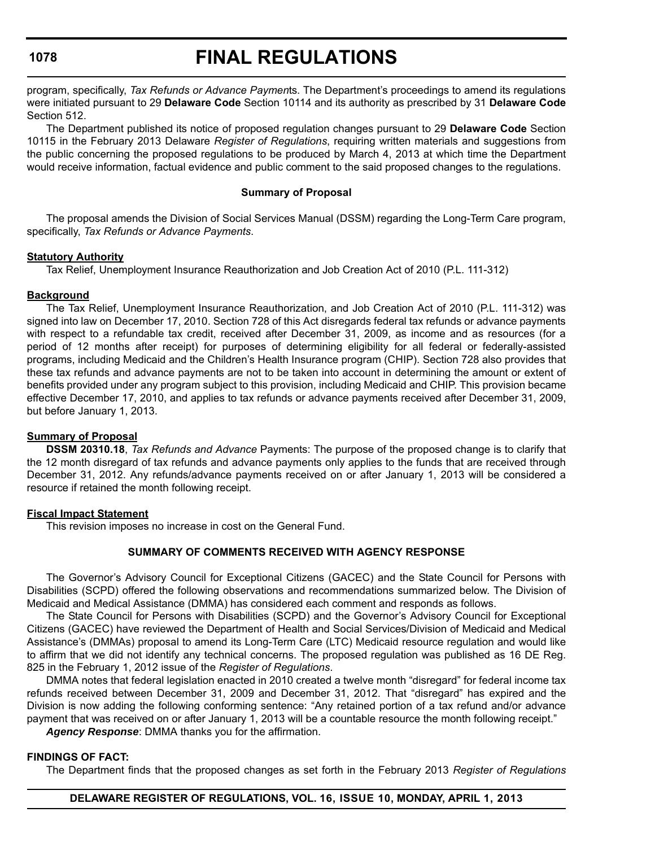# **FINAL REGULATIONS**

program, specifically, *Tax Refunds or Advance Paymen*ts. The Department's proceedings to amend its regulations were initiated pursuant to 29 **Delaware Code** Section 10114 and its authority as prescribed by 31 **Delaware Code** Section 512.

The Department published its notice of proposed regulation changes pursuant to 29 **Delaware Code** Section 10115 in the February 2013 Delaware *Register of Regulations*, requiring written materials and suggestions from the public concerning the proposed regulations to be produced by March 4, 2013 at which time the Department would receive information, factual evidence and public comment to the said proposed changes to the regulations.

#### **Summary of Proposal**

The proposal amends the Division of Social Services Manual (DSSM) regarding the Long-Term Care program, specifically, *Tax Refunds or Advance Payments*.

#### **Statutory Authority**

Tax Relief, Unemployment Insurance Reauthorization and Job Creation Act of 2010 (P.L. 111-312)

#### **Background**

The Tax Relief, Unemployment Insurance Reauthorization, and Job Creation Act of 2010 (P.L. 111-312) was signed into law on December 17, 2010. Section 728 of this Act disregards federal tax refunds or advance payments with respect to a refundable tax credit, received after December 31, 2009, as income and as resources (for a period of 12 months after receipt) for purposes of determining eligibility for all federal or federally-assisted programs, including Medicaid and the Children's Health Insurance program (CHIP). Section 728 also provides that these tax refunds and advance payments are not to be taken into account in determining the amount or extent of benefits provided under any program subject to this provision, including Medicaid and CHIP. This provision became effective December 17, 2010, and applies to tax refunds or advance payments received after December 31, 2009, but before January 1, 2013.

#### **Summary of Proposal**

**DSSM 20310.18**, *Tax Refunds and Advance* Payments: The purpose of the proposed change is to clarify that the 12 month disregard of tax refunds and advance payments only applies to the funds that are received through December 31, 2012. Any refunds/advance payments received on or after January 1, 2013 will be considered a resource if retained the month following receipt.

#### **Fiscal Impact Statement**

This revision imposes no increase in cost on the General Fund.

#### **SUMMARY OF COMMENTS RECEIVED WITH AGENCY RESPONSE**

The Governor's Advisory Council for Exceptional Citizens (GACEC) and the State Council for Persons with Disabilities (SCPD) offered the following observations and recommendations summarized below. The Division of Medicaid and Medical Assistance (DMMA) has considered each comment and responds as follows.

The State Council for Persons with Disabilities (SCPD) and the Governor's Advisory Council for Exceptional Citizens (GACEC) have reviewed the Department of Health and Social Services/Division of Medicaid and Medical Assistance's (DMMAs) proposal to amend its Long-Term Care (LTC) Medicaid resource regulation and would like to affirm that we did not identify any technical concerns. The proposed regulation was published as 16 DE Reg. 825 in the February 1, 2012 issue of the *Register of Regulations*.

DMMA notes that federal legislation enacted in 2010 created a twelve month "disregard" for federal income tax refunds received between December 31, 2009 and December 31, 2012. That "disregard" has expired and the Division is now adding the following conforming sentence: "Any retained portion of a tax refund and/or advance payment that was received on or after January 1, 2013 will be a countable resource the month following receipt."

*Agency Response*: DMMA thanks you for the affirmation.

#### **FINDINGS OF FACT:**

The Department finds that the proposed changes as set forth in the February 2013 *Register of Regulations*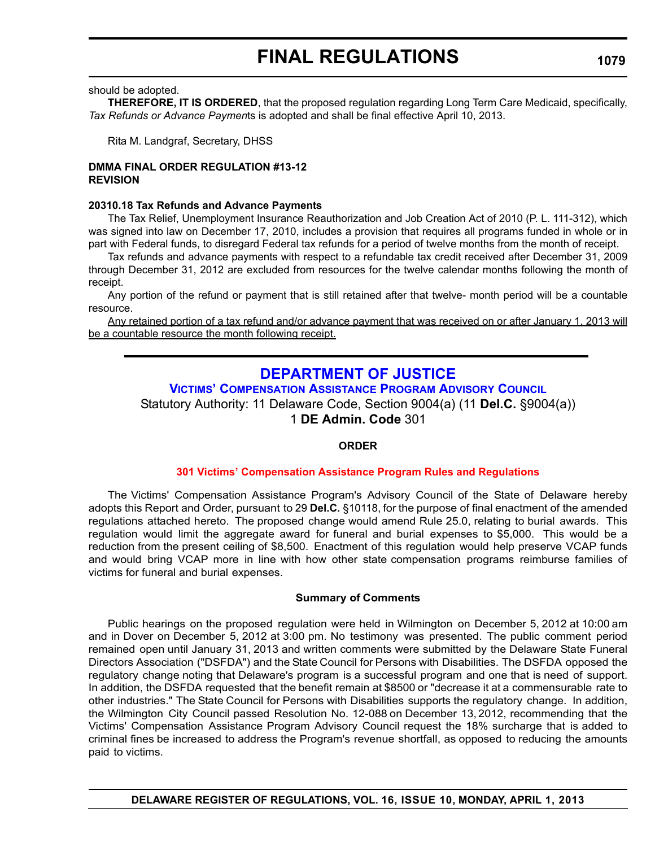should be adopted.

**THEREFORE, IT IS ORDERED**, that the proposed regulation regarding Long Term Care Medicaid, specifically, *Tax Refunds or Advance Paymen*ts is adopted and shall be final effective April 10, 2013.

Rita M. Landgraf, Secretary, DHSS

#### **DMMA FINAL ORDER REGULATION #13-12 REVISION**

#### **20310.18 Tax Refunds and Advance Payments**

The Tax Relief, Unemployment Insurance Reauthorization and Job Creation Act of 2010 (P. L. 111-312), which was signed into law on December 17, 2010, includes a provision that requires all programs funded in whole or in part with Federal funds, to disregard Federal tax refunds for a period of twelve months from the month of receipt.

Tax refunds and advance payments with respect to a refundable tax credit received after December 31, 2009 through December 31, 2012 are excluded from resources for the twelve calendar months following the month of receipt.

Any portion of the refund or payment that is still retained after that twelve- month period will be a countable resource.

Any retained portion of a tax refund and/or advance payment that was received on or after January 1, 2013 will be a countable resource the month following receipt.

# **DEPARTMENT OF JUSTICE**

**[VICTIMS' COMPENSATION ASSISTANCE PROGRAM ADVISORY COUNCIL](http://attorneygeneral.delaware.gov/VCAP/)** Statutory Authority: 11 Delaware Code, Section 9004(a) (11 **Del.C.** §9004(a))

1 **DE Admin. Code** 301

# **ORDER**

#### **[301 Victims' Compensation Assistance Program Rules and Regulations](#page-4-0)**

The Victims' Compensation Assistance Program's Advisory Council of the State of Delaware hereby adopts this Report and Order, pursuant to 29 **Del.C.** §10118, for the purpose of final enactment of the amended regulations attached hereto. The proposed change would amend Rule 25.0, relating to burial awards. This regulation would limit the aggregate award for funeral and burial expenses to \$5,000. This would be a reduction from the present ceiling of \$8,500. Enactment of this regulation would help preserve VCAP funds and would bring VCAP more in line with how other state compensation programs reimburse families of victims for funeral and burial expenses.

#### **Summary of Comments**

Public hearings on the proposed regulation were held in Wilmington on December 5, 2012 at 10:00 am and in Dover on December 5, 2012 at 3:00 pm. No testimony was presented. The public comment period remained open until January 31, 2013 and written comments were submitted by the Delaware State Funeral Directors Association ("DSFDA") and the State Council for Persons with Disabilities. The DSFDA opposed the regulatory change noting that Delaware's program is a successful program and one that is need of support. In addition, the DSFDA requested that the benefit remain at \$8500 or "decrease it at a commensurable rate to other industries." The State Council for Persons with Disabilities supports the regulatory change. In addition, the Wilmington City Council passed Resolution No. 12-088 on December 13, 2012, recommending that the Victims' Compensation Assistance Program Advisory Council request the 18% surcharge that is added to criminal fines be increased to address the Program's revenue shortfall, as opposed to reducing the amounts paid to victims.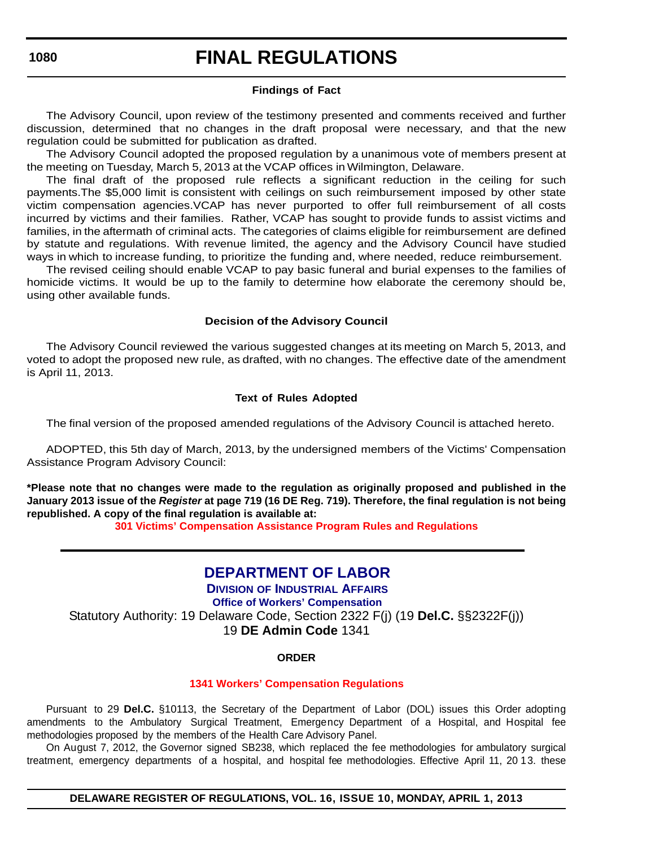# **FINAL REGULATIONS**

#### **Findings of Fact**

The Advisory Council, upon review of the testimony presented and comments received and further discussion, determined that no changes in the draft proposal were necessary, and that the new regulation could be submitted for publication as drafted.

The Advisory Council adopted the proposed regulation by a unanimous vote of members present at the meeting on Tuesday, March 5, 2013 at the VCAP offices in Wilmington, Delaware.

The final draft of the proposed rule reflects a significant reduction in the ceiling for such payments.The \$5,000 limit is consistent with ceilings on such reimbursement imposed by other state victim compensation agencies.VCAP has never purported to offer full reimbursement of all costs incurred by victims and their families. Rather, VCAP has sought to provide funds to assist victims and families, in the aftermath of criminal acts. The categories of claims eligible for reimbursement are defined by statute and regulations. With revenue limited, the agency and the Advisory Council have studied ways in which to increase funding, to prioritize the funding and, where needed, reduce reimbursement.

The revised ceiling should enable VCAP to pay basic funeral and burial expenses to the families of homicide victims. It would be up to the family to determine how elaborate the ceremony should be, using other available funds.

#### **Decision of the Advisory Council**

The Advisory Council reviewed the various suggested changes at its meeting on March 5, 2013, and voted to adopt the proposed new rule, as drafted, with no changes. The effective date of the amendment is April 11, 2013.

#### **Text of Rules Adopted**

The final version of the proposed amended regulations of the Advisory Council is attached hereto.

ADOPTED, this 5th day of March, 2013, by the undersigned members of the Victims' Compensation Assistance Program Advisory Council:

**\*Please note that no changes were made to the regulation as originally proposed and published in the January 2013 issue of the** *Register* **at page 719 (16 DE Reg. 719). Therefore, the final regulation is not being republished. A copy of the final regulation is available at:**

**[301 Victims' Compensation Assistance Program Rules and Regulations](http://regulations.delaware.gov/register/april2013/final/16 DE Reg 1079 04-01-12.htm)**

# **[DEPARTMENT OF LABOR](http://dia.delawareworks.com/)**

**DIVISION OF INDUSTRIAL AFFAIRS Office of Workers' Compensation** Statutory Authority: 19 Delaware Code, Section 2322 F(j) (19 **Del.C.** §§2322F(j)) 19 **DE Admin Code** 1341

#### **ORDER**

#### **[1341 Workers' Compensation Regulations](#page-4-0)**

Pursuant to 29 **Del.C.** §10113, the Secretary of the Department of Labor (DOL) issues this Order adopting amendments to the Ambulatory Surgical Treatment, Emergency Department of a Hospital, and Hospital fee methodologies proposed by the members of the Health Care Advisory Panel.

On August 7, 2012, the Governor signed SB238, which replaced the fee methodologies for ambulatory surgical treatment, emergency departments of a hospital, and hospital fee methodologies. Effective April 11, 20 13. these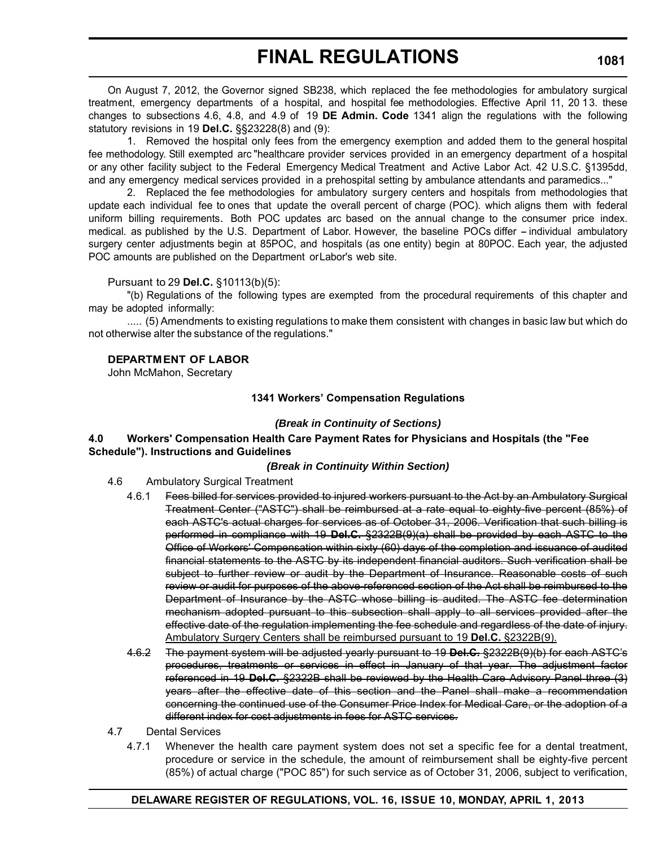On August 7, 2012, the Governor signed SB238, which replaced the fee methodologies for ambulatory surgical treatment, emergency departments of a hospital, and hospital fee methodologies. Effective April 11, 20 13. these changes to subsections 4.6, 4.8, and 4.9 of 19 **DE Admin. Code** 1341 align the regulations with the following statutory revisions in 19 **Del.C.** §§23228(8) and (9):

1. Removed the hospital only fees from the emergency exemption and added them to the general hospital fee methodology. Still exempted arc "healthcare provider services provided in an emergency department of a hospital or any other facility subject to the Federal Emergency Medical Treatment and Active Labor Act. 42 U.S.C. §1395dd, and any emergency medical services provided in a prehospital setting by ambulance attendants and paramedics..."

2. Replaced the fee methodologies for ambulatory surgery centers and hospitals from methodologies that update each individual fee to ones that update the overall percent of charge (POC). which aligns them with federal uniform billing requirements. Both POC updates arc based on the annual change to the consumer price index. medical. as published by the U.S. Department of Labor. However, the baseline POCs differ – individual ambulatory surgery center adjustments begin at 85POC, and hospitals (as one entity) begin at 80POC. Each year, the adjusted POC amounts are published on the Department or Labor's web site.

#### Pursuant to 29 **Del.C.** §10113(b)(5):

"(b) Regulations of the following types are exempted from the procedural requirements of this chapter and may be adopted informally:

..... (5) Amendments to existing regulations to make them consistent with changes in basic law but which do not otherwise alter the substance of the regulations."

# **DEPARTM ENT OF LABOR**

John McMahon, Secretary

#### **1341 Workers' Compensation Regulations**

#### *(Break in Continuity of Sections)*

#### **4.0 Workers' Compensation Health Care Payment Rates for Physicians and Hospitals (the "Fee Schedule"). Instructions and Guidelines**

#### *(Break in Continuity Within Section)*

- 4.6 Ambulatory Surgical Treatment
	- 4.6.1 Fees billed for services provided to injured workers pursuant to the Act by an Ambulatory Surgical Treatment Center ("ASTC") shall be reimbursed at a rate equal to eighty-five percent (85%) of each ASTC's actual charges for services as of October 31, 2006. Verification that such billing is performed in compliance with 19 **Del.C.** §2322B(9)(a) shall be provided by each ASTC to the Office of Workers' Compensation within sixty (60) days of the completion and issuance of audited financial statements to the ASTC by its independent financial auditors. Such verification shall be subject to further review or audit by the Department of Insurance. Reasonable costs of such review or audit for purposes of the above-referenced section of the Act shall be reimbursed to the Department of Insurance by the ASTC whose billing is audited. The ASTC fee determination mechanism adopted pursuant to this subsection shall apply to all services provided after the effective date of the regulation implementing the fee schedule and regardless of the date of injury. Ambulatory Surgery Centers shall be reimbursed pursuant to 19 **Del.C.** §2322B(9).
	- 4.6.2 The payment system will be adjusted yearly pursuant to 19 **Del.C.** §2322B(9)(b) for each ASTC's procedures, treatments or services in effect in January of that year. The adjustment factor referenced in 19 **Del.C.** §2322B shall be reviewed by the Health Care Advisory Panel three (3) years after the effective date of this section and the Panel shall make a recommendation concerning the continued use of the Consumer Price Index for Medical Care, or the adoption of a different index for cost adjustments in fees for ASTC services.
- 4.7 Dental Services
	- 4.7.1 Whenever the health care payment system does not set a specific fee for a dental treatment, procedure or service in the schedule, the amount of reimbursement shall be eighty-five percent (85%) of actual charge ("POC 85") for such service as of October 31, 2006, subject to verification,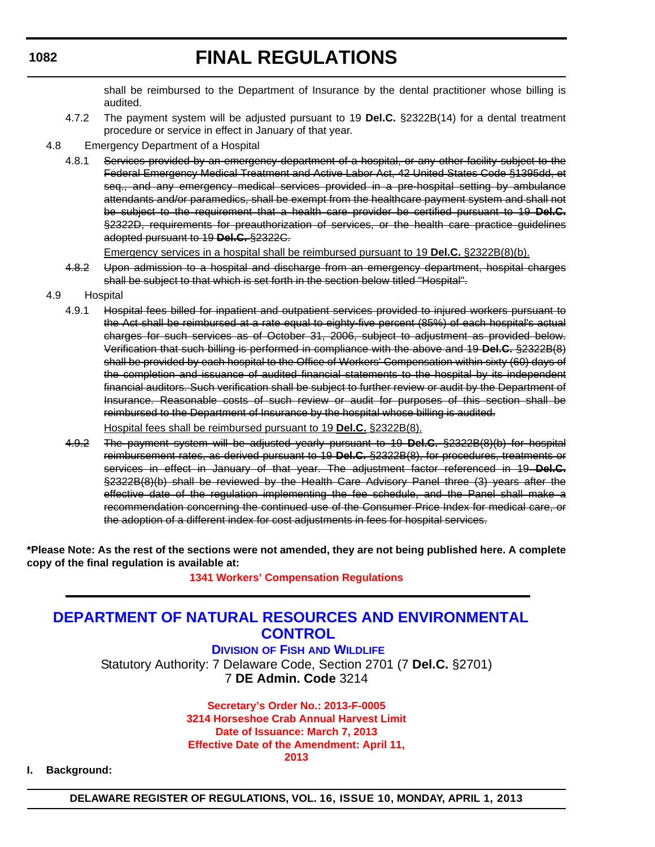shall be reimbursed to the Department of Insurance by the dental practitioner whose billing is audited.

- 4.7.2 The payment system will be adjusted pursuant to 19 **Del.C.** §2322B(14) for a dental treatment procedure or service in effect in January of that year.
- 4.8 Emergency Department of a Hospital
	- 4.8.1 Services provided by an emergency department of a hospital, or any other facility subject to the Federal Emergency Medical Treatment and Active Labor Act, 42 United States Code §1395dd, et seq., and any emergency medical services provided in a pre-hospital setting by ambulance attendants and/or paramedics, shall be exempt from the healthcare payment system and shall not be subject to the requirement that a health care provider be certified pursuant to 19 **Del.C.**  §2322D, requirements for preauthorization of services, or the health care practice guidelines adopted pursuant to 19 **Del.C.** §2322C.

Emergency services in a hospital shall be reimbursed pursuant to 19 **Del.C.** §2322B(8)(b).

- 4.8.2 Upon admission to a hospital and discharge from an emergency department, hospital charges shall be subject to that which is set forth in the section below titled "Hospital".
- 4.9 Hospital
	- 4.9.1 Hospital fees billed for inpatient and outpatient services provided to injured workers pursuant to the Act shall be reimbursed at a rate equal to eighty-five percent (85%) of each hospital's actual charges for such services as of October 31, 2006, subject to adjustment as provided below. Verification that such billing is performed in compliance with the above and 19 **Del.C.** §2322B(8) shall be provided by each hospital to the Office of Workers' Compensation within sixty (60) days of the completion and issuance of audited financial statements to the hospital by its independent financial auditors. Such verification shall be subject to further review or audit by the Department of Insurance. Reasonable costs of such review or audit for purposes of this section shall be reimbursed to the Department of Insurance by the hospital whose billing is audited. Hospital fees shall be reimbursed pursuant to 19 **Del.C.** §2322B(8).
	- 4.9.2 The payment system will be adjusted yearly pursuant to 19 **Del.C.** §2322B(8)(b) for hospital reimbursement rates, as derived pursuant to 19 **Del.C.** §2322B(8), for procedures, treatments or services in effect in January of that year. The adjustment factor referenced in 19 **Del.C.**  §2322B(8)(b) shall be reviewed by the Health Care Advisory Panel three (3) years after the effective date of the regulation implementing the fee schedule, and the Panel shall make a recommendation concerning the continued use of the Consumer Price Index for medical care, or the adoption of a different index for cost adjustments in fees for hospital services.

**\*Please Note: As the rest of the sections were not amended, they are not being published here. A complete copy of the final regulation is available at:**

**[1341 Workers' Compensation Regulations](http://regulations.delaware.gov/register/april2013/final/16 DE Reg 1080 04-01-13.htm)**

## **[DEPARTMENT OF NATURAL RESOURCES AND ENVIRONMENTAL](http://www.dnrec.delaware.gov/fw/Pages/FWPortal.aspx)  CONTROL**

**DIVISION OF FISH AND WILDLIFE** Statutory Authority: 7 Delaware Code, Section 2701 (7 **Del.C.** §2701) 7 **DE Admin. Code** 3214

> **Secretary's Order No.: 2013-F-0005 [3214 Horseshoe Crab Annual Harvest Limit](#page-4-0) Date of Issuance: March 7, 2013 Effective Date of the Amendment: April 11, 2013**

**I. Background:**

**DELAWARE REGISTER OF REGULATIONS, VOL. 16, ISSUE 10, MONDAY, APRIL 1, 2013**

## **1082**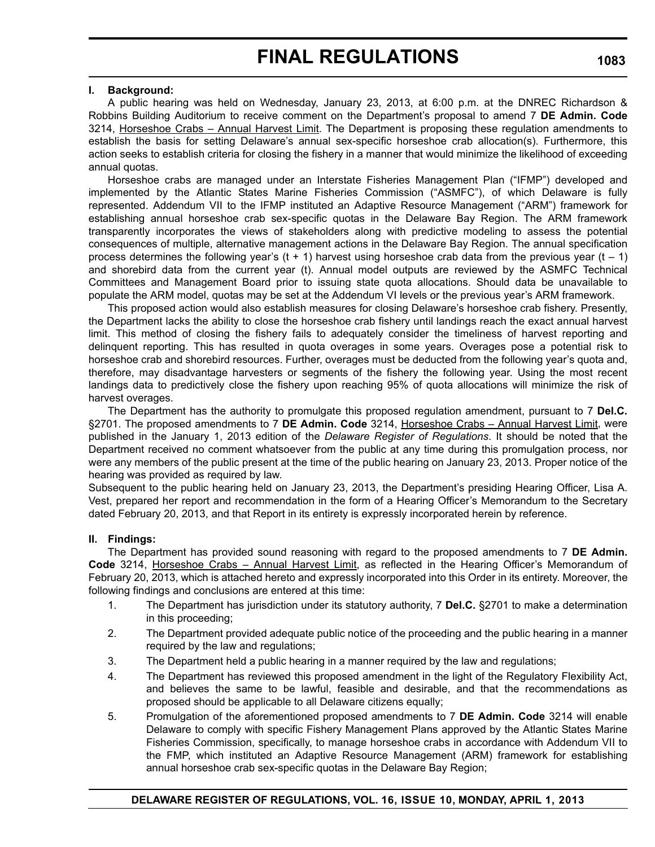#### **I. Background:**

A public hearing was held on Wednesday, January 23, 2013, at 6:00 p.m. at the DNREC Richardson & Robbins Building Auditorium to receive comment on the Department's proposal to amend 7 **DE Admin. Code** 3214, Horseshoe Crabs - Annual Harvest Limit. The Department is proposing these regulation amendments to establish the basis for setting Delaware's annual sex-specific horseshoe crab allocation(s). Furthermore, this action seeks to establish criteria for closing the fishery in a manner that would minimize the likelihood of exceeding annual quotas.

Horseshoe crabs are managed under an Interstate Fisheries Management Plan ("IFMP") developed and implemented by the Atlantic States Marine Fisheries Commission ("ASMFC"), of which Delaware is fully represented. Addendum VII to the IFMP instituted an Adaptive Resource Management ("ARM") framework for establishing annual horseshoe crab sex-specific quotas in the Delaware Bay Region. The ARM framework transparently incorporates the views of stakeholders along with predictive modeling to assess the potential consequences of multiple, alternative management actions in the Delaware Bay Region. The annual specification process determines the following year's (t + 1) harvest using horseshoe crab data from the previous year (t  $-$  1) and shorebird data from the current year (t). Annual model outputs are reviewed by the ASMFC Technical Committees and Management Board prior to issuing state quota allocations. Should data be unavailable to populate the ARM model, quotas may be set at the Addendum VI levels or the previous year's ARM framework.

This proposed action would also establish measures for closing Delaware's horseshoe crab fishery. Presently, the Department lacks the ability to close the horseshoe crab fishery until landings reach the exact annual harvest limit. This method of closing the fishery fails to adequately consider the timeliness of harvest reporting and delinquent reporting. This has resulted in quota overages in some years. Overages pose a potential risk to horseshoe crab and shorebird resources. Further, overages must be deducted from the following year's quota and, therefore, may disadvantage harvesters or segments of the fishery the following year. Using the most recent landings data to predictively close the fishery upon reaching 95% of quota allocations will minimize the risk of harvest overages.

The Department has the authority to promulgate this proposed regulation amendment, pursuant to 7 **Del.C.** §2701. The proposed amendments to 7 DE Admin. Code 3214, Horseshoe Crabs - Annual Harvest Limit, were published in the January 1, 2013 edition of the *Delaware Register of Regulations*. It should be noted that the Department received no comment whatsoever from the public at any time during this promulgation process, nor were any members of the public present at the time of the public hearing on January 23, 2013. Proper notice of the hearing was provided as required by law.

Subsequent to the public hearing held on January 23, 2013, the Department's presiding Hearing Officer, Lisa A. Vest, prepared her report and recommendation in the form of a Hearing Officer's Memorandum to the Secretary dated February 20, 2013, and that Report in its entirety is expressly incorporated herein by reference.

### **II. Findings:**

The Department has provided sound reasoning with regard to the proposed amendments to 7 **DE Admin.** Code 3214, Horseshoe Crabs - Annual Harvest Limit, as reflected in the Hearing Officer's Memorandum of February 20, 2013, which is attached hereto and expressly incorporated into this Order in its entirety. Moreover, the following findings and conclusions are entered at this time:

- 1. The Department has jurisdiction under its statutory authority, 7 **Del.C.** §2701 to make a determination in this proceeding;
- 2. The Department provided adequate public notice of the proceeding and the public hearing in a manner required by the law and regulations;
- 3. The Department held a public hearing in a manner required by the law and regulations;
- 4. The Department has reviewed this proposed amendment in the light of the Regulatory Flexibility Act, and believes the same to be lawful, feasible and desirable, and that the recommendations as proposed should be applicable to all Delaware citizens equally;
- 5. Promulgation of the aforementioned proposed amendments to 7 **DE Admin. Code** 3214 will enable Delaware to comply with specific Fishery Management Plans approved by the Atlantic States Marine Fisheries Commission, specifically, to manage horseshoe crabs in accordance with Addendum VII to the FMP, which instituted an Adaptive Resource Management (ARM) framework for establishing annual horseshoe crab sex-specific quotas in the Delaware Bay Region;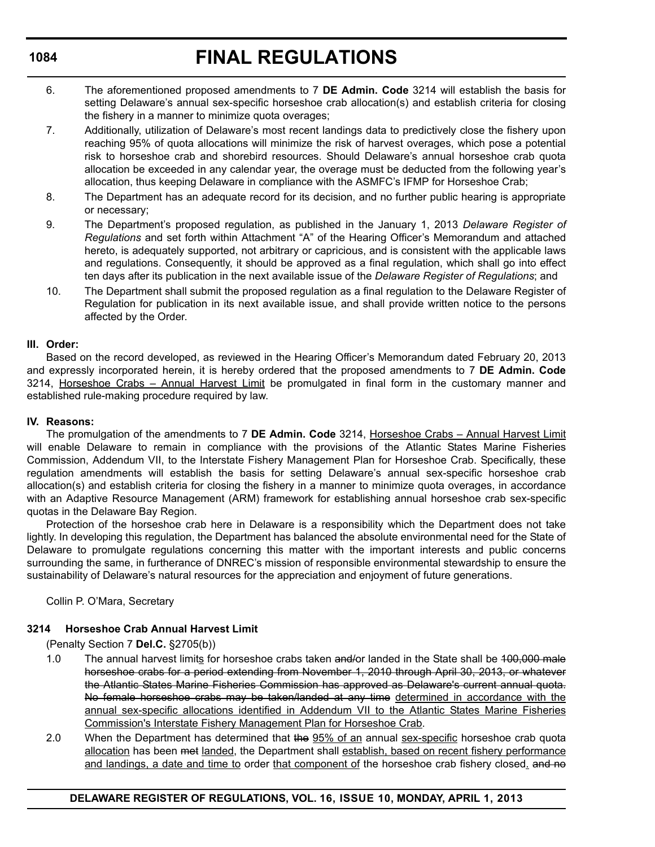- 6. The aforementioned proposed amendments to 7 **DE Admin. Code** 3214 will establish the basis for setting Delaware's annual sex-specific horseshoe crab allocation(s) and establish criteria for closing the fishery in a manner to minimize quota overages;
- 7. Additionally, utilization of Delaware's most recent landings data to predictively close the fishery upon reaching 95% of quota allocations will minimize the risk of harvest overages, which pose a potential risk to horseshoe crab and shorebird resources. Should Delaware's annual horseshoe crab quota allocation be exceeded in any calendar year, the overage must be deducted from the following year's allocation, thus keeping Delaware in compliance with the ASMFC's IFMP for Horseshoe Crab;
- 8. The Department has an adequate record for its decision, and no further public hearing is appropriate or necessary;
- 9. The Department's proposed regulation, as published in the January 1, 2013 *Delaware Register of Regulations* and set forth within Attachment "A" of the Hearing Officer's Memorandum and attached hereto, is adequately supported, not arbitrary or capricious, and is consistent with the applicable laws and regulations. Consequently, it should be approved as a final regulation, which shall go into effect ten days after its publication in the next available issue of the *Delaware Register of Regulations*; and
- 10. The Department shall submit the proposed regulation as a final regulation to the Delaware Register of Regulation for publication in its next available issue, and shall provide written notice to the persons affected by the Order.

## **III. Order:**

Based on the record developed, as reviewed in the Hearing Officer's Memorandum dated February 20, 2013 and expressly incorporated herein, it is hereby ordered that the proposed amendments to 7 **DE Admin. Code** 3214, Horseshoe Crabs – Annual Harvest Limit be promulgated in final form in the customary manner and established rule-making procedure required by law.

## **IV. Reasons:**

The promulgation of the amendments to 7 **DE Admin. Code** 3214, Horseshoe Crabs – Annual Harvest Limit will enable Delaware to remain in compliance with the provisions of the Atlantic States Marine Fisheries Commission, Addendum VII, to the Interstate Fishery Management Plan for Horseshoe Crab. Specifically, these regulation amendments will establish the basis for setting Delaware's annual sex-specific horseshoe crab allocation(s) and establish criteria for closing the fishery in a manner to minimize quota overages, in accordance with an Adaptive Resource Management (ARM) framework for establishing annual horseshoe crab sex-specific quotas in the Delaware Bay Region.

Protection of the horseshoe crab here in Delaware is a responsibility which the Department does not take lightly. In developing this regulation, the Department has balanced the absolute environmental need for the State of Delaware to promulgate regulations concerning this matter with the important interests and public concerns surrounding the same, in furtherance of DNREC's mission of responsible environmental stewardship to ensure the sustainability of Delaware's natural resources for the appreciation and enjoyment of future generations.

Collin P. O'Mara, Secretary

## **3214 Horseshoe Crab Annual Harvest Limit**

(Penalty Section 7 **Del.C.** §2705(b))

- 1.0 The annual harvest limits for horseshoe crabs taken and/or landed in the State shall be 100,000 male horseshoe crabs for a period extending from November 1, 2010 through April 30, 2013, or whatever the Atlantic States Marine Fisheries Commission has approved as Delaware's current annual quota. No female horseshoe crabs may be taken/landed at any time determined in accordance with the annual sex-specific allocations identified in Addendum VII to the Atlantic States Marine Fisheries Commission's Interstate Fishery Management Plan for Horseshoe Crab.
- 2.0 When the Department has determined that the 95% of an annual sex-specific horseshoe crab quota allocation has been met landed, the Department shall establish, based on recent fishery performance and landings, a date and time to order that component of the horseshoe crab fishery closed. and no

## **1084**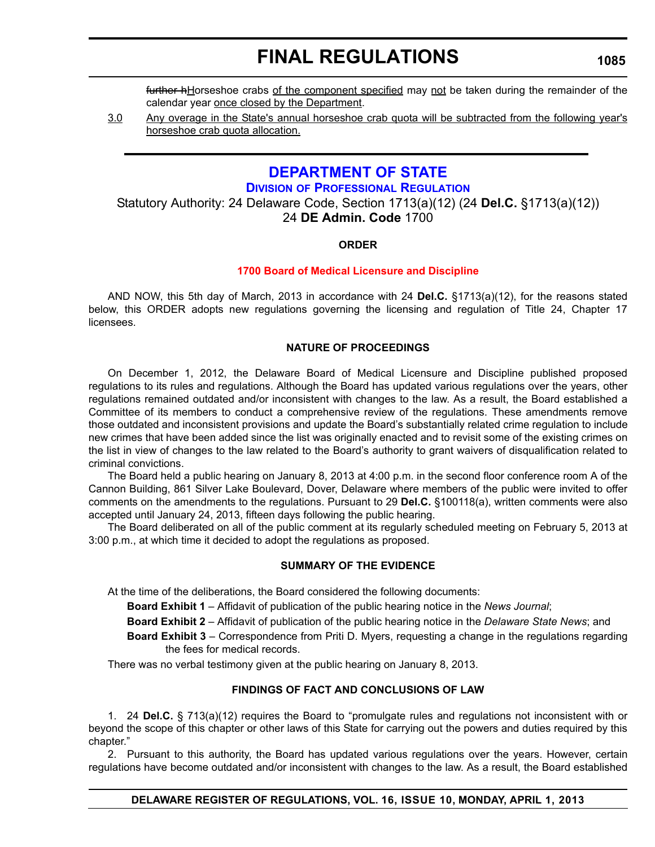**1085**

further hHorseshoe crabs of the component specified may not be taken during the remainder of the calendar year once closed by the Department.

3.0 Any overage in the State's annual horseshoe crab quota will be subtracted from the following year's horseshoe crab quota allocation.

## **[DEPARTMENT OF STATE](http://dpr.delaware.gov/default.shtml)**

**DIVISION OF PROFESSIONAL REGULATION**

Statutory Authority: 24 Delaware Code, Section 1713(a)(12) (24 **Del.C.** §1713(a)(12)) 24 **DE Admin. Code** 1700

## **ORDER**

## **[1700 Board of Medical Licensure and Discipline](#page-4-0)**

AND NOW, this 5th day of March, 2013 in accordance with 24 **Del.C.** §1713(a)(12), for the reasons stated below, this ORDER adopts new regulations governing the licensing and regulation of Title 24, Chapter 17 licensees.

## **NATURE OF PROCEEDINGS**

On December 1, 2012, the Delaware Board of Medical Licensure and Discipline published proposed regulations to its rules and regulations. Although the Board has updated various regulations over the years, other regulations remained outdated and/or inconsistent with changes to the law. As a result, the Board established a Committee of its members to conduct a comprehensive review of the regulations. These amendments remove those outdated and inconsistent provisions and update the Board's substantially related crime regulation to include new crimes that have been added since the list was originally enacted and to revisit some of the existing crimes on the list in view of changes to the law related to the Board's authority to grant waivers of disqualification related to criminal convictions.

The Board held a public hearing on January 8, 2013 at 4:00 p.m. in the second floor conference room A of the Cannon Building, 861 Silver Lake Boulevard, Dover, Delaware where members of the public were invited to offer comments on the amendments to the regulations. Pursuant to 29 **Del.C.** §100118(a), written comments were also accepted until January 24, 2013, fifteen days following the public hearing.

The Board deliberated on all of the public comment at its regularly scheduled meeting on February 5, 2013 at 3:00 p.m., at which time it decided to adopt the regulations as proposed.

## **SUMMARY OF THE EVIDENCE**

At the time of the deliberations, the Board considered the following documents:

**Board Exhibit 1** – Affidavit of publication of the public hearing notice in the *News Journal*;

**Board Exhibit 2** – Affidavit of publication of the public hearing notice in the *Delaware State News*; and

**Board Exhibit 3** – Correspondence from Priti D. Myers, requesting a change in the regulations regarding the fees for medical records.

There was no verbal testimony given at the public hearing on January 8, 2013.

## **FINDINGS OF FACT AND CONCLUSIONS OF LAW**

1. 24 **Del.C.** § 713(a)(12) requires the Board to "promulgate rules and regulations not inconsistent with or beyond the scope of this chapter or other laws of this State for carrying out the powers and duties required by this chapter."

2. Pursuant to this authority, the Board has updated various regulations over the years. However, certain regulations have become outdated and/or inconsistent with changes to the law. As a result, the Board established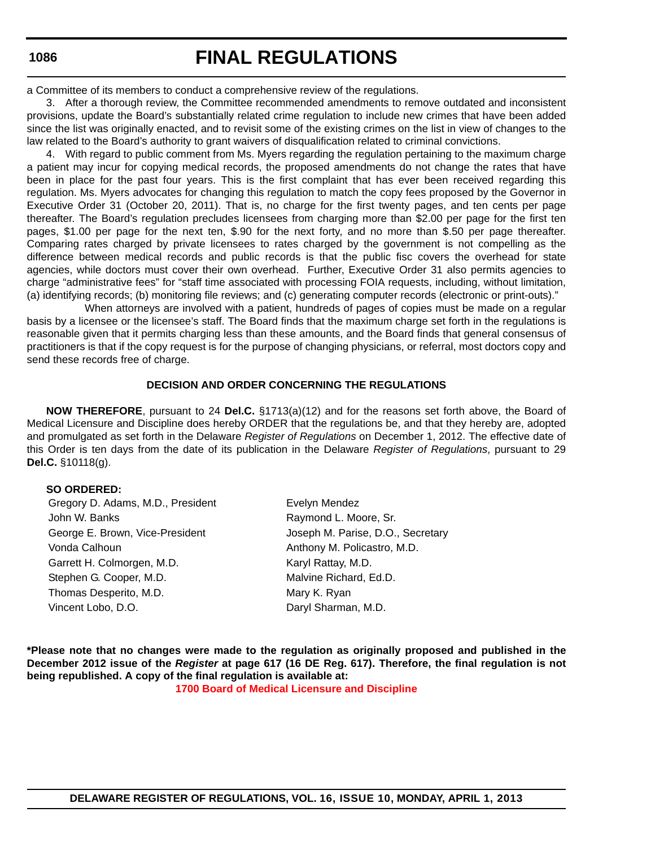# **FINAL REGULATIONS**

a Committee of its members to conduct a comprehensive review of the regulations.

3. After a thorough review, the Committee recommended amendments to remove outdated and inconsistent provisions, update the Board's substantially related crime regulation to include new crimes that have been added since the list was originally enacted, and to revisit some of the existing crimes on the list in view of changes to the law related to the Board's authority to grant waivers of disqualification related to criminal convictions.

4. With regard to public comment from Ms. Myers regarding the regulation pertaining to the maximum charge a patient may incur for copying medical records, the proposed amendments do not change the rates that have been in place for the past four years. This is the first complaint that has ever been received regarding this regulation. Ms. Myers advocates for changing this regulation to match the copy fees proposed by the Governor in Executive Order 31 (October 20, 2011). That is, no charge for the first twenty pages, and ten cents per page thereafter. The Board's regulation precludes licensees from charging more than \$2.00 per page for the first ten pages, \$1.00 per page for the next ten, \$.90 for the next forty, and no more than \$.50 per page thereafter. Comparing rates charged by private licensees to rates charged by the government is not compelling as the difference between medical records and public records is that the public fisc covers the overhead for state agencies, while doctors must cover their own overhead. Further, Executive Order 31 also permits agencies to charge "administrative fees" for "staff time associated with processing FOIA requests, including, without limitation, (a) identifying records; (b) monitoring file reviews; and (c) generating computer records (electronic or print-outs)."

When attorneys are involved with a patient, hundreds of pages of copies must be made on a regular basis by a licensee or the licensee's staff. The Board finds that the maximum charge set forth in the regulations is reasonable given that it permits charging less than these amounts, and the Board finds that general consensus of practitioners is that if the copy request is for the purpose of changing physicians, or referral, most doctors copy and send these records free of charge.

## **DECISION AND ORDER CONCERNING THE REGULATIONS**

**NOW THEREFORE**, pursuant to 24 **Del.C.** §1713(a)(12) and for the reasons set forth above, the Board of Medical Licensure and Discipline does hereby ORDER that the regulations be, and that they hereby are, adopted and promulgated as set forth in the Delaware *Register of Regulations* on December 1, 2012. The effective date of this Order is ten days from the date of its publication in the Delaware *Register of Regulations*, pursuant to 29 **Del.C.** §10118(g).

### **SO ORDERED:**

Gregory D. Adams, M.D., President Evelyn Mendez John W. Banks **Raymond L. Moore, Sr.** Raymond L. Moore, Sr. George E. Brown, Vice-President **Joseph M. Parise, D.O., Secretary** Vonda Calhoun **Anthony M. Policastro, M.D.** Anthony M. Policastro, M.D. Garrett H. Colmorgen, M.D. Karyl Rattay, M.D. Stephen G. Cooper, M.D. Malvine Richard, Ed.D. Thomas Desperito, M.D. Mary K. Ryan Vincent Lobo, D.O. **Daryl Sharman**, M.D.

**\*Please note that no changes were made to the regulation as originally proposed and published in the December 2012 issue of the** *Register* **at page 617 (16 DE Reg. 617). Therefore, the final regulation is not being republished. A copy of the final regulation is available at:**

**[1700 Board of Medical Licensure and Discipline](http://regulations.delaware.gov/register/april2013/final/16 DE Reg 1085 04-01-13.htm)**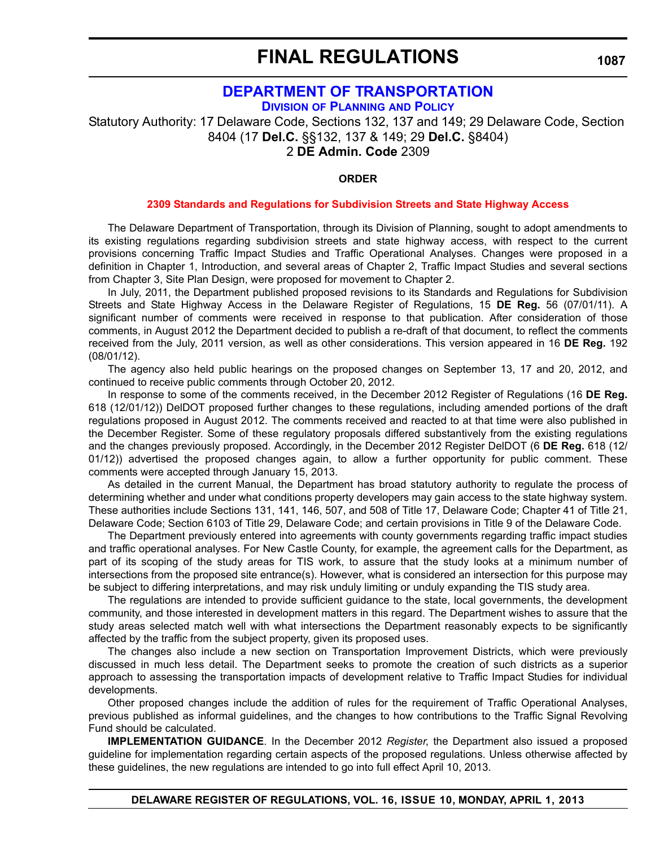## **[DEPARTMENT OF TRANSPORTATION](http://www.deldot.gov/home/divisions/)**

**DIVISION OF PLANNING AND POLICY**

Statutory Authority: 17 Delaware Code, Sections 132, 137 and 149; 29 Delaware Code, Section 8404 (17 **Del.C.** §§132, 137 & 149; 29 **Del.C.** §8404) 2 **DE Admin. Code** 2309

## **ORDER**

### **[2309 Standards and Regulations for Subdivision Streets and State Highway Access](#page-4-0)**

The Delaware Department of Transportation, through its Division of Planning, sought to adopt amendments to its existing regulations regarding subdivision streets and state highway access, with respect to the current provisions concerning Traffic Impact Studies and Traffic Operational Analyses. Changes were proposed in a definition in Chapter 1, Introduction, and several areas of Chapter 2, Traffic Impact Studies and several sections from Chapter 3, Site Plan Design, were proposed for movement to Chapter 2.

In July, 2011, the Department published proposed revisions to its Standards and Regulations for Subdivision Streets and State Highway Access in the Delaware Register of Regulations, 15 **DE Reg.** 56 (07/01/11). A significant number of comments were received in response to that publication. After consideration of those comments, in August 2012 the Department decided to publish a re-draft of that document, to reflect the comments received from the July, 2011 version, as well as other considerations. This version appeared in 16 **DE Reg.** 192 (08/01/12).

The agency also held public hearings on the proposed changes on September 13, 17 and 20, 2012, and continued to receive public comments through October 20, 2012.

In response to some of the comments received, in the December 2012 Register of Regulations (16 **DE Reg.** 618 (12/01/12)) DelDOT proposed further changes to these regulations, including amended portions of the draft regulations proposed in August 2012. The comments received and reacted to at that time were also published in the December Register. Some of these regulatory proposals differed substantively from the existing regulations and the changes previously proposed. Accordingly, in the December 2012 Register DelDOT (6 **DE Reg.** 618 (12/ 01/12)) advertised the proposed changes again, to allow a further opportunity for public comment. These comments were accepted through January 15, 2013.

As detailed in the current Manual, the Department has broad statutory authority to regulate the process of determining whether and under what conditions property developers may gain access to the state highway system. These authorities include Sections 131, 141, 146, 507, and 508 of Title 17, Delaware Code; Chapter 41 of Title 21, Delaware Code; Section 6103 of Title 29, Delaware Code; and certain provisions in Title 9 of the Delaware Code.

The Department previously entered into agreements with county governments regarding traffic impact studies and traffic operational analyses. For New Castle County, for example, the agreement calls for the Department, as part of its scoping of the study areas for TIS work, to assure that the study looks at a minimum number of intersections from the proposed site entrance(s). However, what is considered an intersection for this purpose may be subject to differing interpretations, and may risk unduly limiting or unduly expanding the TIS study area.

The regulations are intended to provide sufficient guidance to the state, local governments, the development community, and those interested in development matters in this regard. The Department wishes to assure that the study areas selected match well with what intersections the Department reasonably expects to be significantly affected by the traffic from the subject property, given its proposed uses.

The changes also include a new section on Transportation Improvement Districts, which were previously discussed in much less detail. The Department seeks to promote the creation of such districts as a superior approach to assessing the transportation impacts of development relative to Traffic Impact Studies for individual developments.

Other proposed changes include the addition of rules for the requirement of Traffic Operational Analyses, previous published as informal guidelines, and the changes to how contributions to the Traffic Signal Revolving Fund should be calculated.

**IMPLEMENTATION GUIDANCE**. In the December 2012 *Register*, the Department also issued a proposed guideline for implementation regarding certain aspects of the proposed regulations. Unless otherwise affected by these guidelines, the new regulations are intended to go into full effect April 10, 2013.

**DELAWARE REGISTER OF REGULATIONS, VOL. 16, ISSUE 10, MONDAY, APRIL 1, 2013**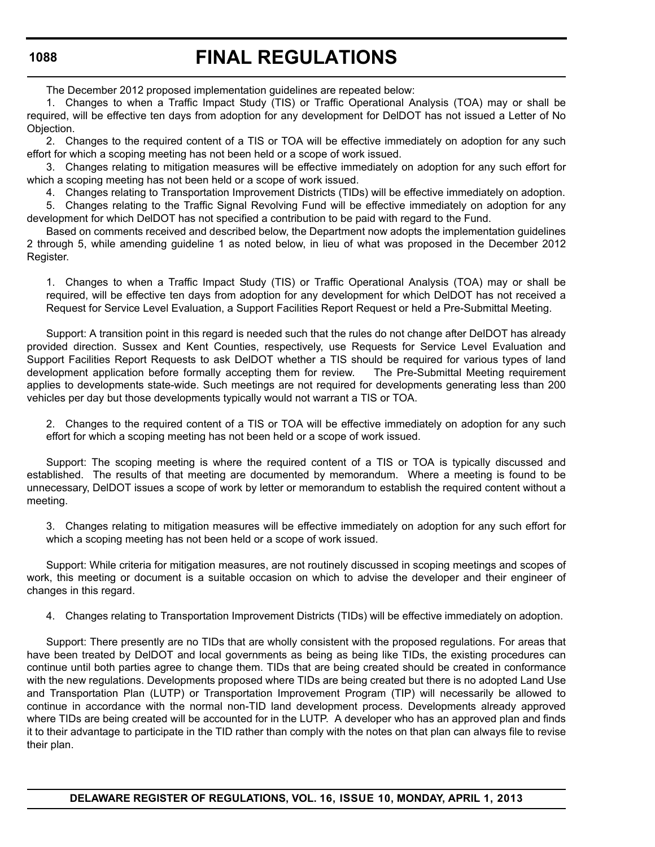The December 2012 proposed implementation guidelines are repeated below:

1. Changes to when a Traffic Impact Study (TIS) or Traffic Operational Analysis (TOA) may or shall be required, will be effective ten days from adoption for any development for DelDOT has not issued a Letter of No Objection.

2. Changes to the required content of a TIS or TOA will be effective immediately on adoption for any such effort for which a scoping meeting has not been held or a scope of work issued.

3. Changes relating to mitigation measures will be effective immediately on adoption for any such effort for which a scoping meeting has not been held or a scope of work issued.

4. Changes relating to Transportation Improvement Districts (TIDs) will be effective immediately on adoption.

5. Changes relating to the Traffic Signal Revolving Fund will be effective immediately on adoption for any development for which DelDOT has not specified a contribution to be paid with regard to the Fund.

Based on comments received and described below, the Department now adopts the implementation guidelines 2 through 5, while amending guideline 1 as noted below, in lieu of what was proposed in the December 2012 Register.

1. Changes to when a Traffic Impact Study (TIS) or Traffic Operational Analysis (TOA) may or shall be required, will be effective ten days from adoption for any development for which DelDOT has not received a Request for Service Level Evaluation, a Support Facilities Report Request or held a Pre-Submittal Meeting.

Support: A transition point in this regard is needed such that the rules do not change after DelDOT has already provided direction. Sussex and Kent Counties, respectively, use Requests for Service Level Evaluation and Support Facilities Report Requests to ask DelDOT whether a TIS should be required for various types of land development application before formally accepting them for review. The Pre-Submittal Meeting requirement applies to developments state-wide. Such meetings are not required for developments generating less than 200 vehicles per day but those developments typically would not warrant a TIS or TOA.

2. Changes to the required content of a TIS or TOA will be effective immediately on adoption for any such effort for which a scoping meeting has not been held or a scope of work issued.

Support: The scoping meeting is where the required content of a TIS or TOA is typically discussed and established. The results of that meeting are documented by memorandum. Where a meeting is found to be unnecessary, DelDOT issues a scope of work by letter or memorandum to establish the required content without a meeting.

3. Changes relating to mitigation measures will be effective immediately on adoption for any such effort for which a scoping meeting has not been held or a scope of work issued.

Support: While criteria for mitigation measures, are not routinely discussed in scoping meetings and scopes of work, this meeting or document is a suitable occasion on which to advise the developer and their engineer of changes in this regard.

4. Changes relating to Transportation Improvement Districts (TIDs) will be effective immediately on adoption.

Support: There presently are no TIDs that are wholly consistent with the proposed regulations. For areas that have been treated by DelDOT and local governments as being as being like TIDs, the existing procedures can continue until both parties agree to change them. TIDs that are being created should be created in conformance with the new regulations. Developments proposed where TIDs are being created but there is no adopted Land Use and Transportation Plan (LUTP) or Transportation Improvement Program (TIP) will necessarily be allowed to continue in accordance with the normal non-TID land development process. Developments already approved where TIDs are being created will be accounted for in the LUTP. A developer who has an approved plan and finds it to their advantage to participate in the TID rather than comply with the notes on that plan can always file to revise their plan.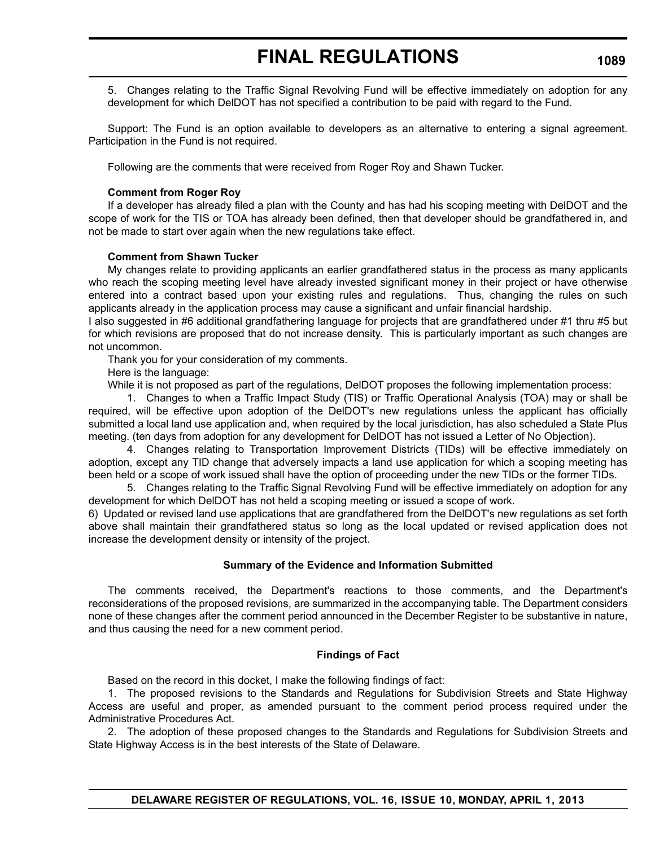5. Changes relating to the Traffic Signal Revolving Fund will be effective immediately on adoption for any development for which DelDOT has not specified a contribution to be paid with regard to the Fund.

Support: The Fund is an option available to developers as an alternative to entering a signal agreement. Participation in the Fund is not required.

Following are the comments that were received from Roger Roy and Shawn Tucker.

## **Comment from Roger Roy**

If a developer has already filed a plan with the County and has had his scoping meeting with DelDOT and the scope of work for the TIS or TOA has already been defined, then that developer should be grandfathered in, and not be made to start over again when the new regulations take effect.

## **Comment from Shawn Tucker**

My changes relate to providing applicants an earlier grandfathered status in the process as many applicants who reach the scoping meeting level have already invested significant money in their project or have otherwise entered into a contract based upon your existing rules and regulations. Thus, changing the rules on such applicants already in the application process may cause a significant and unfair financial hardship.

I also suggested in #6 additional grandfathering language for projects that are grandfathered under #1 thru #5 but for which revisions are proposed that do not increase density. This is particularly important as such changes are not uncommon.

Thank you for your consideration of my comments.

Here is the language:

While it is not proposed as part of the regulations, DeIDOT proposes the following implementation process:

1. Changes to when a Traffic Impact Study (TIS) or Traffic Operational Analysis (TOA) may or shall be required, will be effective upon adoption of the DelDOT's new regulations unless the applicant has officially submitted a local land use application and, when required by the local jurisdiction, has also scheduled a State Plus meeting. (ten days from adoption for any development for DelDOT has not issued a Letter of No Objection).

4. Changes relating to Transportation Improvement Districts (TIDs) will be effective immediately on adoption, except any TID change that adversely impacts a land use application for which a scoping meeting has been held or a scope of work issued shall have the option of proceeding under the new TIDs or the former TIDs.

5. Changes relating to the Traffic Signal Revolving Fund will be effective immediately on adoption for any development for which DelDOT has not held a scoping meeting or issued a scope of work.

6) Updated or revised land use applications that are grandfathered from the DelDOT's new regulations as set forth above shall maintain their grandfathered status so long as the local updated or revised application does not increase the development density or intensity of the project.

## **Summary of the Evidence and Information Submitted**

The comments received, the Department's reactions to those comments, and the Department's reconsiderations of the proposed revisions, are summarized in the accompanying table. The Department considers none of these changes after the comment period announced in the December Register to be substantive in nature, and thus causing the need for a new comment period.

### **Findings of Fact**

Based on the record in this docket, I make the following findings of fact:

1. The proposed revisions to the Standards and Regulations for Subdivision Streets and State Highway Access are useful and proper, as amended pursuant to the comment period process required under the Administrative Procedures Act.

2. The adoption of these proposed changes to the Standards and Regulations for Subdivision Streets and State Highway Access is in the best interests of the State of Delaware.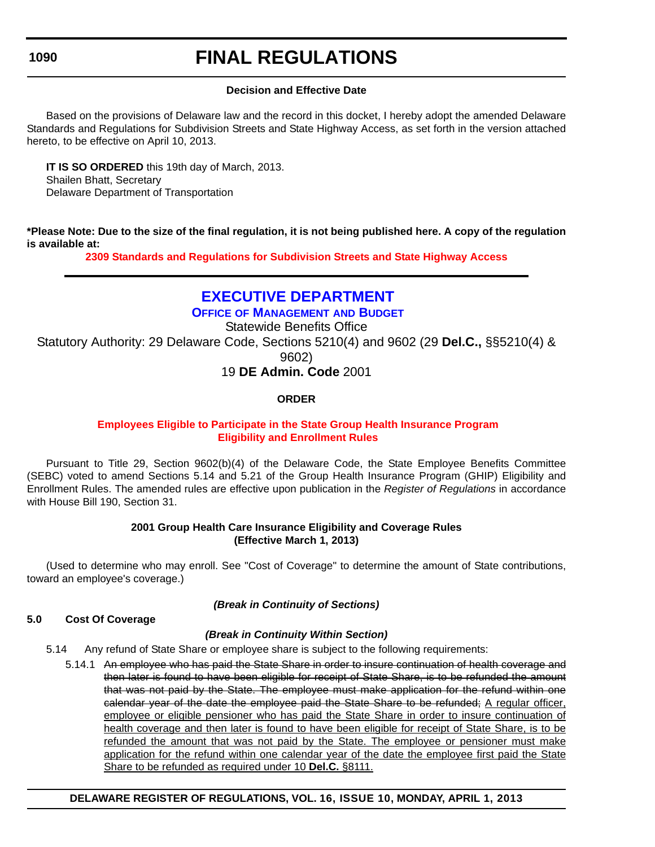## **FINAL REGULATIONS**

## **Decision and Effective Date**

Based on the provisions of Delaware law and the record in this docket, I hereby adopt the amended Delaware Standards and Regulations for Subdivision Streets and State Highway Access, as set forth in the version attached hereto, to be effective on April 10, 2013.

**IT IS SO ORDERED** this 19th day of March, 2013. Shailen Bhatt, Secretary Delaware Department of Transportation

**\*Please Note: Due to the size of the final regulation, it is not being published here. A copy of the regulation is available at:**

**[2309 Standards and Regulations for Subdivision Streets and State Highway Access](http://regulations.delaware.gov/register/april2013/final/16 DE Reg 1087 04-01-13.htm)**

## **[EXECUTIVE DEPARTMENT](http://omb.delaware.gov/)**

**OFFICE OF MANAGEMENT AND BUDGET** Statewide Benefits Office Statutory Authority: 29 Delaware Code, Sections 5210(4) and 9602 (29 **Del.C.,** §§5210(4) & 9602) 19 **DE Admin. Code** 2001

## **ORDER**

## **Employees Eligible to Participate [in the State Group Health](#page-4-0) Insurance Program Eligibility and Enrollment Rules**

Pursuant to Title 29, Section 9602(b)(4) of the Delaware Code, the State Employee Benefits Committee (SEBC) voted to amend Sections 5.14 and 5.21 of the Group Health Insurance Program (GHIP) Eligibility and Enrollment Rules. The amended rules are effective upon publication in the *Register of Regulations* in accordance with House Bill 190, Section 31.

## **2001 Group Health Care Insurance Eligibility and Coverage Rules (Effective March 1, 2013)**

(Used to determine who may enroll. See "Cost of Coverage" to determine the amount of State contributions, toward an employee's coverage.)

*(Break in Continuity of Sections)*

## **5.0 Cost Of Coverage**

## *(Break in Continuity Within Section)*

5.14 Any refund of State Share or employee share is subject to the following requirements:

5.14.1 An employee who has paid the State Share in order to insure continuation of health coverage and then later is found to have been eligible for receipt of State Share, is to be refunded the amount that was not paid by the State. The employee must make application for the refund within one calendar year of the date the employee paid the State Share to be refunded; A regular officer, employee or eligible pensioner who has paid the State Share in order to insure continuation of health coverage and then later is found to have been eligible for receipt of State Share, is to be refunded the amount that was not paid by the State. The employee or pensioner must make application for the refund within one calendar year of the date the employee first paid the State Share to be refunded as required under 10 **Del.C.** §8111.

## **DELAWARE REGISTER OF REGULATIONS, VOL. 16, ISSUE 10, MONDAY, APRIL 1, 2013**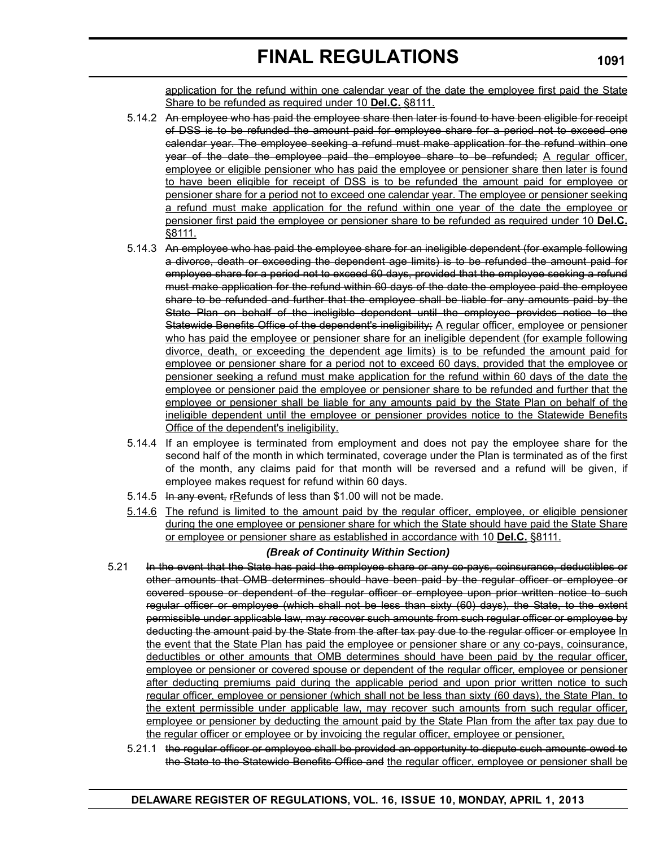application for the refund within one calendar year of the date the employee first paid the State Share to be refunded as required under 10 **Del.C.** §8111.

- 5.14.2 An employee who has paid the employee share then later is found to have been eligible for receipt of DSS is to be refunded the amount paid for employee share for a period not to exceed one calendar year. The employee seeking a refund must make application for the refund within one year of the date the employee paid the employee share to be refunded; A regular officer, employee or eligible pensioner who has paid the employee or pensioner share then later is found to have been eligible for receipt of DSS is to be refunded the amount paid for employee or pensioner share for a period not to exceed one calendar year. The employee or pensioner seeking a refund must make application for the refund within one year of the date the employee or pensioner first paid the employee or pensioner share to be refunded as required under 10 **Del.C.** §8111.
- 5.14.3 An employee who has paid the employee share for an ineligible dependent (for example following a divorce, death or exceeding the dependent age limits) is to be refunded the amount paid for employee share for a period not to exceed 60 days, provided that the employee seeking a refund must make application for the refund within 60 days of the date the employee paid the employee share to be refunded and further that the employee shall be liable for any amounts paid by the State Plan on behalf of the ineligible dependent until the employee provides notice to the Statewide Benefits Office of the dependent's ineligibility; A regular officer, employee or pensioner who has paid the employee or pensioner share for an ineligible dependent (for example following divorce, death, or exceeding the dependent age limits) is to be refunded the amount paid for employee or pensioner share for a period not to exceed 60 days, provided that the employee or pensioner seeking a refund must make application for the refund within 60 days of the date the employee or pensioner paid the employee or pensioner share to be refunded and further that the employee or pensioner shall be liable for any amounts paid by the State Plan on behalf of the ineligible dependent until the employee or pensioner provides notice to the Statewide Benefits Office of the dependent's ineligibility.
- 5.14.4 If an employee is terminated from employment and does not pay the employee share for the second half of the month in which terminated, coverage under the Plan is terminated as of the first of the month, any claims paid for that month will be reversed and a refund will be given, if employee makes request for refund within 60 days.
- 5.14.5 In any event, FRefunds of less than \$1.00 will not be made.
- 5.14.6 The refund is limited to the amount paid by the regular officer, employee, or eligible pensioner during the one employee or pensioner share for which the State should have paid the State Share or employee or pensioner share as established in accordance with 10 **Del.C.** §8111.

## *(Break of Continuity Within Section)*

- 5.21 In the event that the State has paid the employee share or any co-pays, coinsurance, deductibles or other amounts that OMB determines should have been paid by the regular officer or employee or covered spouse or dependent of the regular officer or employee upon prior written notice to such regular officer or employee (which shall not be less than sixty (60) days), the State, to the extent permissible under applicable law, may recover such amounts from such regular officer or employee by deducting the amount paid by the State from the after tax pay due to the regular officer or employee In the event that the State Plan has paid the employee or pensioner share or any co-pays, coinsurance, deductibles or other amounts that OMB determines should have been paid by the regular officer, employee or pensioner or covered spouse or dependent of the regular officer, employee or pensioner after deducting premiums paid during the applicable period and upon prior written notice to such regular officer, employee or pensioner (which shall not be less than sixty (60 days), the State Plan, to the extent permissible under applicable law, may recover such amounts from such regular officer, employee or pensioner by deducting the amount paid by the State Plan from the after tax pay due to the regular officer or employee or by invoicing the regular officer, employee or pensioner,
	- 5.21.1 the regular officer or employee shall be provided an opportunity to dispute such amounts owed to the State to the Statewide Benefits Office and the regular officer, employee or pensioner shall be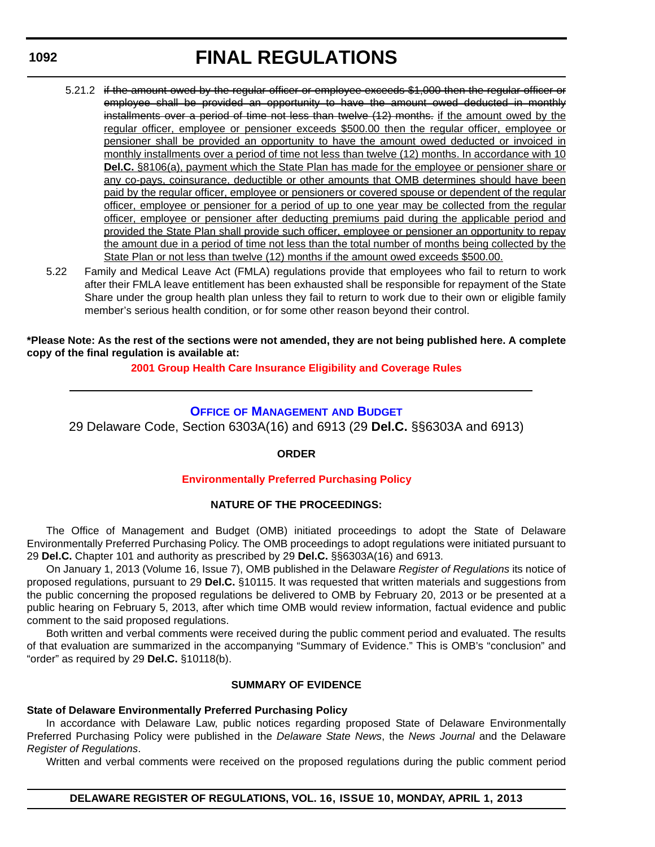- 5.21.2 if the amount owed by the regular officer or employee exceeds \$1,000 then the regular officer or employee shall be provided an opportunity to have the amount owed deducted in monthly installments over a period of time not less than twelve (12) months. if the amount owed by the regular officer, employee or pensioner exceeds \$500.00 then the regular officer, employee or pensioner shall be provided an opportunity to have the amount owed deducted or invoiced in monthly installments over a period of time not less than twelve (12) months. In accordance with 10 **Del.C.** §8106(a), payment which the State Plan has made for the employee or pensioner share or any co-pays, coinsurance, deductible or other amounts that OMB determines should have been paid by the regular officer, employee or pensioners or covered spouse or dependent of the regular officer, employee or pensioner for a period of up to one year may be collected from the regular officer, employee or pensioner after deducting premiums paid during the applicable period and provided the State Plan shall provide such officer, employee or pensioner an opportunity to repay the amount due in a period of time not less than the total number of months being collected by the State Plan or not less than twelve (12) months if the amount owed exceeds \$500.00.
- 5.22 Family and Medical Leave Act (FMLA) regulations provide that employees who fail to return to work after their FMLA leave entitlement has been exhausted shall be responsible for repayment of the State Share under the group health plan unless they fail to return to work due to their own or eligible family member's serious health condition, or for some other reason beyond their control.

**\*Please Note: As the rest of the sections were not amended, they are not being published here. A complete copy of the final regulation is available at:**

## **[2001 Group Health Care Insurance Eligibility and Coverage Rules](http://regulations.delaware.gov/register/april2013/final/16 DE Reg 1089 04-01-13.htm)**

## **OFFICE OF M[ANAGEMENT](http://omb.delaware.gov/) AND BUDGET**

29 Delaware Code, Section 6303A(16) and 6913 (29 **Del.C.** §§6303A and 6913)

## **ORDER**

## **[Environmentally Preferred Purchasing](#page-4-0) Policy**

## **NATURE OF THE PROCEEDINGS:**

The Office of Management and Budget (OMB) initiated proceedings to adopt the State of Delaware Environmentally Preferred Purchasing Policy. The OMB proceedings to adopt regulations were initiated pursuant to 29 **Del.C.** Chapter 101 and authority as prescribed by 29 **Del.C.** §§6303A(16) and 6913.

On January 1, 2013 (Volume 16, Issue 7), OMB published in the Delaware *Register of Regulations* its notice of proposed regulations, pursuant to 29 **Del.C.** §10115. It was requested that written materials and suggestions from the public concerning the proposed regulations be delivered to OMB by February 20, 2013 or be presented at a public hearing on February 5, 2013, after which time OMB would review information, factual evidence and public comment to the said proposed regulations.

Both written and verbal comments were received during the public comment period and evaluated. The results of that evaluation are summarized in the accompanying "Summary of Evidence." This is OMB's "conclusion" and "order" as required by 29 **Del.C.** §10118(b).

## **SUMMARY OF EVIDENCE**

### **State of Delaware Environmentally Preferred Purchasing Policy**

In accordance with Delaware Law, public notices regarding proposed State of Delaware Environmentally Preferred Purchasing Policy were published in the *Delaware State News*, the *News Journal* and the Delaware *Register of Regulations*.

Written and verbal comments were received on the proposed regulations during the public comment period

## **1092**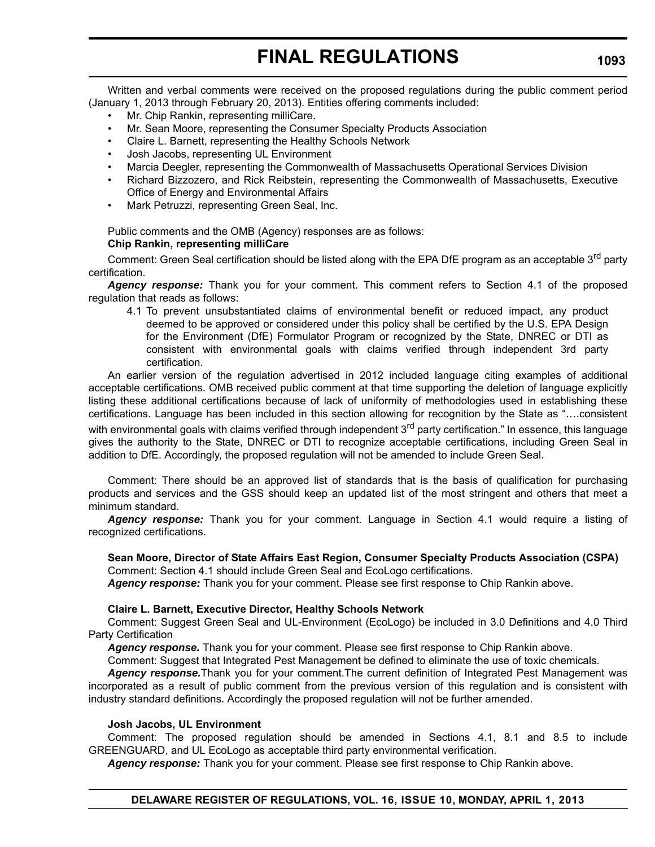Written and verbal comments were received on the proposed regulations during the public comment period (January 1, 2013 through February 20, 2013). Entities offering comments included:

- Mr. Chip Rankin, representing milliCare.
- Mr. Sean Moore, representing the Consumer Specialty Products Association
- Claire L. Barnett, representing the Healthy Schools Network
- Josh Jacobs, representing UL Environment
- Marcia Deegler, representing the Commonwealth of Massachusetts Operational Services Division
- Richard Bizzozero, and Rick Reibstein, representing the Commonwealth of Massachusetts, Executive Office of Energy and Environmental Affairs
- Mark Petruzzi, representing Green Seal, Inc.

Public comments and the OMB (Agency) responses are as follows:

## **Chip Rankin, representing milliCare**

Comment: Green Seal certification should be listed along with the EPA DfE program as an acceptable 3<sup>rd</sup> party certification.

*Agency response:* Thank you for your comment. This comment refers to Section 4.1 of the proposed regulation that reads as follows:

4.1 To prevent unsubstantiated claims of environmental benefit or reduced impact, any product deemed to be approved or considered under this policy shall be certified by the U.S. EPA Design for the Environment (DfE) Formulator Program or recognized by the State, DNREC or DTI as consistent with environmental goals with claims verified through independent 3rd party certification.

An earlier version of the regulation advertised in 2012 included language citing examples of additional acceptable certifications. OMB received public comment at that time supporting the deletion of language explicitly listing these additional certifications because of lack of uniformity of methodologies used in establishing these certifications. Language has been included in this section allowing for recognition by the State as "….consistent with environmental goals with claims verified through independent 3<sup>rd</sup> party certification." In essence, this language gives the authority to the State, DNREC or DTI to recognize acceptable certifications, including Green Seal in addition to DfE. Accordingly, the proposed regulation will not be amended to include Green Seal.

Comment: There should be an approved list of standards that is the basis of qualification for purchasing products and services and the GSS should keep an updated list of the most stringent and others that meet a minimum standard.

*Agency response:* Thank you for your comment. Language in Section 4.1 would require a listing of recognized certifications.

## **Sean Moore, Director of State Affairs East Region, Consumer Specialty Products Association (CSPA)**

Comment: Section 4.1 should include Green Seal and EcoLogo certifications.

*Agency response:* Thank you for your comment. Please see first response to Chip Rankin above.

### **Claire L. Barnett, Executive Director, Healthy Schools Network**

Comment: Suggest Green Seal and UL-Environment (EcoLogo) be included in 3.0 Definitions and 4.0 Third Party Certification

*Agency response.* Thank you for your comment. Please see first response to Chip Rankin above.

Comment: Suggest that Integrated Pest Management be defined to eliminate the use of toxic chemicals.

*Agency response.*Thank you for your comment.The current definition of Integrated Pest Management was incorporated as a result of public comment from the previous version of this regulation and is consistent with industry standard definitions. Accordingly the proposed regulation will not be further amended.

### **Josh Jacobs, UL Environment**

Comment: The proposed regulation should be amended in Sections 4.1, 8.1 and 8.5 to include GREENGUARD, and UL EcoLogo as acceptable third party environmental verification.

*Agency response:* Thank you for your comment. Please see first response to Chip Rankin above.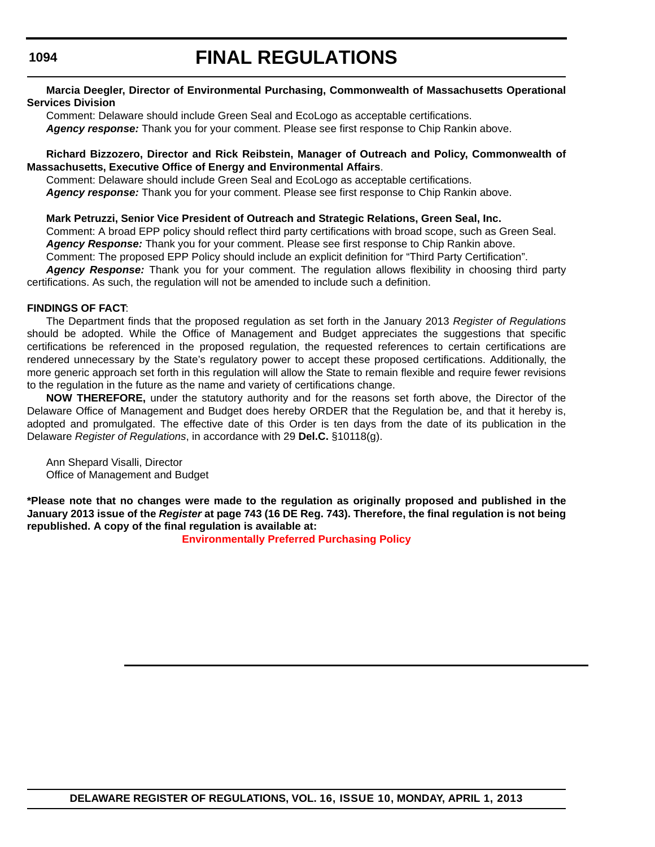# **FINAL REGULATIONS**

## **Marcia Deegler, Director of Environmental Purchasing, Commonwealth of Massachusetts Operational Services Division**

Comment: Delaware should include Green Seal and EcoLogo as acceptable certifications. *Agency response:* Thank you for your comment. Please see first response to Chip Rankin above.

## **Richard Bizzozero, Director and Rick Reibstein, Manager of Outreach and Policy, Commonwealth of Massachusetts, Executive Office of Energy and Environmental Affairs**.

Comment: Delaware should include Green Seal and EcoLogo as acceptable certifications. *Agency response:* Thank you for your comment. Please see first response to Chip Rankin above.

## **Mark Petruzzi, Senior Vice President of Outreach and Strategic Relations, Green Seal, Inc.**

Comment: A broad EPP policy should reflect third party certifications with broad scope, such as Green Seal. *Agency Response:* Thank you for your comment. Please see first response to Chip Rankin above.

Comment: The proposed EPP Policy should include an explicit definition for "Third Party Certification".

*Agency Response:* Thank you for your comment. The regulation allows flexibility in choosing third party certifications. As such, the regulation will not be amended to include such a definition.

## **FINDINGS OF FACT**:

The Department finds that the proposed regulation as set forth in the January 2013 *Register of Regulations* should be adopted. While the Office of Management and Budget appreciates the suggestions that specific certifications be referenced in the proposed regulation, the requested references to certain certifications are rendered unnecessary by the State's regulatory power to accept these proposed certifications. Additionally, the more generic approach set forth in this regulation will allow the State to remain flexible and require fewer revisions to the regulation in the future as the name and variety of certifications change.

**NOW THEREFORE,** under the statutory authority and for the reasons set forth above, the Director of the Delaware Office of Management and Budget does hereby ORDER that the Regulation be, and that it hereby is, adopted and promulgated. The effective date of this Order is ten days from the date of its publication in the Delaware *Register of Regulations*, in accordance with 29 **Del.C.** §10118(g).

Ann Shepard Visalli, Director Office of Management and Budget

**\*Please note that no changes were made to the regulation as originally proposed and published in the January 2013 issue of the** *Register* **at page 743 (16 DE Reg. 743). Therefore, the final regulation is not being republished. A copy of the final regulation is available at:**

**Environmentally Preferred Purchasing Policy**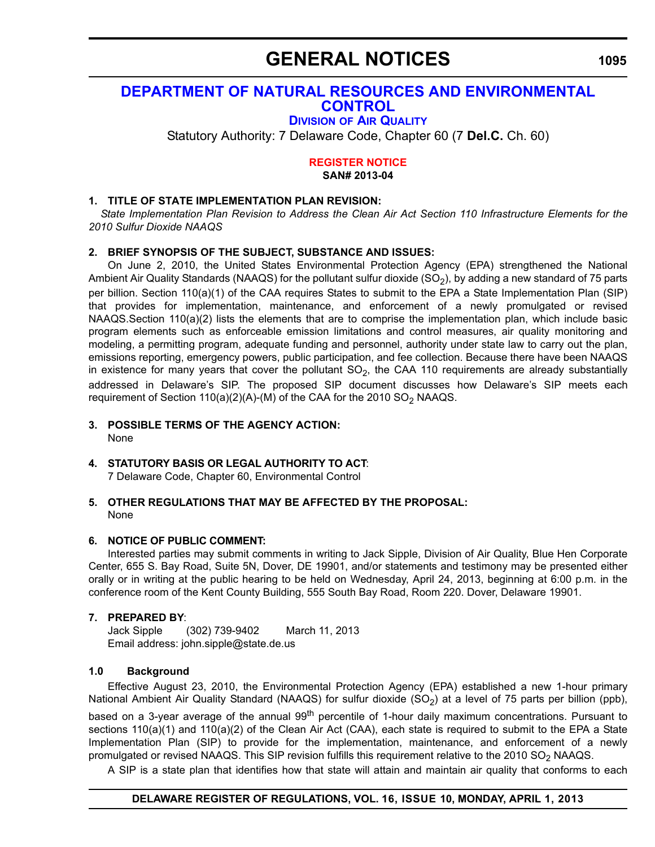## **GENERAL NOTICES**

## **[DEPARTMENT OF NATURAL RESOURCES AND ENVIRONMENTAL](http://www.dnrec.delaware.gov/whs/awm/AQM/Pages/Default.aspx)  CONTROL**

## **DIVISION OF AIR QUALITY**

Statutory Authority: 7 Delaware Code, Chapter 60 (7 **Del.C.** Ch. 60)

#### **[REGISTER NOTICE](#page-4-0) SAN# 2013-04**

## **1. TITLE OF STATE IMPLEMENTATION PLAN REVISION:**

 *State Implementation Plan Revision to Address the Clean Air Act Section 110 Infrastructure Elements for the 2010 Sulfur Dioxide NAAQS*

## **2. BRIEF SYNOPSIS OF THE SUBJECT, SUBSTANCE AND ISSUES:**

On June 2, 2010, the United States Environmental Protection Agency (EPA) strengthened the National Ambient Air Quality Standards (NAAQS) for the pollutant sulfur dioxide (SO<sub>2</sub>), by adding a new standard of 75 parts per billion. Section 110(a)(1) of the CAA requires States to submit to the EPA a State Implementation Plan (SIP) that provides for implementation, maintenance, and enforcement of a newly promulgated or revised NAAQS.Section 110(a)(2) lists the elements that are to comprise the implementation plan, which include basic program elements such as enforceable emission limitations and control measures, air quality monitoring and modeling, a permitting program, adequate funding and personnel, authority under state law to carry out the plan, emissions reporting, emergency powers, public participation, and fee collection. Because there have been NAAQS in existence for many years that cover the pollutant  $SO_2$ , the CAA 110 requirements are already substantially addressed in Delaware's SIP. The proposed SIP document discusses how Delaware's SIP meets each requirement of Section 110(a)(2)(A)-(M) of the CAA for the 2010  $SO_2$  NAAQS.

- **3. POSSIBLE TERMS OF THE AGENCY ACTION:** None
- **4. STATUTORY BASIS OR LEGAL AUTHORITY TO ACT**:

7 Delaware Code, Chapter 60, Environmental Control

**5. OTHER REGULATIONS THAT MAY BE AFFECTED BY THE PROPOSAL:** None

## **6. NOTICE OF PUBLIC COMMENT:**

Interested parties may submit comments in writing to Jack Sipple, Division of Air Quality, Blue Hen Corporate Center, 655 S. Bay Road, Suite 5N, Dover, DE 19901, and/or statements and testimony may be presented either orally or in writing at the public hearing to be held on Wednesday, April 24, 2013, beginning at 6:00 p.m. in the conference room of the Kent County Building, 555 South Bay Road, Room 220. Dover, Delaware 19901.

## **7. PREPARED BY**:

Jack Sipple (302) 739-9402 March 11, 2013 Email address: john.sipple@state.de.us

## **1.0 Background**

Effective August 23, 2010, the Environmental Protection Agency (EPA) established a new 1-hour primary National Ambient Air Quality Standard (NAAQS) for sulfur dioxide (SO<sub>2</sub>) at a level of 75 parts per billion (ppb),

based on a 3-year average of the annual 99<sup>th</sup> percentile of 1-hour daily maximum concentrations. Pursuant to sections 110(a)(1) and 110(a)(2) of the Clean Air Act (CAA), each state is required to submit to the EPA a State Implementation Plan (SIP) to provide for the implementation, maintenance, and enforcement of a newly promulgated or revised NAAQS. This SIP revision fulfills this requirement relative to the 2010  $SO_2$  NAAQS.

A SIP is a state plan that identifies how that state will attain and maintain air quality that conforms to each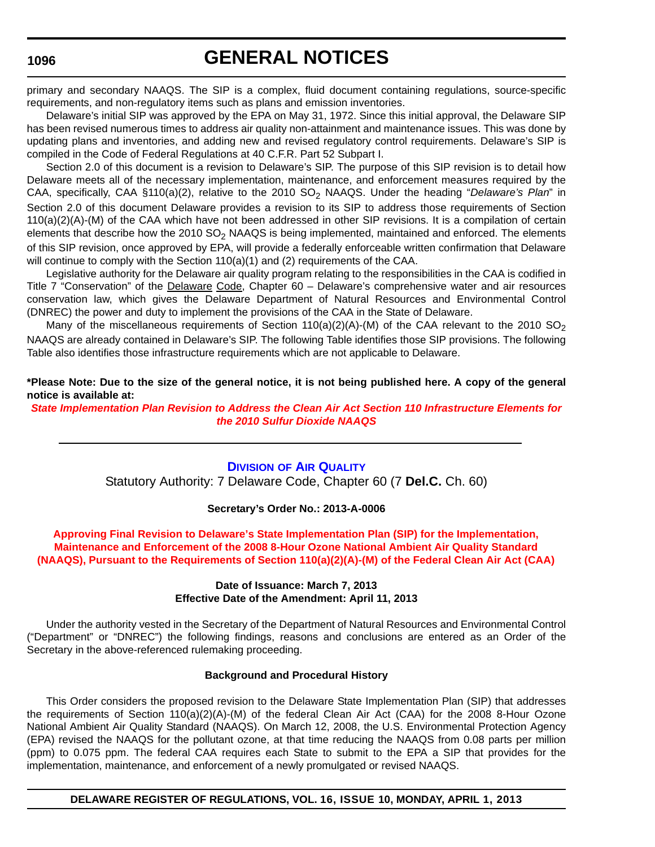## **GENERAL NOTICES**

primary and secondary NAAQS. The SIP is a complex, fluid document containing regulations, source-specific requirements, and non-regulatory items such as plans and emission inventories.

Delaware's initial SIP was approved by the EPA on May 31, 1972. Since this initial approval, the Delaware SIP has been revised numerous times to address air quality non-attainment and maintenance issues. This was done by updating plans and inventories, and adding new and revised regulatory control requirements. Delaware's SIP is compiled in the Code of Federal Regulations at 40 C.F.R. Part 52 Subpart I.

Section 2.0 of this document is a revision to Delaware's SIP. The purpose of this SIP revision is to detail how Delaware meets all of the necessary implementation, maintenance, and enforcement measures required by the CAA, specifically, CAA §110(a)(2), relative to the 2010 SO<sub>2</sub> NAAQS. Under the heading "Delaware's Plan" in Section 2.0 of this document Delaware provides a revision to its SIP to address those requirements of Section 110(a)(2)(A)-(M) of the CAA which have not been addressed in other SIP revisions. It is a compilation of certain elements that describe how the  $2010$  SO<sub>2</sub> NAAQS is being implemented, maintained and enforced. The elements of this SIP revision, once approved by EPA, will provide a federally enforceable written confirmation that Delaware will continue to comply with the Section  $110(a)(1)$  and (2) requirements of the CAA.

Legislative authority for the Delaware air quality program relating to the responsibilities in the CAA is codified in Title 7 "Conservation" of the Delaware Code, Chapter 60 - Delaware's comprehensive water and air resources conservation law, which gives the Delaware Department of Natural Resources and Environmental Control (DNREC) the power and duty to implement the provisions of the CAA in the State of Delaware.

Many of the miscellaneous requirements of Section 110(a)(2)(A)-(M) of the CAA relevant to the 2010 SO<sub>2</sub> NAAQS are already contained in Delaware's SIP. The following Table identifies those SIP provisions. The following Table also identifies those infrastructure requirements which are not applicable to Delaware.

**\*Please Note: Due to the size of the general notice, it is not being published here. A copy of the general notice is available at:**

*State Im[plementation Plan Revision to Address the Clean Air Act Section 110 Infrastructure Elem](http://regulations.delaware.gov/register/april2013/general/16 DE Reg 1094 04-01-13.htm)ents for the 2010 Sulfur Dioxide NAAQS*

## **DIVISION OF AIR [Q](http://www.dnrec.delaware.gov/whs/awm/AQM/Pages/Default.aspx)UALITY**

Statutory Authority: 7 Delaware Code, Chapter 60 (7 **Del.C.** Ch. 60)

#### **[Secretary's Order No.: 2013-A-0006](#page-4-0)**

## **Approving Final Revision to Delaware's State Implementation Plan (SIP) for the Implementation, Maintenance and Enforcement of the 2008 8-Hour Ozone National Ambient Air Quality Standard (NAAQS), Pursuant to the Requirements of Section 110(a)(2)(A)-(M) of the Federal Clean Air Act (CAA)**

#### **Date of Issuance: March 7, 2013 Effective Date of the Amendment: April 11, 2013**

Under the authority vested in the Secretary of the Department of Natural Resources and Environmental Control ("Department" or "DNREC") the following findings, reasons and conclusions are entered as an Order of the Secretary in the above-referenced rulemaking proceeding.

#### **Background and Procedural History**

This Order considers the proposed revision to the Delaware State Implementation Plan (SIP) that addresses the requirements of Section 110(a)(2)(A)-(M) of the federal Clean Air Act (CAA) for the 2008 8-Hour Ozone National Ambient Air Quality Standard (NAAQS). On March 12, 2008, the U.S. Environmental Protection Agency (EPA) revised the NAAQS for the pollutant ozone, at that time reducing the NAAQS from 0.08 parts per million (ppm) to 0.075 ppm. The federal CAA requires each State to submit to the EPA a SIP that provides for the implementation, maintenance, and enforcement of a newly promulgated or revised NAAQS.

### **DELAWARE REGISTER OF REGULATIONS, VOL. 16, ISSUE 10, MONDAY, APRIL 1, 2013**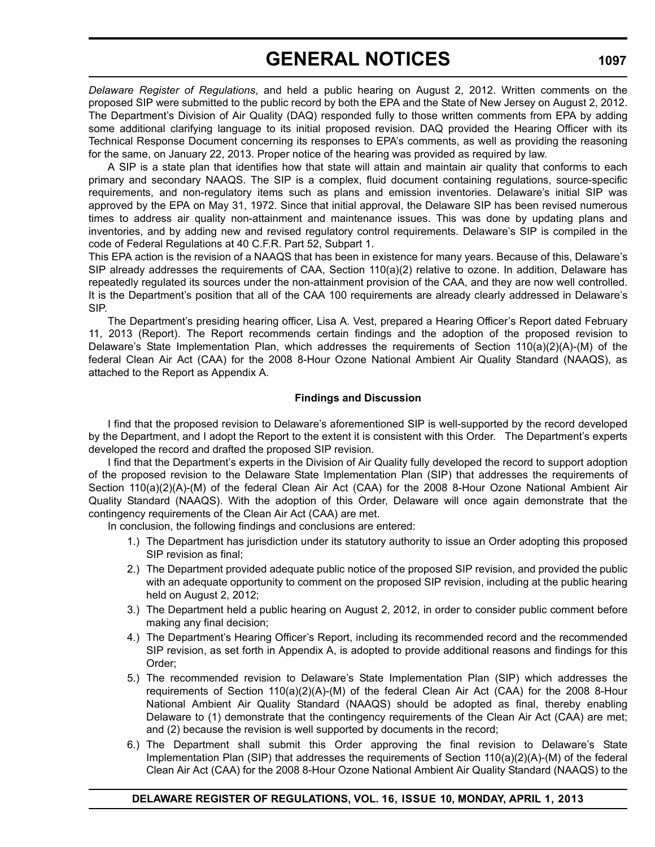# **GENERAL NOTICES**

*Delaware Register of Regulations*, and held a public hearing on August 2, 2012. Written comments on the proposed SIP were submitted to the public record by both the EPA and the State of New Jersey on August 2, 2012. The Department's Division of Air Quality (DAQ) responded fully to those written comments from EPA by adding some additional clarifying language to its initial proposed revision. DAQ provided the Hearing Officer with its Technical Response Document concerning its responses to EPA's comments, as well as providing the reasoning for the same, on January 22, 2013. Proper notice of the hearing was provided as required by law.

A SIP is a state plan that identifies how that state will attain and maintain air quality that conforms to each primary and secondary NAAQS. The SIP is a complex, fluid document containing regulations, source-specific requirements, and non-regulatory items such as plans and emission inventories. Delaware's initial SIP was approved by the EPA on May 31, 1972. Since that initial approval, the Delaware SIP has been revised numerous times to address air quality non-attainment and maintenance issues. This was done by updating plans and inventories, and by adding new and revised regulatory control requirements. Delaware's SIP is compiled in the code of Federal Regulations at 40 C.F.R. Part 52, Subpart 1.

This EPA action is the revision of a NAAQS that has been in existence for many years. Because of this, Delaware's SIP already addresses the requirements of CAA, Section 110(a)(2) relative to ozone. In addition, Delaware has repeatedly regulated its sources under the non-attainment provision of the CAA, and they are now well controlled. It is the Department's position that all of the CAA 100 requirements are already clearly addressed in Delaware's SIP.

The Department's presiding hearing officer, Lisa A. Vest, prepared a Hearing Officer's Report dated February 11, 2013 (Report). The Report recommends certain findings and the adoption of the proposed revision to Delaware's State Implementation Plan, which addresses the requirements of Section 110(a)(2)(A)-(M) of the federal Clean Air Act (CAA) for the 2008 8-Hour Ozone National Ambient Air Quality Standard (NAAQS), as attached to the Report as Appendix A.

## **Findings and Discussion**

I find that the proposed revision to Delaware's aforementioned SIP is well-supported by the record developed by the Department, and I adopt the Report to the extent it is consistent with this Order. The Department's experts developed the record and drafted the proposed SIP revision.

I find that the Department's experts in the Division of Air Quality fully developed the record to support adoption of the proposed revision to the Delaware State Implementation Plan (SIP) that addresses the requirements of Section 110(a)(2)(A)-(M) of the federal Clean Air Act (CAA) for the 2008 8-Hour Ozone National Ambient Air Quality Standard (NAAQS). With the adoption of this Order, Delaware will once again demonstrate that the contingency requirements of the Clean Air Act (CAA) are met.

In conclusion, the following findings and conclusions are entered:

- 1.) The Department has jurisdiction under its statutory authority to issue an Order adopting this proposed SIP revision as final;
- 2.) The Department provided adequate public notice of the proposed SIP revision, and provided the public with an adequate opportunity to comment on the proposed SIP revision, including at the public hearing held on August 2, 2012;
- 3.) The Department held a public hearing on August 2, 2012, in order to consider public comment before making any final decision;
- 4.) The Department's Hearing Officer's Report, including its recommended record and the recommended SIP revision, as set forth in Appendix A, is adopted to provide additional reasons and findings for this Order;
- 5.) The recommended revision to Delaware's State Implementation Plan (SIP) which addresses the requirements of Section 110(a)(2)(A)-(M) of the federal Clean Air Act (CAA) for the 2008 8-Hour National Ambient Air Quality Standard (NAAQS) should be adopted as final, thereby enabling Delaware to (1) demonstrate that the contingency requirements of the Clean Air Act (CAA) are met; and (2) because the revision is well supported by documents in the record;
- 6.) The Department shall submit this Order approving the final revision to Delaware's State Implementation Plan (SIP) that addresses the requirements of Section 110(a)(2)(A)-(M) of the federal Clean Air Act (CAA) for the 2008 8-Hour Ozone National Ambient Air Quality Standard (NAAQS) to the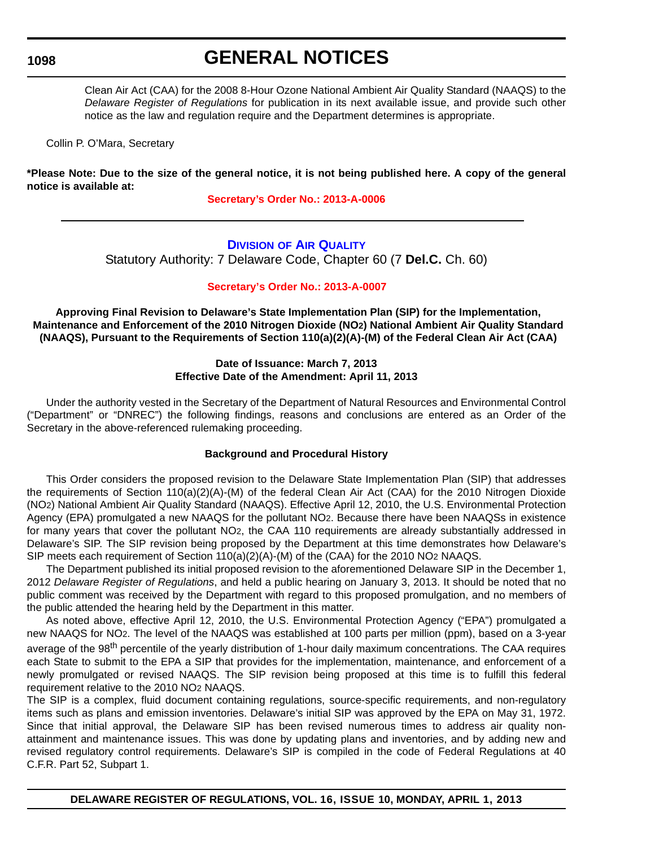## **GENERAL NOTICES**

Clean Air Act (CAA) for the 2008 8-Hour Ozone National Ambient Air Quality Standard (NAAQS) to the *Delaware Register of Regulations* for publication in its next available issue, and provide such other notice as the law and regulation require and the Department determines is appropriate.

Collin P. O'Mara, Secretary

**\*Please Note: Due to the size of the general notice, it is not being published here. A copy of the general notice is [available at:](http://regulations.delaware.gov/register/april2013/general/16 DE Reg 1095 04-01-13.htm)**

**Secretary's Order No.: 2013-A-0006**

### **D[IVISION](http://www.dnrec.delaware.gov/whs/awm/AQM/Pages/Default.aspx) OF AIR QUALITY**

Statutory Authority: 7 Delaware Code, Chapter 60 (7 **Del.C.** Ch. 60)

#### **[Secretary's Order No.: 2013-A-0007](#page-4-0)**

**Approving Final Revision to Delaware's State Implementation Plan (SIP) for the Implementation, Maintenance and Enforcement of the 2010 Nitrogen Dioxide (NO2) National Ambient Air Quality Standard (NAAQS), Pursuant to the Requirements of Section 110(a)(2)(A)-(M) of the Federal Clean Air Act (CAA)**

### **Date of Issuance: March 7, 2013 Effective Date of the Amendment: April 11, 2013**

Under the authority vested in the Secretary of the Department of Natural Resources and Environmental Control ("Department" or "DNREC") the following findings, reasons and conclusions are entered as an Order of the Secretary in the above-referenced rulemaking proceeding.

### **Background and Procedural History**

This Order considers the proposed revision to the Delaware State Implementation Plan (SIP) that addresses the requirements of Section 110(a)(2)(A)-(M) of the federal Clean Air Act (CAA) for the 2010 Nitrogen Dioxide (NO2) National Ambient Air Quality Standard (NAAQS). Effective April 12, 2010, the U.S. Environmental Protection Agency (EPA) promulgated a new NAAQS for the pollutant NO2. Because there have been NAAQSs in existence for many years that cover the pollutant NO2, the CAA 110 requirements are already substantially addressed in Delaware's SIP. The SIP revision being proposed by the Department at this time demonstrates how Delaware's SIP meets each requirement of Section 110(a)(2)(A)-(M) of the (CAA) for the 2010 NO2 NAAQS.

The Department published its initial proposed revision to the aforementioned Delaware SIP in the December 1, 2012 *Delaware Register of Regulations*, and held a public hearing on January 3, 2013. It should be noted that no public comment was received by the Department with regard to this proposed promulgation, and no members of the public attended the hearing held by the Department in this matter.

As noted above, effective April 12, 2010, the U.S. Environmental Protection Agency ("EPA") promulgated a new NAAQS for NO2. The level of the NAAQS was established at 100 parts per million (ppm), based on a 3-year average of the 98<sup>th</sup> percentile of the yearly distribution of 1-hour daily maximum concentrations. The CAA requires each State to submit to the EPA a SIP that provides for the implementation, maintenance, and enforcement of a newly promulgated or revised NAAQS. The SIP revision being proposed at this time is to fulfill this federal requirement relative to the 2010 NO2 NAAQS.

The SIP is a complex, fluid document containing regulations, source-specific requirements, and non-regulatory items such as plans and emission inventories. Delaware's initial SIP was approved by the EPA on May 31, 1972. Since that initial approval, the Delaware SIP has been revised numerous times to address air quality nonattainment and maintenance issues. This was done by updating plans and inventories, and by adding new and revised regulatory control requirements. Delaware's SIP is compiled in the code of Federal Regulations at 40 C.F.R. Part 52, Subpart 1.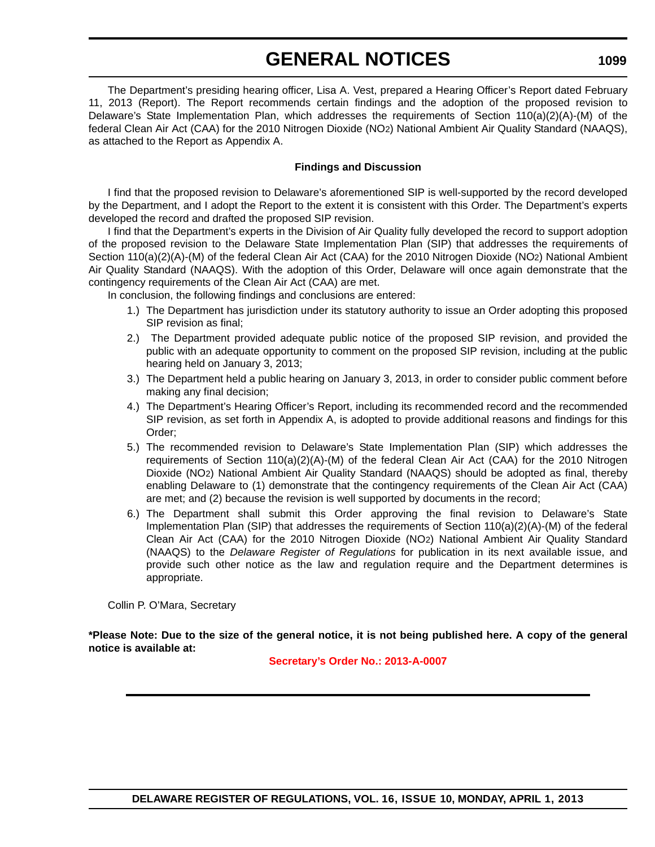## **GENERAL NOTICES**

The Department's presiding hearing officer, Lisa A. Vest, prepared a Hearing Officer's Report dated Fe 11, 2013 (Report). The Report recommends certain findings and the adoption of the proposed revis Delaware's State Implementation Plan, which addresses the requirements of Section  $110(a)(2)(A)-(M)$ federal Clean Air Act (CAA) for the 2010 Nitrogen Dioxide (NO2) National Ambient Air Quality Standard (NA as attached to the Report as Appendix A.

#### **Findings and Discussion**

I find that the proposed revision to Delaware's aforementioned SIP is well-supported by the record dev by the Department, and I adopt the Report to the extent it is consistent with this Order. The Department's e developed the record and drafted the proposed SIP revision.

I find that the Department's experts in the Division of Air Quality fully developed the record to support adoption of the proposed revision to the Delaware State Implementation Plan (SIP) that addresses the requirement Section 110(a)(2)(A)-(M) of the federal Clean Air Act (CAA) for the 2010 Nitrogen Dioxide (NO2) National A Air Quality Standard (NAAQS). With the adoption of this Order, Delaware will once again demonstrate th contingency requirements of the Clean Air Act (CAA) are met.

In conclusion, the following findings and conclusions are entered:

- 1.) The Department has jurisdiction under its statutory authority to issue an Order adopting this pro SIP revision as final;
- 2.) The Department provided adequate public notice of the proposed SIP revision, and provided the theories public with an adequate opportunity to comment on the proposed SIP revision, including at the hearing held on January 3, 2013;
- 3.) The Department held a public hearing on January 3, 2013, in order to consider public comment making any final decision;
- 4.) The Department's Hearing Officer's Report, including its recommended record and the recomm SIP revision, as set forth in Appendix A, is adopted to provide additional reasons and findings for Order;
- 5.) The recommended revision to Delaware's State Implementation Plan (SIP) which address requirements of Section 110(a)(2)(A)-(M) of the federal Clean Air Act (CAA) for the 2010 Ni Dioxide (NO2) National Ambient Air Quality Standard (NAAQS) should be adopted as final, the enabling Delaware to (1) demonstrate that the contingency requirements of the Clean Air Act are met; and (2) because the revision is well supported by documents in the record;
- 6.) The Department shall submit this Order approving the final revision to Delaware's Implementation Plan (SIP) that addresses the requirements of Section  $110(a)(2)(A)$ -(M) of the f Clean Air Act (CAA) for the 2010 Nitrogen Dioxide (NO2) National Ambient Air Quality Sta (NAAQS) to the *Delaware Register of Regulations* for publication in its next available issu provide such other notice as the law and regulation require and the Department determi appropriate.

Collin P. O'Mara, Secretary

**\*Please Note: Due to the size of the general notice, it is not being published here. A copy of the general notice is available at:**

**[Secretary's Order No.: 2013-A-0007](http://regulations.delaware.gov/register/april2013/general/16 DE Reg 1097 04-01-13.htm)**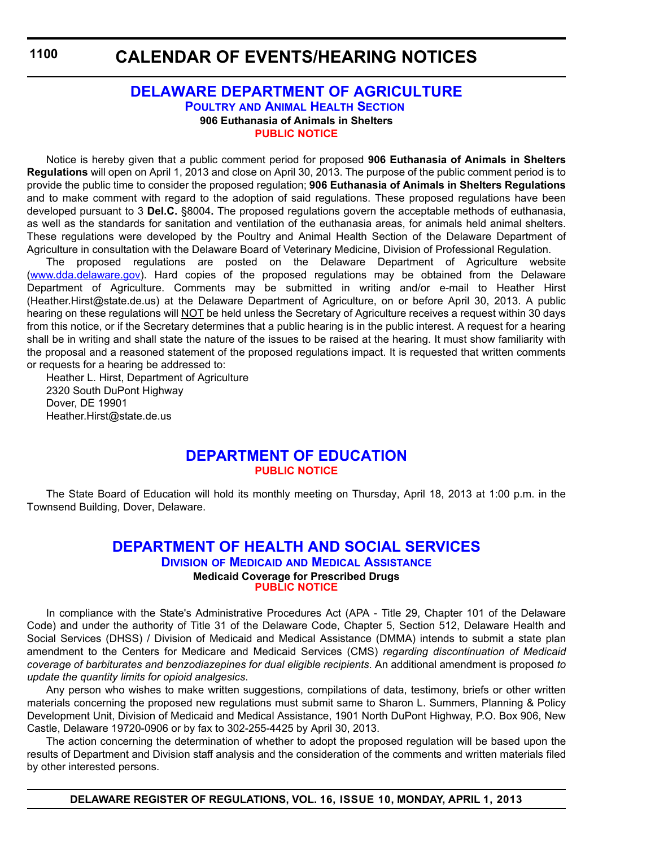## **[DELAWARE DEPARTMENT OF AGRICULTURE](http://dda.delaware.gov/poultryah/index.shtml) POULTRY AND ANIMAL HEALTH SECTION 906 Euthanasia of Animals in Shelters [PUBLIC NOTICE](#page-4-0)**

Notice is hereby given that a public comment period for proposed **906 Euthanasia of Animals in Shelters Regulations** will open on April 1, 2013 and close on April 30, 2013. The purpose of the public comment period is to provide the public time to consider the proposed regulation; **906 Euthanasia of Animals in Shelters Regulations** and to make comment with regard to the adoption of said regulations. These proposed regulations have been developed pursuant to 3 **Del.C.** §8004**.** The proposed regulations govern the acceptable methods of euthanasia, as well as the standards for sanitation and ventilation of the euthanasia areas, for animals held animal shelters. These regulations were developed by the Poultry and Animal Health Section of the Delaware Department of Agriculture in consultation with the Delaware Board of Veterinary Medicine, Division of Professional Regulation.

The proposed regulations are posted on the Delaware Department of Agriculture website (www.dda.delaware.gov). Hard copies of the proposed regulations may be obtained from the Delaware Department of Agriculture. Comments may be submitted in writing and/or e-mail to Heather Hirst (Heather.Hirst@state.de.us) at the Delaware Department of Agriculture, on or before April 30, 2013. A public hearing on these regulations will NOT be held unless the Secretary of Agriculture receives a request within 30 days from this notice, or if the Secretary determines that a public hearing is in the public interest. A request for a hearing shall be in writing and shall state the nature of the issues to be raised at the hearing. It must show familiarity with the proposal and a reasoned statement of the proposed regulations impact. It is requested that written comments or requests for a hearing be addressed to:

Heather L. Hirst, Department of Agriculture 2320 South DuPont Highway Dover, DE 19901 Heather.Hirst@state.de.us

## **[DEPARTMENT OF EDUCATION](http://www.doe.k12.de.us/) [PUBLIC NOTICE](#page-4-0)**

The State Board of Education will hold its monthly meeting on Thursday, April 18, 2013 at 1:00 p.m. in the Townsend Building, Dover, Delaware.

## **[DEPARTMENT OF HEALTH AND SOCIAL SERVICES](http://www.dhss.delaware.gov/dhss/dmma/) DIVISION OF MEDICAID AND MEDICAL ASSISTANCE Medicaid Coverage for Prescribed Drugs [PUBLIC NOTICE](#page-4-0)**

In compliance with the State's Administrative Procedures Act (APA - Title 29, Chapter 101 of the Delaware Code) and under the authority of Title 31 of the Delaware Code, Chapter 5, Section 512, Delaware Health and Social Services (DHSS) / Division of Medicaid and Medical Assistance (DMMA) intends to submit a state plan amendment to the Centers for Medicare and Medicaid Services (CMS) *regarding discontinuation of Medicaid coverage of barbiturates and benzodiazepines for dual eligible recipients*. An additional amendment is proposed *to update the quantity limits for opioid analgesics*.

Any person who wishes to make written suggestions, compilations of data, testimony, briefs or other written materials concerning the proposed new regulations must submit same to Sharon L. Summers, Planning & Policy Development Unit, Division of Medicaid and Medical Assistance, 1901 North DuPont Highway, P.O. Box 906, New Castle, Delaware 19720-0906 or by fax to 302-255-4425 by April 30, 2013.

The action concerning the determination of whether to adopt the proposed regulation will be based upon the results of Department and Division staff analysis and the consideration of the comments and written materials filed by other interested persons.

**DELAWARE REGISTER OF REGULATIONS, VOL. 16, ISSUE 10, MONDAY, APRIL 1, 2013**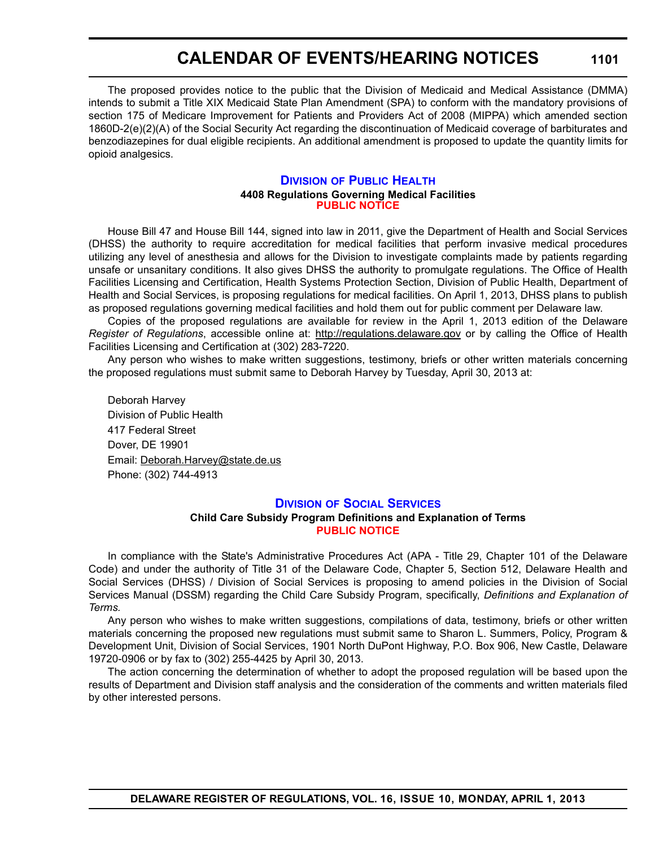The proposed provides notice to the public that the Division of Medicaid and Medical Assistance (DMMA) intends to submit a Title XIX Medicaid State Plan Amendment (SPA) to conform with the mandatory provisions of section 175 of Medicare Improvement for Patients and Providers Act of 2008 (MIPPA) which amended section 1860D-2(e)(2)(A) of the Social Security Act regarding the discontinuation of Medicaid coverage of barbiturates and benzodiazepines for dual eligible recipients. An additional amendment is proposed to update the quantity limits for opioid analgesics.

#### **DIVISION [OF PUBLIC HEALTH](http://www.dhss.delaware.gov/dhss/dph/index.html) 4408 Regulations Governing Medical Facilities [PUBLIC NOTICE](#page-4-0)**

House Bill 47 and House Bill 144, signed into law in 2011, give the Department of Health and Social Services (DHSS) the authority to require accreditation for medical facilities that perform invasive medical procedures utilizing any level of anesthesia and allows for the Division to investigate complaints made by patients regarding unsafe or unsanitary conditions. It also gives DHSS the authority to promulgate regulations. The Office of Health Facilities Licensing and Certification, Health Systems Protection Section, Division of Public Health, Department of Health and Social Services, is proposing regulations for medical facilities. On April 1, 2013, DHSS plans to publish as proposed regulations governing medical facilities and hold them out for public comment per Delaware law.

Copies of the proposed regulations are available for review in the April 1, 2013 edition of the Delaware *Register of Regulations*, accessible online at: http://regulations.delaware.gov or by calling the Office of Health Facilities Licensing and Certification at (302) 283-7220.

Any person who wishes to make written suggestions, testimony, briefs or other written materials concerning the proposed regulations must submit same to Deborah Harvey by Tuesday, April 30, 2013 at:

Deborah Harvey Division of Public Health 417 Federal Street Dover, DE 19901 Email: Deborah.Harvey@state.de.us Phone: (302) 744-4913

## **DIVISION [OF SOCIAL SERVICES](http://www.dhss.delaware.gov/dhss/dss/)**

## **Child Care Subsidy Program Definitions and Explanation of Terms [PUBLIC NOTICE](#page-4-0)**

In compliance with the State's Administrative Procedures Act (APA - Title 29, Chapter 101 of the Delaware Code) and under the authority of Title 31 of the Delaware Code, Chapter 5, Section 512, Delaware Health and Social Services (DHSS) / Division of Social Services is proposing to amend policies in the Division of Social Services Manual (DSSM) regarding the Child Care Subsidy Program, specifically, *Definitions and Explanation of Terms.*

Any person who wishes to make written suggestions, compilations of data, testimony, briefs or other written materials concerning the proposed new regulations must submit same to Sharon L. Summers, Policy, Program & Development Unit, Division of Social Services, 1901 North DuPont Highway, P.O. Box 906, New Castle, Delaware 19720-0906 or by fax to (302) 255-4425 by April 30, 2013.

The action concerning the determination of whether to adopt the proposed regulation will be based upon the results of Department and Division staff analysis and the consideration of the comments and written materials filed by other interested persons.

**1101**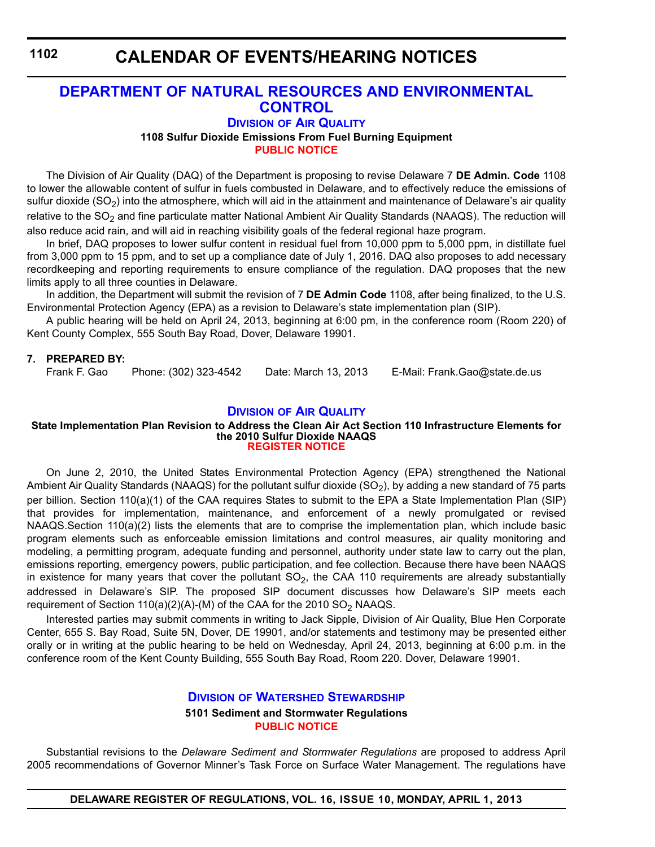## **CALENDAR OF EVENTS/HEARING NOTICES**

## **[DEPARTMENT OF NATURAL RESOURCES AND ENVIRONMENTAL](http://www.dnrec.delaware.gov/whs/awm/AQM/Pages/Default.aspx)  CONTROL**

## **DIVISION OF AIR QUALITY**

**1108 Sulfur Dioxide Emissions From Fuel Burning Equipment**

**[PUBLIC NOTICE](#page-4-0)**

The Division of Air Quality (DAQ) of the Department is proposing to revise Delaware 7 **DE Admin. Code** 1108 to lower the allowable content of sulfur in fuels combusted in Delaware, and to effectively reduce the emissions of sulfur dioxide (SO<sub>2</sub>) into the atmosphere, which will aid in the attainment and maintenance of Delaware's air quality relative to the  $SO<sub>2</sub>$  and fine particulate matter National Ambient Air Quality Standards (NAAQS). The reduction will also reduce acid rain, and will aid in reaching visibility goals of the federal regional haze program.

In brief, DAQ proposes to lower sulfur content in residual fuel from 10,000 ppm to 5,000 ppm, in distillate fuel from 3,000 ppm to 15 ppm, and to set up a compliance date of July 1, 2016. DAQ also proposes to add necessary recordkeeping and reporting requirements to ensure compliance of the regulation. DAQ proposes that the new limits apply to all three counties in Delaware.

In addition, the Department will submit the revision of 7 **DE Admin Code** 1108, after being finalized, to the U.S. Environmental Protection Agency (EPA) as a revision to Delaware's state implementation plan (SIP).

A public hearing will be held on April 24, 2013, beginning at 6:00 pm, in the conference room (Room 220) of Kent County Complex, 555 South Bay Road, Dover, Delaware 19901.

## **7. PREPARED BY:**

Phone: (302) 323-4542 Date: March 13, 2013 E-Mail: Frank.Gao@state.de.us

## **DIVISION [OF AIR QUALITY](http://www.dnrec.delaware.gov/whs/awm/AQM/Pages/Default.aspx)**

#### **State Implementation Plan Revision to Address the Clean Air Act Section 110 Infrastructure Elements for the 2010 Sulfur Dioxide NAAQS [REGISTER NOTICE](#page-4-0)**

On June 2, 2010, the United States Environmental Protection Agency (EPA) strengthened the National Ambient Air Quality Standards (NAAQS) for the pollutant sulfur dioxide (SO<sub>2</sub>), by adding a new standard of 75 parts per billion. Section 110(a)(1) of the CAA requires States to submit to the EPA a State Implementation Plan (SIP) that provides for implementation, maintenance, and enforcement of a newly promulgated or revised NAAQS.Section 110(a)(2) lists the elements that are to comprise the implementation plan, which include basic program elements such as enforceable emission limitations and control measures, air quality monitoring and modeling, a permitting program, adequate funding and personnel, authority under state law to carry out the plan, emissions reporting, emergency powers, public participation, and fee collection. Because there have been NAAQS in existence for many years that cover the pollutant  $SO<sub>2</sub>$ , the CAA 110 requirements are already substantially addressed in Delaware's SIP. The proposed SIP document discusses how Delaware's SIP meets each requirement of Section 110(a)(2)(A)-(M) of the CAA for the 2010  $SO_2$  NAAQS.

Interested parties may submit comments in writing to Jack Sipple, Division of Air Quality, Blue Hen Corporate Center, 655 S. Bay Road, Suite 5N, Dover, DE 19901, and/or statements and testimony may be presented either orally or in writing at the public hearing to be held on Wednesday, April 24, 2013, beginning at 6:00 p.m. in the conference room of the Kent County Building, 555 South Bay Road, Room 220. Dover, Delaware 19901.

## **DIVISION [OF WATERSHED STEWARDSHIP](http://www.dnrec.delaware.gov/swc/Pages/default.aspx) 5101 Sediment and Stormwater Regulations [PUBLIC NOTICE](#page-4-0)**

Substantial revisions to the *Delaware Sediment and Stormwater Regulations* are proposed to address April 2005 recommendations of Governor Minner's Task Force on Surface Water Management. The regulations have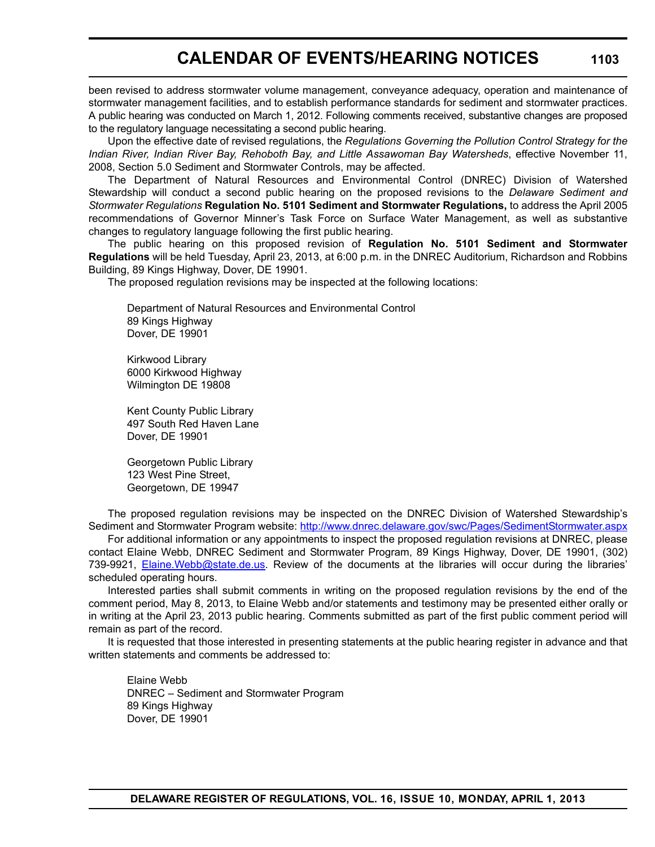been revised to address stormwater volume management, conveyance adequacy, operation and maintenance of stormwater management facilities, and to establish performance standards for sediment and stormwater practices. A public hearing was conducted on March 1, 2012. Following comments received, substantive changes are proposed to the regulatory language necessitating a second public hearing.

Upon the effective date of revised regulations, the *Regulations Governing the Pollution Control Strategy for the Indian River, Indian River Bay, Rehoboth Bay, and Little Assawoman Bay Watersheds*, effective November 11, 2008, Section 5.0 Sediment and Stormwater Controls, may be affected.

The Department of Natural Resources and Environmental Control (DNREC) Division of Watershed Stewardship will conduct a second public hearing on the proposed revisions to the *Delaware Sediment and Stormwater Regulations* **Regulation No. 5101 Sediment and Stormwater Regulations,** to address the April 2005 recommendations of Governor Minner's Task Force on Surface Water Management, as well as substantive changes to regulatory language following the first public hearing.

The public hearing on this proposed revision of **Regulation No. 5101 Sediment and Stormwater Regulations** will be held Tuesday, April 23, 2013, at 6:00 p.m. in the DNREC Auditorium, Richardson and Robbins Building, 89 Kings Highway, Dover, DE 19901.

The proposed regulation revisions may be inspected at the following locations:

Department of Natural Resources and Environmental Control 89 Kings Highway Dover, DE 19901

Kirkwood Library 6000 Kirkwood Highway Wilmington DE 19808

Kent County Public Library 497 South Red Haven Lane Dover, DE 19901

Georgetown Public Library 123 West Pine Street, Georgetown, DE 19947

The proposed regulation revisions may be inspected on the DNREC Division of Watershed Stewardship's Sediment and Stormwater Program website: http://www.dnrec.delaware.gov/swc/Pages/SedimentStormwater.aspx

For additional information or any appointments to inspect the proposed regulation revisions at DNREC, please contact Elaine Webb, DNREC Sediment and Stormwater Program, 89 Kings Highway, Dover, DE 19901, (302) 739-9921, Elaine.Webb@state.de.us. Review of the documents at the libraries will occur during the libraries' scheduled operating hours.

Interested parties shall submit comments in writing on the proposed regulation revisions by the end of the comment period, May 8, 2013, to Elaine Webb and/or statements and testimony may be presented either orally or in writing at the April 23, 2013 public hearing. Comments submitted as part of the first public comment period will remain as part of the record.

It is requested that those interested in presenting statements at the public hearing register in advance and that written statements and comments be addressed to:

Elaine Webb DNREC – Sediment and Stormwater Program 89 Kings Highway Dover, DE 19901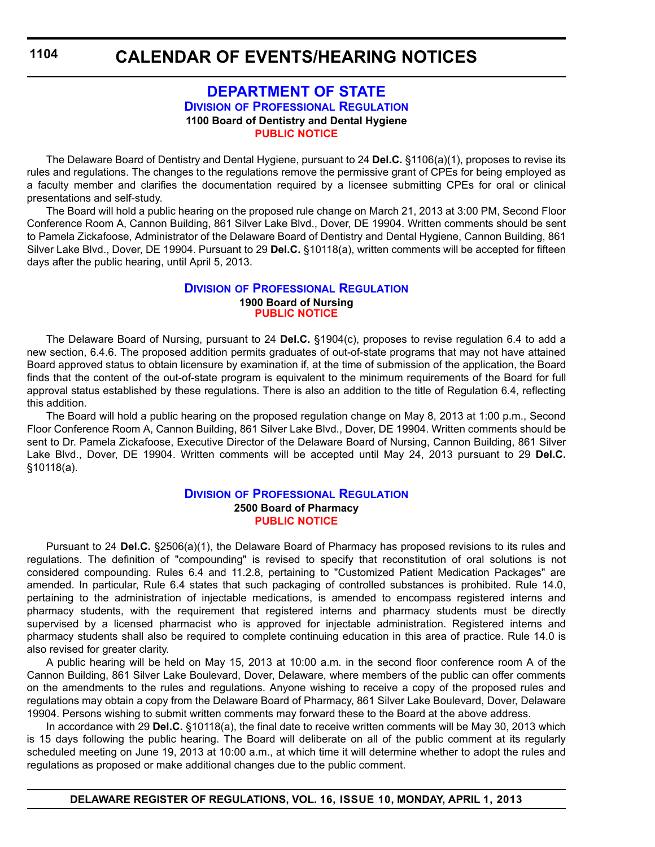## **[DEPARTMENT OF STATE](http://dpr.delaware.gov/default.shtml) DIVISION OF PROFESSIONAL REGULATION 1100 Board of Dentistry and Dental Hygiene [PUBLIC NOTICE](#page-4-0)**

The Delaware Board of Dentistry and Dental Hygiene, pursuant to 24 **Del.C.** §1106(a)(1), proposes to revise its rules and regulations. The changes to the regulations remove the permissive grant of CPEs for being employed as a faculty member and clarifies the documentation required by a licensee submitting CPEs for oral or clinical presentations and self-study.

The Board will hold a public hearing on the proposed rule change on March 21, 2013 at 3:00 PM, Second Floor Conference Room A, Cannon Building, 861 Silver Lake Blvd., Dover, DE 19904. Written comments should be sent to Pamela Zickafoose, Administrator of the Delaware Board of Dentistry and Dental Hygiene, Cannon Building, 861 Silver Lake Blvd., Dover, DE 19904. Pursuant to 29 **Del.C.** §10118(a), written comments will be accepted for fifteen days after the public hearing, until April 5, 2013.

### **DIVISION [OF PROFESSIONAL REGULATION](http://dpr.delaware.gov/default.shtml) 1900 Board of Nursing [PUBLIC NOTICE](#page-4-0)**

The Delaware Board of Nursing, pursuant to 24 **Del.C.** §1904(c), proposes to revise regulation 6.4 to add a new section, 6.4.6. The proposed addition permits graduates of out-of-state programs that may not have attained Board approved status to obtain licensure by examination if, at the time of submission of the application, the Board finds that the content of the out-of-state program is equivalent to the minimum requirements of the Board for full approval status established by these regulations. There is also an addition to the title of Regulation 6.4, reflecting this addition.

The Board will hold a public hearing on the proposed regulation change on May 8, 2013 at 1:00 p.m., Second Floor Conference Room A, Cannon Building, 861 Silver Lake Blvd., Dover, DE 19904. Written comments should be sent to Dr. Pamela Zickafoose, Executive Director of the Delaware Board of Nursing, Cannon Building, 861 Silver Lake Blvd., Dover, DE 19904. Written comments will be accepted until May 24, 2013 pursuant to 29 **Del.C.** §10118(a).

## **DIVISION [OF PROFESSIONAL REGULATION](http://dpr.delaware.gov/default.shtml) 2500 Board of Pharmacy [PUBLIC NOTICE](#page-4-0)**

Pursuant to 24 **Del.C.** §2506(a)(1), the Delaware Board of Pharmacy has proposed revisions to its rules and regulations. The definition of "compounding" is revised to specify that reconstitution of oral solutions is not considered compounding. Rules 6.4 and 11.2.8, pertaining to "Customized Patient Medication Packages" are amended. In particular, Rule 6.4 states that such packaging of controlled substances is prohibited. Rule 14.0, pertaining to the administration of injectable medications, is amended to encompass registered interns and pharmacy students, with the requirement that registered interns and pharmacy students must be directly supervised by a licensed pharmacist who is approved for injectable administration. Registered interns and pharmacy students shall also be required to complete continuing education in this area of practice. Rule 14.0 is also revised for greater clarity.

A public hearing will be held on May 15, 2013 at 10:00 a.m. in the second floor conference room A of the Cannon Building, 861 Silver Lake Boulevard, Dover, Delaware, where members of the public can offer comments on the amendments to the rules and regulations. Anyone wishing to receive a copy of the proposed rules and regulations may obtain a copy from the Delaware Board of Pharmacy, 861 Silver Lake Boulevard, Dover, Delaware 19904. Persons wishing to submit written comments may forward these to the Board at the above address.

In accordance with 29 **Del.C.** §10118(a), the final date to receive written comments will be May 30, 2013 which is 15 days following the public hearing. The Board will deliberate on all of the public comment at its regularly scheduled meeting on June 19, 2013 at 10:00 a.m., at which time it will determine whether to adopt the rules and regulations as proposed or make additional changes due to the public comment.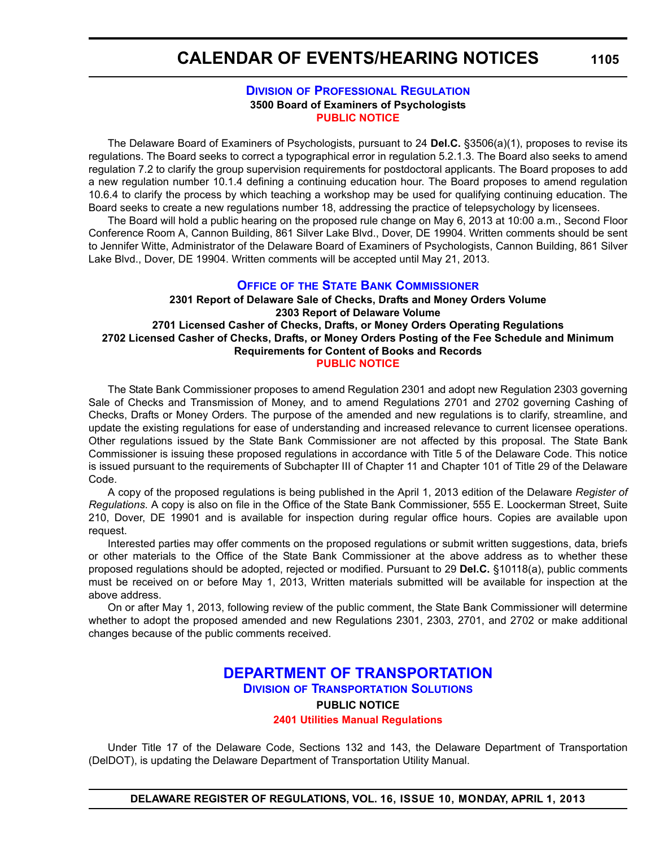## **DIVISION [OF PROFESSIONAL REGULATION](http://dpr.delaware.gov/default.shtml) 3500 Board of Examiners of Psychologists [PUBLIC NOTICE](#page-4-0)**

The Delaware Board of Examiners of Psychologists, pursuant to 24 **Del.C.** §3506(a)(1), proposes to revise its regulations. The Board seeks to correct a typographical error in regulation 5.2.1.3. The Board also seeks to amend regulation 7.2 to clarify the group supervision requirements for postdoctoral applicants. The Board proposes to add a new regulation number 10.1.4 defining a continuing education hour. The Board proposes to amend regulation 10.6.4 to clarify the process by which teaching a workshop may be used for qualifying continuing education. The Board seeks to create a new regulations number 18, addressing the practice of telepsychology by licensees.

The Board will hold a public hearing on the proposed rule change on May 6, 2013 at 10:00 a.m., Second Floor Conference Room A, Cannon Building, 861 Silver Lake Blvd., Dover, DE 19904. Written comments should be sent to Jennifer Witte, Administrator of the Delaware Board of Examiners of Psychologists, Cannon Building, 861 Silver Lake Blvd., Dover, DE 19904. Written comments will be accepted until May 21, 2013.

## **OFFICE OF [THE STATE BANK COMMISSIONER](http://banking.delaware.gov/default.shtml)**

**2301 Report of Delaware Sale of Checks, Drafts and Money Orders Volume 2303 Report of Delaware Volume 2701 Licensed Casher of Checks, Drafts, or Money Orders Operating Regulations 2702 Licensed Casher of Checks, Drafts, or Money Orders Posting of the Fee Schedule and Minimum Requirements for Content of Books and Records [PUBLIC NOTICE](#page-4-0)**

The State Bank Commissioner proposes to amend Regulation 2301 and adopt new Regulation 2303 governing Sale of Checks and Transmission of Money, and to amend Regulations 2701 and 2702 governing Cashing of Checks, Drafts or Money Orders. The purpose of the amended and new regulations is to clarify, streamline, and update the existing regulations for ease of understanding and increased relevance to current licensee operations. Other regulations issued by the State Bank Commissioner are not affected by this proposal. The State Bank Commissioner is issuing these proposed regulations in accordance with Title 5 of the Delaware Code. This notice is issued pursuant to the requirements of Subchapter III of Chapter 11 and Chapter 101 of Title 29 of the Delaware Code.

A copy of the proposed regulations is being published in the April 1, 2013 edition of the Delaware *Register of Regulations*. A copy is also on file in the Office of the State Bank Commissioner, 555 E. Loockerman Street, Suite 210, Dover, DE 19901 and is available for inspection during regular office hours. Copies are available upon request.

Interested parties may offer comments on the proposed regulations or submit written suggestions, data, briefs or other materials to the Office of the State Bank Commissioner at the above address as to whether these proposed regulations should be adopted, rejected or modified. Pursuant to 29 **Del.C.** §10118(a), public comments must be received on or before May 1, 2013, Written materials submitted will be available for inspection at the above address.

On or after May 1, 2013, following review of the public comment, the State Bank Commissioner will determine whether to adopt the proposed amended and new Regulations 2301, 2303, 2701, and 2702 or make additional changes because of the public comments received.

## **[DEPARTMENT OF TRANSPORTATION](http://www.deldot.gov/home/divisions/) DIVISION OF TRANSPORTATION SOLUTIONS PUBLIC NOTICE [2401 Utilities Manual Regulations](#page-4-0)**

Under Title 17 of the Delaware Code, Sections 132 and 143, the Delaware Department of Transportation (DelDOT), is updating the Delaware Department of Transportation Utility Manual.